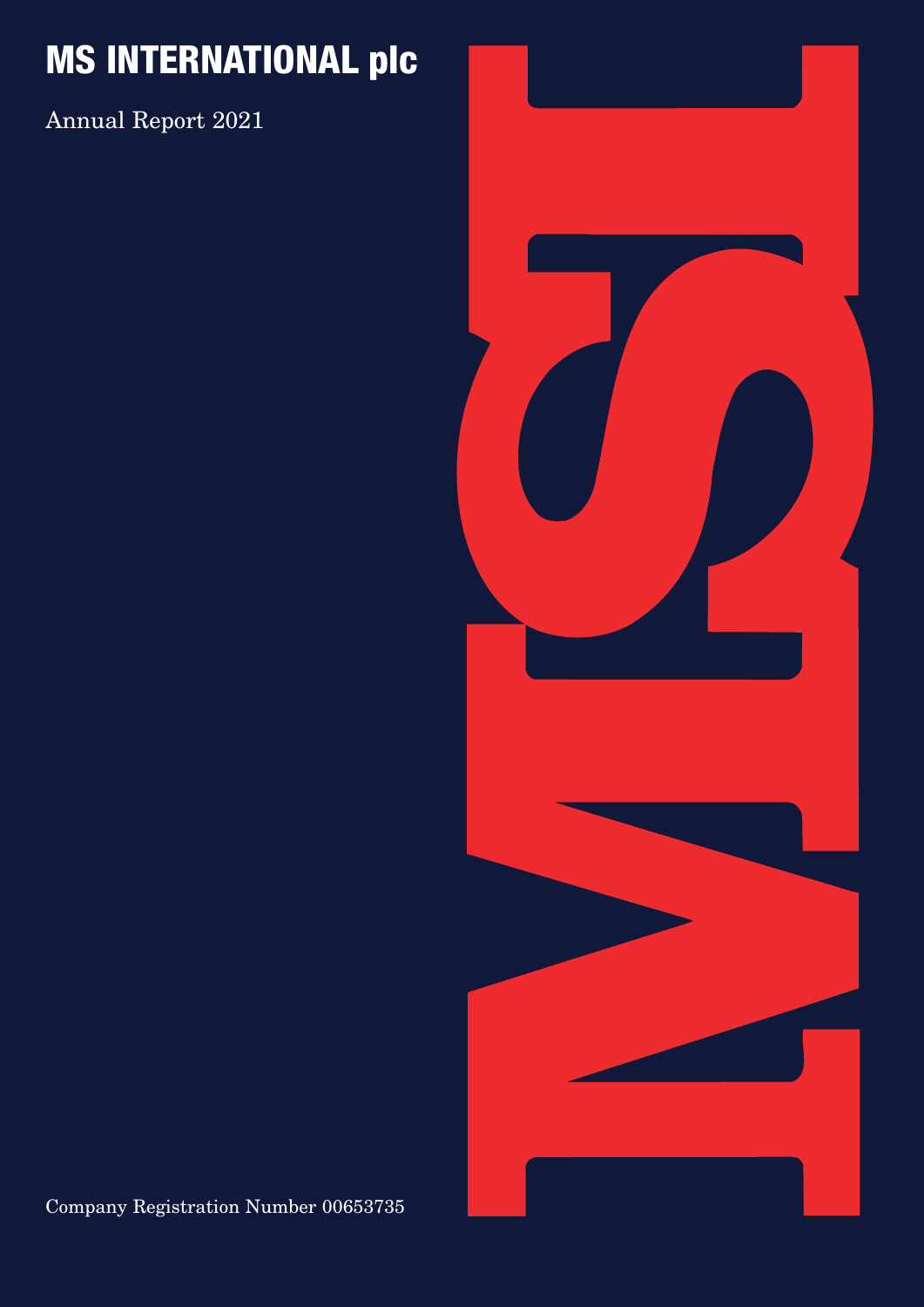# **MS INTERNATIONAL plc**

Annual Report 2021



Company Registration Number 00653735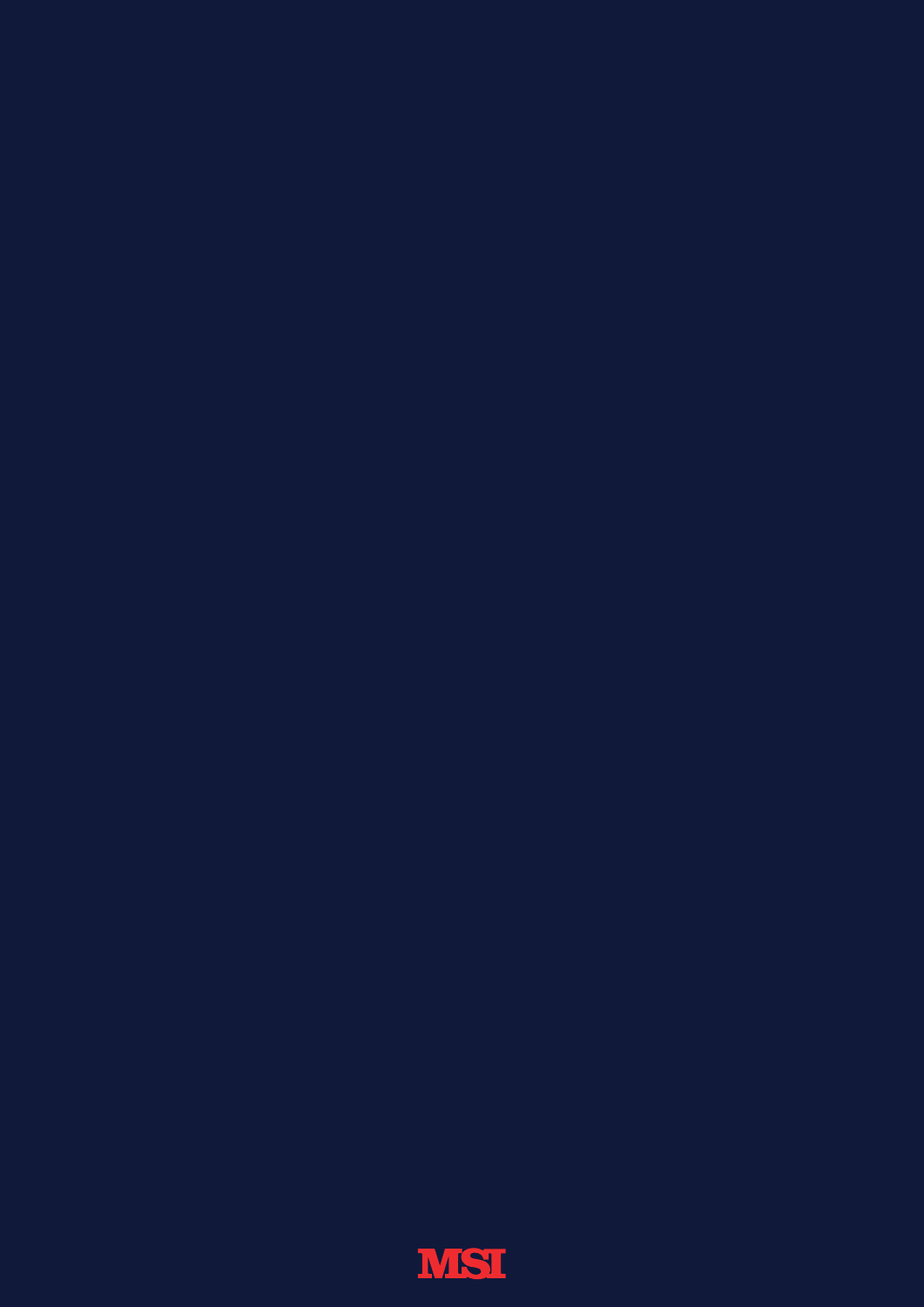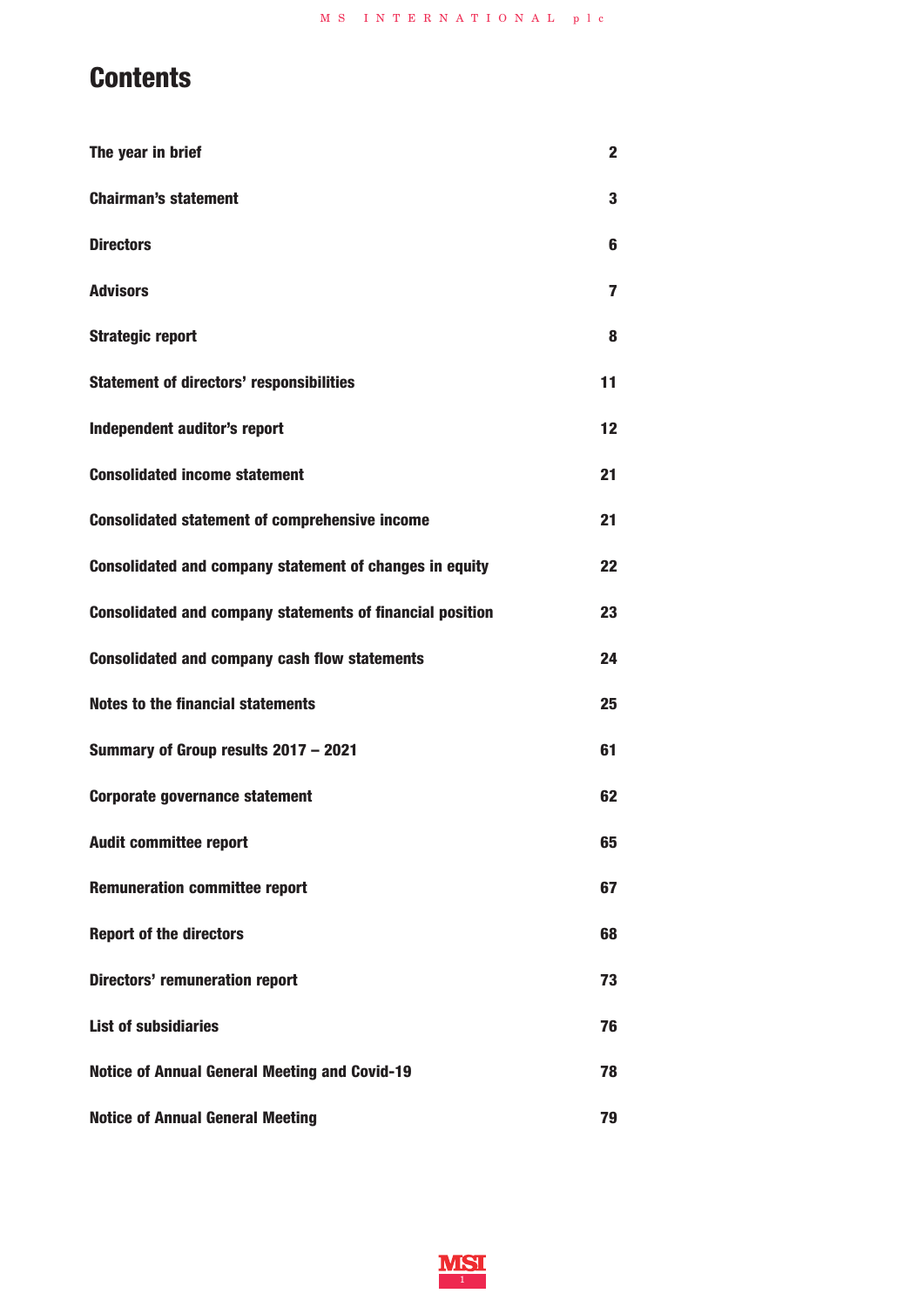# **Contents**

| The year in brief                                                | $\mathbf{2}$ |
|------------------------------------------------------------------|--------------|
| <b>Chairman's statement</b>                                      | 3            |
| <b>Directors</b>                                                 | 6            |
| <b>Advisors</b>                                                  | 7            |
| <b>Strategic report</b>                                          | 8            |
| <b>Statement of directors' responsibilities</b>                  | 11           |
| Independent auditor's report                                     | $12 \,$      |
| <b>Consolidated income statement</b>                             | 21           |
| <b>Consolidated statement of comprehensive income</b>            | 21           |
| <b>Consolidated and company statement of changes in equity</b>   | 22           |
| <b>Consolidated and company statements of financial position</b> | 23           |
| <b>Consolidated and company cash flow statements</b>             | 24           |
| <b>Notes to the financial statements</b>                         | 25           |
| Summary of Group results 2017 - 2021                             | 61           |
| <b>Corporate governance statement</b>                            | 62           |
| <b>Audit committee report</b>                                    | 65           |
| <b>Remuneration committee report</b>                             | 67           |
| <b>Report of the directors</b>                                   | 68           |
| <b>Directors' remuneration report</b>                            | 73           |
| <b>List of subsidiaries</b>                                      | 76           |
| <b>Notice of Annual General Meeting and Covid-19</b>             | 78           |
| <b>Notice of Annual General Meeting</b>                          | 79           |

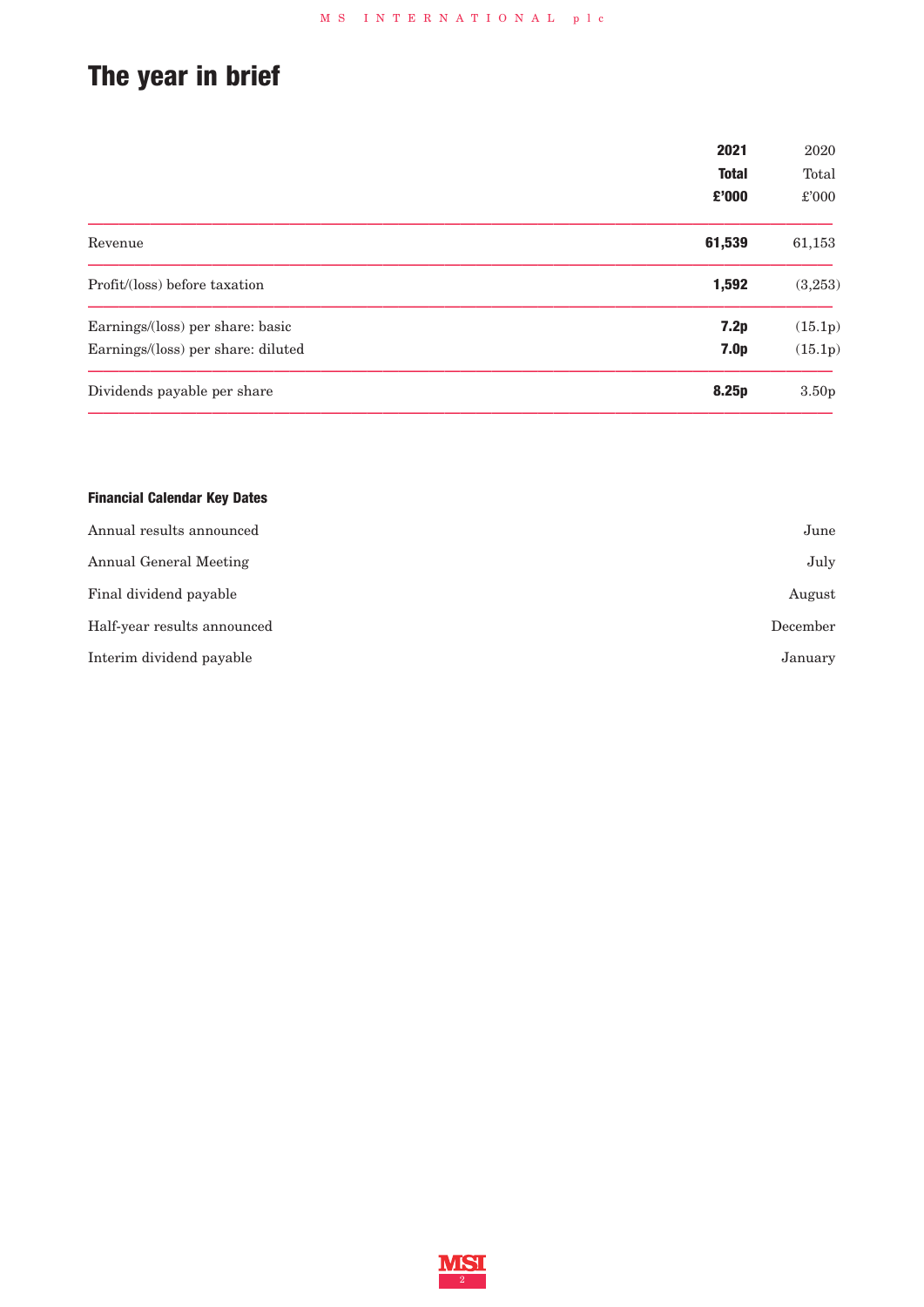# **The year in brief**

| 2021                                                   | 2020              |
|--------------------------------------------------------|-------------------|
| <b>Total</b>                                           | Total             |
| £'000                                                  | £'000             |
| 61,539<br>Revenue                                      | 61,153            |
| 1,592<br>Profit/(loss) before taxation                 | (3,253)           |
| 7.2p<br>Earnings/(loss) per share: basic               | (15.1p)           |
| 7.0 <sub>p</sub><br>Earnings/(loss) per share: diluted | (15.1p)           |
| Dividends payable per share<br>8.25p                   | 3.50 <sub>p</sub> |

# **Financial Calendar Key Dates**

| Annual results announced    | June     |
|-----------------------------|----------|
| Annual General Meeting      | July     |
| Final dividend payable      | August   |
| Half-year results announced | December |
| Interim dividend payable    | January  |

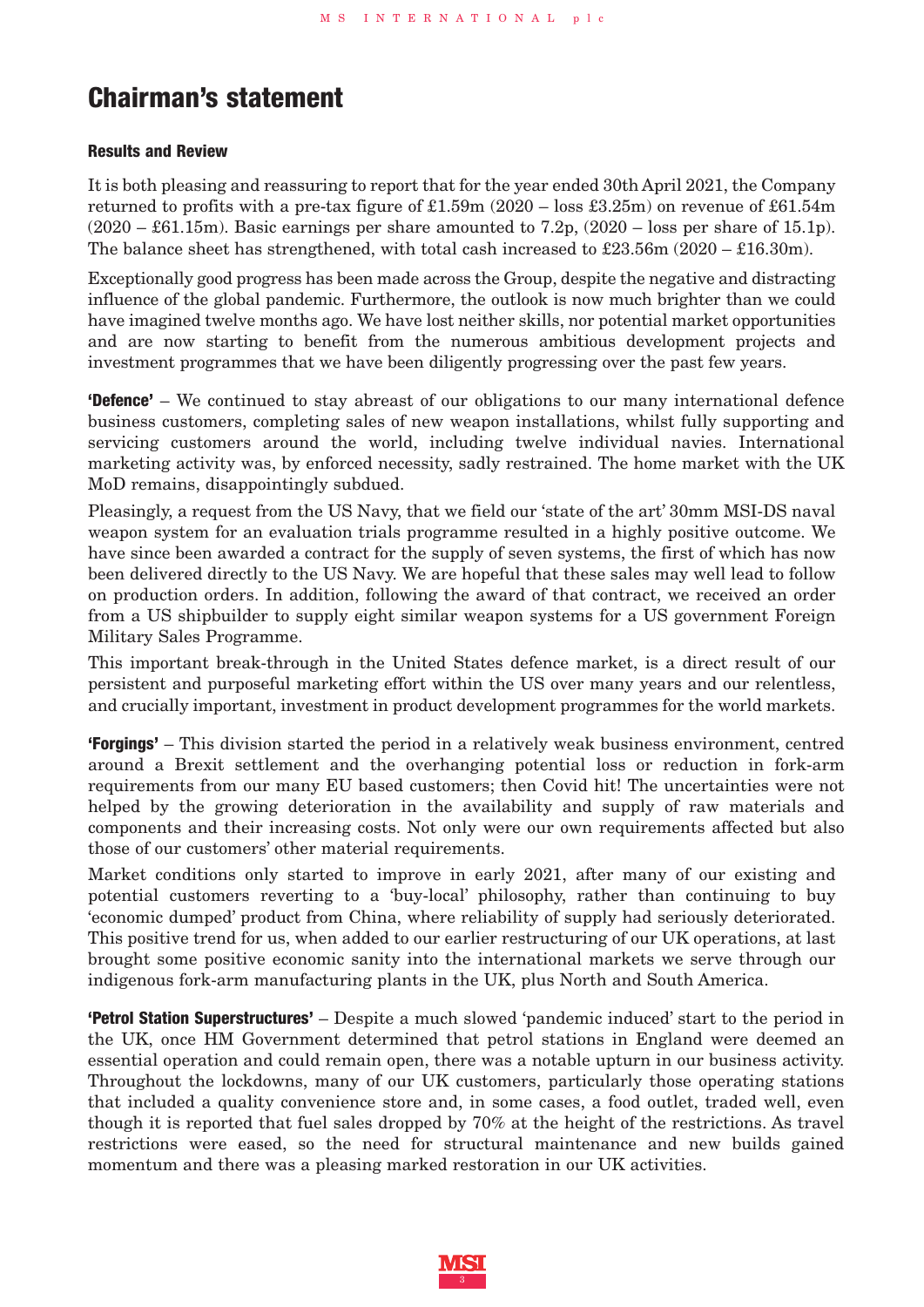# **Chairman's statement**

# **Results and Review**

It is both pleasing and reassuring to report that for the year ended 30th April 2021, the Company returned to profits with a pre-tax figure of £1.59m (2020 – loss £3.25m) on revenue of £61.54m  $(2020 - \text{\textsterling}61.15\text{m})$ . Basic earnings per share amounted to 7.2p,  $(2020 - \text{loss per share of } 15.1\text{p})$ . The balance sheet has strengthened, with total cash increased to £23.56m (2020 – £16.30m).

Exceptionally good progress has been made across the Group, despite the negative and distracting influence of the global pandemic. Furthermore, the outlook is now much brighter than we could have imagined twelve months ago. We have lost neither skills, nor potential market opportunities and are now starting to benefit from the numerous ambitious development projects and investment programmes that we have been diligently progressing over the past few years.

**'Defence'** – We continued to stay abreast of our obligations to our many international defence business customers, completing sales of new weapon installations, whilst fully supporting and servicing customers around the world, including twelve individual navies. International marketing activity was, by enforced necessity, sadly restrained. The home market with the UK MoD remains, disappointingly subdued.

Pleasingly, a request from the US Navy, that we field our 'state of the art' 30mm MSI-DS naval weapon system for an evaluation trials programme resulted in a highly positive outcome. We have since been awarded a contract for the supply of seven systems, the first of which has now been delivered directly to the US Navy. We are hopeful that these sales may well lead to follow on production orders. In addition, following the award of that contract, we received an order from a US shipbuilder to supply eight similar weapon systems for a US government Foreign Military Sales Programme.

This important break-through in the United States defence market, is a direct result of our persistent and purposeful marketing effort within the US over many years and our relentless, and crucially important, investment in product development programmes for the world markets.

**'Forgings'** – This division started the period in a relatively weak business environment, centred around a Brexit settlement and the overhanging potential loss or reduction in fork-arm requirements from our many EU based customers; then Covid hit! The uncertainties were not helped by the growing deterioration in the availability and supply of raw materials and components and their increasing costs. Not only were our own requirements affected but also those of our customers' other material requirements.

Market conditions only started to improve in early 2021, after many of our existing and potential customers reverting to a 'buy-local' philosophy, rather than continuing to buy 'economic dumped' product from China, where reliability of supply had seriously deteriorated. This positive trend for us, when added to our earlier restructuring of our UK operations, at last brought some positive economic sanity into the international markets we serve through our indigenous fork-arm manufacturing plants in the UK, plus North and South America.

**'Petrol Station Superstructures'** – Despite a much slowed 'pandemic induced' start to the period in the UK, once HM Government determined that petrol stations in England were deemed an essential operation and could remain open, there was a notable upturn in our business activity. Throughout the lockdowns, many of our UK customers, particularly those operating stations that included a quality convenience store and, in some cases, a food outlet, traded well, even though it is reported that fuel sales dropped by 70% at the height of the restrictions. As travel restrictions were eased, so the need for structural maintenance and new builds gained momentum and there was a pleasing marked restoration in our UK activities.

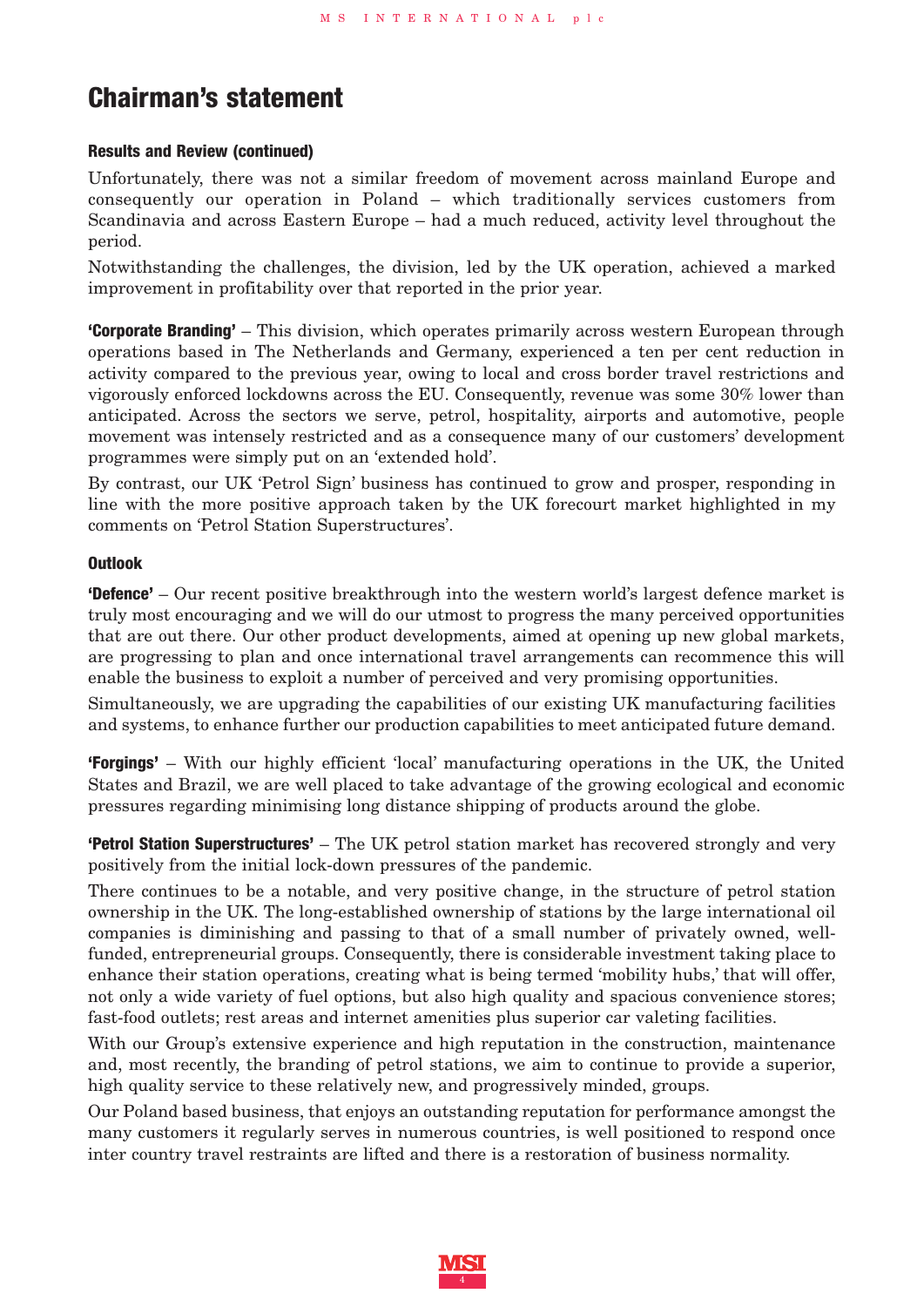# **Chairman's statement**

# **Results and Review (continued)**

Unfortunately, there was not a similar freedom of movement across mainland Europe and consequently our operation in Poland – which traditionally services customers from Scandinavia and across Eastern Europe – had a much reduced, activity level throughout the period.

Notwithstanding the challenges, the division, led by the UK operation, achieved a marked improvement in profitability over that reported in the prior year.

**'Corporate Branding'** – This division, which operates primarily across western European through operations based in The Netherlands and Germany, experienced a ten per cent reduction in activity compared to the previous year, owing to local and cross border travel restrictions and vigorously enforced lockdowns across the EU. Consequently, revenue was some 30% lower than anticipated. Across the sectors we serve, petrol, hospitality, airports and automotive, people movement was intensely restricted and as a consequence many of our customers' development programmes were simply put on an 'extended hold'.

By contrast, our UK 'Petrol Sign' business has continued to grow and prosper, responding in line with the more positive approach taken by the UK forecourt market highlighted in my comments on 'Petrol Station Superstructures'.

# **Outlook**

**'Defence'** – Our recent positive breakthrough into the western world's largest defence market is truly most encouraging and we will do our utmost to progress the many perceived opportunities that are out there. Our other product developments, aimed at opening up new global markets, are progressing to plan and once international travel arrangements can recommence this will enable the business to exploit a number of perceived and very promising opportunities.

Simultaneously, we are upgrading the capabilities of our existing UK manufacturing facilities and systems, to enhance further our production capabilities to meet anticipated future demand.

**'Forgings'** – With our highly efficient 'local' manufacturing operations in the UK, the United States and Brazil, we are well placed to take advantage of the growing ecological and economic pressures regarding minimising long distance shipping of products around the globe.

**'Petrol Station Superstructures'** – The UK petrol station market has recovered strongly and very positively from the initial lock-down pressures of the pandemic.

There continues to be a notable, and very positive change, in the structure of petrol station ownership in the UK. The long-established ownership of stations by the large international oil companies is diminishing and passing to that of a small number of privately owned, wellfunded, entrepreneurial groups. Consequently, there is considerable investment taking place to enhance their station operations, creating what is being termed 'mobility hubs,' that will offer, not only a wide variety of fuel options, but also high quality and spacious convenience stores; fast-food outlets; rest areas and internet amenities plus superior car valeting facilities.

With our Group's extensive experience and high reputation in the construction, maintenance and, most recently, the branding of petrol stations, we aim to continue to provide a superior, high quality service to these relatively new, and progressively minded, groups.

Our Poland based business, that enjoys an outstanding reputation for performance amongst the many customers it regularly serves in numerous countries, is well positioned to respond once inter country travel restraints are lifted and there is a restoration of business normality.

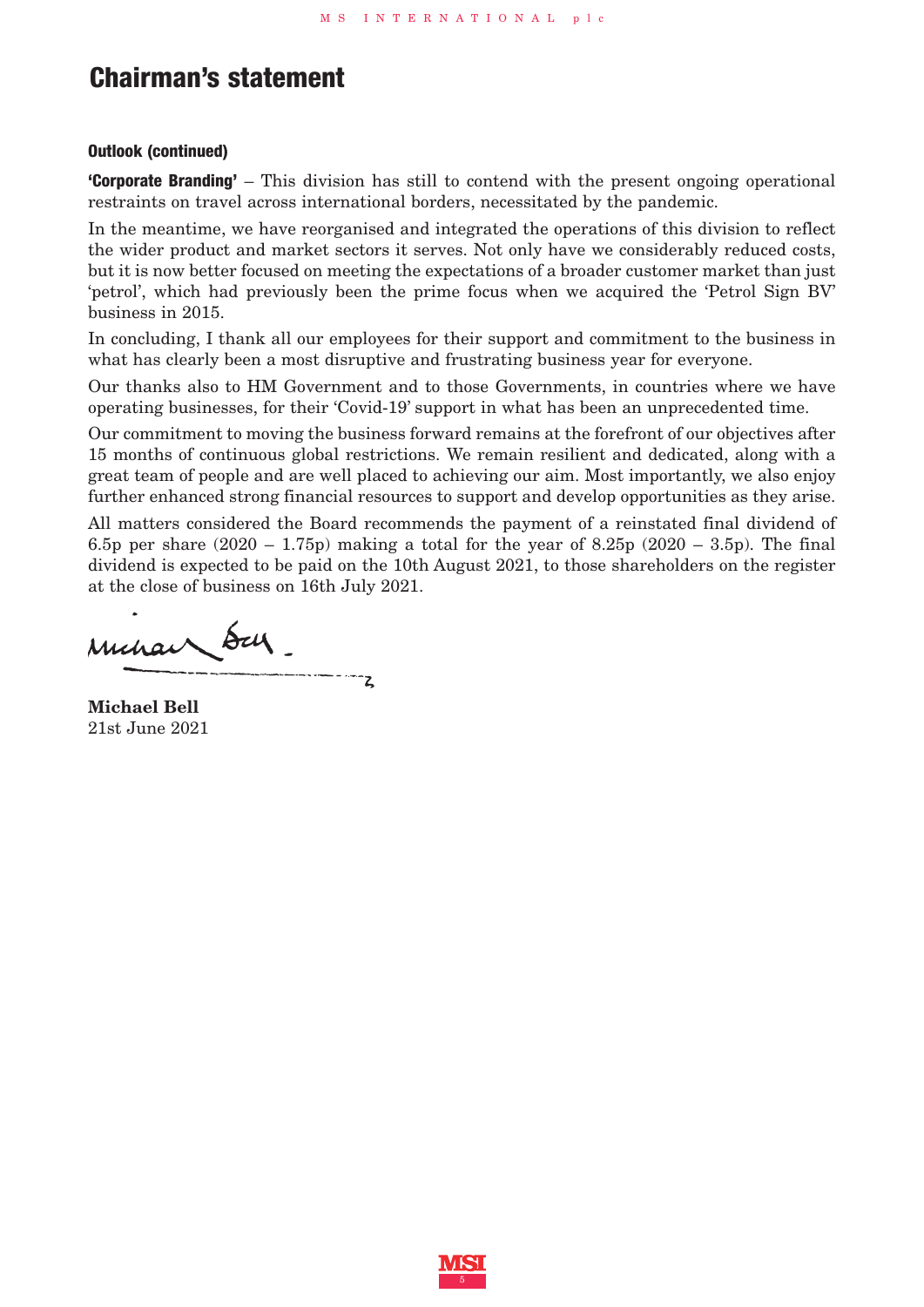# **Chairman's statement**

# **Outlook (continued)**

**'Corporate Branding'** – This division has still to contend with the present ongoing operational restraints on travel across international borders, necessitated by the pandemic.

In the meantime, we have reorganised and integrated the operations of this division to reflect the wider product and market sectors it serves. Not only have we considerably reduced costs, but it is now better focused on meeting the expectations of a broader customer market than just 'petrol', which had previously been the prime focus when we acquired the 'Petrol Sign BV' business in 2015.

In concluding, I thank all our employees for their support and commitment to the business in what has clearly been a most disruptive and frustrating business year for everyone.

Our thanks also to HM Government and to those Governments, in countries where we have operating businesses, for their 'Covid-19' support in what has been an unprecedented time.

Our commitment to moving the business forward remains at the forefront of our objectives after 15 months of continuous global restrictions. We remain resilient and dedicated, along with a great team of people and are well placed to achieving our aim. Most importantly, we also enjoy further enhanced strong financial resources to support and develop opportunities as they arise.

All matters considered the Board recommends the payment of a reinstated final dividend of 6.5p per share  $(2020 - 1.75p)$  making a total for the year of 8.25p  $(2020 - 3.5p)$ . The final dividend is expected to be paid on the 10th August 2021, to those shareholders on the register at the close of business on 16th July 2021.

minain Sur. -----z

**Michael Bell** 21st June 2021

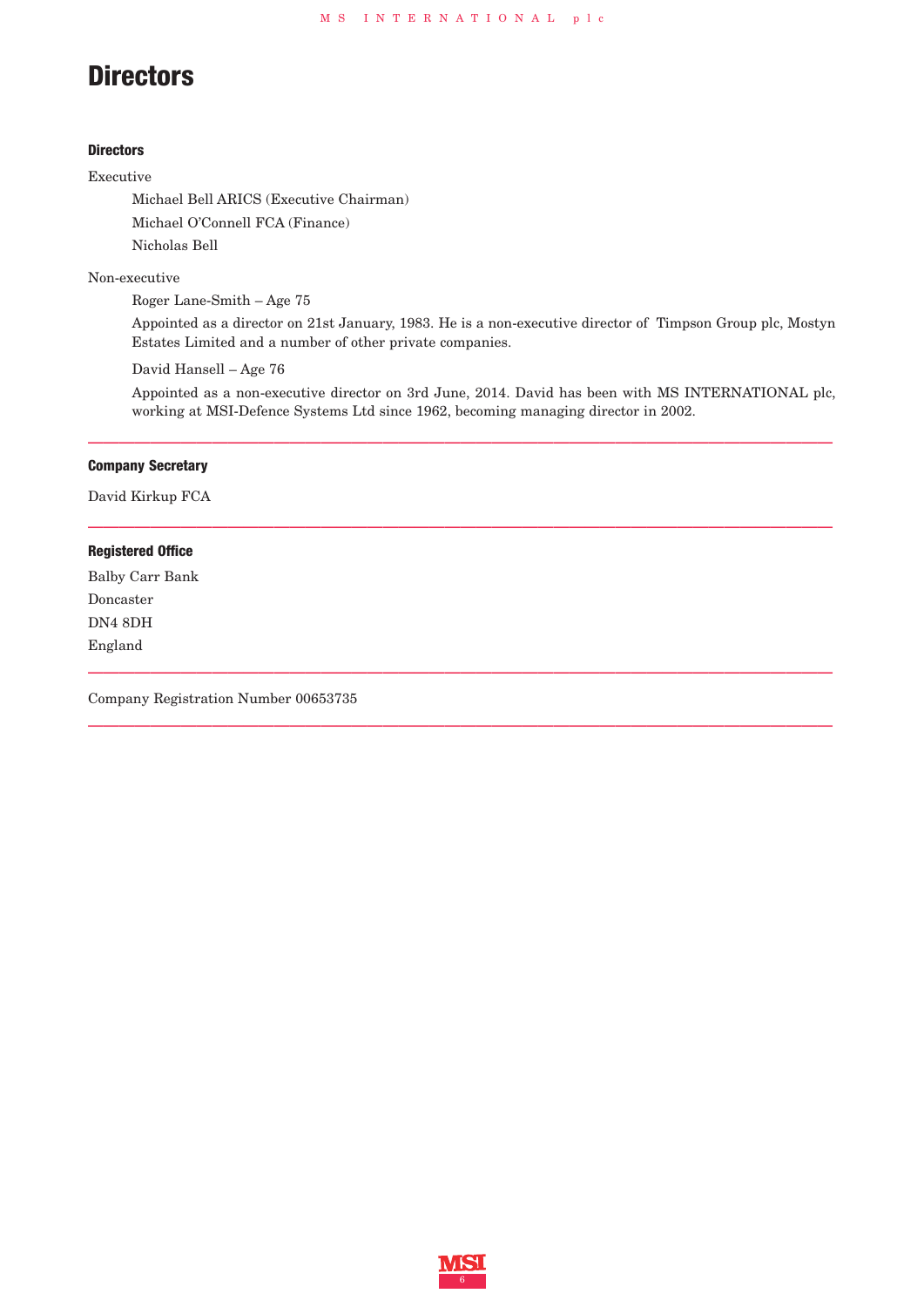# **Directors**

# **Directors**

# Executive

Michael Bell ARICS (Executive Chairman) Michael O'Connell FCA (Finance) Nicholas Bell

# Non-executive

Roger Lane-Smith – Age 75

Appointed as a director on 21st January, 1983. He is a non-executive director of Timpson Group plc, Mostyn Estates Limited and a number of other private companies.

David Hansell – Age 76

Appointed as a non-executive director on 3rd June, 2014. David has been with MS INTERNATIONAL plc, working at MSI-Defence Systems Ltd since 1962, becoming managing director in 2002.

**222222222222222222222222222222222222222222222222**

**222222222222222222222222222222222222222222222222**

**222222222222222222222222222222222222222222222222**

# **Company Secretary**

David Kirkup FCA

# **Registered Office**

Balby Carr Bank Doncaster DN4 8DH England **222222222222222222222222222222222222222222222222**

Company Registration Number 00653735

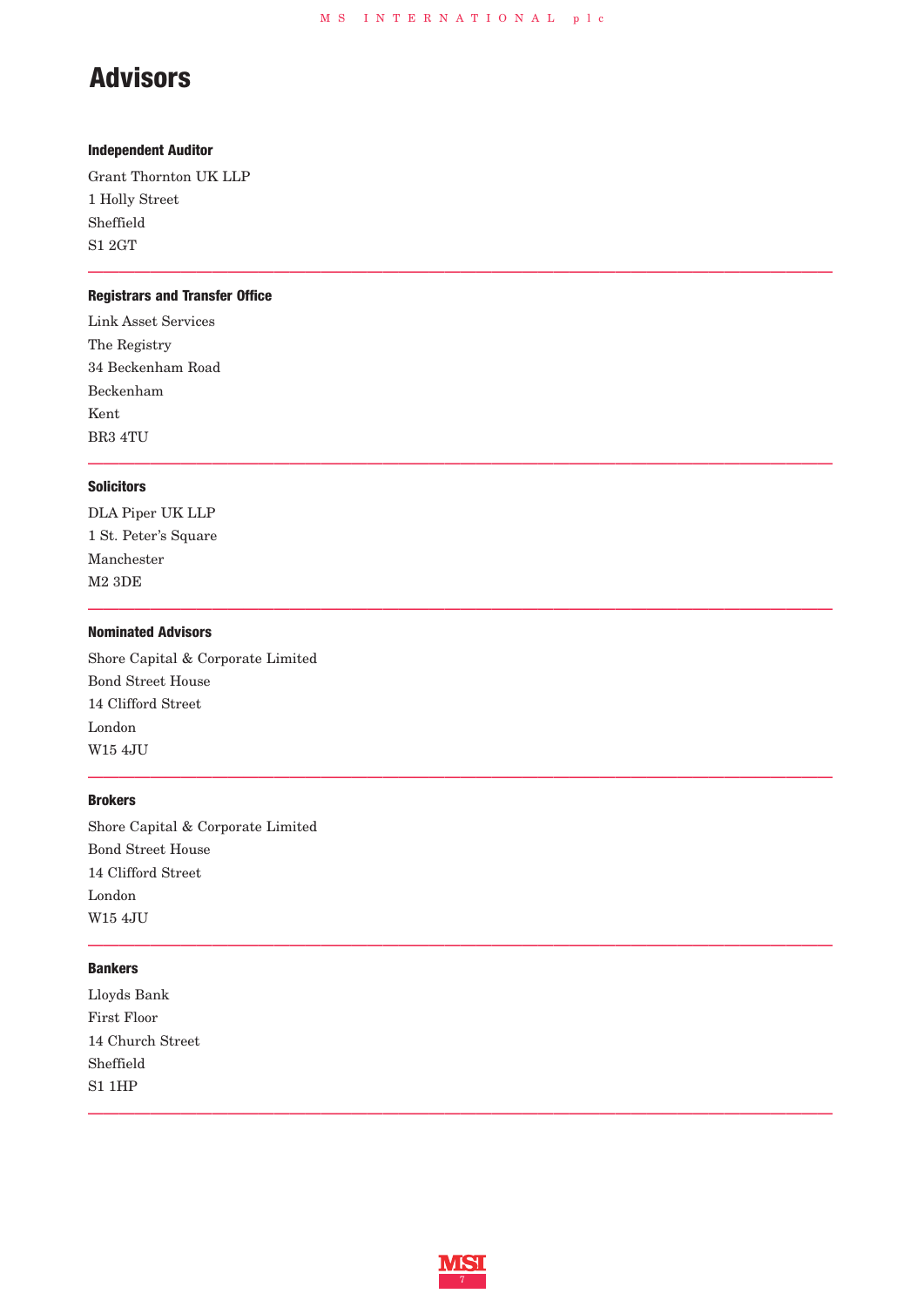**222222222222222222222222222222222222222222222222**

**222222222222222222222222222222222222222222222222**

**222222222222222222222222222222222222222222222222**

**222222222222222222222222222222222222222222222222**

**222222222222222222222222222222222222222222222222**

# **Advisors**

# **Independent Auditor**

Grant Thornton UK LLP 1 Holly Street Sheffield S1 2GT

# **Registrars and Transfer Office**

Link Asset Services The Registry 34 Beckenham Road Beckenham Kent BR3 4TU

# **Solicitors**

DLA Piper UK LLP 1 St. Peter's Square Manchester M2 3DE

# **Nominated Advisors**

Shore Capital & Corporate Limited Bond Street House 14 Clifford Street London W15 4JU

# **Brokers**

Shore Capital & Corporate Limited Bond Street House 14 Clifford Street London W15 4JU

# **Bankers**

| Lloyds Bank      |
|------------------|
| First Floor      |
| 14 Church Street |
| Sheffield        |
| <b>S1 1HP</b>    |



**222222222222222222222222222222222222222222222222**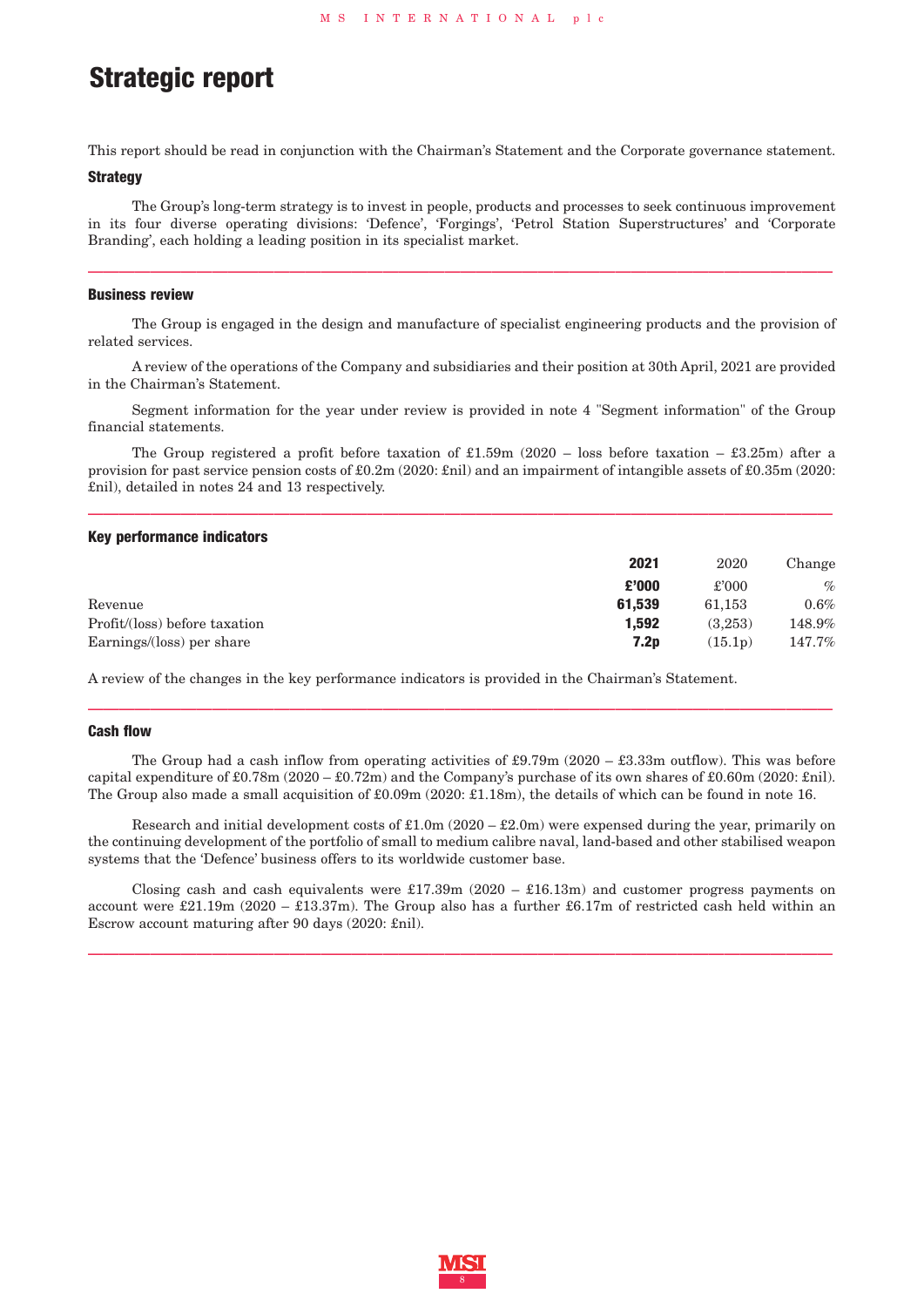# **Strategic report**

This report should be read in conjunction with the Chairman's Statement and the Corporate governance statement.

### **Strategy**

The Group's long-term strategy is to invest in people, products and processes to seek continuous improvement in its four diverse operating divisions: 'Defence', 'Forgings', 'Petrol Station Superstructures' and 'Corporate Branding', each holding a leading position in its specialist market.

**222222222222222222222222222222222222222222222222**

### **Business review**

The Group is engaged in the design and manufacture of specialist engineering products and the provision of related services.

A review of the operations of the Company and subsidiaries and their position at 30th April, 2021 are provided in the Chairman's Statement.

Segment information for the year under review is provided in note 4 "Segment information" of the Group financial statements.

The Group registered a profit before taxation of £1.59m (2020 – loss before taxation – £3.25m) after a provision for past service pension costs of £0.2m (2020: £nil) and an impairment of intangible assets of £0.35m (2020: £nil), detailed in notes 24 and 13 respectively.

**222222222222222222222222222222222222222222222222**

### **Key performance indicators**

|                               | 2021   | 2020           | Change    |
|-------------------------------|--------|----------------|-----------|
|                               | £'000  | $\pounds$ '000 | $\%$      |
| Revenue                       | 61.539 | 61.153         | 0.6%      |
| Profit/(loss) before taxation | 1.592  | (3.253)        | $148.9\%$ |
| Earnings/(loss) per share     | 7.2p   | (15.1p)        | 147.7%    |

A review of the changes in the key performance indicators is provided in the Chairman's Statement.

#### **Cash flow**

The Group had a cash inflow from operating activities of £9.79m (2020 – £3.33m outflow). This was before capital expenditure of  $£0.78$ m (2020 –  $£0.72$ m) and the Company's purchase of its own shares of £0.60m (2020: £nil). The Group also made a small acquisition of £0.09m (2020: £1.18m), the details of which can be found in note 16.

**222222222222222222222222222222222222222222222222**

Research and initial development costs of  $£1.0m (2020 - £2.0m)$  were expensed during the year, primarily on the continuing development of the portfolio of small to medium calibre naval, land-based and other stabilised weapon systems that the 'Defence' business offers to its worldwide customer base.

Closing cash and cash equivalents were £17.39m (2020 – £16.13m) and customer progress payments on account were £21.19m (2020 – £13.37m). The Group also has a further £6.17m of restricted cash held within an Escrow account maturing after 90 days (2020: £nil).

**222222222222222222222222222222222222222222222222**

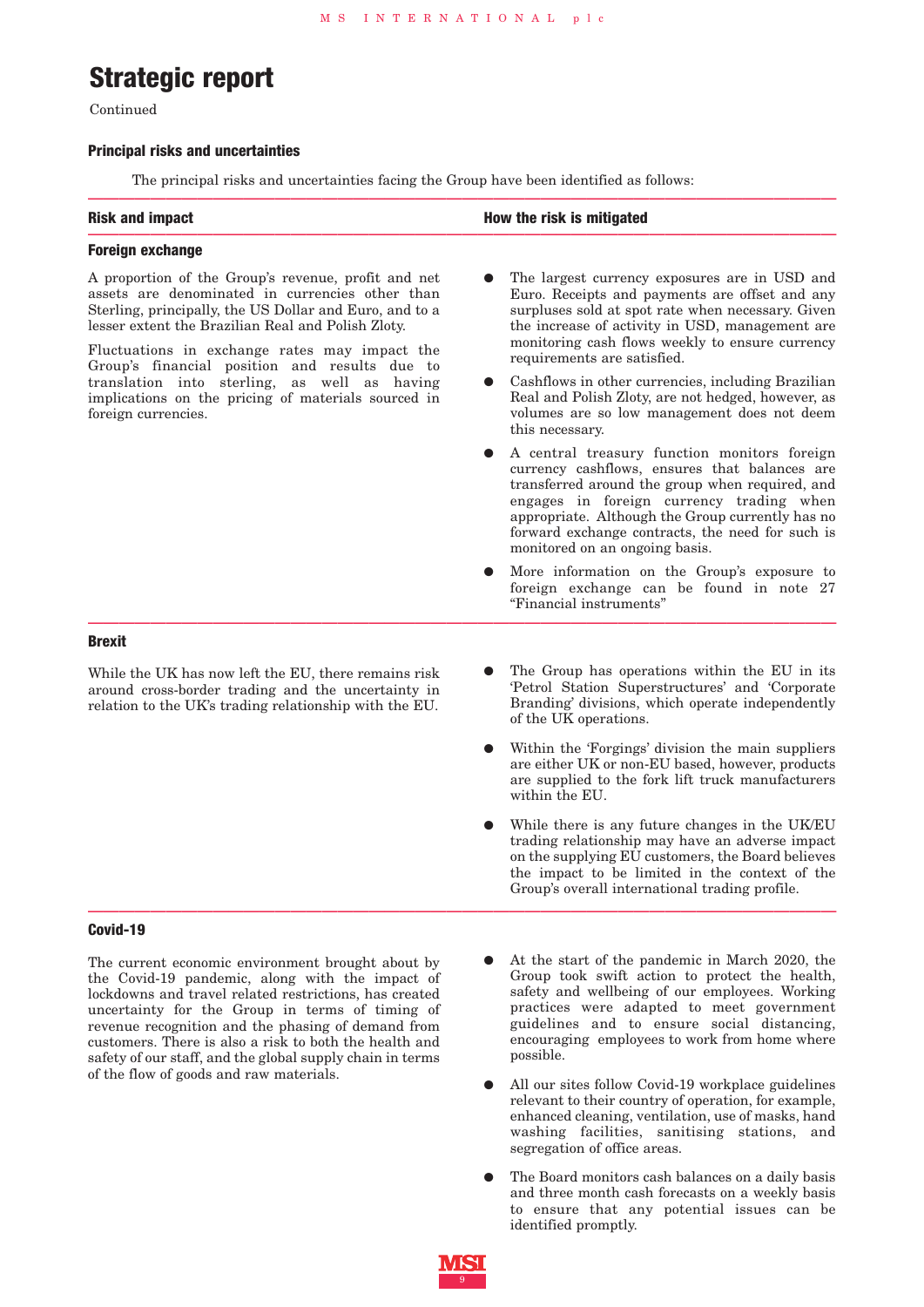# **Strategic report**

Continued

#### **Principal risks and uncertainties**

The principal risks and uncertainties facing the Group have been identified as follows: **222222222222222222222222222222222222222222222222**

#### **Risk and impact**

#### **Foreign exchange**

A proportion of the Group's revenue, profit and net assets are denominated in currencies other than Sterling, principally, the US Dollar and Euro, and to a lesser extent the Brazilian Real and Polish Zloty.

Fluctuations in exchange rates may impact the Group's financial position and results due to translation into sterling, as well as having implications on the pricing of materials sourced in foreign currencies.

#### **How the risk is mitigated 222222222222222222222222222222222222222222222222**

- The largest currency exposures are in USD and Euro. Receipts and payments are offset and any surpluses sold at spot rate when necessary. Given the increase of activity in USD, management are monitoring cash flows weekly to ensure currency requirements are satisfied.
- **●** Cashflows in other currencies, including Brazilian Real and Polish Zloty, are not hedged, however, as volumes are so low management does not deem this necessary.
- **●** A central treasury function monitors foreign currency cashflows, ensures that balances are transferred around the group when required, and engages in foreign currency trading when appropriate. Although the Group currently has no forward exchange contracts, the need for such is monitored on an ongoing basis.
- More information on the Group's exposure to foreign exchange can be found in note 27 "Financial instruments" **222222222222222222222222222222222222222222222222**

# **Brexit**

While the UK has now left the EU, there remains risk around cross-border trading and the uncertainty in relation to the UK's trading relationship with the EU.

- The Group has operations within the EU in its 'Petrol Station Superstructures' and 'Corporate Branding' divisions, which operate independently of the UK operations.
- **●** Within the 'Forgings' division the main suppliers are either UK or non-EU based, however, products are supplied to the fork lift truck manufacturers within the EU.
- **●** While there is any future changes in the UK/EU trading relationship may have an adverse impact on the supplying EU customers, the Board believes the impact to be limited in the context of the Group's overall international trading profile.

### **Covid-19**

The current economic environment brought about by the Covid-19 pandemic, along with the impact of lockdowns and travel related restrictions, has created uncertainty for the Group in terms of timing of revenue recognition and the phasing of demand from customers. There is also a risk to both the health and safety of our staff, and the global supply chain in terms of the flow of goods and raw materials.

- At the start of the pandemic in March 2020, the Group took swift action to protect the health, safety and wellbeing of our employees. Working practices were adapted to meet government guidelines and to ensure social distancing, encouraging employees to work from home where possible.
- All our sites follow Covid-19 workplace guidelines relevant to their country of operation, for example, enhanced cleaning, ventilation, use of masks, hand washing facilities, sanitising stations, and segregation of office areas.
- **●** The Board monitors cash balances on a daily basis and three month cash forecasts on a weekly basis to ensure that any potential issues can be identified promptly.



**222222222222222222222222222222222222222222222222**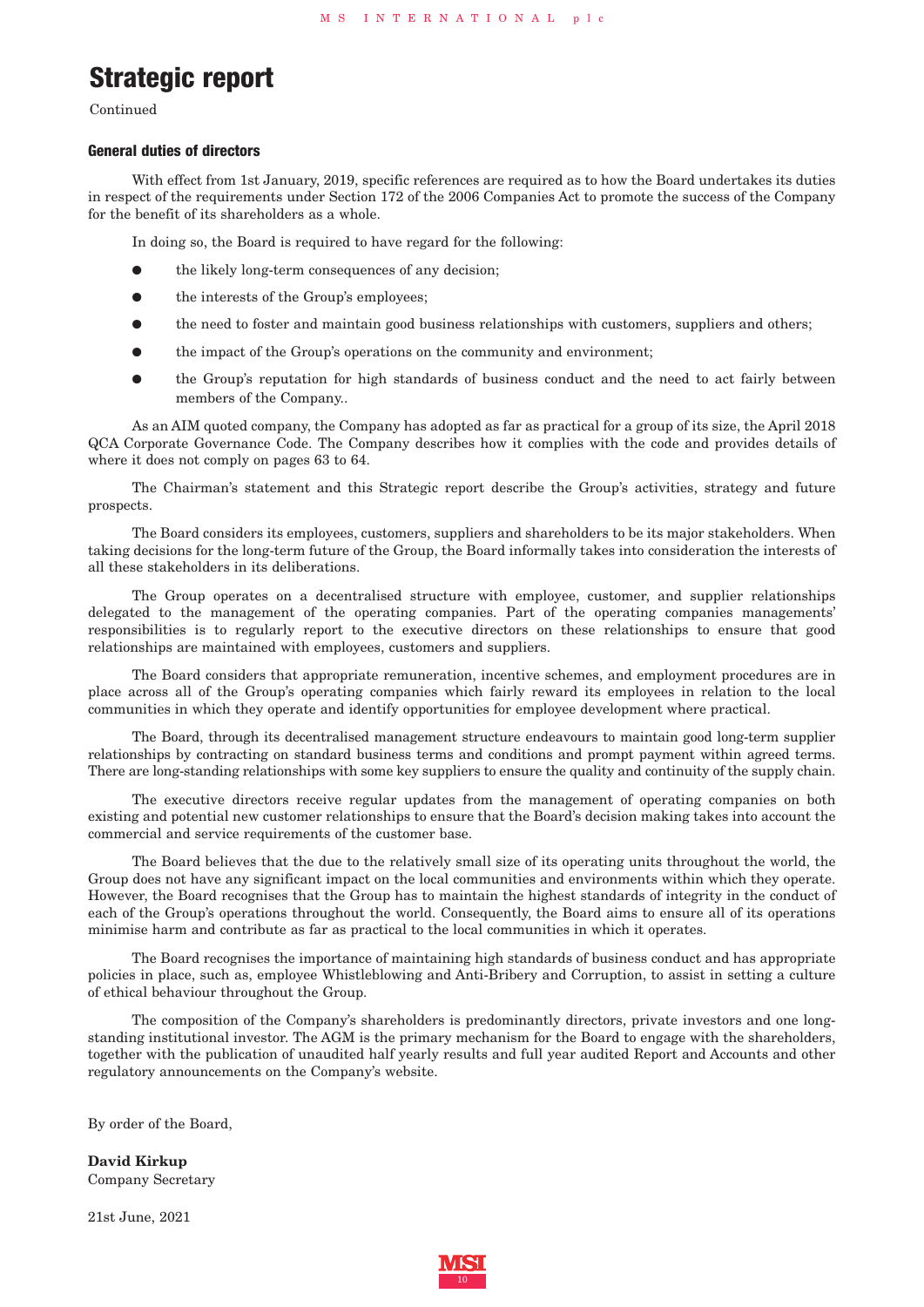# **Strategic report**

Continued

# **General duties of directors**

With effect from 1st January, 2019, specific references are required as to how the Board undertakes its duties in respect of the requirements under Section 172 of the 2006 Companies Act to promote the success of the Company for the benefit of its shareholders as a whole.

In doing so, the Board is required to have regard for the following:

- the likely long-term consequences of any decision;
- the interests of the Group's employees;
- the need to foster and maintain good business relationships with customers, suppliers and others;
- **●** the impact of the Group's operations on the community and environment;
- **●** the Group's reputation for high standards of business conduct and the need to act fairly between members of the Company..

As an AIM quoted company, the Company has adopted as far as practical for a group of its size, the April 2018 QCA Corporate Governance Code. The Company describes how it complies with the code and provides details of where it does not comply on pages 63 to 64.

The Chairman's statement and this Strategic report describe the Group's activities, strategy and future prospects.

The Board considers its employees, customers, suppliers and shareholders to be its major stakeholders. When taking decisions for the long-term future of the Group, the Board informally takes into consideration the interests of all these stakeholders in its deliberations.

The Group operates on a decentralised structure with employee, customer, and supplier relationships delegated to the management of the operating companies. Part of the operating companies managements' responsibilities is to regularly report to the executive directors on these relationships to ensure that good relationships are maintained with employees, customers and suppliers.

The Board considers that appropriate remuneration, incentive schemes, and employment procedures are in place across all of the Group's operating companies which fairly reward its employees in relation to the local communities in which they operate and identify opportunities for employee development where practical.

The Board, through its decentralised management structure endeavours to maintain good long-term supplier relationships by contracting on standard business terms and conditions and prompt payment within agreed terms. There are long-standing relationships with some key suppliers to ensure the quality and continuity of the supply chain.

The executive directors receive regular updates from the management of operating companies on both existing and potential new customer relationships to ensure that the Board's decision making takes into account the commercial and service requirements of the customer base.

The Board believes that the due to the relatively small size of its operating units throughout the world, the Group does not have any significant impact on the local communities and environments within which they operate. However, the Board recognises that the Group has to maintain the highest standards of integrity in the conduct of each of the Group's operations throughout the world. Consequently, the Board aims to ensure all of its operations minimise harm and contribute as far as practical to the local communities in which it operates.

The Board recognises the importance of maintaining high standards of business conduct and has appropriate policies in place, such as, employee Whistleblowing and Anti-Bribery and Corruption, to assist in setting a culture of ethical behaviour throughout the Group.

The composition of the Company's shareholders is predominantly directors, private investors and one longstanding institutional investor. The AGM is the primary mechanism for the Board to engage with the shareholders, together with the publication of unaudited half yearly results and full year audited Report and Accounts and other regulatory announcements on the Company's website.

By order of the Board,

**David Kirkup** Company Secretary

21st June, 2021

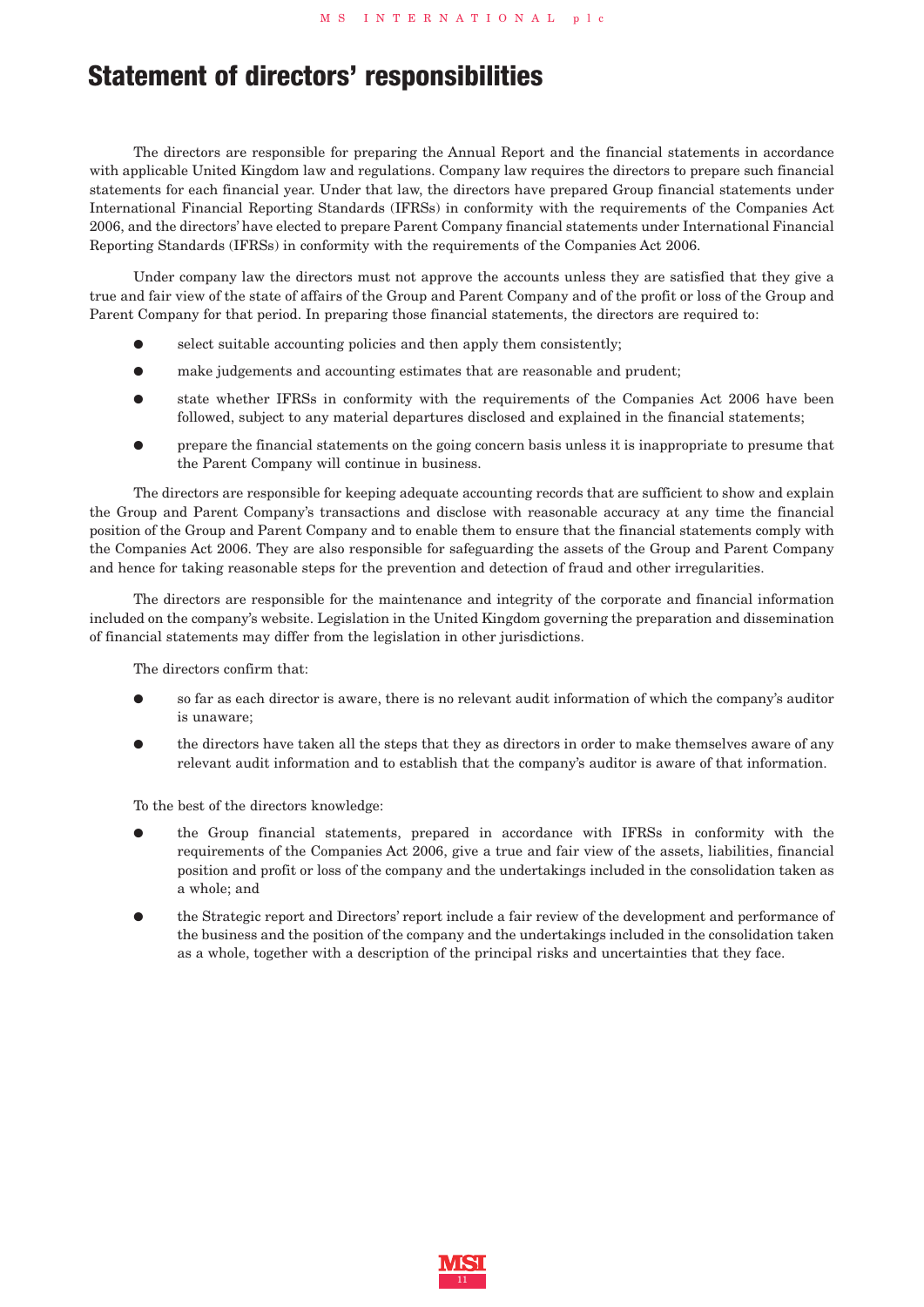# **Statement of directors' responsibilities**

The directors are responsible for preparing the Annual Report and the financial statements in accordance with applicable United Kingdom law and regulations. Company law requires the directors to prepare such financial statements for each financial year. Under that law, the directors have prepared Group financial statements under International Financial Reporting Standards (IFRSs) in conformity with the requirements of the Companies Act 2006, and the directors' have elected to prepare Parent Company financial statements under International Financial Reporting Standards (IFRSs) in conformity with the requirements of the Companies Act 2006.

Under company law the directors must not approve the accounts unless they are satisfied that they give a true and fair view of the state of affairs of the Group and Parent Company and of the profit or loss of the Group and Parent Company for that period. In preparing those financial statements, the directors are required to:

- select suitable accounting policies and then apply them consistently;
- **●** make judgements and accounting estimates that are reasonable and prudent;
- **●** state whether IFRSs in conformity with the requirements of the Companies Act 2006 have been followed, subject to any material departures disclosed and explained in the financial statements;
- **●** prepare the financial statements on the going concern basis unless it is inappropriate to presume that the Parent Company will continue in business.

The directors are responsible for keeping adequate accounting records that are sufficient to show and explain the Group and Parent Company's transactions and disclose with reasonable accuracy at any time the financial position of the Group and Parent Company and to enable them to ensure that the financial statements comply with the Companies Act 2006. They are also responsible for safeguarding the assets of the Group and Parent Company and hence for taking reasonable steps for the prevention and detection of fraud and other irregularities.

The directors are responsible for the maintenance and integrity of the corporate and financial information included on the company's website. Legislation in the United Kingdom governing the preparation and dissemination of financial statements may differ from the legislation in other jurisdictions.

The directors confirm that:

- so far as each director is aware, there is no relevant audit information of which the company's auditor is unaware;
- **●** the directors have taken all the steps that they as directors in order to make themselves aware of any relevant audit information and to establish that the company's auditor is aware of that information.

To the best of the directors knowledge:

- **●** the Group financial statements, prepared in accordance with IFRSs in conformity with the requirements of the Companies Act 2006, give a true and fair view of the assets, liabilities, financial position and profit or loss of the company and the undertakings included in the consolidation taken as a whole; and
- **●** the Strategic report and Directors' report include a fair review of the development and performance of the business and the position of the company and the undertakings included in the consolidation taken as a whole, together with a description of the principal risks and uncertainties that they face.

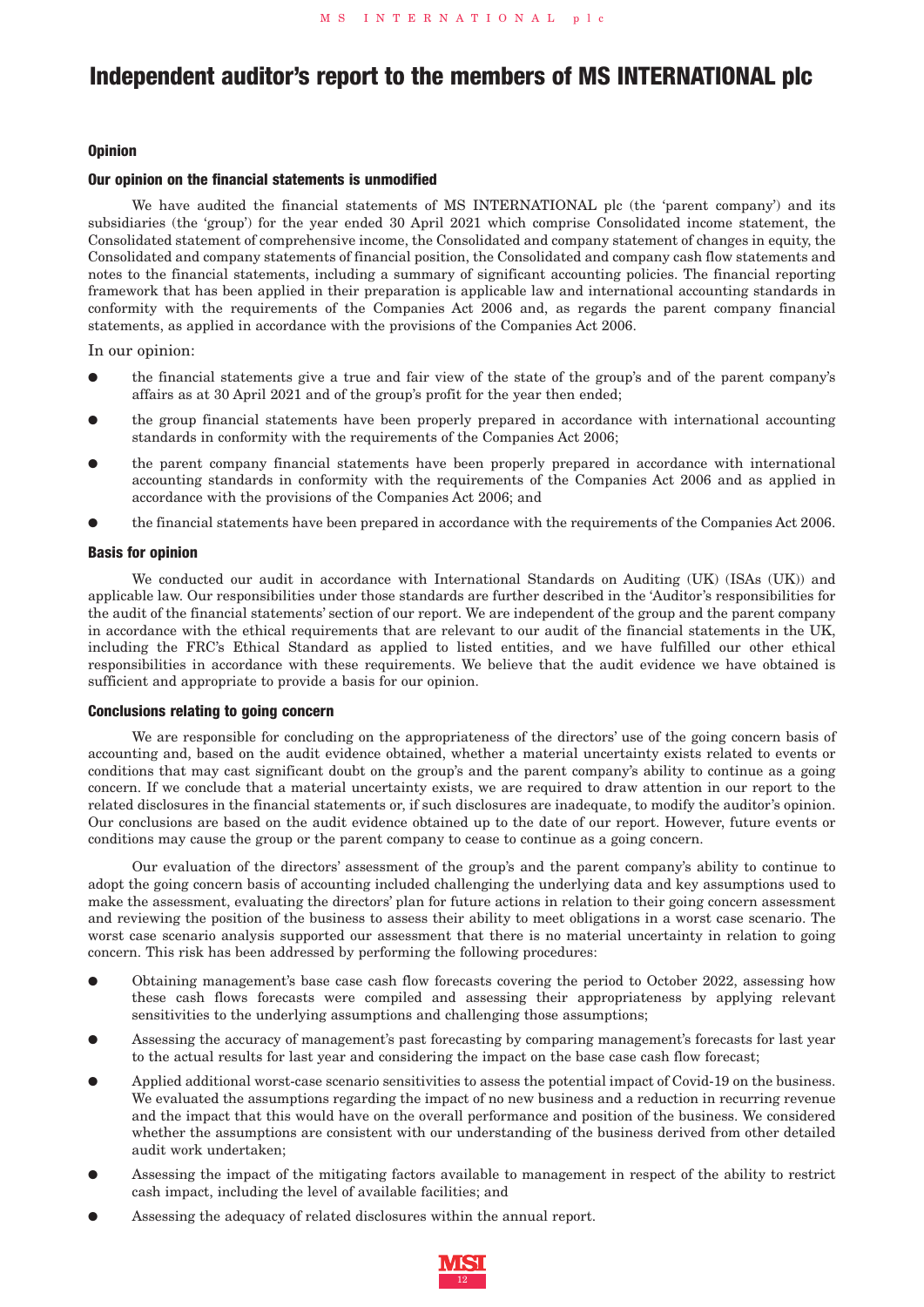### **Opinion**

# **Our opinion on the financial statements is unmodified**

We have audited the financial statements of MS INTERNATIONAL plc (the 'parent company') and its subsidiaries (the 'group') for the year ended 30 April 2021 which comprise Consolidated income statement, the Consolidated statement of comprehensive income, the Consolidated and company statement of changes in equity, the Consolidated and company statements of financial position, the Consolidated and company cash flow statements and notes to the financial statements, including a summary of significant accounting policies. The financial reporting framework that has been applied in their preparation is applicable law and international accounting standards in conformity with the requirements of the Companies Act 2006 and, as regards the parent company financial statements, as applied in accordance with the provisions of the Companies Act 2006.

In our opinion:

- the financial statements give a true and fair view of the state of the group's and of the parent company's affairs as at 30 April 2021 and of the group's profit for the year then ended;
- **●** the group financial statements have been properly prepared in accordance with international accounting standards in conformity with the requirements of the Companies Act 2006;
- **●** the parent company financial statements have been properly prepared in accordance with international accounting standards in conformity with the requirements of the Companies Act 2006 and as applied in accordance with the provisions of the Companies Act 2006; and
- **●** the financial statements have been prepared in accordance with the requirements of the Companies Act 2006.

# **Basis for opinion**

We conducted our audit in accordance with International Standards on Auditing (UK) (ISAs (UK)) and applicable law. Our responsibilities under those standards are further described in the 'Auditor's responsibilities for the audit of the financial statements' section of our report. We are independent of the group and the parent company in accordance with the ethical requirements that are relevant to our audit of the financial statements in the UK, including the FRC's Ethical Standard as applied to listed entities, and we have fulfilled our other ethical responsibilities in accordance with these requirements. We believe that the audit evidence we have obtained is sufficient and appropriate to provide a basis for our opinion.

# **Conclusions relating to going concern**

We are responsible for concluding on the appropriateness of the directors' use of the going concern basis of accounting and, based on the audit evidence obtained, whether a material uncertainty exists related to events or conditions that may cast significant doubt on the group's and the parent company's ability to continue as a going concern. If we conclude that a material uncertainty exists, we are required to draw attention in our report to the related disclosures in the financial statements or, if such disclosures are inadequate, to modify the auditor's opinion. Our conclusions are based on the audit evidence obtained up to the date of our report. However, future events or conditions may cause the group or the parent company to cease to continue as a going concern.

Our evaluation of the directors' assessment of the group's and the parent company's ability to continue to adopt the going concern basis of accounting included challenging the underlying data and key assumptions used to make the assessment, evaluating the directors' plan for future actions in relation to their going concern assessment and reviewing the position of the business to assess their ability to meet obligations in a worst case scenario. The worst case scenario analysis supported our assessment that there is no material uncertainty in relation to going concern. This risk has been addressed by performing the following procedures:

- Obtaining management's base case cash flow forecasts covering the period to October 2022, assessing how these cash flows forecasts were compiled and assessing their appropriateness by applying relevant sensitivities to the underlying assumptions and challenging those assumptions;
- **●** Assessing the accuracy of management's past forecasting by comparing management's forecasts for last year to the actual results for last year and considering the impact on the base case cash flow forecast;
- **●** Applied additional worst-case scenario sensitivities to assess the potential impact of Covid-19 on the business. We evaluated the assumptions regarding the impact of no new business and a reduction in recurring revenue and the impact that this would have on the overall performance and position of the business. We considered whether the assumptions are consistent with our understanding of the business derived from other detailed audit work undertaken;
- **●** Assessing the impact of the mitigating factors available to management in respect of the ability to restrict cash impact, including the level of available facilities; and
- Assessing the adequacy of related disclosures within the annual report.

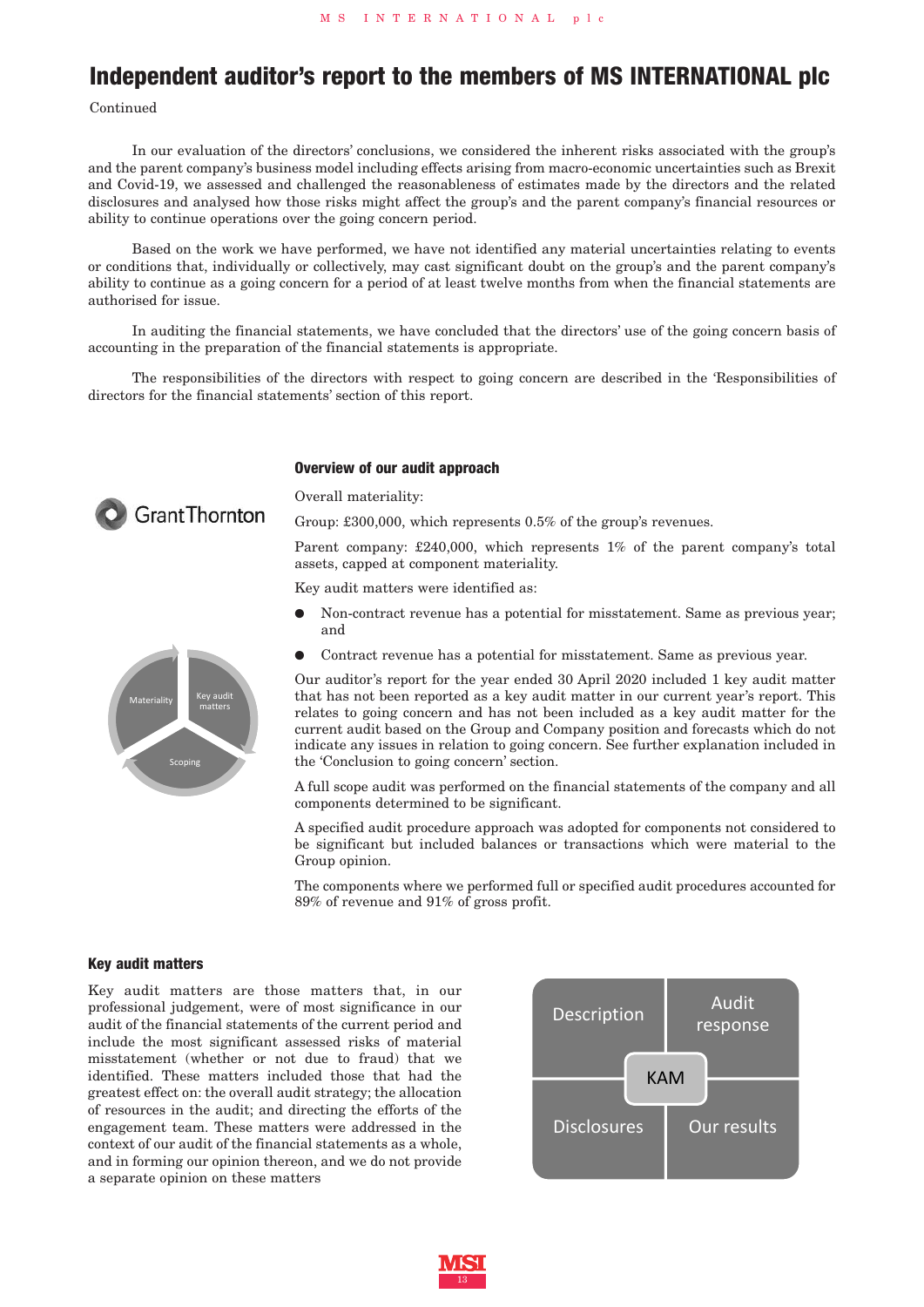Continued

In our evaluation of the directors' conclusions, we considered the inherent risks associated with the group's and the parent company's business model including effects arising from macro-economic uncertainties such as Brexit and Covid-19, we assessed and challenged the reasonableness of estimates made by the directors and the related disclosures and analysed how those risks might affect the group's and the parent company's financial resources or ability to continue operations over the going concern period.

Based on the work we have performed, we have not identified any material uncertainties relating to events or conditions that, individually or collectively, may cast significant doubt on the group's and the parent company's ability to continue as a going concern for a period of at least twelve months from when the financial statements are authorised for issue.

In auditing the financial statements, we have concluded that the directors' use of the going concern basis of accounting in the preparation of the financial statements is appropriate.

The responsibilities of the directors with respect to going concern are described in the 'Responsibilities of directors for the financial statements' section of this report.

### **Overview of our audit approach**

Overall materiality:

Group: £300,000, which represents 0.5% of the group's revenues.

Parent company: £240,000, which represents 1% of the parent company's total assets, capped at component materiality.

Key audit matters were identified as:

- Non-contract revenue has a potential for misstatement. Same as previous year; and
- Contract revenue has a potential for misstatement. Same as previous year.

Our auditor's report for the year ended 30 April 2020 included 1 key audit matter that has not been reported as a key audit matter in our current year's report. This relates to going concern and has not been included as a key audit matter for the current audit based on the Group and Company position and forecasts which do not indicate any issues in relation to going concern. See further explanation included in the 'Conclusion to going concern' section.

A full scope audit was performed on the financial statements of the company and all components determined to be significant.

A specified audit procedure approach was adopted for components not considered to be significant but included balances or transactions which were material to the Group opinion.

The components where we performed full or specified audit procedures accounted for 89% of revenue and 91% of gross profit.

# **Key audit matters**

Key audit matters are those matters that, in our professional judgement, were of most significance in our audit of the financial statements of the current period and include the most significant assessed risks of material misstatement (whether or not due to fraud) that we identified. These matters included those that had the greatest effect on: the overall audit strategy; the allocation of resources in the audit; and directing the efforts of the engagement team. These matters were addressed in the context of our audit of the financial statements as a whole, and in forming our opinion thereon, and we do not provide a separate opinion on these matters





**Grant Thornton** 

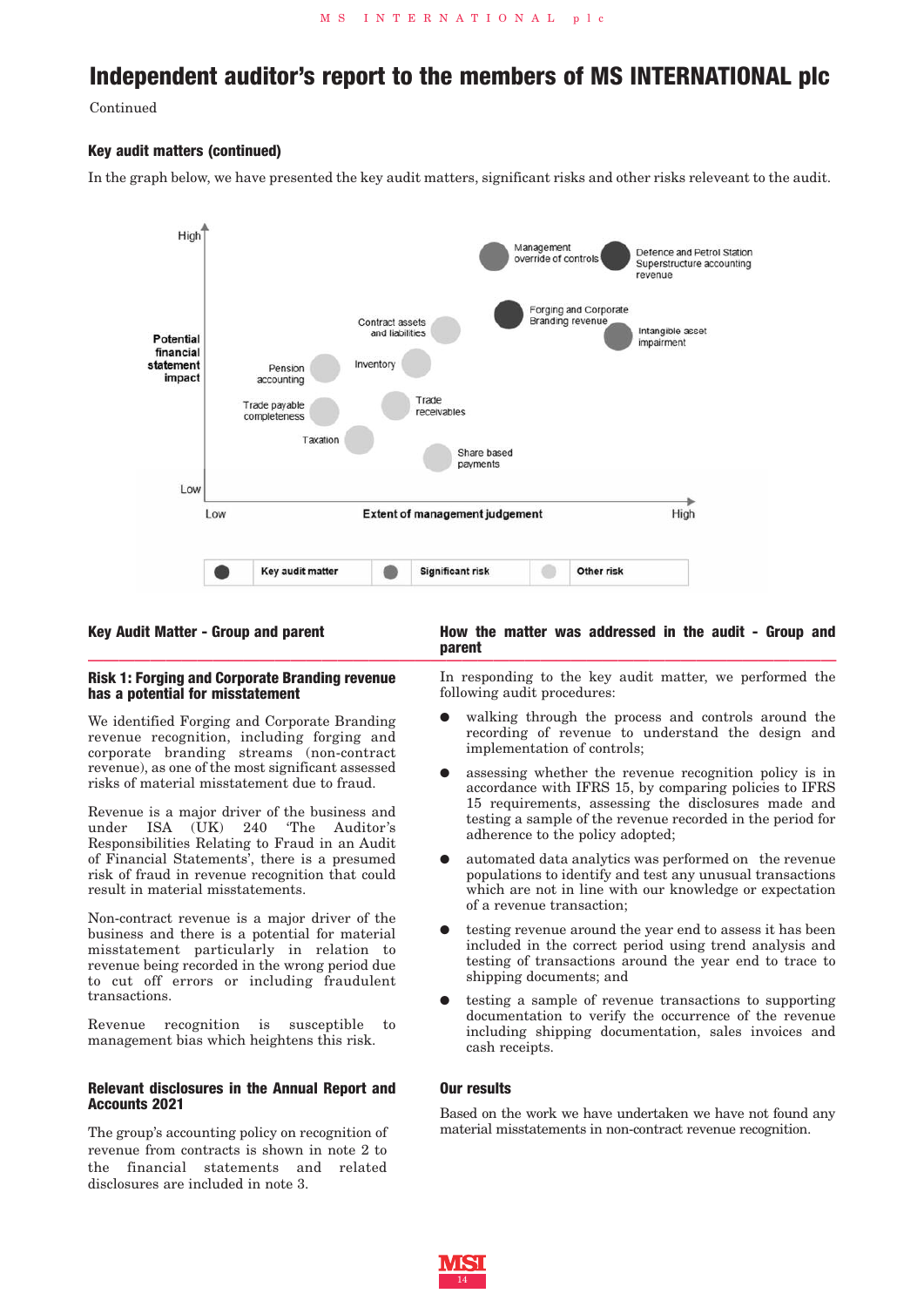Continued

# **Key audit matters (continued)**

In the graph below, we have presented the key audit matters, significant risks and other risks releveant to the audit.



**parent**

**222222222222222222222222222222222222222222222222**

# **Key Audit Matter - Group and parent**

### **Risk 1: Forging and Corporate Branding revenue has a potential for misstatement**

We identified Forging and Corporate Branding revenue recognition, including forging and corporate branding streams (non-contract revenue), as one of the most significant assessed risks of material misstatement due to fraud.

 Responsibilities Relating to Fraud in an Audit Revenue is a major driver of the business and under ISA (UK) 240 'The Auditor's of Financial Statements', there is a presumed risk of fraud in revenue recognition that could result in material misstatements.

 to cut off errors or including fraudulent Non-contract revenue is a major driver of the business and there is a potential for material misstatement particularly in relation to revenue being recorded in the wrong period due transactions.

Revenue recognition is susceptible to management bias which heightens this risk.

### **Relevant disclosures in the Annual Report and Accounts 2021**

The group's accounting policy on recognition of revenue from contracts is shown in note 2 to the financial statements and related disclosures are included in note 3.

In responding to the key audit matter, we performed the following audit procedures:

**How the matter was addressed in the audit - Group and**

- walking through the process and controls around the recording of revenue to understand the design and implementation of controls;
- assessing whether the revenue recognition policy is in accordance with IFRS 15, by comparing policies to IFRS 15 requirements, assessing the disclosures made and testing a sample of the revenue recorded in the period for adherence to the policy adopted;
- **●** automated data analytics was performed on the revenue populations to identify and test any unusual transactions which are not in line with our knowledge or expectation of a revenue transaction;
- testing revenue around the year end to assess it has been included in the correct period using trend analysis and testing of transactions around the year end to trace to shipping documents; and
- **●** testing a sample of revenue transactions to supporting documentation to verify the occurrence of the revenue including shipping documentation, sales invoices and cash receipts.

# **Our results**

Based on the work we have undertaken we have not found any material misstatements in non-contract revenue recognition.

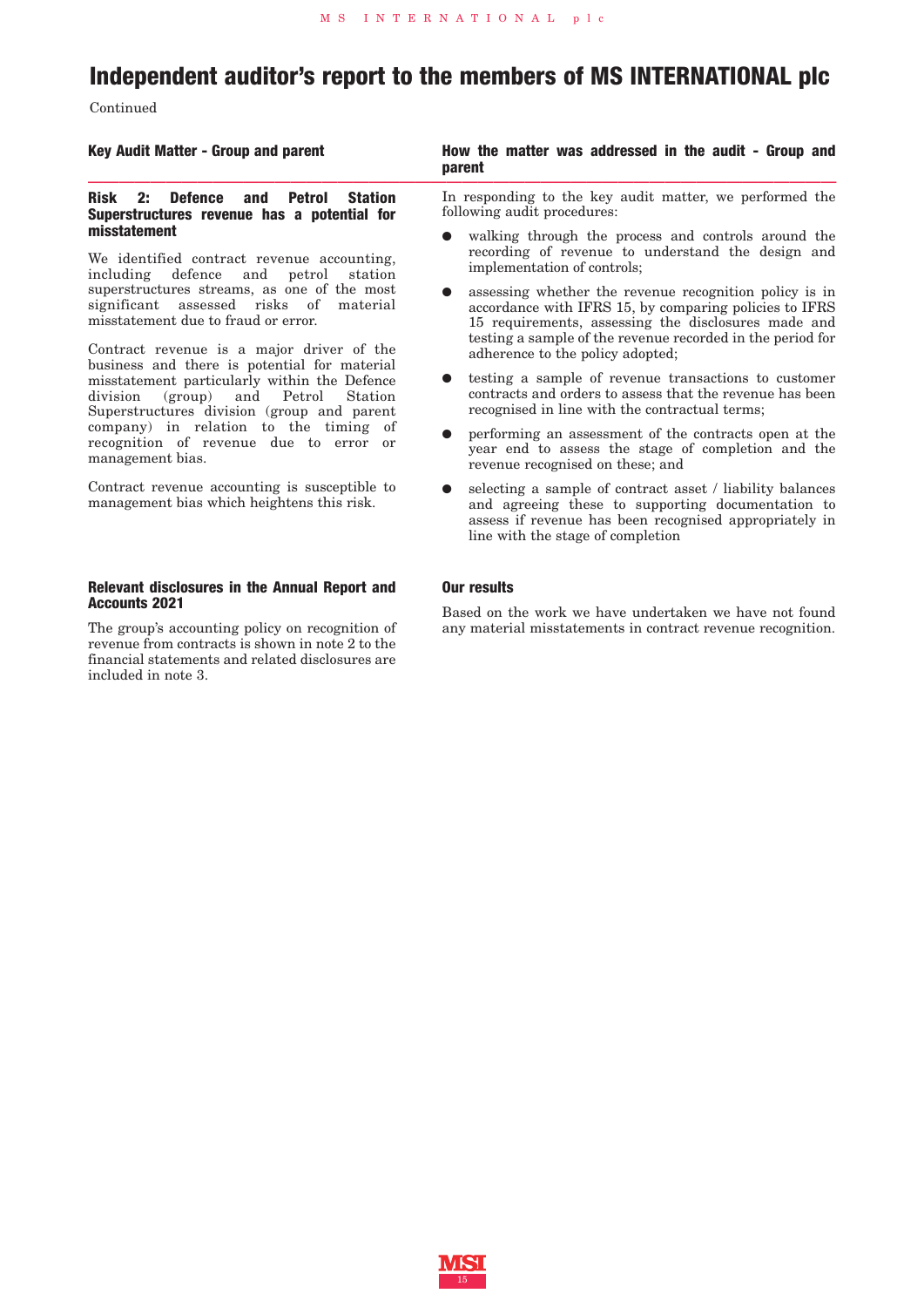Continued

#### **Key Audit Matter - Group and parent**

#### **How the matter was addressed in the audit - Group and parent 222222222222222222222222222222222222222222222222**

### **Risk 2: Defence and Petrol Station Superstructures revenue has a potential for misstatement**

We identified contract revenue accounting, including defence and petrol station superstructures streams, as one of the most significant assessed risks of material misstatement due to fraud or error.

Contract revenue is a major driver of the business and there is potential for material misstatement particularly within the Defence division (group) and Petrol Station Superstructures division (group and parent company) in relation to the timing of recognition of revenue due to error or management bias.

Contract revenue accounting is susceptible to management bias which heightens this risk.

#### **Relevant disclosures in the Annual Report and Accounts 2021**

The group's accounting policy on recognition of revenue from contracts is shown in note 2 to the financial statements and related disclosures are included in note 3.

In responding to the key audit matter, we performed the following audit procedures:

- walking through the process and controls around the recording of revenue to understand the design and implementation of controls;
- assessing whether the revenue recognition policy is in accordance with IFRS 15, by comparing policies to IFRS 15 requirements, assessing the disclosures made and testing a sample of the revenue recorded in the period for adherence to the policy adopted;
- **●** testing a sample of revenue transactions to customer contracts and orders to assess that the revenue has been recognised in line with the contractual terms;
- **●** performing an assessment of the contracts open at the year end to assess the stage of completion and the revenue recognised on these; and
- selecting a sample of contract asset / liability balances and agreeing these to supporting documentation to assess if revenue has been recognised appropriately in line with the stage of completion

# **Our results**

Based on the work we have undertaken we have not found any material misstatements in contract revenue recognition.

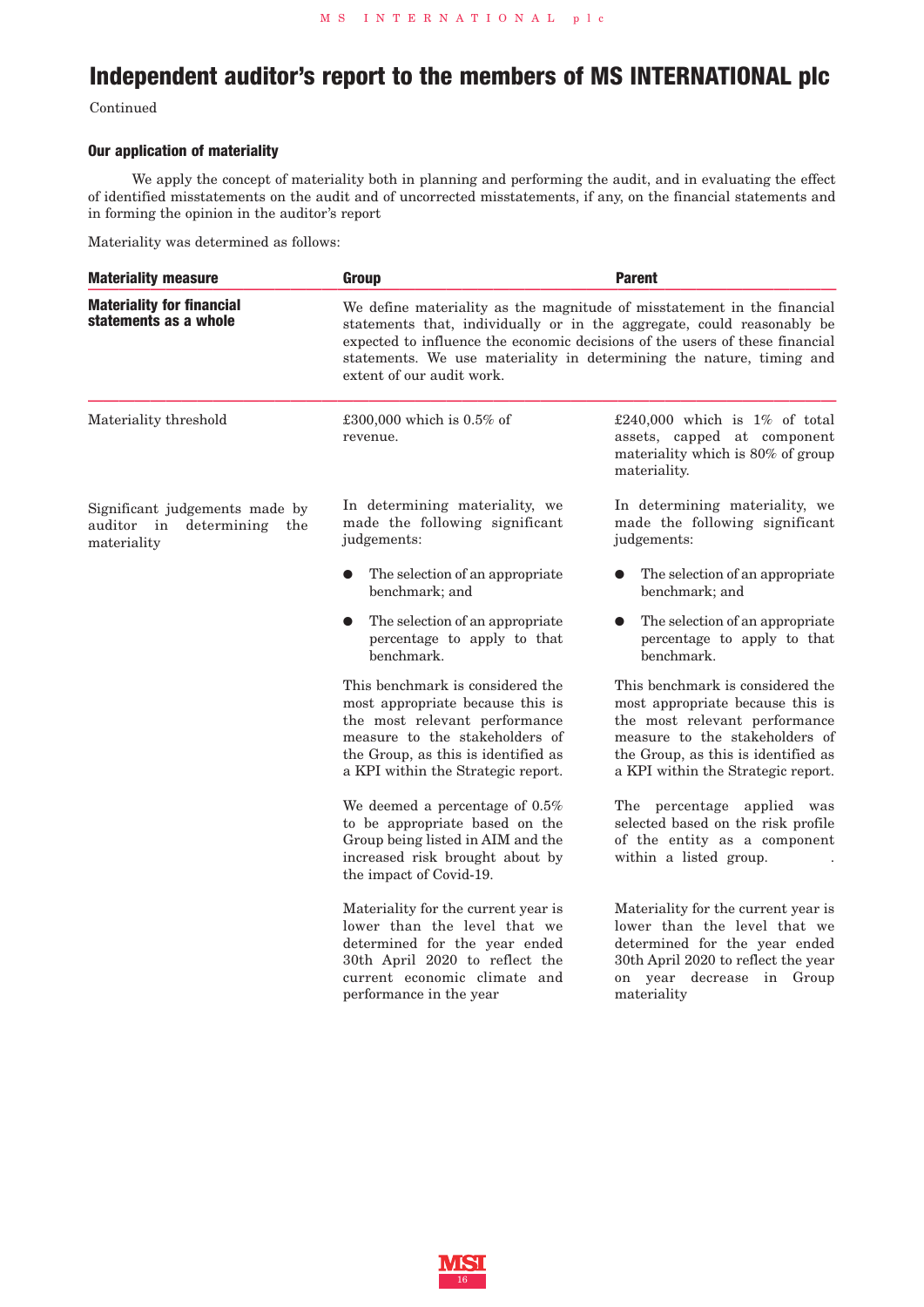Continued

# **Our application of materiality**

We apply the concept of materiality both in planning and performing the audit, and in evaluating the effect of identified misstatements on the audit and of uncorrected misstatements, if any, on the financial statements and in forming the opinion in the auditor's report

Materiality was determined as follows:

| <b>Materiality measure</b><br>Group                                               |                                                                                                                                                                                                                                                                                                                                        | <b>Parent</b>                                                                                                                                                                                                        |
|-----------------------------------------------------------------------------------|----------------------------------------------------------------------------------------------------------------------------------------------------------------------------------------------------------------------------------------------------------------------------------------------------------------------------------------|----------------------------------------------------------------------------------------------------------------------------------------------------------------------------------------------------------------------|
| <b>Materiality for financial</b><br>statements as a whole                         | We define materiality as the magnitude of misstatement in the financial<br>statements that, individually or in the aggregate, could reasonably be<br>expected to influence the economic decisions of the users of these financial<br>statements. We use materiality in determining the nature, timing and<br>extent of our audit work. |                                                                                                                                                                                                                      |
| Materiality threshold                                                             | £300,000 which is 0.5% of<br>revenue.                                                                                                                                                                                                                                                                                                  | £240,000 which is $1\%$ of total<br>assets, capped at component<br>materiality which is 80% of group<br>materiality.                                                                                                 |
| Significant judgements made by<br>auditor in<br>determining<br>the<br>materiality | In determining materiality, we<br>made the following significant<br>judgements:                                                                                                                                                                                                                                                        | In determining materiality, we<br>made the following significant<br>judgements:                                                                                                                                      |
|                                                                                   | The selection of an appropriate<br>benchmark; and                                                                                                                                                                                                                                                                                      | The selection of an appropriate<br>benchmark; and                                                                                                                                                                    |
|                                                                                   | The selection of an appropriate<br>percentage to apply to that<br>benchmark.                                                                                                                                                                                                                                                           | The selection of an appropriate<br>percentage to apply to that<br>benchmark.                                                                                                                                         |
|                                                                                   | This benchmark is considered the<br>most appropriate because this is<br>the most relevant performance<br>measure to the stakeholders of<br>the Group, as this is identified as<br>a KPI within the Strategic report.                                                                                                                   | This benchmark is considered the<br>most appropriate because this is<br>the most relevant performance<br>measure to the stakeholders of<br>the Group, as this is identified as<br>a KPI within the Strategic report. |
|                                                                                   | We deemed a percentage of $0.5\%$<br>to be appropriate based on the<br>Group being listed in AIM and the<br>increased risk brought about by<br>the impact of Covid-19.                                                                                                                                                                 | The percentage applied was<br>selected based on the risk profile<br>of the entity as a component<br>within a listed group.                                                                                           |
|                                                                                   | Materiality for the current year is<br>lower than the level that we<br>determined for the year ended<br>30th April 2020 to reflect the<br>current economic climate and<br>performance in the year                                                                                                                                      | Materiality for the current year is<br>lower than the level that we<br>determined for the year ended<br>30th April 2020 to reflect the year<br>on year decrease in Group<br>materiality                              |

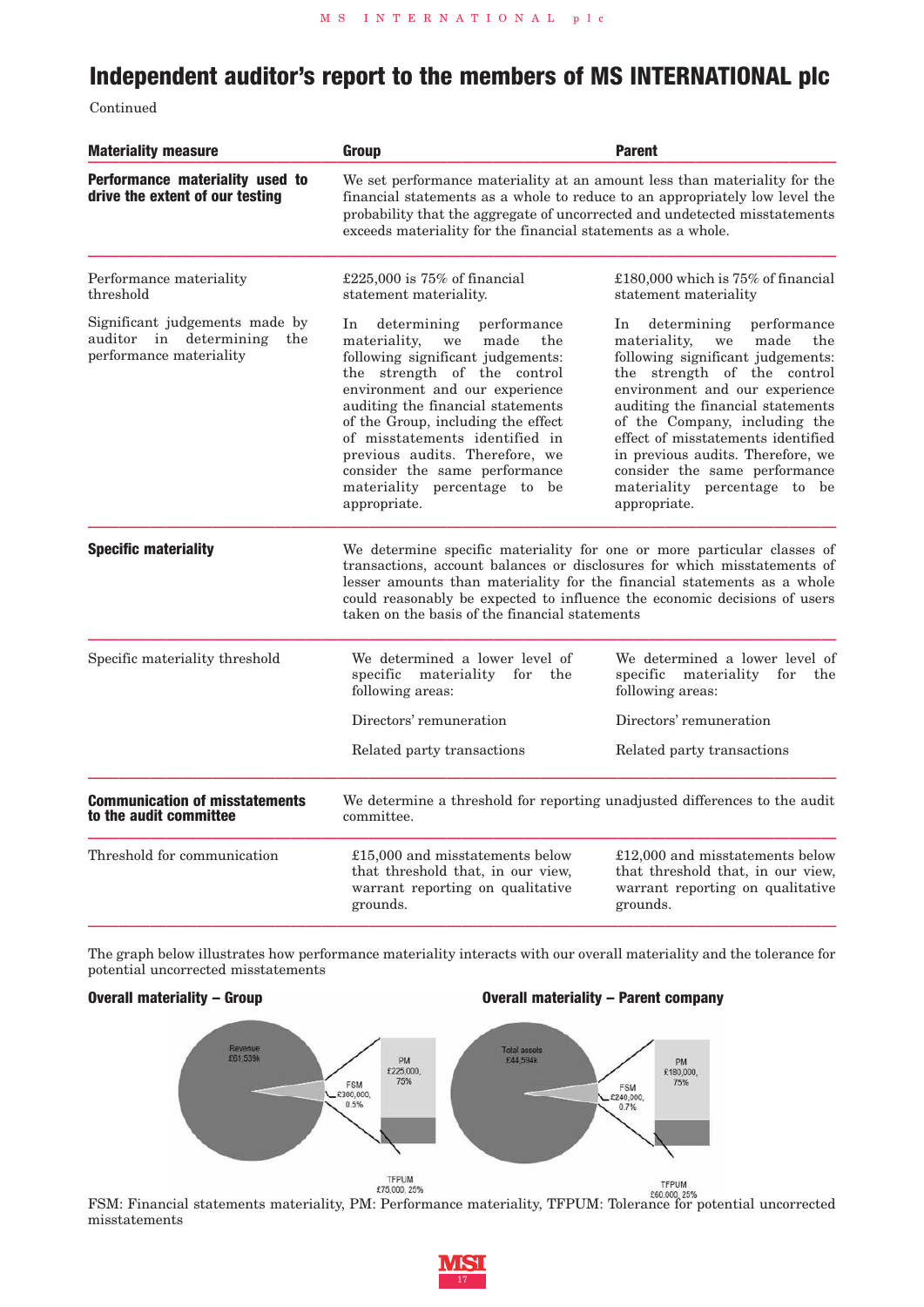Continued

| <b>Materiality measure</b>                                                                 | Group                                                                                                                                                                                                                                                                                                                                                                                                       | <b>Parent</b>                                                                                                                                                                                                                                                                                                                                                                                                 |  |  |
|--------------------------------------------------------------------------------------------|-------------------------------------------------------------------------------------------------------------------------------------------------------------------------------------------------------------------------------------------------------------------------------------------------------------------------------------------------------------------------------------------------------------|---------------------------------------------------------------------------------------------------------------------------------------------------------------------------------------------------------------------------------------------------------------------------------------------------------------------------------------------------------------------------------------------------------------|--|--|
| Performance materiality used to<br>drive the extent of our testing                         | We set performance materiality at an amount less than materiality for the<br>financial statements as a whole to reduce to an appropriately low level the<br>probability that the aggregate of uncorrected and undetected misstatements<br>exceeds materiality for the financial statements as a whole.                                                                                                      |                                                                                                                                                                                                                                                                                                                                                                                                               |  |  |
| Performance materiality<br>threshold                                                       | £225,000 is $75\%$ of financial<br>statement materiality.                                                                                                                                                                                                                                                                                                                                                   | £180,000 which is 75% of financial<br>statement materiality                                                                                                                                                                                                                                                                                                                                                   |  |  |
| Significant judgements made by<br>auditor in determining<br>the<br>performance materiality | determining<br>performance<br>In<br>materiality,<br>made<br>we<br>the<br>following significant judgements:<br>the strength of the control<br>environment and our experience<br>auditing the financial statements<br>of the Group, including the effect<br>of misstatements identified in<br>previous audits. Therefore, we<br>consider the same performance<br>materiality percentage to be<br>appropriate. | determining<br>performance<br>In<br>made<br>materiality,<br>the<br>we<br>following significant judgements:<br>the strength of the control<br>environment and our experience<br>auditing the financial statements<br>of the Company, including the<br>effect of misstatements identified<br>in previous audits. Therefore, we<br>consider the same performance<br>materiality percentage to be<br>appropriate. |  |  |
| <b>Specific materiality</b>                                                                | We determine specific materiality for one or more particular classes of<br>transactions, account balances or disclosures for which misstatements of<br>lesser amounts than materiality for the financial statements as a whole<br>could reasonably be expected to influence the economic decisions of users<br>taken on the basis of the financial statements                                               |                                                                                                                                                                                                                                                                                                                                                                                                               |  |  |
| Specific materiality threshold                                                             | We determined a lower level of<br>specific materiality for the<br>following areas:                                                                                                                                                                                                                                                                                                                          | We determined a lower level of<br>specific materiality for the<br>following areas:                                                                                                                                                                                                                                                                                                                            |  |  |
|                                                                                            | Directors' remuneration                                                                                                                                                                                                                                                                                                                                                                                     | Directors' remuneration                                                                                                                                                                                                                                                                                                                                                                                       |  |  |
|                                                                                            | Related party transactions                                                                                                                                                                                                                                                                                                                                                                                  | Related party transactions                                                                                                                                                                                                                                                                                                                                                                                    |  |  |
| <b>Communication of misstatements</b><br>to the audit committee                            | We determine a threshold for reporting unadjusted differences to the audit<br>committee.                                                                                                                                                                                                                                                                                                                    |                                                                                                                                                                                                                                                                                                                                                                                                               |  |  |
| Threshold for communication                                                                | £15,000 and misstatements below<br>$£12,000$ and misstatements below<br>that threshold that, in our view,<br>that threshold that, in our view,<br>warrant reporting on qualitative<br>warrant reporting on qualitative<br>grounds.<br>grounds.                                                                                                                                                              |                                                                                                                                                                                                                                                                                                                                                                                                               |  |  |

The graph below illustrates how performance materiality interacts with our overall materiality and the tolerance for potential uncorrected misstatements

**Overall materiality – Group Overall materiality – Parent company**



misstatements

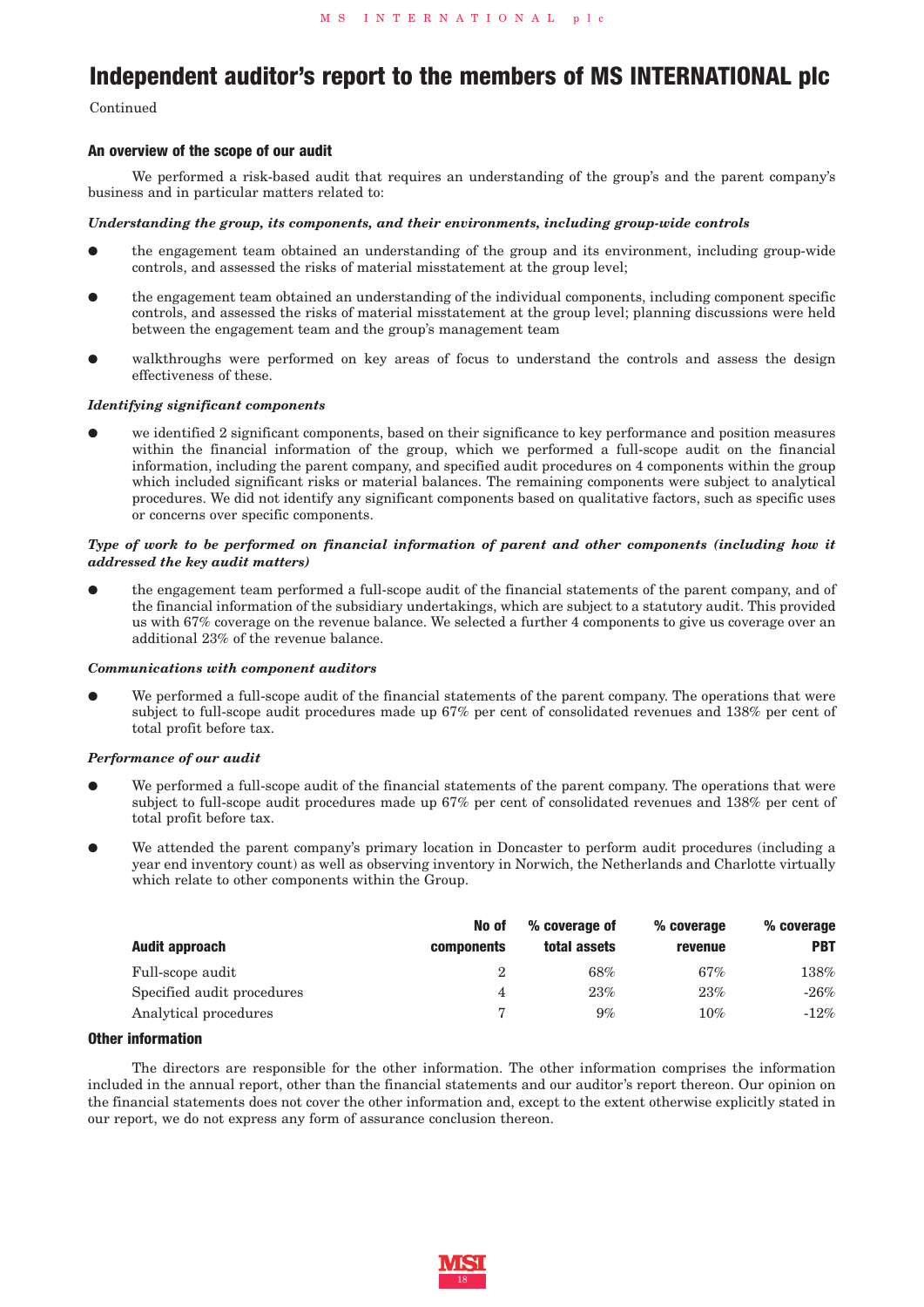Continued

### **An overview of the scope of our audit**

We performed a risk-based audit that requires an understanding of the group's and the parent company's business and in particular matters related to:

### *Understanding the group, its components, and their environments, including group-wide controls*

- **●** the engagement team obtained an understanding of the group and its environment, including group-wide controls, and assessed the risks of material misstatement at the group level;
- the engagement team obtained an understanding of the individual components, including component specific controls, and assessed the risks of material misstatement at the group level; planning discussions were held between the engagement team and the group's management team
- walkthroughs were performed on key areas of focus to understand the controls and assess the design effectiveness of these.

### *Identifying significant components*

we identified 2 significant components, based on their significance to key performance and position measures within the financial information of the group, which we performed a full-scope audit on the financial information, including the parent company, and specified audit procedures on 4 components within the group which included significant risks or material balances. The remaining components were subject to analytical procedures. We did not identify any significant components based on qualitative factors, such as specific uses or concerns over specific components.

### *Type of work to be performed on financial information of parent and other components (including how it addressed the key audit matters)*

**●** the engagement team performed a full-scope audit of the financial statements of the parent company, and of the financial information of the subsidiary undertakings, which are subject to a statutory audit. This provided us with 67% coverage on the revenue balance. We selected a further 4 components to give us coverage over an additional 23% of the revenue balance.

#### *Communications with component auditors*

We performed a full-scope audit of the financial statements of the parent company. The operations that were subject to full-scope audit procedures made up 67% per cent of consolidated revenues and 138% per cent of total profit before tax.

#### *Performance of our audit*

- We performed a full-scope audit of the financial statements of the parent company. The operations that were subject to full-scope audit procedures made up 67% per cent of consolidated revenues and 138% per cent of total profit before tax.
- We attended the parent company's primary location in Doncaster to perform audit procedures (including a year end inventory count) as well as observing inventory in Norwich, the Netherlands and Charlotte virtually which relate to other components within the Group.

|                            | No of             | % coverage of | % coverage | % coverage |
|----------------------------|-------------------|---------------|------------|------------|
| Audit approach             | <b>components</b> | total assets  | revenue    | <b>PBT</b> |
| Full-scope audit           | 2                 | 68%           | 67%        | 138%       |
| Specified audit procedures | 4                 | 23%           | $23\%$     | $-26\%$    |
| Analytical procedures      |                   | $9\%$         | $10\%$     | $-12\%$    |

# **Other information**

The directors are responsible for the other information. The other information comprises the information included in the annual report, other than the financial statements and our auditor's report thereon. Our opinion on the financial statements does not cover the other information and, except to the extent otherwise explicitly stated in our report, we do not express any form of assurance conclusion thereon.

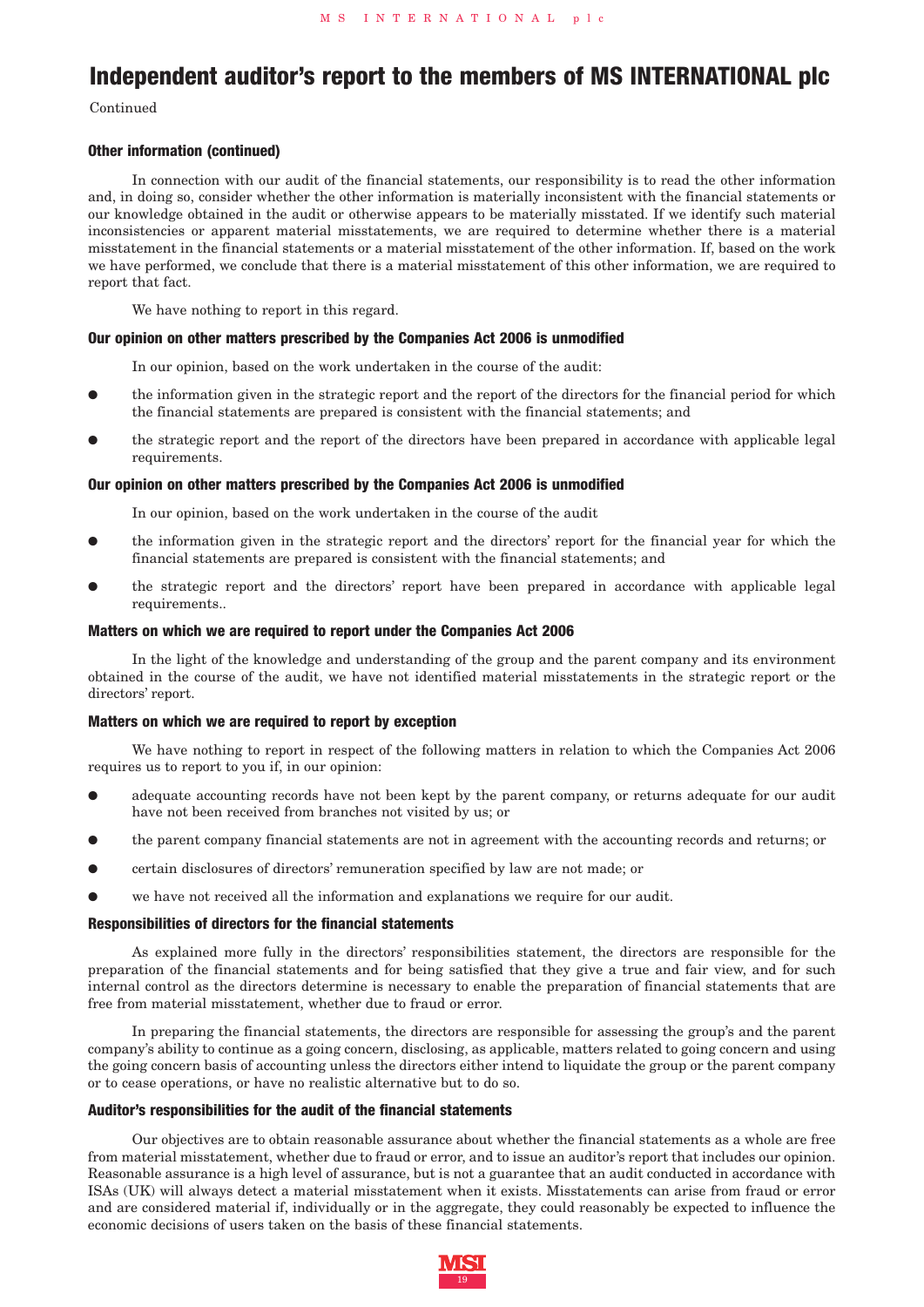Continued

### **Other information (continued)**

In connection with our audit of the financial statements, our responsibility is to read the other information and, in doing so, consider whether the other information is materially inconsistent with the financial statements or our knowledge obtained in the audit or otherwise appears to be materially misstated. If we identify such material inconsistencies or apparent material misstatements, we are required to determine whether there is a material misstatement in the financial statements or a material misstatement of the other information. If, based on the work we have performed, we conclude that there is a material misstatement of this other information, we are required to report that fact.

We have nothing to report in this regard.

### **Our opinion on other matters prescribed by the Companies Act 2006 is unmodified**

In our opinion, based on the work undertaken in the course of the audit:

- **●** the information given in the strategic report and the report of the directors for the financial period for which the financial statements are prepared is consistent with the financial statements; and
- **●** the strategic report and the report of the directors have been prepared in accordance with applicable legal requirements.

# **Our opinion on other matters prescribed by the Companies Act 2006 is unmodified**

In our opinion, based on the work undertaken in the course of the audit

- **●** the information given in the strategic report and the directors' report for the financial year for which the financial statements are prepared is consistent with the financial statements; and
- **●** the strategic report and the directors' report have been prepared in accordance with applicable legal requirements..

### **Matters on which we are required to report under the Companies Act 2006**

In the light of the knowledge and understanding of the group and the parent company and its environment obtained in the course of the audit, we have not identified material misstatements in the strategic report or the directors' report.

# **Matters on which we are required to report by exception**

We have nothing to report in respect of the following matters in relation to which the Companies Act 2006 requires us to report to you if, in our opinion:

- **●** adequate accounting records have not been kept by the parent company, or returns adequate for our audit have not been received from branches not visited by us; or
- **●** the parent company financial statements are not in agreement with the accounting records and returns; or
- **●** certain disclosures of directors' remuneration specified by law are not made; or
- we have not received all the information and explanations we require for our audit.

### **Responsibilities of directors for the financial statements**

As explained more fully in the directors' responsibilities statement, the directors are responsible for the preparation of the financial statements and for being satisfied that they give a true and fair view, and for such internal control as the directors determine is necessary to enable the preparation of financial statements that are free from material misstatement, whether due to fraud or error.

In preparing the financial statements, the directors are responsible for assessing the group's and the parent company's ability to continue as a going concern, disclosing, as applicable, matters related to going concern and using the going concern basis of accounting unless the directors either intend to liquidate the group or the parent company or to cease operations, or have no realistic alternative but to do so.

### **Auditor's responsibilities for the audit of the financial statements**

Our objectives are to obtain reasonable assurance about whether the financial statements as a whole are free from material misstatement, whether due to fraud or error, and to issue an auditor's report that includes our opinion. Reasonable assurance is a high level of assurance, but is not a guarantee that an audit conducted in accordance with ISAs (UK) will always detect a material misstatement when it exists. Misstatements can arise from fraud or error and are considered material if, individually or in the aggregate, they could reasonably be expected to influence the economic decisions of users taken on the basis of these financial statements.

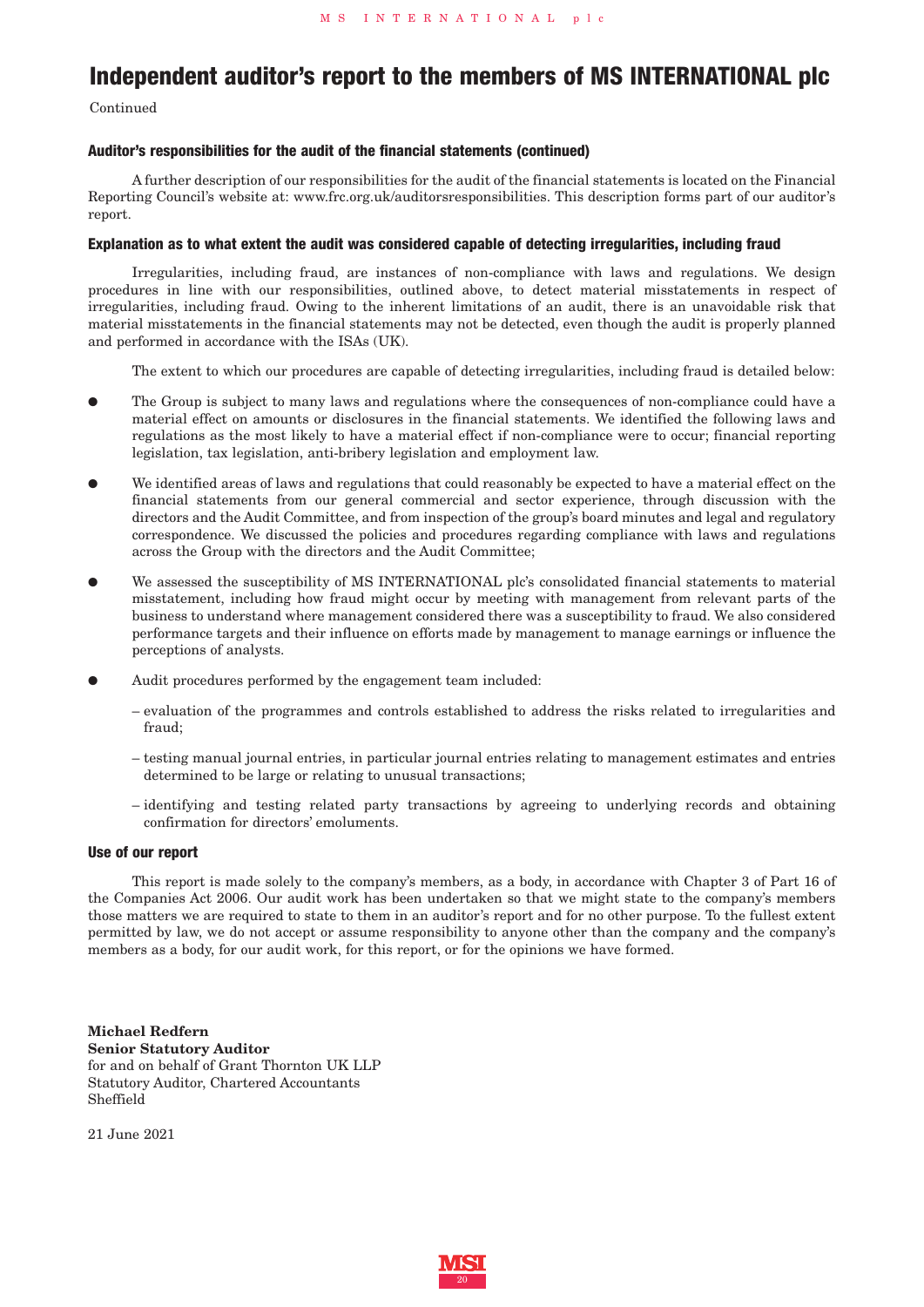Continued

### **Auditor's responsibilities for the audit of the financial statements (continued)**

A further description of our responsibilities for the audit of the financial statements is located on the Financial Reporting Council's website at: www.frc.org.uk/auditorsresponsibilities. This description forms part of our auditor's report.

### **Explanation as to what extent the audit was considered capable of detecting irregularities, including fraud**

Irregularities, including fraud, are instances of non-compliance with laws and regulations. We design procedures in line with our responsibilities, outlined above, to detect material misstatements in respect of irregularities, including fraud. Owing to the inherent limitations of an audit, there is an unavoidable risk that material misstatements in the financial statements may not be detected, even though the audit is properly planned and performed in accordance with the ISAs (UK).

The extent to which our procedures are capable of detecting irregularities, including fraud is detailed below:

- The Group is subject to many laws and regulations where the consequences of non-compliance could have a material effect on amounts or disclosures in the financial statements. We identified the following laws and regulations as the most likely to have a material effect if non-compliance were to occur; financial reporting legislation, tax legislation, anti-bribery legislation and employment law.
- We identified areas of laws and regulations that could reasonably be expected to have a material effect on the financial statements from our general commercial and sector experience, through discussion with the directors and the Audit Committee, and from inspection of the group's board minutes and legal and regulatory correspondence. We discussed the policies and procedures regarding compliance with laws and regulations across the Group with the directors and the Audit Committee;
- We assessed the susceptibility of MS INTERNATIONAL plc's consolidated financial statements to material misstatement, including how fraud might occur by meeting with management from relevant parts of the business to understand where management considered there was a susceptibility to fraud. We also considered performance targets and their influence on efforts made by management to manage earnings or influence the perceptions of analysts.
- Audit procedures performed by the engagement team included:
	- evaluation of the programmes and controls established to address the risks related to irregularities and fraud;
	- testing manual journal entries, in particular journal entries relating to management estimates and entries determined to be large or relating to unusual transactions;
	- identifying and testing related party transactions by agreeing to underlying records and obtaining confirmation for directors' emoluments.

#### **Use of our report**

This report is made solely to the company's members, as a body, in accordance with Chapter 3 of Part 16 of the Companies Act 2006. Our audit work has been undertaken so that we might state to the company's members those matters we are required to state to them in an auditor's report and for no other purpose. To the fullest extent permitted by law, we do not accept or assume responsibility to anyone other than the company and the company's members as a body, for our audit work, for this report, or for the opinions we have formed.

**Michael Redfern Senior Statutory Auditor** for and on behalf of Grant Thornton UK LLP Statutory Auditor, Chartered Accountants Sheffield

21 June 2021

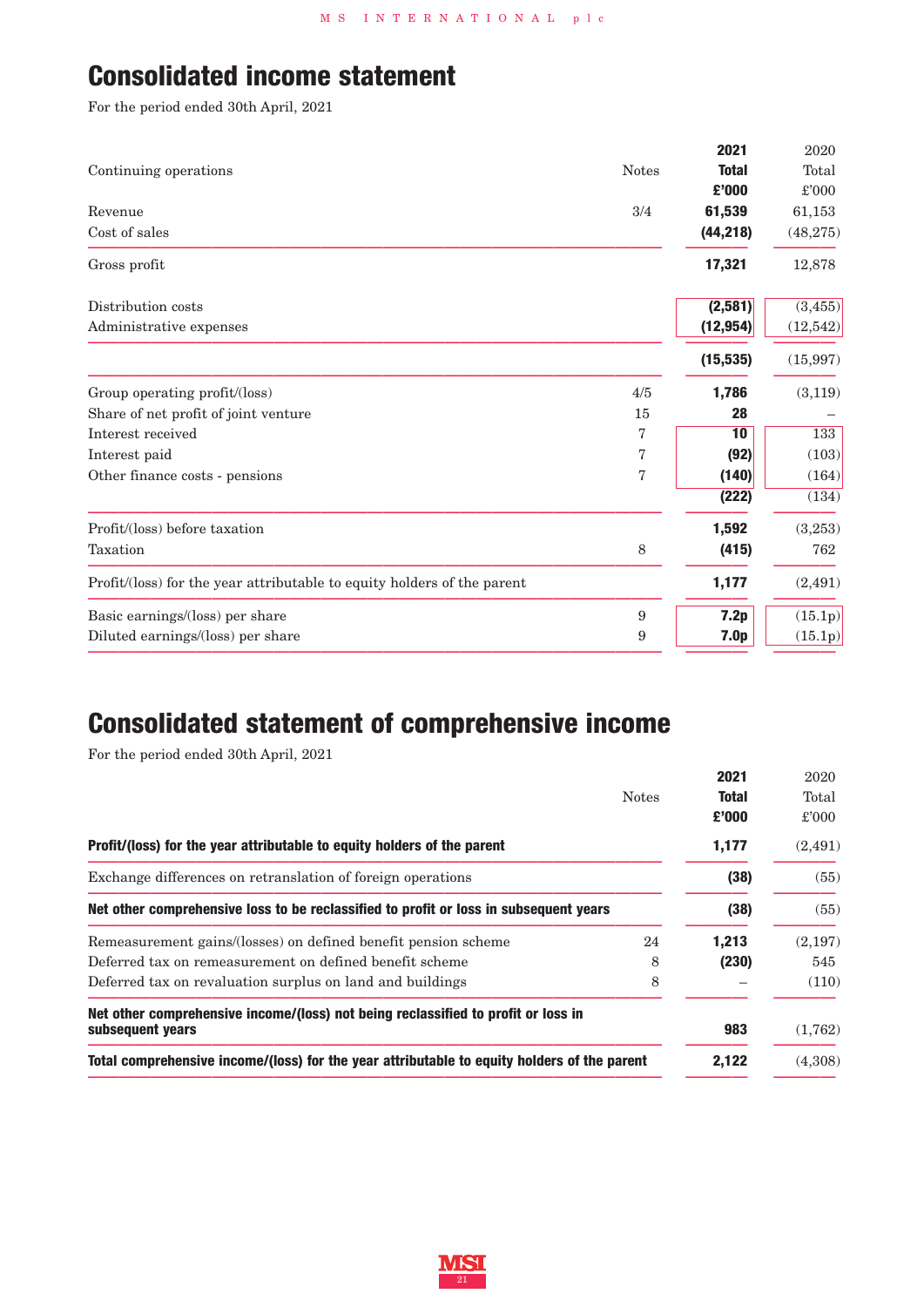# **Consolidated income statement**

For the period ended 30th April, 2021

|                                                                         | 2021             | 2020      |
|-------------------------------------------------------------------------|------------------|-----------|
| <b>Notes</b><br>Continuing operations                                   | <b>Total</b>     | Total     |
|                                                                         | £'000            | £'000     |
| 3/4<br>Revenue                                                          | 61,539           | 61,153    |
| Cost of sales                                                           | (44, 218)        | (48, 275) |
| Gross profit                                                            | 17,321           | 12,878    |
| Distribution costs                                                      | (2,581)          | (3, 455)  |
| Administrative expenses                                                 | (12, 954)        | (12,542)  |
|                                                                         | (15, 535)        | (15, 997) |
| 4/5<br>Group operating profit/(loss)                                    | 1,786            | (3, 119)  |
| Share of net profit of joint venture<br>15                              | 28               |           |
| Interest received<br>7                                                  | 10               | 133       |
| 7<br>Interest paid                                                      | (92)             | (103)     |
| 7<br>Other finance costs - pensions                                     | (140)            | (164)     |
|                                                                         | (222)            | (134)     |
| Profit/(loss) before taxation                                           | 1,592            | (3,253)   |
| Taxation<br>8                                                           | (415)            | 762       |
| Profit/(loss) for the year attributable to equity holders of the parent | 1,177            | (2, 491)  |
| 9<br>Basic earnings/(loss) per share                                    | 7.2p             | (15.1p)   |
| 9<br>Diluted earnings/(loss) per share                                  | 7.0 <sub>p</sub> | (15.1p)   |

# **Consolidated statement of comprehensive income**

For the period ended 30th April, 2021

|                                                                                                       | 2021         | 2020           |
|-------------------------------------------------------------------------------------------------------|--------------|----------------|
| <b>Notes</b>                                                                                          | <b>Total</b> | Total          |
|                                                                                                       | £'000        | $\pounds$ '000 |
| Profit/(loss) for the year attributable to equity holders of the parent                               | 1,177        | (2,491)        |
| Exchange differences on retranslation of foreign operations                                           | (38)         | (55)           |
| Net other comprehensive loss to be reclassified to profit or loss in subsequent years                 | (38)         | (55)           |
| Remeasurement gains/(losses) on defined benefit pension scheme<br>24                                  | 1,213        | (2,197)        |
| Deferred tax on remeasurement on defined benefit scheme<br>8                                          | (230)        | 545            |
| Deferred tax on revaluation surplus on land and buildings<br>8                                        |              | (110)          |
| Net other comprehensive income/(loss) not being reclassified to profit or loss in<br>subsequent years | 983          | (1,762)        |
| Total comprehensive income/(loss) for the year attributable to equity holders of the parent           | 2,122        | (4,308)        |

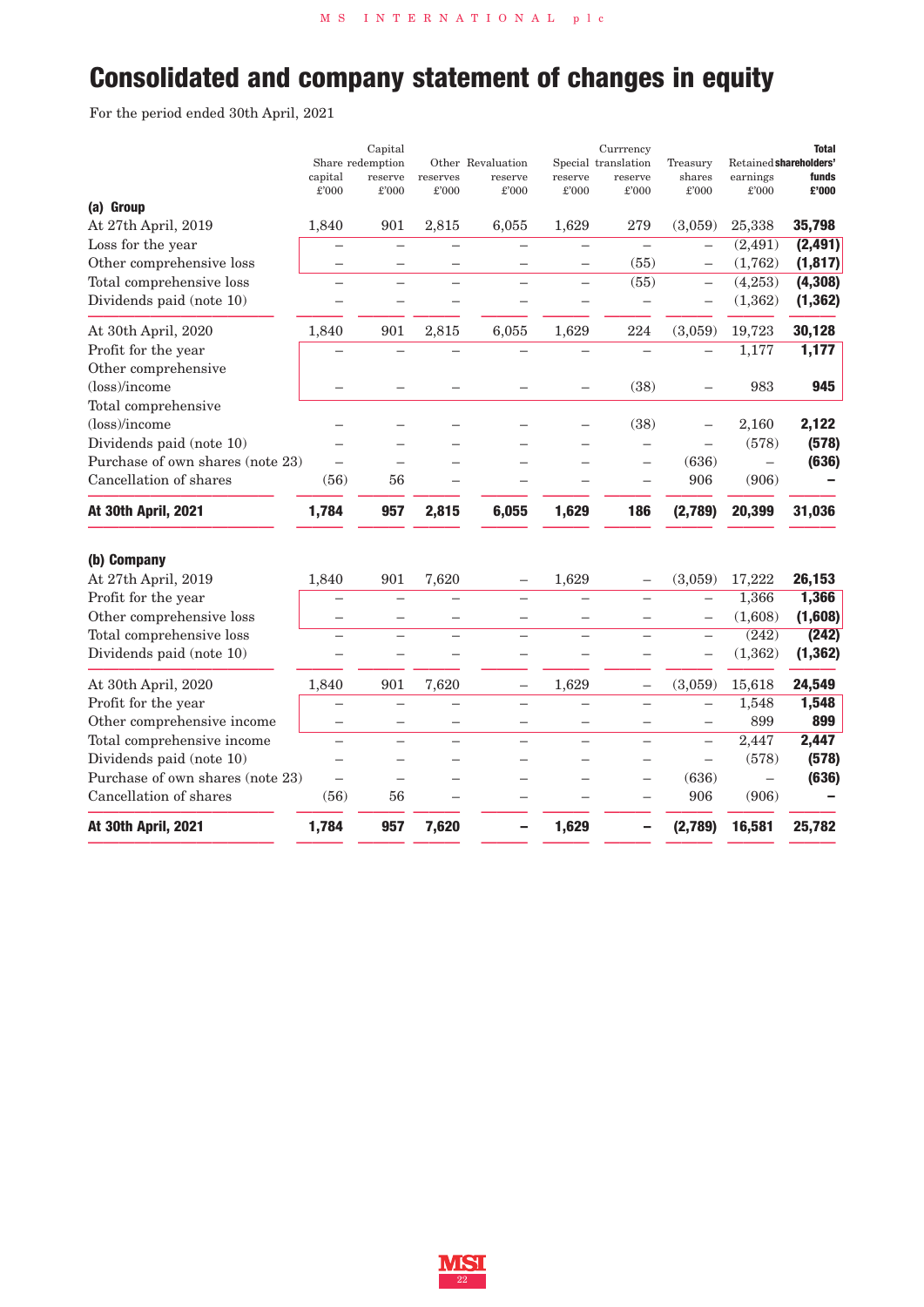# **Consolidated and company statement of changes in equity**

For the period ended 30th April, 2021

|                                  |                          | Capital                  |                          |                          |                                   | Currrency                |                          |                          | <b>Total</b> |
|----------------------------------|--------------------------|--------------------------|--------------------------|--------------------------|-----------------------------------|--------------------------|--------------------------|--------------------------|--------------|
|                                  |                          | Share redemption         |                          | Other Revaluation        |                                   | Special translation      | Treasury                 | Retained shareholders'   |              |
|                                  | capital                  | reserve                  | reserves                 | reserve                  | reserve                           | reserve                  | shares                   | earnings                 | funds        |
| (a) Group                        | £'000                    | £'000                    | £'000                    | £'000                    | £'000                             | £'000                    | £'000                    | £'000                    | £'000        |
| At 27th April, 2019              | 1,840                    | 901                      | 2,815                    | 6,055                    | 1,629                             | 279                      | (3,059)                  | 25,338                   | 35,798       |
| Loss for the year                |                          |                          |                          |                          |                                   |                          |                          | (2, 491)                 | (2, 491)     |
|                                  |                          | -                        |                          |                          |                                   | $\overline{\phantom{0}}$ | $\overline{\phantom{0}}$ |                          |              |
| Other comprehensive loss         |                          |                          |                          |                          |                                   | (55)                     |                          | (1,762)                  | (1, 817)     |
| Total comprehensive loss         | $\overline{\phantom{0}}$ | $\overline{\phantom{0}}$ |                          |                          | $\overline{\phantom{0}}$          | (55)                     | $\overline{\phantom{0}}$ | (4,253)                  | (4, 308)     |
| Dividends paid (note 10)         |                          |                          |                          |                          |                                   | $\overline{\phantom{0}}$ |                          | (1, 362)                 | (1, 362)     |
| At 30th April, 2020              | 1,840                    | 901                      | 2,815                    | 6,055                    | 1,629                             | 224                      | (3,059)                  | 19,723                   | 30,128       |
| Profit for the year              |                          |                          |                          |                          |                                   |                          |                          | 1,177                    | 1,177        |
| Other comprehensive              |                          |                          |                          |                          |                                   |                          |                          |                          |              |
| (loss)/income                    |                          |                          |                          |                          |                                   | (38)                     |                          | 983                      | 945          |
| Total comprehensive              |                          |                          |                          |                          |                                   |                          |                          |                          |              |
| (loss)/income                    |                          |                          |                          |                          |                                   | (38)                     |                          | 2,160                    | 2,122        |
| Dividends paid (note 10)         |                          |                          |                          |                          |                                   | $\overline{\phantom{0}}$ |                          | (578)                    | (578)        |
| Purchase of own shares (note 23) |                          |                          |                          |                          |                                   | $\overline{\phantom{0}}$ | (636)                    |                          | (636)        |
| Cancellation of shares           | (56)                     | 56                       |                          |                          |                                   |                          | 906                      | (906)                    |              |
| At 30th April, 2021              | 1,784                    | 957                      | 2,815                    | 6,055                    | 1,629                             | 186                      | (2,789)                  | 20,399                   | 31,036       |
|                                  |                          |                          |                          |                          |                                   |                          |                          |                          |              |
| (b) Company                      |                          |                          |                          |                          |                                   |                          |                          |                          | 26,153       |
| At 27th April, 2019              | 1,840                    | 901                      | 7,620                    | $\equiv$                 | 1,629<br>$\overline{\phantom{0}}$ | $\overline{\phantom{0}}$ | (3,059)                  | 17,222<br>1,366          |              |
| Profit for the year              |                          |                          |                          |                          |                                   |                          |                          |                          | 1,366        |
| Other comprehensive loss         |                          |                          |                          |                          | $\overline{\phantom{0}}$          |                          |                          | (1,608)<br>(242)         | (1,608)      |
| Total comprehensive loss         | $\overline{\phantom{0}}$ | $\overline{\phantom{0}}$ |                          | $\overline{\phantom{0}}$ |                                   | $\overline{\phantom{0}}$ | $\overline{\phantom{0}}$ |                          | (242)        |
| Dividends paid (note 10)         |                          |                          |                          |                          |                                   |                          |                          | (1, 362)                 | (1, 362)     |
| At 30th April, 2020              | 1,840                    | 901                      | 7,620                    | $\overline{\phantom{0}}$ | 1,629                             | $\overline{\phantom{0}}$ | (3,059)                  | 15,618                   | 24,549       |
| Profit for the year              |                          | $\overline{\phantom{0}}$ |                          |                          |                                   |                          | $\overline{\phantom{0}}$ | 1,548                    | 1,548        |
| Other comprehensive income       | $\qquad \qquad -$        | $\overline{\phantom{0}}$ | $\overline{\phantom{0}}$ | $\overline{\phantom{0}}$ | $\overline{\phantom{0}}$          | $\overline{\phantom{0}}$ | $\overline{\phantom{0}}$ | 899                      | 899          |
| Total comprehensive income       | $\overline{\phantom{0}}$ | $\overline{\phantom{0}}$ |                          |                          |                                   |                          | $\overline{\phantom{0}}$ | 2,447                    | 2,447        |
| Dividends paid (note 10)         |                          |                          |                          |                          |                                   |                          | $\overline{\phantom{0}}$ | (578)                    | (578)        |
| Purchase of own shares (note 23) | $\overline{\phantom{0}}$ |                          |                          |                          |                                   |                          | (636)                    | $\overline{\phantom{0}}$ | (636)        |
| Cancellation of shares           | (56)                     | 56                       |                          |                          |                                   |                          | 906                      | (906)                    |              |
| At 30th April, 2021              | 1,784                    | 957                      | 7,620                    |                          | 1,629                             |                          | (2,789)                  | 16,581                   | 25,782       |

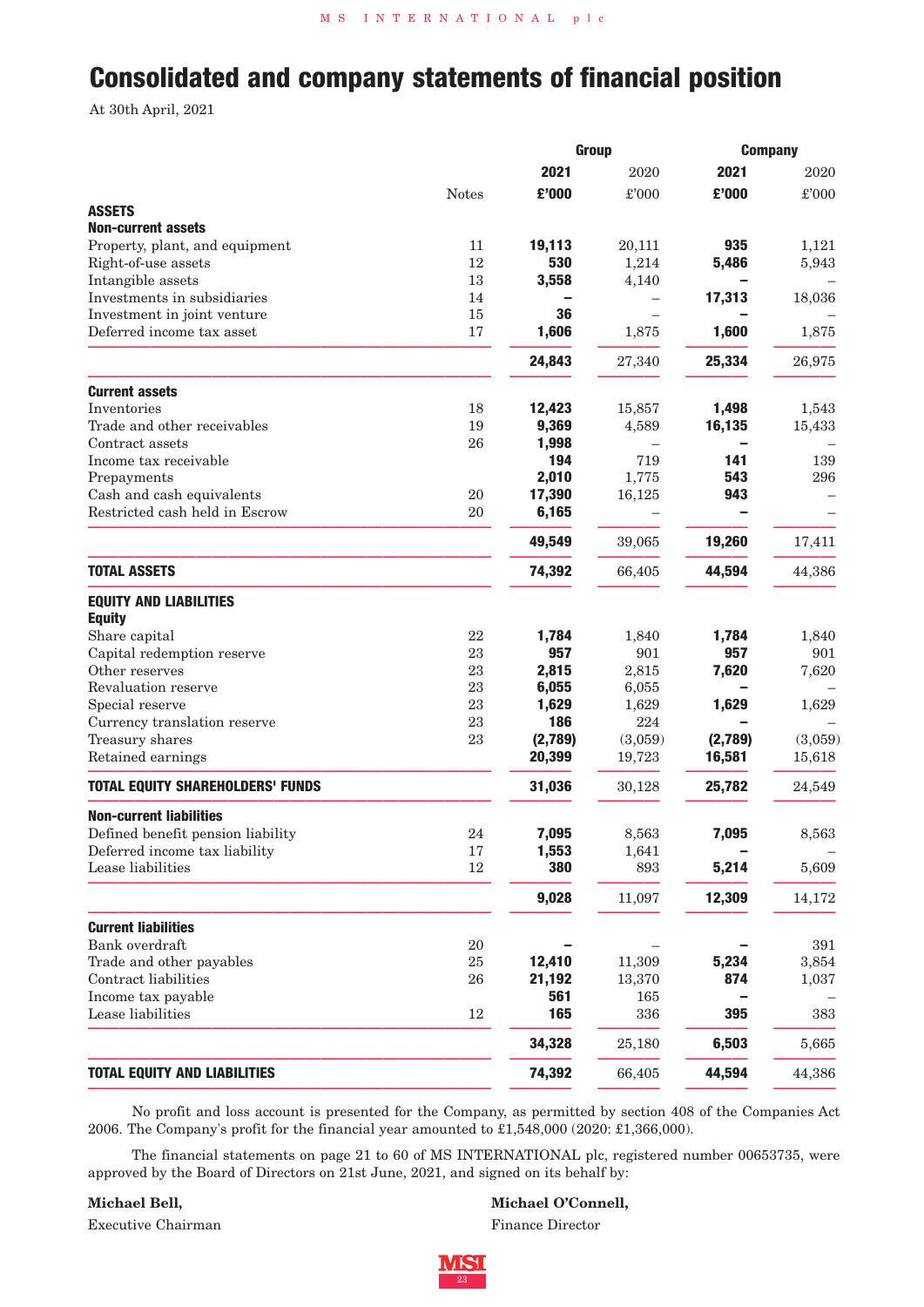# **Consolidated and company statements of financial position**

At 30th April, 2021

|                                                             |              | <b>Group</b>    |              |         | <b>Company</b> |  |
|-------------------------------------------------------------|--------------|-----------------|--------------|---------|----------------|--|
|                                                             |              | 2021            | 2020         | 2021    | 2020           |  |
|                                                             | <b>Notes</b> | £'000           | £'000        | £'000   | £'000          |  |
| <b>ASSETS</b>                                               |              |                 |              |         |                |  |
| <b>Non-current assets</b>                                   |              |                 |              |         |                |  |
| Property, plant, and equipment                              | 11           | 19,113          | 20,111       | 935     | 1,121          |  |
| Right-of-use assets                                         | 12           | 530             | 1,214        | 5,486   | 5,943          |  |
| Intangible assets                                           | 13           | 3,558           | 4,140        |         |                |  |
| Investments in subsidiaries                                 | 14           | 36              |              | 17,313  | 18,036         |  |
| Investment in joint venture<br>Deferred income tax asset    | 15<br>17     | 1,606           | 1,875        | 1,600   |                |  |
|                                                             |              |                 |              |         | 1,875          |  |
|                                                             |              | 24,843          | 27,340       | 25,334  | 26,975         |  |
| <b>Current assets</b>                                       |              |                 |              |         |                |  |
| Inventories                                                 | 18           | 12,423          | 15,857       | 1,498   | 1,543          |  |
| Trade and other receivables                                 | 19           | 9,369           | 4,589        | 16,135  | 15,433         |  |
| Contract assets                                             | 26           | 1,998           |              |         |                |  |
| Income tax receivable                                       |              | 194             | 719          | 141     | 139            |  |
| Prepayments                                                 |              | 2,010           | 1,775        | 543     | 296            |  |
| Cash and cash equivalents<br>Restricted cash held in Escrow | 20<br>20     | 17,390<br>6,165 | 16,125       | 943     |                |  |
|                                                             |              | 49,549          | 39,065       | 19,260  | 17,411         |  |
| <b>TOTAL ASSETS</b>                                         |              | 74,392          | 66,405       | 44,594  | 44,386         |  |
| <b>EQUITY AND LIABILITIES</b>                               |              |                 |              |         |                |  |
| <b>Equity</b>                                               |              |                 |              |         |                |  |
| Share capital                                               | 22           | 1,784           | 1,840        | 1,784   | 1,840          |  |
| Capital redemption reserve                                  | 23           | 957             | 901          | 957     | 901            |  |
| Other reserves                                              | 23           | 2,815           | 2,815        | 7,620   | 7,620          |  |
| Revaluation reserve                                         | 23           | 6,055           | 6,055        |         |                |  |
| Special reserve                                             | 23           | 1,629<br>186    | 1,629<br>224 | 1,629   | 1,629          |  |
| Currency translation reserve<br>Treasury shares             | 23<br>23     | (2,789)         | (3,059)      | (2,789) | (3,059)        |  |
| Retained earnings                                           |              | 20,399          | 19,723       | 16,581  | 15,618         |  |
| <b>TOTAL EQUITY SHAREHOLDERS' FUNDS</b>                     |              | 31,036          | 30,128       | 25,782  | 24,549         |  |
| <b>Non-current liabilities</b>                              |              |                 |              |         |                |  |
| Defined benefit pension liability                           | 24           | 7,095           | 8,563        | 7,095   | 8,563          |  |
| Deferred income tax liability                               | 17           | 1,553           | 1,641        |         |                |  |
| Lease liabilities                                           | 12           | 380             | 893          | 5,214   | 5,609          |  |
|                                                             |              | 9,028           | 11,097       | 12,309  | 14,172         |  |
| <b>Current liabilities</b>                                  |              |                 |              |         |                |  |
| Bank overdraft                                              | $20\,$       |                 |              |         | 391            |  |
| Trade and other payables                                    | 25           | 12,410          | 11,309       | 5,234   | 3,854          |  |
| Contract liabilities                                        | 26           | 21,192          | 13,370       | 874     | 1,037          |  |
| Income tax payable                                          |              | 561             | 165          |         |                |  |
| Lease liabilities                                           | 12           | 165             | 336          | 395     | 383            |  |
|                                                             |              | 34,328          | 25,180       | 6,503   | 5,665          |  |
| <b>TOTAL EQUITY AND LIABILITIES</b>                         |              | 74,392          | 66,405       | 44,594  | 44,386         |  |

No profit and loss account is presented for the Company, as permitted by section 408 of the Companies Act 2006. The Company's profit for the financial year amounted to £1,548,000 (2020: £1,366,000).

The financial statements on page 21 to 60 of MS INTERNATIONAL plc, registered number 00653735, were approved by the Board of Directors on 21st June, 2021, and signed on its behalf by:

**Michael Bell, Michael O'Connell,** Executive Chairman Finance Director

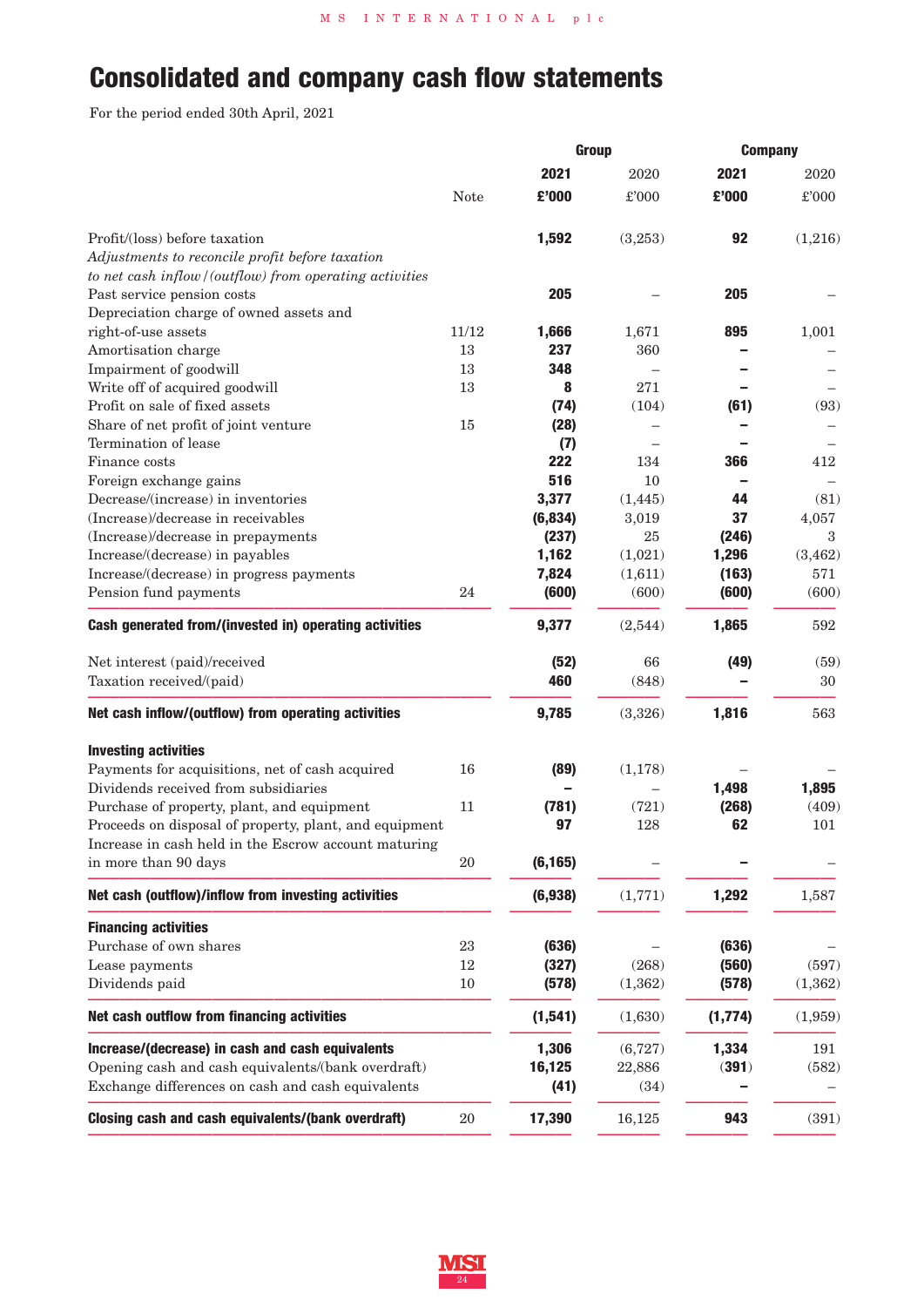# **Consolidated and company cash flow statements**

For the period ended 30th April, 2021

| <b>Group</b>                                                                        | <b>Company</b>   |  |
|-------------------------------------------------------------------------------------|------------------|--|
| 2021<br>2021<br>2020                                                                | 2020             |  |
| <b>Note</b><br>£'000<br>£'000<br>£'000                                              | $\pounds 000$    |  |
| 1,592<br>92<br>Profit/(loss) before taxation<br>(3,253)                             | (1,216)          |  |
| Adjustments to reconcile profit before taxation                                     |                  |  |
| to net cash inflow/(outflow) from operating activities                              |                  |  |
| Past service pension costs<br>205<br>205                                            |                  |  |
| Depreciation charge of owned assets and                                             |                  |  |
| right-of-use assets<br>11/12<br>1,671<br>1,666<br>895                               | 1,001            |  |
| Amortisation charge<br>13<br>237<br>360                                             |                  |  |
| 13<br>Impairment of goodwill<br>348                                                 |                  |  |
| Write off of acquired goodwill<br>13<br>8<br>271                                    |                  |  |
| Profit on sale of fixed assets<br>(74)<br>(104)<br>(61)                             | (93)             |  |
| Share of net profit of joint venture<br>15<br>(28)                                  |                  |  |
| Termination of lease<br>(7)                                                         |                  |  |
| 222<br>Finance costs<br>134<br>366                                                  | 412              |  |
| 516<br>Foreign exchange gains<br>10                                                 |                  |  |
| Decrease/(increase) in inventories<br>3,377<br>(1, 445)<br>44                       | (81)             |  |
| (Increase)/decrease in receivables<br>37<br>(6, 834)<br>3,019                       | 4,057            |  |
| (Increase)/decrease in prepayments<br>(237)<br>25<br>(246)                          | $\boldsymbol{3}$ |  |
| 1,296<br>Increase/(decrease) in payables<br>1,162<br>(1,021)                        | (3, 462)         |  |
| Increase/(decrease) in progress payments<br>7,824<br>(163)<br>(1,611)               | 571              |  |
| Pension fund payments<br>24<br>(600)<br>(600)<br>(600)                              | (600)            |  |
| Cash generated from/(invested in) operating activities<br>9,377<br>1,865<br>(2,544) | 592              |  |
| Net interest (paid)/received<br>(52)<br>66<br>(49)                                  | (59)             |  |
| 460<br>Taxation received/(paid)<br>(848)                                            | 30               |  |
| 9,785<br>1,816<br>Net cash inflow/(outflow) from operating activities<br>(3,326)    | 563              |  |
| <b>Investing activities</b>                                                         |                  |  |
| Payments for acquisitions, net of cash acquired<br>16<br>(89)<br>(1,178)            |                  |  |
| Dividends received from subsidiaries<br>1,498                                       | 1,895            |  |
| Purchase of property, plant, and equipment<br>11<br>(781)<br>(721)<br>(268)         | (409)            |  |
| 62<br>Proceeds on disposal of property, plant, and equipment<br>97<br>128           | 101              |  |
| Increase in cash held in the Escrow account maturing                                |                  |  |
| in more than 90 days<br>(6, 165)<br>20                                              |                  |  |
| 1,292<br>Net cash (outflow)/inflow from investing activities<br>(1, 771)<br>(6,938) | 1,587            |  |
| <b>Financing activities</b>                                                         |                  |  |
| Purchase of own shares<br>23<br>(636)<br>(636)                                      |                  |  |
| 12<br>(327)<br>(560)<br>Lease payments<br>(268)                                     | (597)            |  |
| Dividends paid<br>$10\,$<br>(578)<br>(578)<br>(1,362)                               | (1,362)          |  |
| Net cash outflow from financing activities<br>(1, 541)<br>(1, 774)<br>(1,630)       | (1,959)          |  |
| Increase/(decrease) in cash and cash equivalents<br>1,334<br>1,306<br>(6, 727)      | 191              |  |
| Opening cash and cash equivalents/(bank overdraft)<br>16,125<br>22,886<br>(391)     | (582)            |  |
| Exchange differences on cash and cash equivalents<br>(41)<br>(34)                   |                  |  |
|                                                                                     |                  |  |

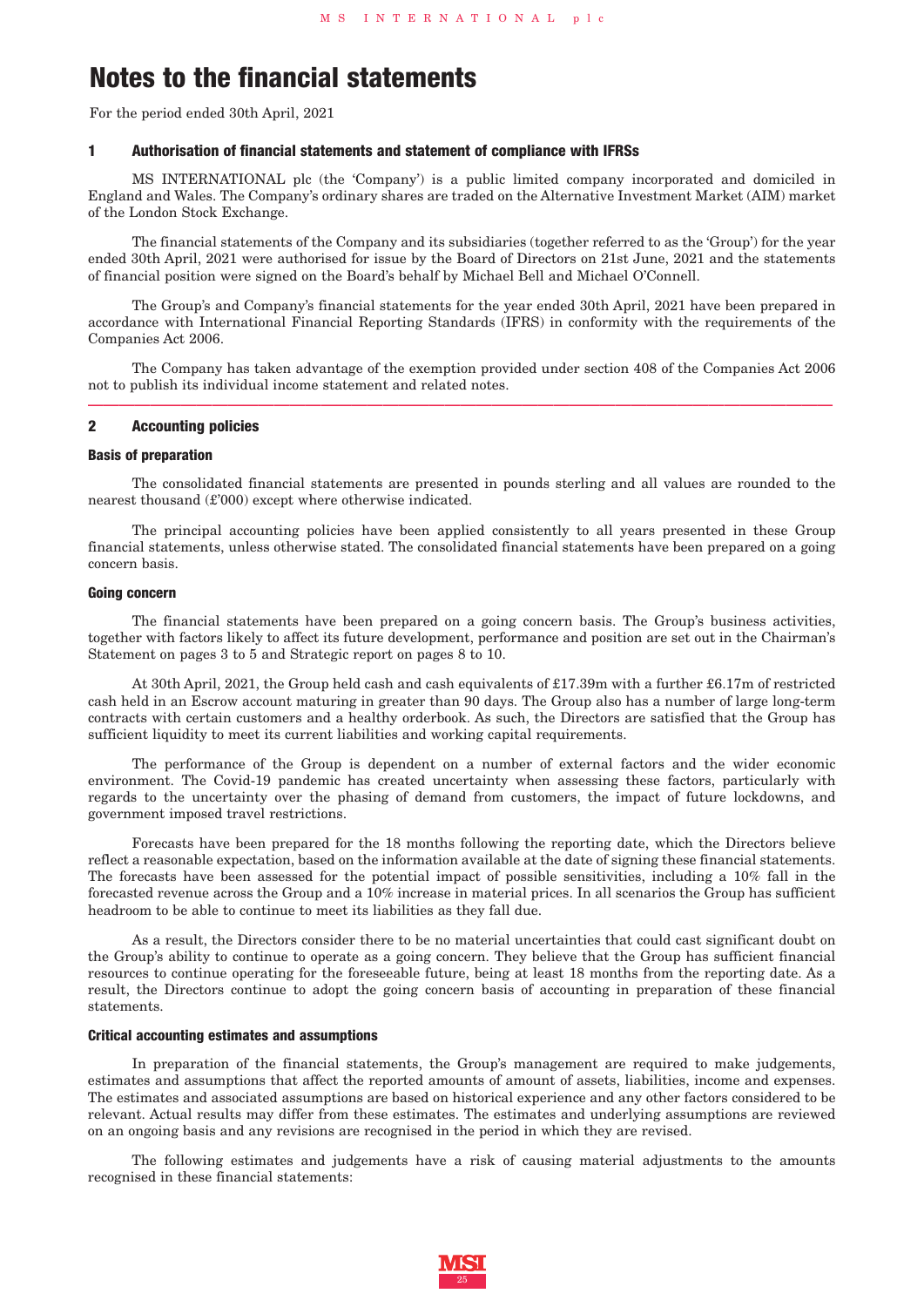For the period ended 30th April, 2021

# **1 Authorisation of financial statements and statement of compliance with IFRSs**

MS INTERNATIONAL plc (the 'Company') is a public limited company incorporated and domiciled in England and Wales. The Company's ordinary shares are traded on the Alternative Investment Market (AIM) market of the London Stock Exchange.

The financial statements of the Company and its subsidiaries (together referred to as the 'Group') for the year ended 30th April, 2021 were authorised for issue by the Board of Directors on 21st June, 2021 and the statements of financial position were signed on the Board's behalf by Michael Bell and Michael O'Connell.

The Group's and Company's financial statements for the year ended 30th April, 2021 have been prepared in accordance with International Financial Reporting Standards (IFRS) in conformity with the requirements of the Companies Act 2006.

The Company has taken advantage of the exemption provided under section 408 of the Companies Act 2006 not to publish its individual income statement and related notes. **222222222222222222222222222222222222222222222222**

#### **2 Accounting policies**

#### **Basis of preparation**

The consolidated financial statements are presented in pounds sterling and all values are rounded to the nearest thousand (£'000) except where otherwise indicated.

The principal accounting policies have been applied consistently to all years presented in these Group financial statements, unless otherwise stated. The consolidated financial statements have been prepared on a going concern basis.

#### **Going concern**

The financial statements have been prepared on a going concern basis. The Group's business activities, together with factors likely to affect its future development, performance and position are set out in the Chairman's Statement on pages 3 to 5 and Strategic report on pages 8 to 10.

At 30th April, 2021, the Group held cash and cash equivalents of £17.39m with a further £6.17m of restricted cash held in an Escrow account maturing in greater than 90 days. The Group also has a number of large long-term contracts with certain customers and a healthy orderbook. As such, the Directors are satisfied that the Group has sufficient liquidity to meet its current liabilities and working capital requirements.

The performance of the Group is dependent on a number of external factors and the wider economic environment. The Covid-19 pandemic has created uncertainty when assessing these factors, particularly with regards to the uncertainty over the phasing of demand from customers, the impact of future lockdowns, and government imposed travel restrictions.

Forecasts have been prepared for the 18 months following the reporting date, which the Directors believe reflect a reasonable expectation, based on the information available at the date of signing these financial statements. The forecasts have been assessed for the potential impact of possible sensitivities, including a 10% fall in the forecasted revenue across the Group and a 10% increase in material prices. In all scenarios the Group has sufficient headroom to be able to continue to meet its liabilities as they fall due.

As a result, the Directors consider there to be no material uncertainties that could cast significant doubt on the Group's ability to continue to operate as a going concern. They believe that the Group has sufficient financial resources to continue operating for the foreseeable future, being at least 18 months from the reporting date. As a result, the Directors continue to adopt the going concern basis of accounting in preparation of these financial statements.

#### **Critical accounting estimates and assumptions**

In preparation of the financial statements, the Group's management are required to make judgements, estimates and assumptions that affect the reported amounts of amount of assets, liabilities, income and expenses. The estimates and associated assumptions are based on historical experience and any other factors considered to be relevant. Actual results may differ from these estimates. The estimates and underlying assumptions are reviewed on an ongoing basis and any revisions are recognised in the period in which they are revised.

The following estimates and judgements have a risk of causing material adjustments to the amounts recognised in these financial statements:

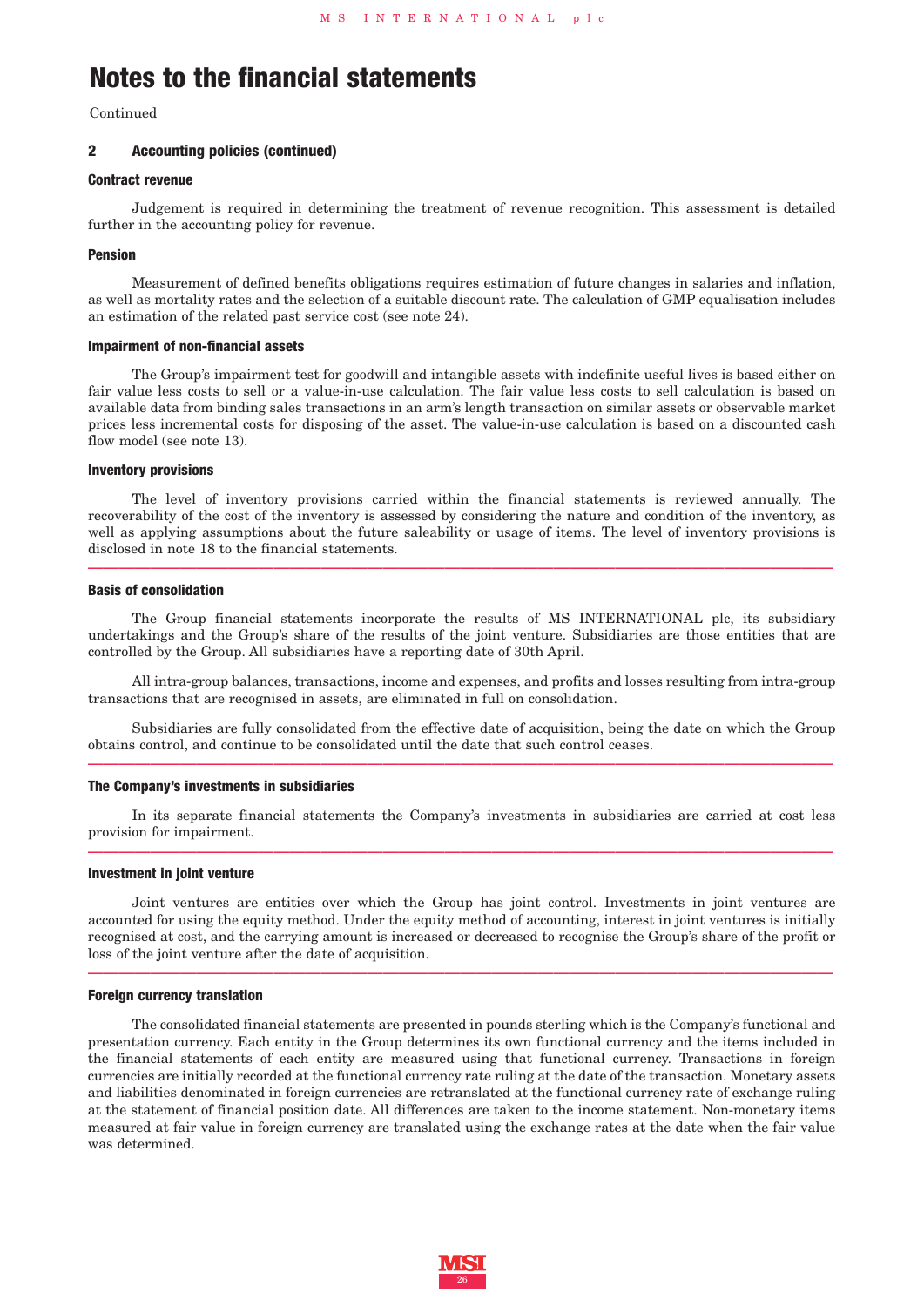Continued

# **2 Accounting policies (continued)**

### **Contract revenue**

Judgement is required in determining the treatment of revenue recognition. This assessment is detailed further in the accounting policy for revenue.

### **Pension**

Measurement of defined benefits obligations requires estimation of future changes in salaries and inflation, as well as mortality rates and the selection of a suitable discount rate. The calculation of GMP equalisation includes an estimation of the related past service cost (see note 24).

#### **Impairment of non-financial assets**

The Group's impairment test for goodwill and intangible assets with indefinite useful lives is based either on fair value less costs to sell or a value-in-use calculation. The fair value less costs to sell calculation is based on available data from binding sales transactions in an arm's length transaction on similar assets or observable market prices less incremental costs for disposing of the asset. The value-in-use calculation is based on a discounted cash flow model (see note 13).

# **Inventory provisions**

The level of inventory provisions carried within the financial statements is reviewed annually. The recoverability of the cost of the inventory is assessed by considering the nature and condition of the inventory, as well as applying assumptions about the future saleability or usage of items. The level of inventory provisions is disclosed in note 18 to the financial statements. **222222222222222222222222222222222222222222222222**

### **Basis of consolidation**

The Group financial statements incorporate the results of MS INTERNATIONAL plc, its subsidiary undertakings and the Group's share of the results of the joint venture. Subsidiaries are those entities that are controlled by the Group. All subsidiaries have a reporting date of 30th April.

All intra-group balances, transactions, income and expenses, and profits and losses resulting from intra-group transactions that are recognised in assets, are eliminated in full on consolidation.

Subsidiaries are fully consolidated from the effective date of acquisition, being the date on which the Group obtains control, and continue to be consolidated until the date that such control ceases. **222222222222222222222222222222222222222222222222**

### **The Company's investments in subsidiaries**

In its separate financial statements the Company's investments in subsidiaries are carried at cost less provision for impairment. **222222222222222222222222222222222222222222222222**

#### **Investment in joint venture**

Joint ventures are entities over which the Group has joint control. Investments in joint ventures are accounted for using the equity method. Under the equity method of accounting, interest in joint ventures is initially recognised at cost, and the carrying amount is increased or decreased to recognise the Group's share of the profit or loss of the joint venture after the date of acquisition. **222222222222222222222222222222222222222222222222**

#### **Foreign currency translation**

The consolidated financial statements are presented in pounds sterling which is the Company's functional and presentation currency. Each entity in the Group determines its own functional currency and the items included in the financial statements of each entity are measured using that functional currency. Transactions in foreign currencies are initially recorded at the functional currency rate ruling at the date of the transaction. Monetary assets and liabilities denominated in foreign currencies are retranslated at the functional currency rate of exchange ruling at the statement of financial position date. All differences are taken to the income statement. Non-monetary items measured at fair value in foreign currency are translated using the exchange rates at the date when the fair value was determined.

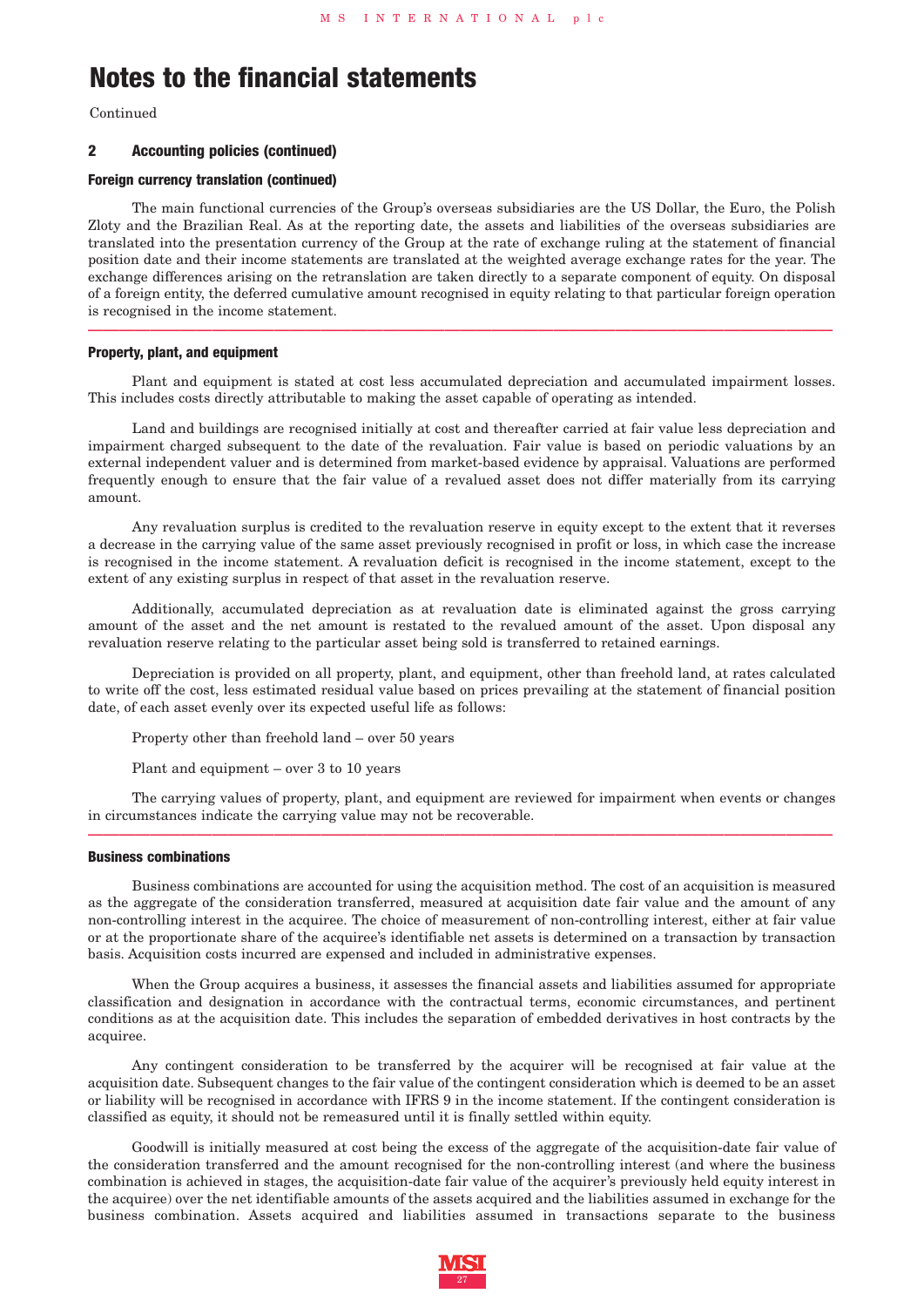Continued

# **2 Accounting policies (continued)**

### **Foreign currency translation (continued)**

The main functional currencies of the Group's overseas subsidiaries are the US Dollar, the Euro, the Polish Zloty and the Brazilian Real. As at the reporting date, the assets and liabilities of the overseas subsidiaries are translated into the presentation currency of the Group at the rate of exchange ruling at the statement of financial position date and their income statements are translated at the weighted average exchange rates for the year. The exchange differences arising on the retranslation are taken directly to a separate component of equity. On disposal of a foreign entity, the deferred cumulative amount recognised in equity relating to that particular foreign operation is recognised in the income statement. **222222222222222222222222222222222222222222222222**

#### **Property, plant, and equipment**

Plant and equipment is stated at cost less accumulated depreciation and accumulated impairment losses. This includes costs directly attributable to making the asset capable of operating as intended.

Land and buildings are recognised initially at cost and thereafter carried at fair value less depreciation and impairment charged subsequent to the date of the revaluation. Fair value is based on periodic valuations by an external independent valuer and is determined from market-based evidence by appraisal. Valuations are performed frequently enough to ensure that the fair value of a revalued asset does not differ materially from its carrying amount.

Any revaluation surplus is credited to the revaluation reserve in equity except to the extent that it reverses a decrease in the carrying value of the same asset previously recognised in profit or loss, in which case the increase is recognised in the income statement. A revaluation deficit is recognised in the income statement, except to the extent of any existing surplus in respect of that asset in the revaluation reserve.

Additionally, accumulated depreciation as at revaluation date is eliminated against the gross carrying amount of the asset and the net amount is restated to the revalued amount of the asset. Upon disposal any revaluation reserve relating to the particular asset being sold is transferred to retained earnings.

Depreciation is provided on all property, plant, and equipment, other than freehold land, at rates calculated to write off the cost, less estimated residual value based on prices prevailing at the statement of financial position date, of each asset evenly over its expected useful life as follows:

Property other than freehold land – over 50 years

Plant and equipment – over 3 to 10 years

The carrying values of property, plant, and equipment are reviewed for impairment when events or changes in circumstances indicate the carrying value may not be recoverable. **222222222222222222222222222222222222222222222222**

### **Business combinations**

Business combinations are accounted for using the acquisition method. The cost of an acquisition is measured as the aggregate of the consideration transferred, measured at acquisition date fair value and the amount of any non-controlling interest in the acquiree. The choice of measurement of non-controlling interest, either at fair value or at the proportionate share of the acquiree's identifiable net assets is determined on a transaction by transaction basis. Acquisition costs incurred are expensed and included in administrative expenses.

When the Group acquires a business, it assesses the financial assets and liabilities assumed for appropriate classification and designation in accordance with the contractual terms, economic circumstances, and pertinent conditions as at the acquisition date. This includes the separation of embedded derivatives in host contracts by the acquiree.

Any contingent consideration to be transferred by the acquirer will be recognised at fair value at the acquisition date. Subsequent changes to the fair value of the contingent consideration which is deemed to be an asset or liability will be recognised in accordance with IFRS 9 in the income statement. If the contingent consideration is classified as equity, it should not be remeasured until it is finally settled within equity.

Goodwill is initially measured at cost being the excess of the aggregate of the acquisition-date fair value of the consideration transferred and the amount recognised for the non-controlling interest (and where the business combination is achieved in stages, the acquisition-date fair value of the acquirer's previously held equity interest in the acquiree) over the net identifiable amounts of the assets acquired and the liabilities assumed in exchange for the business combination. Assets acquired and liabilities assumed in transactions separate to the business

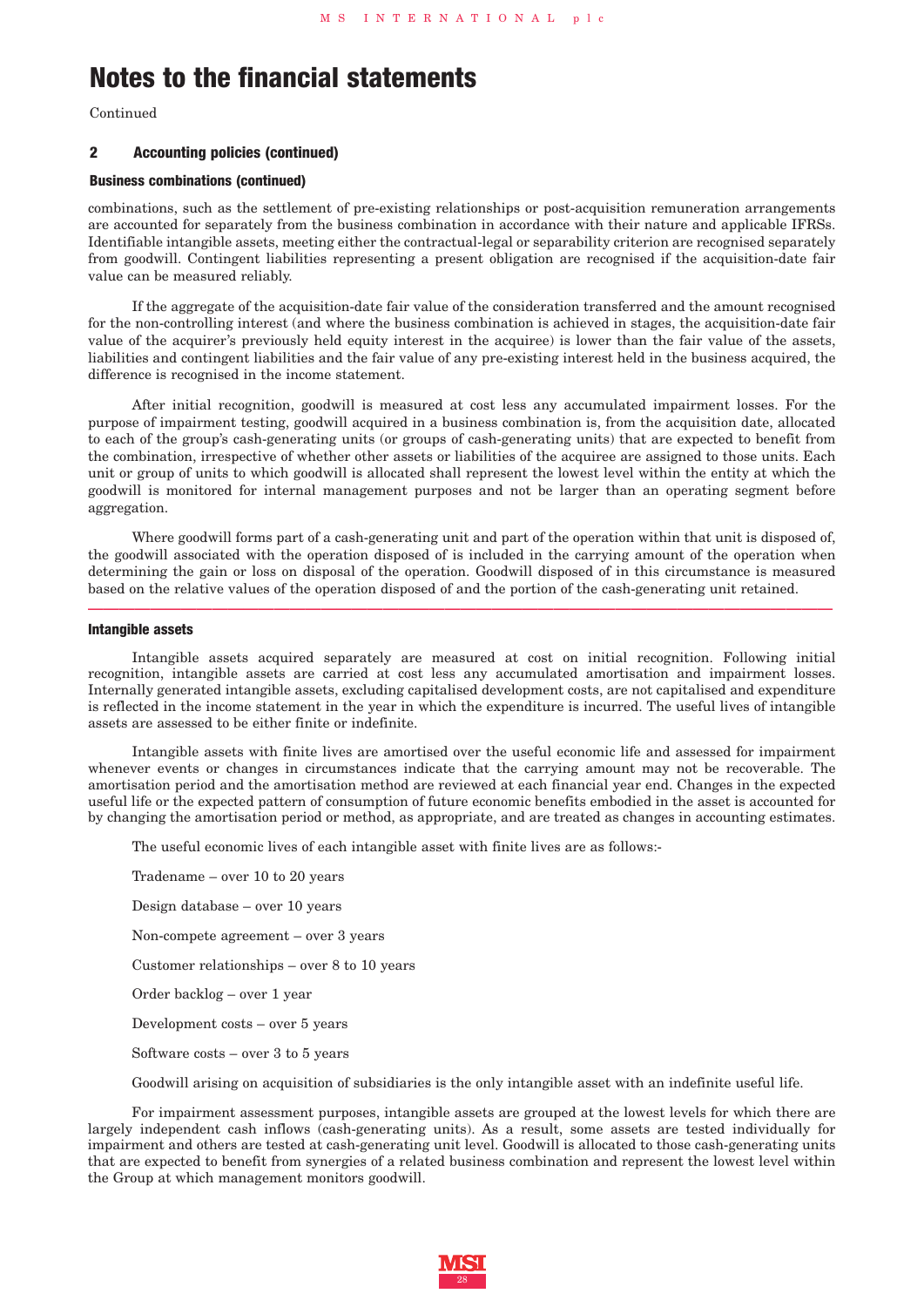Continued

# **2 Accounting policies (continued)**

#### **Business combinations (continued)**

combinations, such as the settlement of pre-existing relationships or post-acquisition remuneration arrangements are accounted for separately from the business combination in accordance with their nature and applicable IFRSs. Identifiable intangible assets, meeting either the contractual-legal or separability criterion are recognised separately from goodwill. Contingent liabilities representing a present obligation are recognised if the acquisition-date fair value can be measured reliably.

If the aggregate of the acquisition-date fair value of the consideration transferred and the amount recognised for the non-controlling interest (and where the business combination is achieved in stages, the acquisition-date fair value of the acquirer's previously held equity interest in the acquiree) is lower than the fair value of the assets, liabilities and contingent liabilities and the fair value of any pre-existing interest held in the business acquired, the difference is recognised in the income statement.

After initial recognition, goodwill is measured at cost less any accumulated impairment losses. For the purpose of impairment testing, goodwill acquired in a business combination is, from the acquisition date, allocated to each of the group's cash-generating units (or groups of cash-generating units) that are expected to benefit from the combination, irrespective of whether other assets or liabilities of the acquiree are assigned to those units. Each unit or group of units to which goodwill is allocated shall represent the lowest level within the entity at which the goodwill is monitored for internal management purposes and not be larger than an operating segment before aggregation.

Where goodwill forms part of a cash-generating unit and part of the operation within that unit is disposed of, the goodwill associated with the operation disposed of is included in the carrying amount of the operation when determining the gain or loss on disposal of the operation. Goodwill disposed of in this circumstance is measured based on the relative values of the operation disposed of and the portion of the cash-generating unit retained. **222222222222222222222222222222222222222222222222**

#### **Intangible assets**

Intangible assets acquired separately are measured at cost on initial recognition. Following initial recognition, intangible assets are carried at cost less any accumulated amortisation and impairment losses. Internally generated intangible assets, excluding capitalised development costs, are not capitalised and expenditure is reflected in the income statement in the year in which the expenditure is incurred. The useful lives of intangible assets are assessed to be either finite or indefinite.

Intangible assets with finite lives are amortised over the useful economic life and assessed for impairment whenever events or changes in circumstances indicate that the carrying amount may not be recoverable. The amortisation period and the amortisation method are reviewed at each financial year end. Changes in the expected useful life or the expected pattern of consumption of future economic benefits embodied in the asset is accounted for by changing the amortisation period or method, as appropriate, and are treated as changes in accounting estimates.

The useful economic lives of each intangible asset with finite lives are as follows:-

Tradename – over 10 to 20 years

Design database – over 10 years

Non-compete agreement – over 3 years

Customer relationships – over 8 to 10 years

Order backlog – over 1 year

Development costs – over 5 years

Software costs – over 3 to 5 years

Goodwill arising on acquisition of subsidiaries is the only intangible asset with an indefinite useful life.

For impairment assessment purposes, intangible assets are grouped at the lowest levels for which there are largely independent cash inflows (cash-generating units). As a result, some assets are tested individually for impairment and others are tested at cash-generating unit level. Goodwill is allocated to those cash-generating units that are expected to benefit from synergies of a related business combination and represent the lowest level within the Group at which management monitors goodwill.

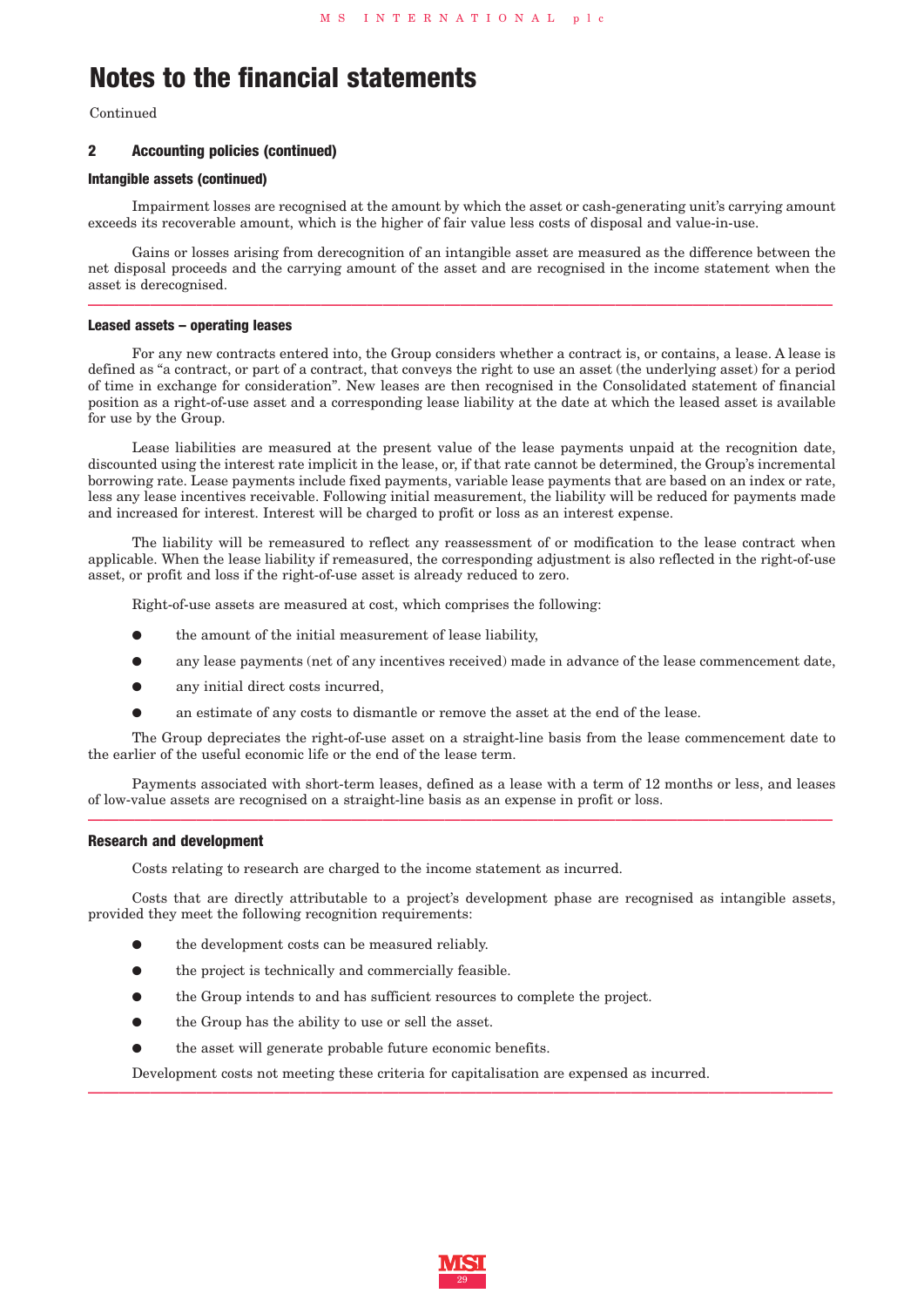Continued

# **2 Accounting policies (continued)**

# **Intangible assets (continued)**

Impairment losses are recognised at the amount by which the asset or cash-generating unit's carrying amount exceeds its recoverable amount, which is the higher of fair value less costs of disposal and value-in-use.

Gains or losses arising from derecognition of an intangible asset are measured as the difference between the net disposal proceeds and the carrying amount of the asset and are recognised in the income statement when the asset is derecognised. **222222222222222222222222222222222222222222222222**

#### **Leased assets – operating leases**

For any new contracts entered into, the Group considers whether a contract is, or contains, a lease. A lease is defined as "a contract, or part of a contract, that conveys the right to use an asset (the underlying asset) for a period of time in exchange for consideration". New leases are then recognised in the Consolidated statement of financial position as a right-of-use asset and a corresponding lease liability at the date at which the leased asset is available for use by the Group.

Lease liabilities are measured at the present value of the lease payments unpaid at the recognition date, discounted using the interest rate implicit in the lease, or, if that rate cannot be determined, the Group's incremental borrowing rate. Lease payments include fixed payments, variable lease payments that are based on an index or rate, less any lease incentives receivable. Following initial measurement, the liability will be reduced for payments made and increased for interest. Interest will be charged to profit or loss as an interest expense.

The liability will be remeasured to reflect any reassessment of or modification to the lease contract when applicable. When the lease liability if remeasured, the corresponding adjustment is also reflected in the right-of-use asset, or profit and loss if the right-of-use asset is already reduced to zero.

Right-of-use assets are measured at cost, which comprises the following:

- the amount of the initial measurement of lease liability,
- **●** any lease payments (net of any incentives received) made in advance of the lease commencement date,
- **●** any initial direct costs incurred,
- an estimate of any costs to dismantle or remove the asset at the end of the lease.

The Group depreciates the right-of-use asset on a straight-line basis from the lease commencement date to the earlier of the useful economic life or the end of the lease term.

Payments associated with short-term leases, defined as a lease with a term of 12 months or less, and leases of low-value assets are recognised on a straight-line basis as an expense in profit or loss. **222222222222222222222222222222222222222222222222**

# **Research and development**

Costs relating to research are charged to the income statement as incurred.

Costs that are directly attributable to a project's development phase are recognised as intangible assets, provided they meet the following recognition requirements:

- the development costs can be measured reliably.
- **●** the project is technically and commercially feasible.
- **●** the Group intends to and has sufficient resources to complete the project.
- **●** the Group has the ability to use or sell the asset.
- the asset will generate probable future economic benefits.

Development costs not meeting these criteria for capitalisation are expensed as incurred. **222222222222222222222222222222222222222222222222**

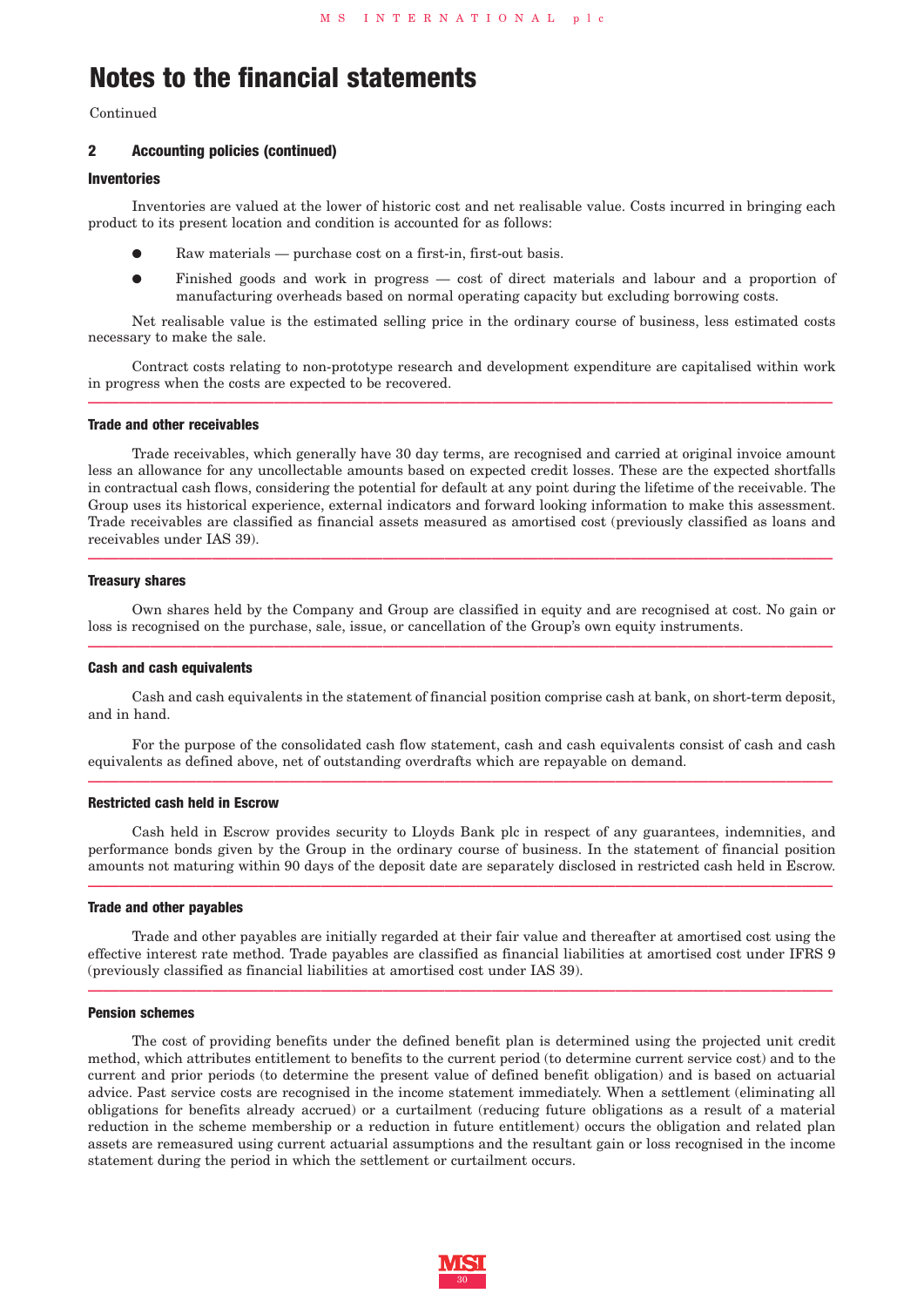Continued

### **2 Accounting policies (continued)**

#### **Inventories**

Inventories are valued at the lower of historic cost and net realisable value. Costs incurred in bringing each product to its present location and condition is accounted for as follows:

- Raw materials purchase cost on a first-in, first-out basis.
- **●** Finished goods and work in progress cost of direct materials and labour and a proportion of manufacturing overheads based on normal operating capacity but excluding borrowing costs.

Net realisable value is the estimated selling price in the ordinary course of business, less estimated costs necessary to make the sale.

Contract costs relating to non-prototype research and development expenditure are capitalised within work in progress when the costs are expected to be recovered. **222222222222222222222222222222222222222222222222**

#### **Trade and other receivables**

Trade receivables, which generally have 30 day terms, are recognised and carried at original invoice amount less an allowance for any uncollectable amounts based on expected credit losses. These are the expected shortfalls in contractual cash flows, considering the potential for default at any point during the lifetime of the receivable. The Group uses its historical experience, external indicators and forward looking information to make this assessment. Trade receivables are classified as financial assets measured as amortised cost (previously classified as loans and receivables under IAS 39). **222222222222222222222222222222222222222222222222**

#### **Treasury shares**

Own shares held by the Company and Group are classified in equity and are recognised at cost. No gain or loss is recognised on the purchase, sale, issue, or cancellation of the Group's own equity instruments. **222222222222222222222222222222222222222222222222**

#### **Cash and cash equivalents**

Cash and cash equivalents in the statement of financial position comprise cash at bank, on short-term deposit, and in hand.

For the purpose of the consolidated cash flow statement, cash and cash equivalents consist of cash and cash equivalents as defined above, net of outstanding overdrafts which are repayable on demand. **222222222222222222222222222222222222222222222222**

#### **Restricted cash held in Escrow**

Cash held in Escrow provides security to Lloyds Bank plc in respect of any guarantees, indemnities, and performance bonds given by the Group in the ordinary course of business. In the statement of financial position amounts not maturing within 90 days of the deposit date are separately disclosed in restricted cash held in Escrow. **222222222222222222222222222222222222222222222222**

#### **Trade and other payables**

Trade and other payables are initially regarded at their fair value and thereafter at amortised cost using the effective interest rate method. Trade payables are classified as financial liabilities at amortised cost under IFRS 9 (previously classified as financial liabilities at amortised cost under IAS 39). **222222222222222222222222222222222222222222222222**

#### **Pension schemes**

The cost of providing benefits under the defined benefit plan is determined using the projected unit credit method, which attributes entitlement to benefits to the current period (to determine current service cost) and to the current and prior periods (to determine the present value of defined benefit obligation) and is based on actuarial advice. Past service costs are recognised in the income statement immediately. When a settlement (eliminating all obligations for benefits already accrued) or a curtailment (reducing future obligations as a result of a material reduction in the scheme membership or a reduction in future entitlement) occurs the obligation and related plan assets are remeasured using current actuarial assumptions and the resultant gain or loss recognised in the income statement during the period in which the settlement or curtailment occurs.

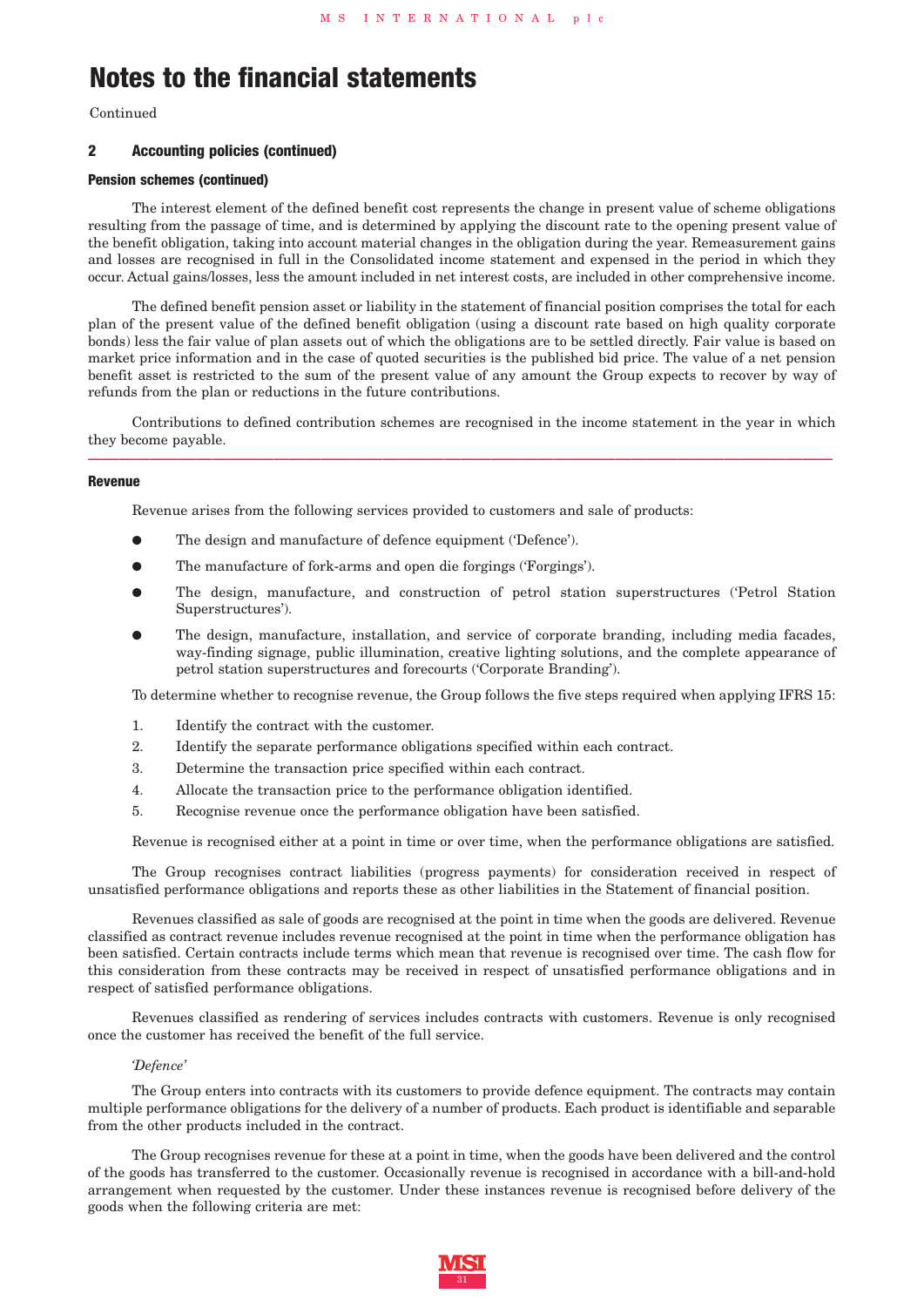Continued

# **2 Accounting policies (continued)**

# **Pension schemes (continued)**

The interest element of the defined benefit cost represents the change in present value of scheme obligations resulting from the passage of time, and is determined by applying the discount rate to the opening present value of the benefit obligation, taking into account material changes in the obligation during the year. Remeasurement gains and losses are recognised in full in the Consolidated income statement and expensed in the period in which they occur. Actual gains/losses, less the amount included in net interest costs, are included in other comprehensive income.

The defined benefit pension asset or liability in the statement of financial position comprises the total for each plan of the present value of the defined benefit obligation (using a discount rate based on high quality corporate bonds) less the fair value of plan assets out of which the obligations are to be settled directly. Fair value is based on market price information and in the case of quoted securities is the published bid price. The value of a net pension benefit asset is restricted to the sum of the present value of any amount the Group expects to recover by way of refunds from the plan or reductions in the future contributions.

Contributions to defined contribution schemes are recognised in the income statement in the year in which they become payable. **222222222222222222222222222222222222222222222222**

#### **Revenue**

Revenue arises from the following services provided to customers and sale of products:

- The design and manufacture of defence equipment ('Defence').
- The manufacture of fork-arms and open die forgings ('Forgings').
- **●** The design, manufacture, and construction of petrol station superstructures ('Petrol Station Superstructures').
- The design, manufacture, installation, and service of corporate branding, including media facades, way-finding signage, public illumination, creative lighting solutions, and the complete appearance of petrol station superstructures and forecourts ('Corporate Branding').

To determine whether to recognise revenue, the Group follows the five steps required when applying IFRS 15:

- 1. Identify the contract with the customer.
- 2. Identify the separate performance obligations specified within each contract.
- 3. Determine the transaction price specified within each contract.
- 4. Allocate the transaction price to the performance obligation identified.
- 5. Recognise revenue once the performance obligation have been satisfied.

Revenue is recognised either at a point in time or over time, when the performance obligations are satisfied.

The Group recognises contract liabilities (progress payments) for consideration received in respect of unsatisfied performance obligations and reports these as other liabilities in the Statement of financial position.

Revenues classified as sale of goods are recognised at the point in time when the goods are delivered. Revenue classified as contract revenue includes revenue recognised at the point in time when the performance obligation has been satisfied. Certain contracts include terms which mean that revenue is recognised over time. The cash flow for this consideration from these contracts may be received in respect of unsatisfied performance obligations and in respect of satisfied performance obligations.

Revenues classified as rendering of services includes contracts with customers. Revenue is only recognised once the customer has received the benefit of the full service.

#### *'Defence'*

The Group enters into contracts with its customers to provide defence equipment. The contracts may contain multiple performance obligations for the delivery of a number of products. Each product is identifiable and separable from the other products included in the contract.

The Group recognises revenue for these at a point in time, when the goods have been delivered and the control of the goods has transferred to the customer. Occasionally revenue is recognised in accordance with a bill-and-hold arrangement when requested by the customer. Under these instances revenue is recognised before delivery of the goods when the following criteria are met:

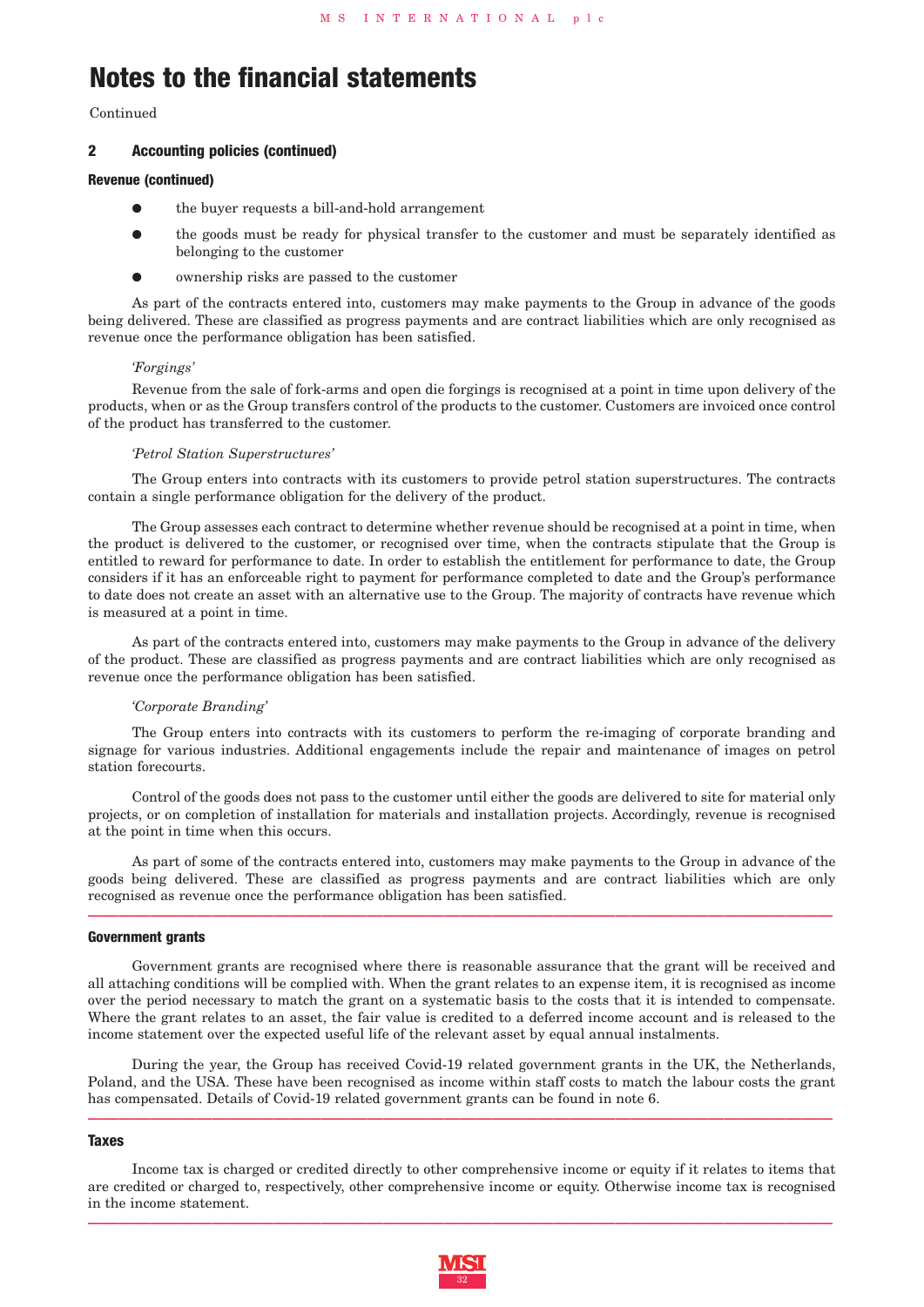Continued

### **2 Accounting policies (continued)**

### **Revenue (continued)**

- **●** the buyer requests a bill-and-hold arrangement
- **●** the goods must be ready for physical transfer to the customer and must be separately identified as belonging to the customer
- **●** ownership risks are passed to the customer

As part of the contracts entered into, customers may make payments to the Group in advance of the goods being delivered. These are classified as progress payments and are contract liabilities which are only recognised as revenue once the performance obligation has been satisfied.

#### *'Forgings'*

Revenue from the sale of fork-arms and open die forgings is recognised at a point in time upon delivery of the products, when or as the Group transfers control of the products to the customer. Customers are invoiced once control of the product has transferred to the customer.

#### *'Petrol Station Superstructures'*

The Group enters into contracts with its customers to provide petrol station superstructures. The contracts contain a single performance obligation for the delivery of the product.

The Group assesses each contract to determine whether revenue should be recognised at a point in time, when the product is delivered to the customer, or recognised over time, when the contracts stipulate that the Group is entitled to reward for performance to date. In order to establish the entitlement for performance to date, the Group considers if it has an enforceable right to payment for performance completed to date and the Group's performance to date does not create an asset with an alternative use to the Group. The majority of contracts have revenue which is measured at a point in time.

As part of the contracts entered into, customers may make payments to the Group in advance of the delivery of the product. These are classified as progress payments and are contract liabilities which are only recognised as revenue once the performance obligation has been satisfied.

#### *'Corporate Branding'*

The Group enters into contracts with its customers to perform the re-imaging of corporate branding and signage for various industries. Additional engagements include the repair and maintenance of images on petrol station forecourts.

Control of the goods does not pass to the customer until either the goods are delivered to site for material only projects, or on completion of installation for materials and installation projects. Accordingly, revenue is recognised at the point in time when this occurs.

As part of some of the contracts entered into, customers may make payments to the Group in advance of the goods being delivered. These are classified as progress payments and are contract liabilities which are only recognised as revenue once the performance obligation has been satisfied. **222222222222222222222222222222222222222222222222**

#### **Government grants**

Government grants are recognised where there is reasonable assurance that the grant will be received and all attaching conditions will be complied with. When the grant relates to an expense item, it is recognised as income over the period necessary to match the grant on a systematic basis to the costs that it is intended to compensate. Where the grant relates to an asset, the fair value is credited to a deferred income account and is released to the income statement over the expected useful life of the relevant asset by equal annual instalments.

During the year, the Group has received Covid-19 related government grants in the UK, the Netherlands, Poland, and the USA. These have been recognised as income within staff costs to match the labour costs the grant has compensated. Details of Covid-19 related government grants can be found in note 6. **222222222222222222222222222222222222222222222222**

#### **Taxes**

Income tax is charged or credited directly to other comprehensive income or equity if it relates to items that are credited or charged to, respectively, other comprehensive income or equity. Otherwise income tax is recognised in the income statement. **222222222222222222222222222222222222222222222222**

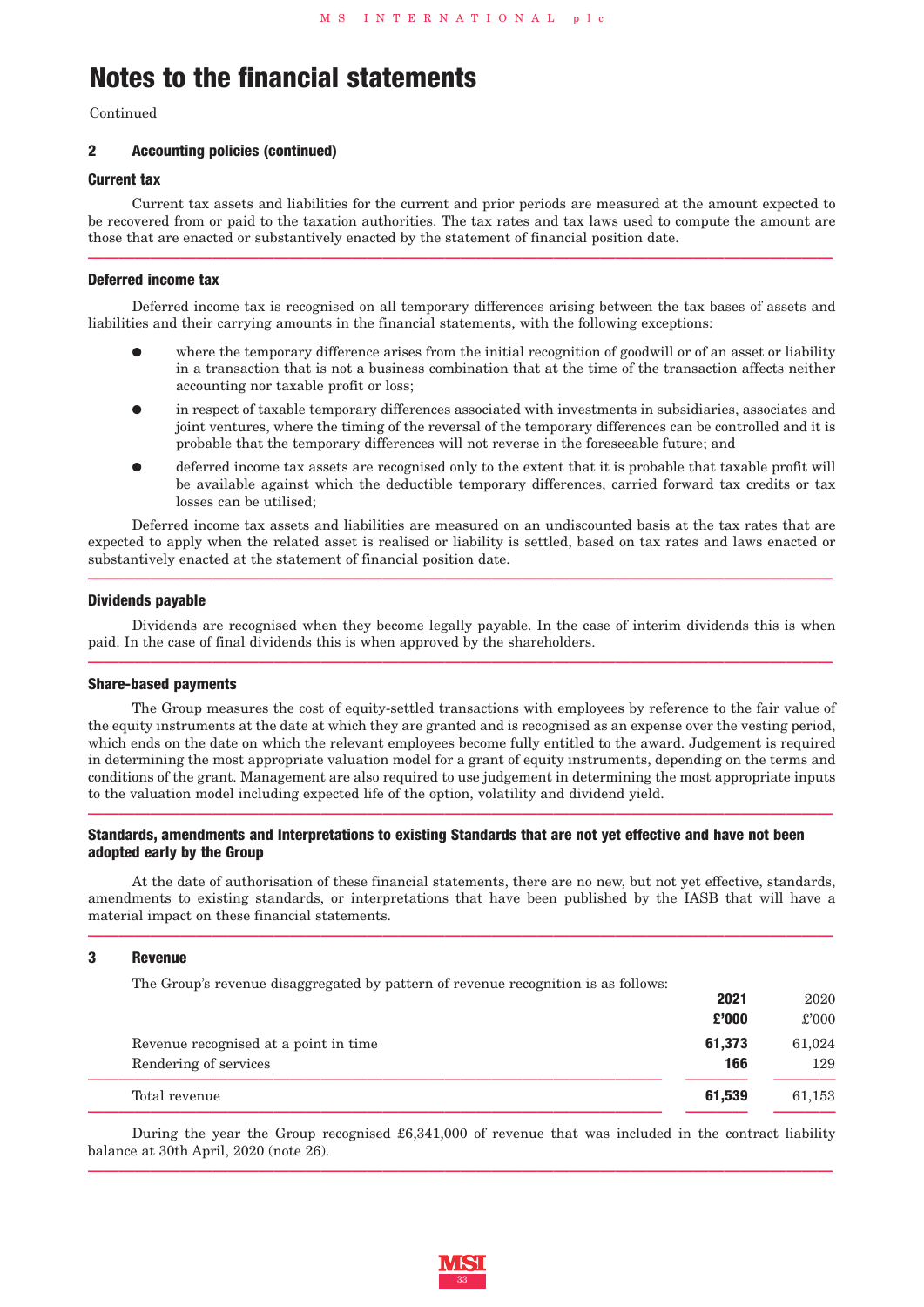Continued

# **2 Accounting policies (continued)**

# **Current tax**

Current tax assets and liabilities for the current and prior periods are measured at the amount expected to be recovered from or paid to the taxation authorities. The tax rates and tax laws used to compute the amount are those that are enacted or substantively enacted by the statement of financial position date. **222222222222222222222222222222222222222222222222**

### **Deferred income tax**

Deferred income tax is recognised on all temporary differences arising between the tax bases of assets and liabilities and their carrying amounts in the financial statements, with the following exceptions:

- where the temporary difference arises from the initial recognition of goodwill or of an asset or liability in a transaction that is not a business combination that at the time of the transaction affects neither accounting nor taxable profit or loss;
- **●** in respect of taxable temporary differences associated with investments in subsidiaries, associates and joint ventures, where the timing of the reversal of the temporary differences can be controlled and it is probable that the temporary differences will not reverse in the foreseeable future; and
- **●** deferred income tax assets are recognised only to the extent that it is probable that taxable profit will be available against which the deductible temporary differences, carried forward tax credits or tax losses can be utilised;

Deferred income tax assets and liabilities are measured on an undiscounted basis at the tax rates that are expected to apply when the related asset is realised or liability is settled, based on tax rates and laws enacted or substantively enacted at the statement of financial position date. **222222222222222222222222222222222222222222222222**

# **Dividends payable**

Dividends are recognised when they become legally payable. In the case of interim dividends this is when paid. In the case of final dividends this is when approved by the shareholders. **222222222222222222222222222222222222222222222222**

#### **Share-based payments**

The Group measures the cost of equity-settled transactions with employees by reference to the fair value of the equity instruments at the date at which they are granted and is recognised as an expense over the vesting period, which ends on the date on which the relevant employees become fully entitled to the award. Judgement is required in determining the most appropriate valuation model for a grant of equity instruments, depending on the terms and conditions of the grant. Management are also required to use judgement in determining the most appropriate inputs to the valuation model including expected life of the option, volatility and dividend yield. **222222222222222222222222222222222222222222222222**

# **Standards, amendments and Interpretations to existing Standards that are not yet effective and have not been adopted early by the Group**

At the date of authorisation of these financial statements, there are no new, but not yet effective, standards, amendments to existing standards, or interpretations that have been published by the IASB that will have a material impact on these financial statements. **222222222222222222222222222222222222222222222222**

# **3 Revenue**

The Group's revenue disaggregated by pattern of revenue recognition is as follows:

| ິ<br>$\sim$ $\sim$                                             | ັ             | 2021          | 2020   |
|----------------------------------------------------------------|---------------|---------------|--------|
|                                                                |               | £'000         | £'000  |
| Revenue recognised at a point in time<br>Rendering of services | 61,373<br>166 | 61,024<br>129 |        |
| Total revenue                                                  |               | 61,539        | 61,153 |

During the year the Group recognised £6,341,000 of revenue that was included in the contract liability balance at 30th April, 2020 (note 26). **222222222222222222222222222222222222222222222222**

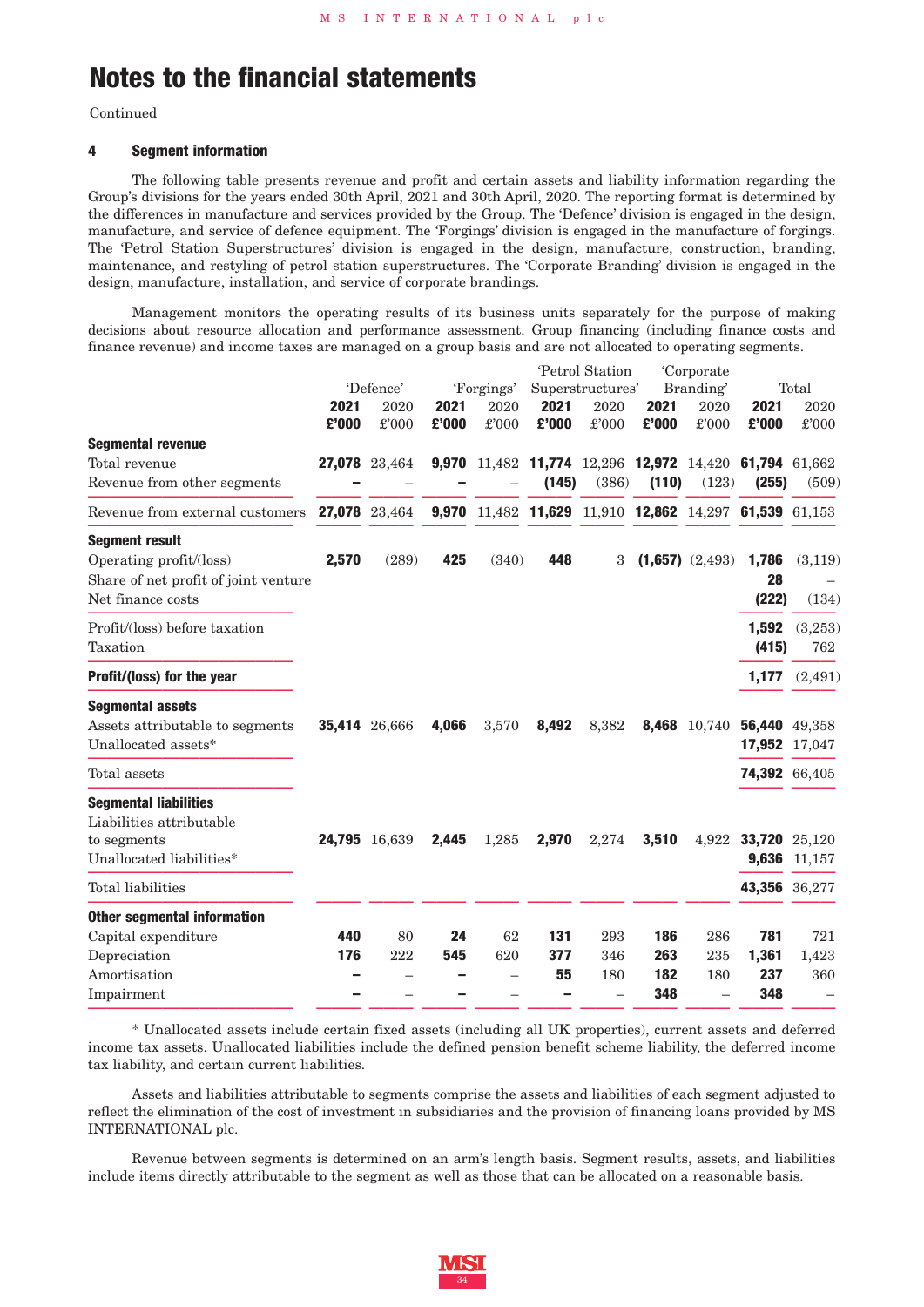Continued

### **4 Segment information**

The following table presents revenue and profit and certain assets and liability information regarding the Group's divisions for the years ended 30th April, 2021 and 30th April, 2020. The reporting format is determined by the differences in manufacture and services provided by the Group. The 'Defence' division is engaged in the design, manufacture, and service of defence equipment. The 'Forgings' division is engaged in the manufacture of forgings. The 'Petrol Station Superstructures' division is engaged in the design, manufacture, construction, branding, maintenance, and restyling of petrol station superstructures. The 'Corporate Branding' division is engaged in the design, manufacture, installation, and service of corporate brandings.

Management monitors the operating results of its business units separately for the purpose of making decisions about resource allocation and performance assessment. Group financing (including finance costs and finance revenue) and income taxes are managed on a group basis and are not allocated to operating segments.

|                                                                                                               |               | 'Defence'            |               | 'Forgings'                                             | Petrol Station<br>Superstructures' |                       |                          | 'Corporate<br>Branding' | Total                          |                     |
|---------------------------------------------------------------------------------------------------------------|---------------|----------------------|---------------|--------------------------------------------------------|------------------------------------|-----------------------|--------------------------|-------------------------|--------------------------------|---------------------|
|                                                                                                               | 2021<br>£'000 | 2020<br>£'000        | 2021<br>£'000 | 2020<br>£'000                                          | 2021<br>£'000                      | 2020<br>$\pounds 000$ | 2021<br>£'000            | 2020<br>$\pounds 000$   | 2021<br>£'000                  | 2020<br>£'000       |
| <b>Segmental revenue</b><br>Total revenue<br>Revenue from other segments                                      |               | 27,078 23,464        |               | 9,970 11,482 11,774 12,296 12,972 14,420               | (145)                              | (386)                 | (110)                    | (123)                   | 61,794 61,662<br>(255)         | (509)               |
| Revenue from external customers                                                                               |               | 27,078 23,464        |               | 9,970 11,482 11,629 11,910 12,862 14,297 61,539 61,153 |                                    |                       |                          |                         |                                |                     |
| <b>Segment result</b><br>Operating profit/(loss)<br>Share of net profit of joint venture<br>Net finance costs | 2,570         | (289)                | 425           | (340)                                                  | 448                                | 3                     |                          | $(1,657)$ $(2,493)$     | 1,786<br>28<br>(222)           | (3,119)<br>(134)    |
| Profit/(loss) before taxation<br>Taxation                                                                     |               |                      |               |                                                        |                                    |                       |                          |                         | 1,592<br>(415)                 | (3,253)<br>762      |
| Profit/(loss) for the year                                                                                    |               |                      |               |                                                        |                                    |                       |                          |                         | 1,177                          | (2, 491)            |
| <b>Segmental assets</b><br>Assets attributable to segments<br>Unallocated assets*                             |               | <b>35,414</b> 26,666 | 4,066         | 3,570                                                  | 8,492                              | 8,382                 |                          | 8,468 10,740            | 56,440 49,358<br>17,952 17,047 |                     |
| Total assets                                                                                                  |               |                      |               |                                                        |                                    |                       |                          |                         | 74,392 66,405                  |                     |
| <b>Segmental liabilities</b><br>Liabilities attributable<br>to segments<br>Unallocated liabilities*           |               | 24,795 16,639        | 2,445         | 1,285                                                  | 2,970                              | 2,274                 | 3,510                    | 4,922                   | 33,720 25,120                  | 9,636 11,157        |
| <b>Total liabilities</b>                                                                                      |               |                      |               |                                                        |                                    |                       |                          |                         | 43,356 36,277                  |                     |
| <b>Other segmental information</b><br>Capital expenditure<br>Depreciation<br>Amortisation<br>Impairment       | 440<br>176    | 80<br>222            | 24<br>545     | 62<br>620                                              | 131<br>377<br>55                   | 293<br>346<br>180     | 186<br>263<br>182<br>348 | 286<br>235<br>180       | 781<br>1,361<br>237<br>348     | 721<br>1,423<br>360 |

\* Unallocated assets include certain fixed assets (including all UK properties), current assets and deferred income tax assets. Unallocated liabilities include the defined pension benefit scheme liability, the deferred income tax liability, and certain current liabilities.

Assets and liabilities attributable to segments comprise the assets and liabilities of each segment adjusted to reflect the elimination of the cost of investment in subsidiaries and the provision of financing loans provided by MS INTERNATIONAL plc.

Revenue between segments is determined on an arm's length basis. Segment results, assets, and liabilities include items directly attributable to the segment as well as those that can be allocated on a reasonable basis.

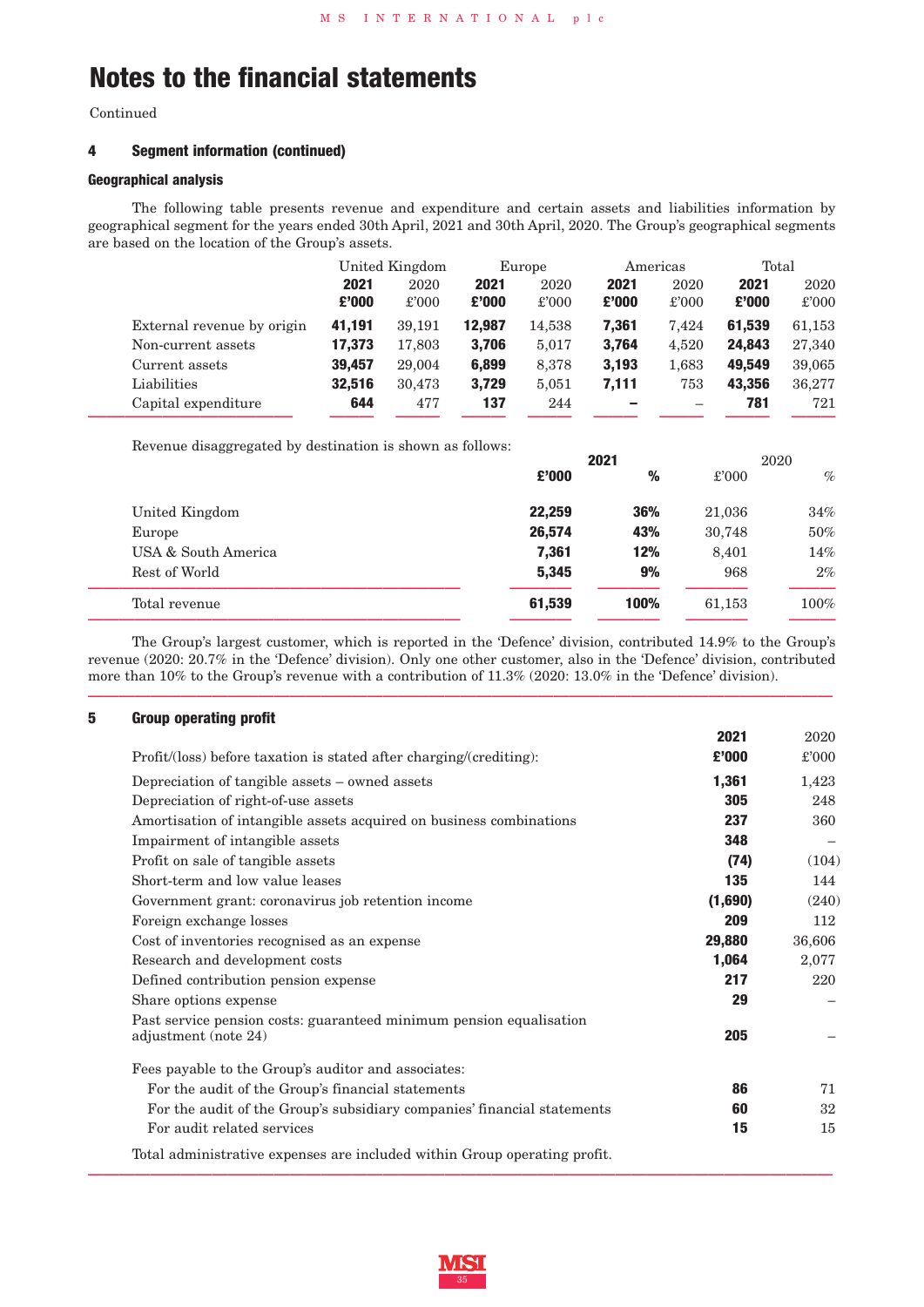Continued

### **4 Segment information (continued)**

### **Geographical analysis**

The following table presents revenue and expenditure and certain assets and liabilities information by geographical segment for the years ended 30th April, 2021 and 30th April, 2020. The Group's geographical segments are based on the location of the Group's assets.

|        |                |                |                |        |                | Total    |               |
|--------|----------------|----------------|----------------|--------|----------------|----------|---------------|
| 2021   | 2020           | 2021           | 2020           | 2021   | 2020           | 2021     | 2020          |
| £'000  | $\pounds$ '000 | £'000          | $\pounds$ '000 | £'000  | $\pounds$ '000 | £'000    | $\pounds 000$ |
| 41,191 | 39,191         | 12,987         | 14,538         | 7,361  | 7.424          | 61.539   | 61,153        |
| 17.373 | 17,803         | 3,706          | 5,017          | 3,764  | 4,520          | 24,843   | 27,340        |
| 39,457 | 29,004         | 6,899          | 8,378          | 3,193  | 1,683          | 49.549   | 39,065        |
| 32,516 | 30,473         | 3,729          | 5,051          | 7.111  | 753            | 43,356   | 36,277        |
| 644    | 477            | 137            | 244            |        |                | 781      | 721           |
|        |                | United Kingdom |                | Europe |                | Americas |               |

Revenue disaggregated by destination is shown as follows:

|                     | 2021   |      | 2020   |       |
|---------------------|--------|------|--------|-------|
|                     | £'000  | %    | £'000  | $\%$  |
| United Kingdom      | 22,259 | 36%  | 21,036 | 34%   |
| Europe              | 26,574 | 43%  | 30,748 | 50%   |
| USA & South America | 7,361  | 12%  | 8,401  | 14%   |
| Rest of World       | 5,345  | 9%   | 968    | $2\%$ |
| Total revenue       | 61,539 | 100% | 61,153 | 100%  |

The Group's largest customer, which is reported in the 'Defence' division, contributed 14.9% to the Group's revenue (2020: 20.7% in the 'Defence' division). Only one other customer, also in the 'Defence' division, contributed more than 10% to the Group's revenue with a contribution of 11.3% (2020: 13.0% in the 'Defence' division). **222222222222222222222222222222222222222222222222**

### **5 Group operating profit**

|                                                                                             | 2021    | 2020           |
|---------------------------------------------------------------------------------------------|---------|----------------|
| Profit/(loss) before taxation is stated after charging/(crediting):                         | £'000   | $\pounds$ '000 |
| Depreciation of tangible assets – owned assets                                              | 1,361   | 1,423          |
| Depreciation of right-of-use assets                                                         | 305     | 248            |
| Amortisation of intangible assets acquired on business combinations                         | 237     | 360            |
| Impairment of intangible assets                                                             | 348     |                |
| Profit on sale of tangible assets                                                           | (74)    | (104)          |
| Short-term and low value leases                                                             | 135     | 144            |
| Government grant: coronavirus job retention income                                          | (1,690) | (240)          |
| Foreign exchange losses                                                                     | 209     | 112            |
| Cost of inventories recognised as an expense                                                | 29,880  | 36,606         |
| Research and development costs                                                              | 1,064   | 2,077          |
| Defined contribution pension expense                                                        | 217     | 220            |
| Share options expense                                                                       | 29      |                |
| Past service pension costs: guaranteed minimum pension equalisation<br>adjustment (note 24) | 205     |                |
| Fees payable to the Group's auditor and associates:                                         |         |                |
| For the audit of the Group's financial statements                                           | 86      | 71             |
| For the audit of the Group's subsidiary companies' financial statements                     | 60      | 32             |
| For audit related services                                                                  | 15      | 15             |
| Total administrative expenses are included within Group operating profit.                   |         |                |

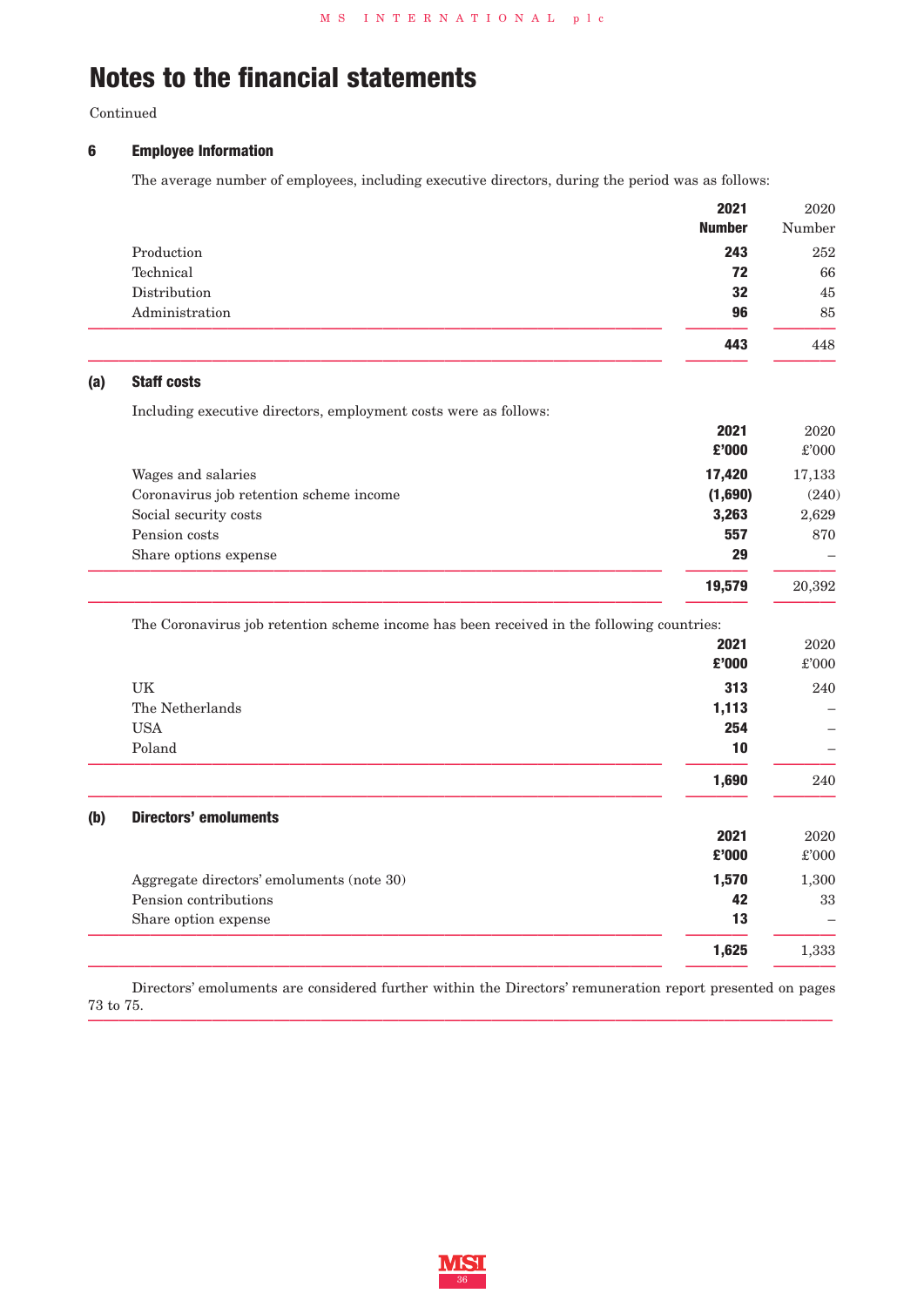Continued

## **6 Employee Information**

The average number of employees, including executive directors, during the period was as follows:

|                | 2021          | 2020   |
|----------------|---------------|--------|
|                | <b>Number</b> | Number |
| Production     | 243           | 252    |
| Technical      | 72            | 66     |
| Distribution   | 32            | 45     |
| Administration | 96            | 85     |
|                | 443           | 448    |

## **(a) Staff costs**

Including executive directors, employment costs were as follows:

|                                         | 2021    | 2020           |
|-----------------------------------------|---------|----------------|
|                                         | £'000   | $\pounds$ '000 |
| Wages and salaries                      | 17,420  | 17,133         |
| Coronavirus job retention scheme income | (1,690) | (240)          |
| Social security costs                   | 3,263   | 2,629          |
| Pension costs                           | 557     | 870            |
| Share options expense                   | 29      |                |
|                                         | 19,579  | 20,392         |
|                                         |         |                |

|     | The Coronavirus job retention scheme income has been received in the following countries: |       |                |  |  |
|-----|-------------------------------------------------------------------------------------------|-------|----------------|--|--|
|     |                                                                                           | 2021  | 2020           |  |  |
|     |                                                                                           | £'000 | $\pounds$ '000 |  |  |
|     | UK                                                                                        | 313   | 240            |  |  |
|     | The Netherlands                                                                           | 1,113 |                |  |  |
|     | <b>USA</b>                                                                                | 254   |                |  |  |
|     | Poland                                                                                    | 10    |                |  |  |
|     |                                                                                           | 1,690 | 240            |  |  |
| (b) | <b>Directors' emoluments</b>                                                              |       |                |  |  |
|     |                                                                                           | 2021  | 2020           |  |  |
|     |                                                                                           | £'000 | £'000          |  |  |
|     | Aggregate directors' emoluments (note 30)                                                 | 1,570 | 1,300          |  |  |
|     | Pension contributions                                                                     | 42    | 33             |  |  |
|     | Share option expense                                                                      | 13    |                |  |  |

Directors' emoluments are considered further within the Directors' remuneration report presented on pages <sup>73</sup> to 75. **<sup>222222222222222222222222222222222222222222222222</sup>**

**1,625** 1,333 **<sup>2222222222222222222222222222222222222</sup> <sup>2222</sup> <sup>2222</sup>**

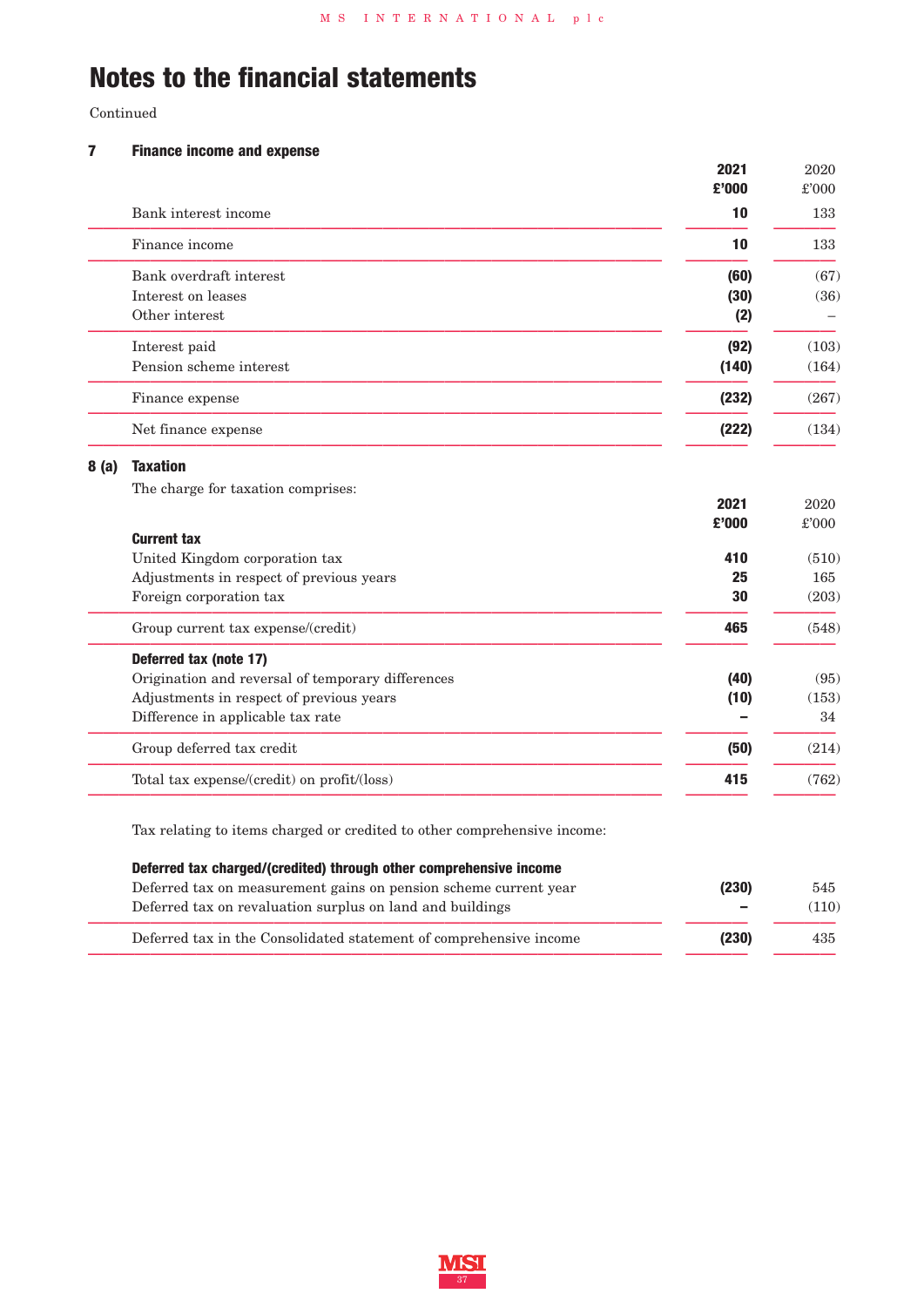Continued

## **7 Finance income and expense**

|      |                                                   | 2021<br>£'000 | 2020<br>£'000 |
|------|---------------------------------------------------|---------------|---------------|
|      | Bank interest income                              | 10            | 133           |
|      | Finance income                                    | 10            | 133           |
|      | Bank overdraft interest                           | (60)          | (67)          |
|      | Interest on leases                                | (30)          | (36)          |
|      | Other interest                                    | (2)           |               |
|      | Interest paid                                     | (92)          | (103)         |
|      | Pension scheme interest                           | (140)         | (164)         |
|      | Finance expense                                   | (232)         | (267)         |
|      | Net finance expense                               | (222)         | (134)         |
| 8(a) | <b>Taxation</b>                                   |               |               |
|      | The charge for taxation comprises:                |               |               |
|      |                                                   | 2021          | 2020          |
|      |                                                   | £'000         | £'000         |
|      | <b>Current tax</b>                                |               |               |
|      | United Kingdom corporation tax                    | 410           | (510)         |
|      | Adjustments in respect of previous years          | 25            | 165           |
|      | Foreign corporation tax                           | 30            | (203)         |
|      | Group current tax expense/(credit)                | 465           | (548)         |
|      | Deferred tax (note 17)                            |               |               |
|      | Origination and reversal of temporary differences | (40)          | (95)          |
|      | Adjustments in respect of previous years          | (10)          | (153)         |
|      | Difference in applicable tax rate                 |               | 34            |
|      | Group deferred tax credit                         | (50)          | (214)         |
|      | Total tax expense/(credit) on profit/(loss)       | 415           | (762)         |

| Deferred tax charged/(credited) through other comprehensive income |       |       |
|--------------------------------------------------------------------|-------|-------|
| Deferred tax on measurement gains on pension scheme current year   | (230) | 545   |
| Deferred tax on revaluation surplus on land and buildings          |       | (110) |
| Deferred tax in the Consolidated statement of comprehensive income | (230) | 435   |

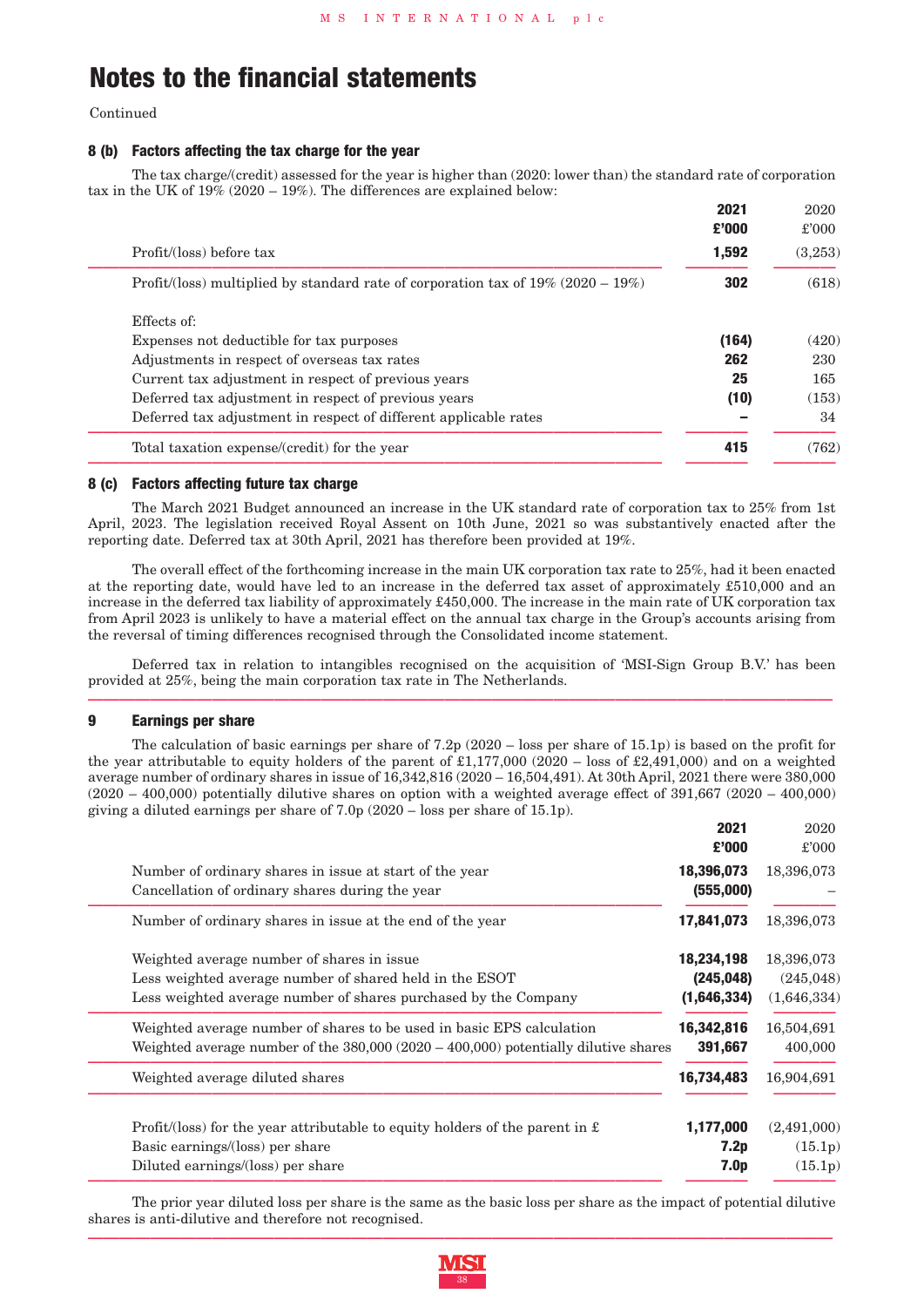Continued

#### **8 (b) Factors affecting the tax charge for the year**

The tax charge/(credit) assessed for the year is higher than (2020: lower than) the standard rate of corporation tax in the UK of 19% (2020 – 19%). The differences are explained below:

|                                                                                        | 2021<br>£'000 | 2020<br>£'000 |
|----------------------------------------------------------------------------------------|---------------|---------------|
| Profit/(loss) before tax                                                               | 1,592         | (3,253)       |
| Profit/(loss) multiplied by standard rate of corporation tax of $19\%$ (2020 – $19\%)$ | 302           | (618)         |
| Effects of:                                                                            |               |               |
| Expenses not deductible for tax purposes                                               | (164)         | (420)         |
| Adjustments in respect of overseas tax rates                                           | 262           | 230           |
| Current tax adjustment in respect of previous years                                    | 25            | 165           |
| Deferred tax adjustment in respect of previous years                                   | (10)          | (153)         |
| Deferred tax adjustment in respect of different applicable rates                       |               | 34            |
| Total taxation expense/(credit) for the year                                           | 415           | (762)         |

#### **8 (c) Factors affecting future tax charge**

The March 2021 Budget announced an increase in the UK standard rate of corporation tax to 25% from 1st April, 2023. The legislation received Royal Assent on 10th June, 2021 so was substantively enacted after the reporting date. Deferred tax at 30th April, 2021 has therefore been provided at 19%.

The overall effect of the forthcoming increase in the main UK corporation tax rate to 25%, had it been enacted at the reporting date, would have led to an increase in the deferred tax asset of approximately £510,000 and an increase in the deferred tax liability of approximately £450,000. The increase in the main rate of UK corporation tax from April 2023 is unlikely to have a material effect on the annual tax charge in the Group's accounts arising from the reversal of timing differences recognised through the Consolidated income statement.

Deferred tax in relation to intangibles recognised on the acquisition of 'MSI-Sign Group B.V.' has been provided at 25%, being the main corporation tax rate in The Netherlands. **222222222222222222222222222222222222222222222222**

#### **9 Earnings per share**

The calculation of basic earnings per share of 7.2p (2020 – loss per share of 15.1p) is based on the profit for the year attributable to equity holders of the parent of £1,177,000 (2020 – loss of £2,491,000) and on a weighted average number of ordinary shares in issue of 16,342,816 (2020 – 16,504,491). At 30th April, 2021 there were 380,000  $(2020 - 400,000)$  potentially dilutive shares on option with a weighted average effect of  $391,667$   $(2020 - 400,000)$ giving a diluted earnings per share of 7.0p (2020 – loss per share of 15.1p).

|                                                                                                                                                                          | 2021<br>£'000                           | 2020<br>$\pounds 000$                   |
|--------------------------------------------------------------------------------------------------------------------------------------------------------------------------|-----------------------------------------|-----------------------------------------|
| Number of ordinary shares in issue at start of the year<br>Cancellation of ordinary shares during the year                                                               | 18,396,073<br>(555,000)                 | 18,396,073                              |
| Number of ordinary shares in issue at the end of the year                                                                                                                | 17,841,073                              | 18,396,073                              |
| Weighted average number of shares in issue<br>Less weighted average number of shared held in the ESOT<br>Less weighted average number of shares purchased by the Company | 18,234,198<br>(245, 048)<br>(1,646,334) | 18,396,073<br>(245, 048)<br>(1,646,334) |
| Weighted average number of shares to be used in basic EPS calculation<br>Weighted average number of the $380,000(2020 - 400,000)$ potentially dilutive shares            | 16,342,816<br>391,667                   | 16,504,691<br>400,000                   |
| Weighted average diluted shares                                                                                                                                          | 16,734,483                              | 16,904,691                              |
| Profit/(loss) for the year attributable to equity holders of the parent in $\pounds$<br>Basic earnings/(loss) per share<br>Diluted earnings/(loss) per share             | 1,177,000<br>7.2p<br>7.0p               | (2,491,000)<br>(15.1p)<br>(15.1p)       |

The prior year diluted loss per share is the same as the basic loss per share as the impact of potential dilutive shares is anti-dilutive and therefore not recognised. **222222222222222222222222222222222222222222222222**

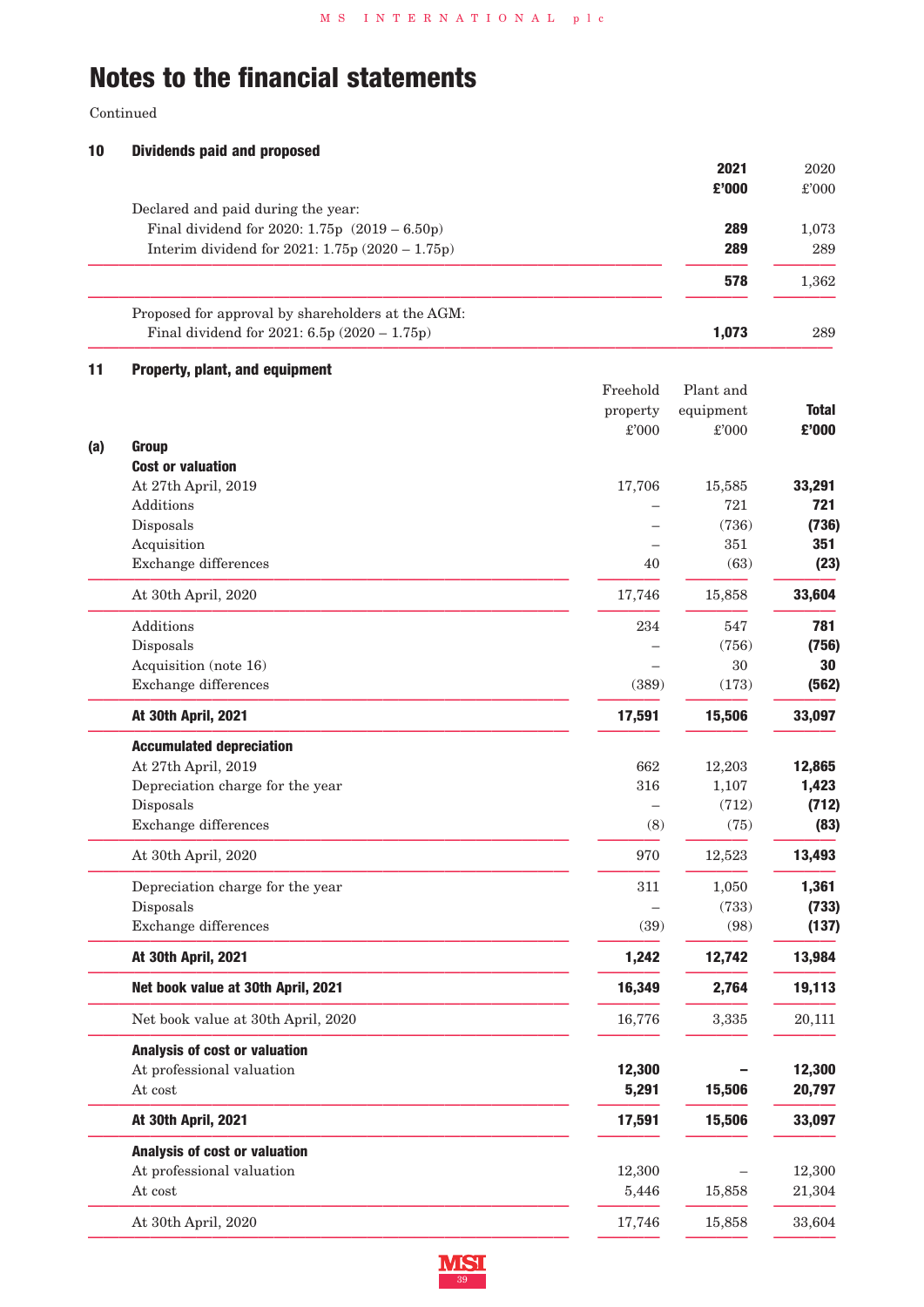Continued

## **10 Dividends paid and proposed**

| 2020  |
|-------|
| £'000 |
|       |
| 1,073 |
| 289   |
| 1,362 |
|       |
| 289   |
|       |

## **11 Property, plant, and equipment**

|     |                                      | Freehold<br>property<br>£'000 | Plant and<br>equipment<br>$\pounds 000$ | <b>Total</b><br>£'000 |
|-----|--------------------------------------|-------------------------------|-----------------------------------------|-----------------------|
| (a) | <b>Group</b>                         |                               |                                         |                       |
|     | <b>Cost or valuation</b>             |                               |                                         |                       |
|     | At 27th April, 2019                  | 17,706                        | 15,585                                  | 33,291                |
|     | Additions                            |                               | 721                                     | 721                   |
|     | Disposals                            |                               | (736)                                   | (736)                 |
|     | Acquisition                          |                               | 351                                     | 351                   |
|     | Exchange differences                 | 40                            | (63)                                    | (23)                  |
|     | At 30th April, 2020                  | 17,746                        | 15,858                                  | 33,604                |
|     | Additions                            | 234                           | 547                                     | 781                   |
|     | Disposals                            |                               | (756)                                   | (756)                 |
|     | Acquisition (note 16)                |                               | 30                                      | 30                    |
|     | Exchange differences                 | (389)                         | (173)                                   | (562)                 |
|     | At 30th April, 2021                  | 17,591                        | 15,506                                  | 33,097                |
|     | <b>Accumulated depreciation</b>      |                               |                                         |                       |
|     | At 27th April, 2019                  | 662                           | 12,203                                  | 12,865                |
|     | Depreciation charge for the year     | 316                           | 1,107                                   | 1,423                 |
|     | Disposals                            |                               | (712)                                   | (712)                 |
|     | Exchange differences                 | (8)                           | (75)                                    | (83)                  |
|     | At 30th April, 2020                  | 970                           | 12,523                                  | 13,493                |
|     | Depreciation charge for the year     | 311                           | 1,050                                   | 1,361                 |
|     | Disposals                            |                               | (733)                                   | (733)                 |
|     | Exchange differences                 | (39)                          | (98)                                    | (137)                 |
|     | At 30th April, 2021                  | 1,242                         | 12,742                                  | 13,984                |
|     | Net book value at 30th April, 2021   | 16,349                        | 2,764                                   | 19,113                |
|     | Net book value at 30th April, 2020   | 16,776                        | 3,335                                   | 20,111                |
|     | <b>Analysis of cost or valuation</b> |                               |                                         |                       |
|     | At professional valuation            | 12,300                        |                                         | 12,300                |
|     | At cost                              | 5,291                         | 15,506                                  | 20,797                |
|     | At 30th April, 2021                  | 17,591                        | 15,506                                  | 33,097                |
|     | <b>Analysis of cost or valuation</b> |                               |                                         |                       |
|     | At professional valuation            | 12,300                        |                                         | 12,300                |
|     | At cost                              | 5,446                         | 15,858                                  | 21,304                |
|     | At 30th April, 2020                  | 17,746                        | 15,858                                  | 33,604                |
|     |                                      |                               |                                         |                       |

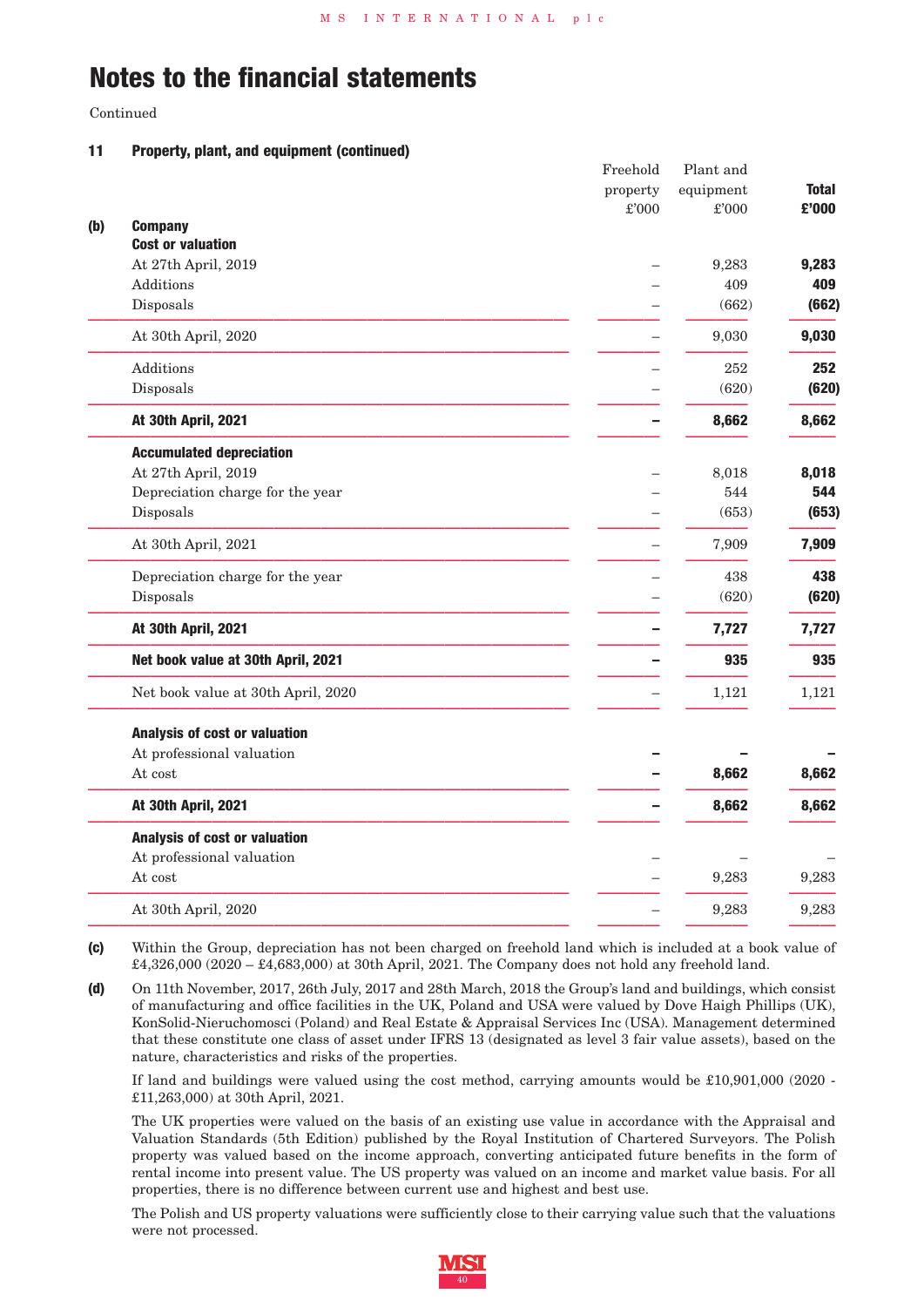Continued

### **11 Property, plant, and equipment (continued)**

|     |                                    | Freehold | Plant and     |              |
|-----|------------------------------------|----------|---------------|--------------|
|     |                                    | property | equipment     | <b>Total</b> |
|     |                                    | £'000    | $\pounds 000$ | £'000        |
| (b) | <b>Company</b>                     |          |               |              |
|     | <b>Cost or valuation</b>           |          |               |              |
|     | At 27th April, 2019                |          | 9,283         | 9,283        |
|     | Additions                          |          | 409           | 409          |
|     | Disposals                          |          | (662)         | (662)        |
|     | At 30th April, 2020                |          | 9,030         | 9,030        |
|     | Additions                          |          | 252           | 252          |
|     | Disposals                          |          | (620)         | (620)        |
|     | At 30th April, 2021                |          | 8,662         | 8,662        |
|     | <b>Accumulated depreciation</b>    |          |               |              |
|     | At 27th April, 2019                |          | 8,018         | 8,018        |
|     | Depreciation charge for the year   |          | 544           | 544          |
|     | Disposals                          |          | (653)         | (653)        |
|     | At 30th April, 2021                |          | 7,909         | 7,909        |
|     | Depreciation charge for the year   |          | 438           | 438          |
|     | Disposals                          |          | (620)         | (620)        |
|     | At 30th April, 2021                |          | 7,727         | 7,727        |
|     | Net book value at 30th April, 2021 |          | 935           | 935          |
|     | Net book value at 30th April, 2020 |          | 1,121         | 1,121        |
|     | Analysis of cost or valuation      |          |               |              |
|     | At professional valuation          |          |               |              |
|     | At cost                            |          | 8,662         | 8,662        |
|     | At 30th April, 2021                |          | 8,662         | 8,662        |
|     | Analysis of cost or valuation      |          |               |              |
|     | At professional valuation          |          |               |              |
|     | At cost                            |          | 9,283         | 9,283        |
|     | At 30th April, 2020                |          | 9,283         | 9,283        |
|     |                                    |          |               |              |

**(c)** Within the Group, depreciation has not been charged on freehold land which is included at a book value of £4,326,000 (2020 – £4,683,000) at 30th April, 2021. The Company does not hold any freehold land.

**(d)** On 11th November, 2017, 26th July, 2017 and 28th March, 2018 the Group's land and buildings, which consist of manufacturing and office facilities in the UK, Poland and USA were valued by Dove Haigh Phillips (UK), KonSolid-Nieruchomosci (Poland) and Real Estate & Appraisal Services Inc (USA). Management determined that these constitute one class of asset under IFRS 13 (designated as level 3 fair value assets), based on the nature, characteristics and risks of the properties.

If land and buildings were valued using the cost method, carrying amounts would be £10,901,000 (2020 - £11,263,000) at 30th April, 2021.

The UK properties were valued on the basis of an existing use value in accordance with the Appraisal and Valuation Standards (5th Edition) published by the Royal Institution of Chartered Surveyors. The Polish property was valued based on the income approach, converting anticipated future benefits in the form of rental income into present value. The US property was valued on an income and market value basis. For all properties, there is no difference between current use and highest and best use.

The Polish and US property valuations were sufficiently close to their carrying value such that the valuations were not processed.

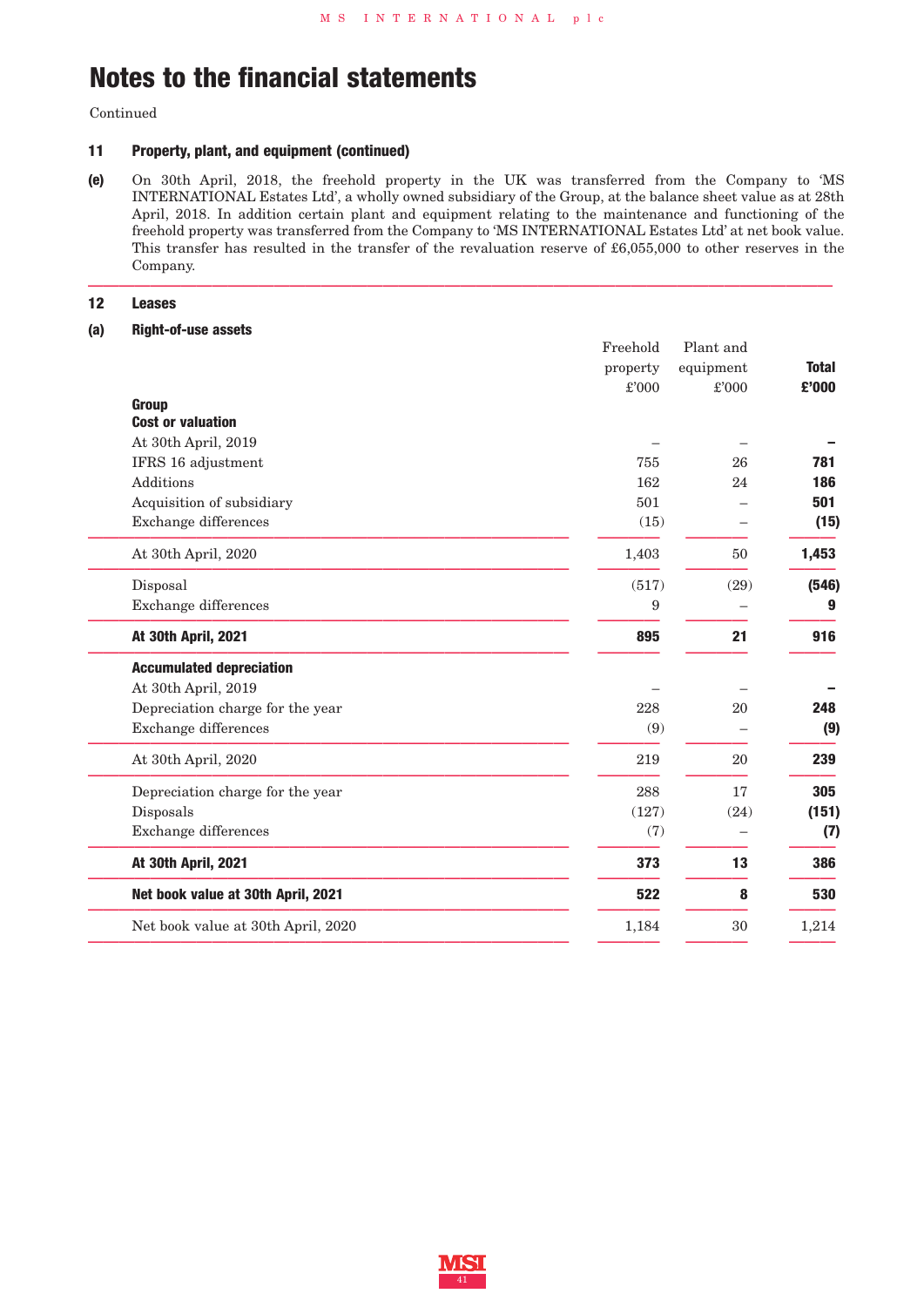Continued

### **11 Property, plant, and equipment (continued)**

**(e)** On 30th April, 2018, the freehold property in the UK was transferred from the Company to 'MS INTERNATIONAL Estates Ltd', a wholly owned subsidiary of the Group, at the balance sheet value as at 28th April, 2018. In addition certain plant and equipment relating to the maintenance and functioning of the freehold property was transferred from the Company to 'MS INTERNATIONAL Estates Ltd' at net book value. This transfer has resulted in the transfer of the revaluation reserve of £6,055,000 to other reserves in the Company. **222222222222222222222222222222222222222222222222**

### **12 Leases**

### **(a) Right-of-use assets**

| <b>Group</b>                       | Freehold<br>property<br>£'000 | Plant and<br>equipment<br>£'000 | <b>Total</b><br>£'000 |
|------------------------------------|-------------------------------|---------------------------------|-----------------------|
| <b>Cost or valuation</b>           |                               |                                 |                       |
| At 30th April, 2019                |                               |                                 |                       |
| IFRS 16 adjustment                 | 755                           | 26                              | 781                   |
| Additions                          | 162                           | 24                              | 186                   |
| Acquisition of subsidiary          | 501                           |                                 | 501                   |
| Exchange differences               | (15)                          |                                 | (15)                  |
| At 30th April, 2020                | 1,403                         | 50                              | 1,453                 |
| Disposal                           | (517)                         | (29)                            | (546)                 |
| Exchange differences               | 9                             |                                 | 9                     |
| At 30th April, 2021                | 895                           | 21                              | 916                   |
| <b>Accumulated depreciation</b>    |                               |                                 |                       |
| At 30th April, 2019                |                               |                                 |                       |
| Depreciation charge for the year   | 228                           | 20                              | 248                   |
| Exchange differences               | (9)                           |                                 | (9)                   |
| At 30th April, 2020                | 219                           | 20                              | 239                   |
| Depreciation charge for the year   | 288                           | 17                              | 305                   |
| Disposals                          | (127)                         | (24)                            | (151)                 |
| Exchange differences               | (7)                           |                                 | (7)                   |
| At 30th April, 2021                | 373                           | 13                              | 386                   |
| Net book value at 30th April, 2021 | 522                           | 8                               | 530                   |
| Net book value at 30th April, 2020 | 1,184                         | 30                              | 1,214                 |
|                                    |                               |                                 |                       |

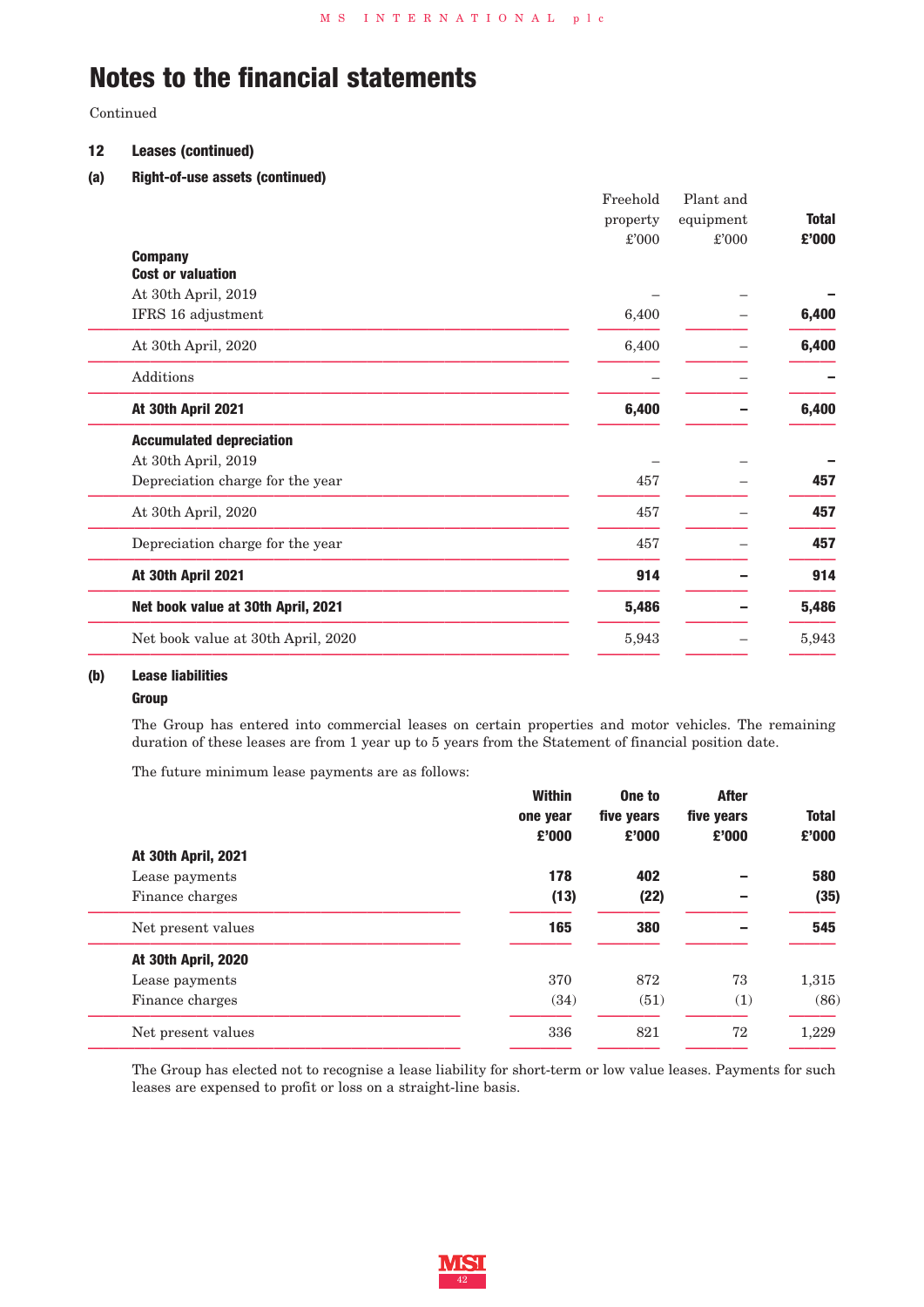Continued

### **12 Leases (continued)**

## **(a) Right-of-use assets (continued)**

| <b>Company</b>                     | Freehold<br>property<br>$\pounds 000$ | Plant and<br>equipment<br>$\pounds 000$ | <b>Total</b><br>£'000 |
|------------------------------------|---------------------------------------|-----------------------------------------|-----------------------|
| <b>Cost or valuation</b>           |                                       |                                         |                       |
| At 30th April, 2019                |                                       |                                         |                       |
| IFRS 16 adjustment                 | 6,400                                 |                                         | 6,400                 |
| At 30th April, 2020                | 6,400                                 |                                         | 6,400                 |
| Additions                          |                                       |                                         |                       |
| At 30th April 2021                 | 6,400                                 |                                         | 6,400                 |
| <b>Accumulated depreciation</b>    |                                       |                                         |                       |
| At 30th April, 2019                |                                       |                                         |                       |
| Depreciation charge for the year   | 457                                   |                                         | 457                   |
| At 30th April, 2020                | 457                                   |                                         | 457                   |
| Depreciation charge for the year   | 457                                   |                                         | 457                   |
| At 30th April 2021                 | 914                                   |                                         | 914                   |
| Net book value at 30th April, 2021 | 5,486                                 |                                         | 5,486                 |
| Net book value at 30th April, 2020 | 5,943                                 |                                         | 5,943                 |
|                                    |                                       |                                         |                       |

#### **(b) Lease liabilities**

#### **Group**

The Group has entered into commercial leases on certain properties and motor vehicles. The remaining duration of these leases are from 1 year up to 5 years from the Statement of financial position date.

The future minimum lease payments are as follows:

|                                                                 | <b>Within</b><br>one year<br>£'000 | One to<br>five years<br>£'000 | <b>After</b><br>five years<br>£'000 | <b>Total</b><br>£'000 |
|-----------------------------------------------------------------|------------------------------------|-------------------------------|-------------------------------------|-----------------------|
| At 30th April, 2021<br>Lease payments<br>Finance charges        | 178<br>(13)                        | 402<br>(22)                   |                                     | 580<br>(35)           |
| Net present values                                              | 165                                | 380                           |                                     | 545                   |
| <b>At 30th April, 2020</b><br>Lease payments<br>Finance charges | 370<br>(34)                        | 872<br>(51)                   | 73                                  | 1,315<br>(86)         |
| Net present values                                              | 336                                | 821                           | (1)<br>72                           | 1,229                 |

The Group has elected not to recognise a lease liability for short-term or low value leases. Payments for such leases are expensed to profit or loss on a straight-line basis.

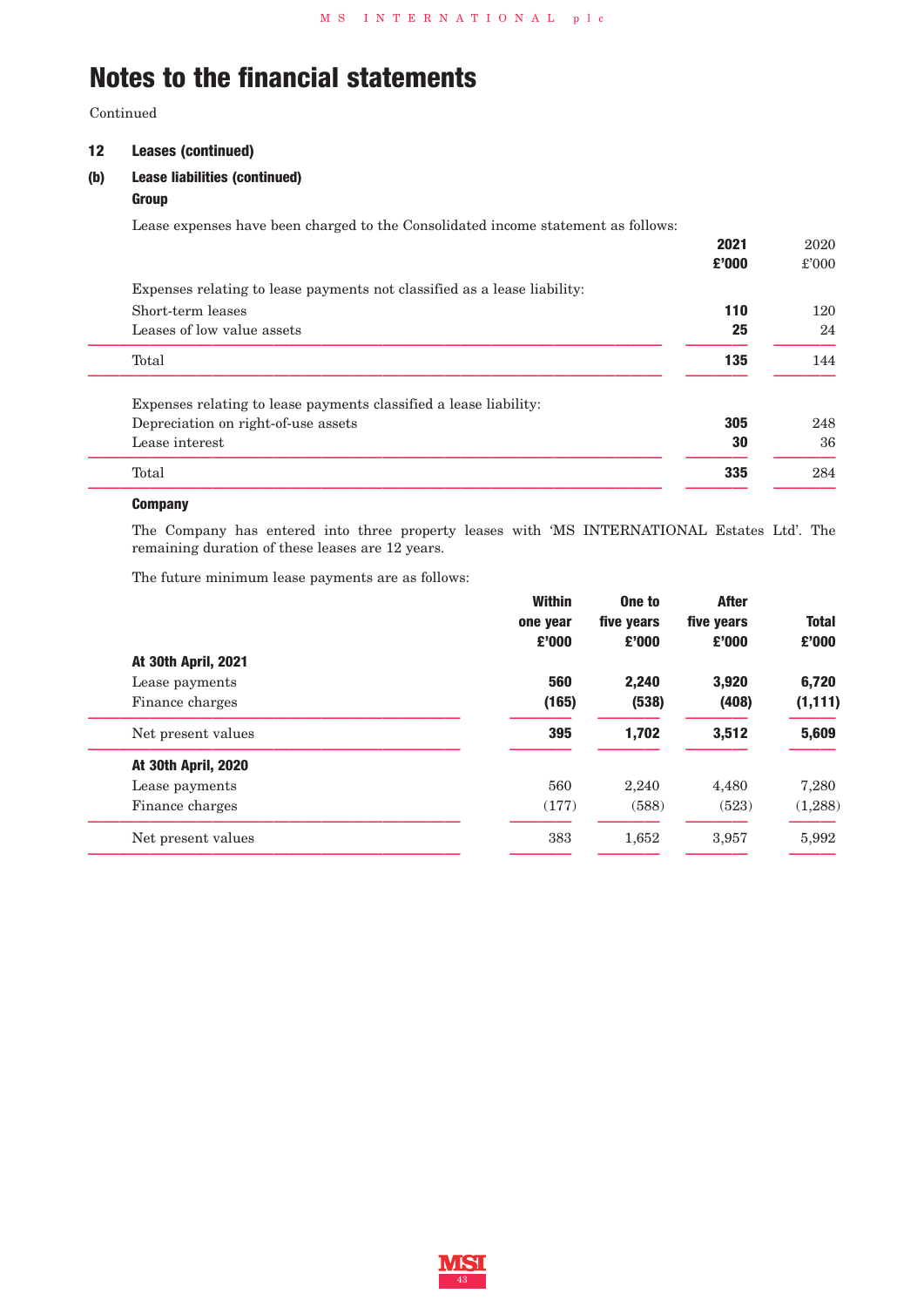Continued

## **12 Leases (continued)**

## **(b) Lease liabilities (continued)**

### **Group**

Lease expenses have been charged to the Consolidated income statement as follows:

|                                                                          | 2021  | 2020  |
|--------------------------------------------------------------------------|-------|-------|
|                                                                          | £'000 | £'000 |
| Expenses relating to lease payments not classified as a lease liability: |       |       |
| Short-term leases                                                        | 110   | 120   |
| Leases of low value assets                                               | 25    | 24    |
| Total                                                                    | 135   | 144   |
| Expenses relating to lease payments classified a lease liability:        |       |       |
| Depreciation on right-of-use assets                                      | 305   | 248   |
| Lease interest                                                           | 30    | 36    |
| Total                                                                    | 335   | 284   |
|                                                                          |       |       |

## **Company**

The Company has entered into three property leases with 'MS INTERNATIONAL Estates Ltd'. The remaining duration of these leases are 12 years.

The future minimum lease payments are as follows:

|                            | <b>Within</b> | One to     | <b>After</b> |              |
|----------------------------|---------------|------------|--------------|--------------|
|                            | one year      | five years | five years   | <b>Total</b> |
|                            | £'000         | £'000      | £'000        | £'000        |
| At 30th April, 2021        |               |            |              |              |
| Lease payments             | 560           | 2,240      | 3,920        | 6,720        |
| Finance charges            | (165)         | (538)      | (408)        | (1, 111)     |
| Net present values         | 395           | 1,702      | 3,512        | 5,609        |
| <b>At 30th April, 2020</b> |               |            |              |              |
| Lease payments             | 560           | 2,240      | 4,480        | 7,280        |
| Finance charges            | (177)         | (588)      | (523)        | (1,288)      |
| Net present values         | 383           | 1,652      | 3,957        | 5,992        |
|                            |               |            |              |              |

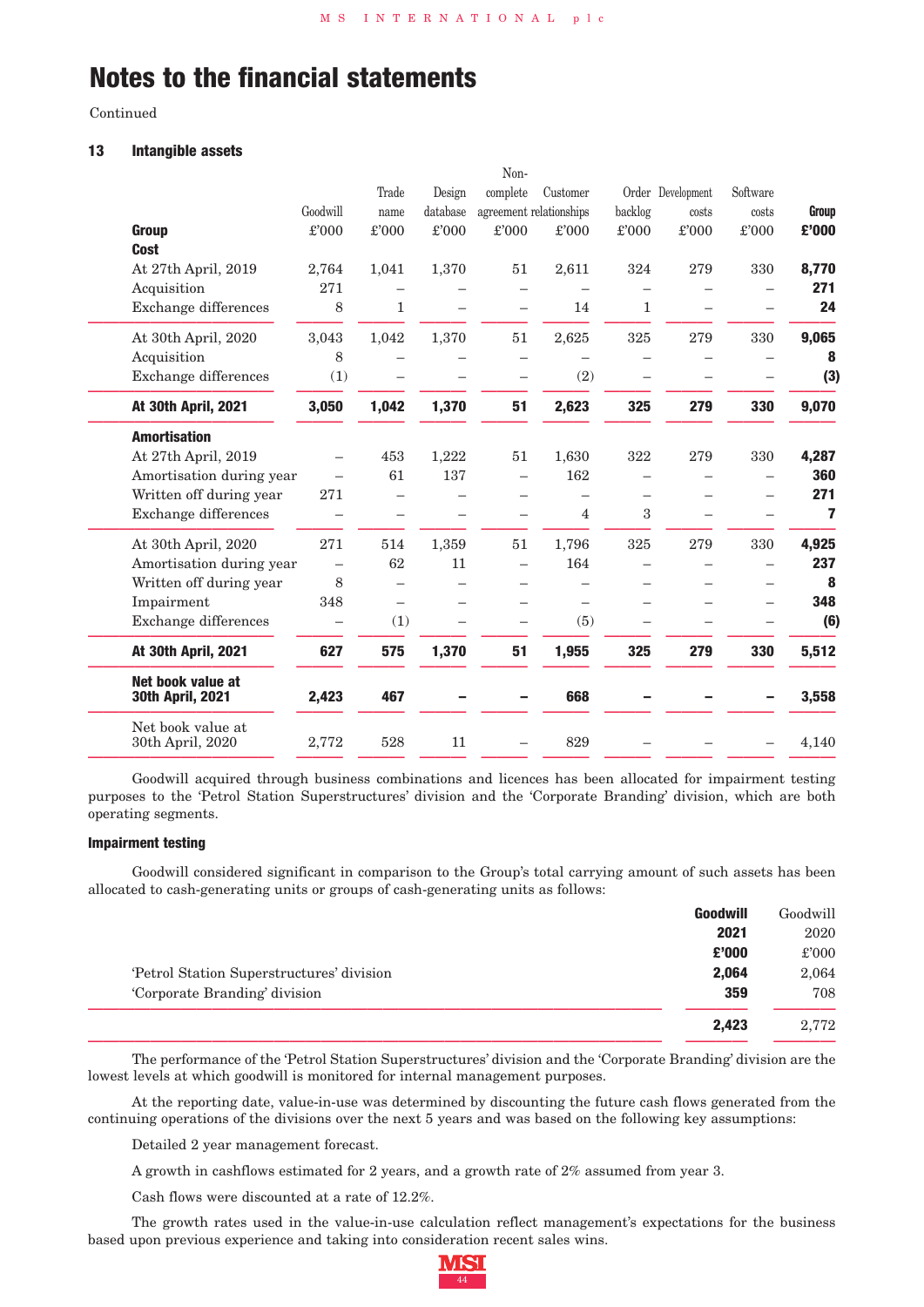Continued

### **13 Intangible assets**

|                                       |          |              |          | Non-     |                         |         |                   |          |       |
|---------------------------------------|----------|--------------|----------|----------|-------------------------|---------|-------------------|----------|-------|
|                                       |          | Trade        | Design   | complete | Customer                |         | Order Development | Software |       |
|                                       | Goodwill | name         | database |          | agreement relationships | backlog | costs             | costs    | Group |
| Group                                 | £'000    | £'000        | £'000    | £'000    | £'000                   | £'000   | £'000             | £'000    | £'000 |
| <b>Cost</b>                           |          |              |          |          |                         |         |                   |          |       |
| At 27th April, 2019                   | 2,764    | 1,041        | 1,370    | 51       | 2,611                   | 324     | 279               | 330      | 8,770 |
| Acquisition                           | 271      |              |          |          |                         |         |                   |          | 271   |
| Exchange differences                  | 8        | $\mathbf{1}$ |          | —        | 14                      | 1       |                   |          | 24    |
| At 30th April, 2020                   | 3,043    | 1,042        | 1,370    | 51       | 2,625                   | 325     | 279               | 330      | 9,065 |
| Acquisition                           | 8        |              |          |          |                         |         |                   |          | 8     |
| Exchange differences                  | (1)      |              |          |          | (2)                     |         |                   |          | (3)   |
| At 30th April, 2021                   | 3,050    | 1,042        | 1,370    | 51       | 2,623                   | 325     | 279               | 330      | 9,070 |
| <b>Amortisation</b>                   |          |              |          |          |                         |         |                   |          |       |
| At 27th April, 2019                   |          | 453          | 1,222    | 51       | 1,630                   | 322     | 279               | 330      | 4,287 |
| Amortisation during year              |          | 61           | 137      | -        | 162                     |         |                   |          | 360   |
| Written off during year               | 271      |              |          |          |                         |         |                   |          | 271   |
| Exchange differences                  |          |              |          |          | $\overline{4}$          | 3       |                   |          | 7     |
| At 30th April, 2020                   | 271      | 514          | 1,359    | 51       | 1,796                   | 325     | 279               | 330      | 4,925 |
| Amortisation during year              |          | 62           | 11       |          | 164                     |         |                   |          | 237   |
| Written off during year               | 8        |              |          |          |                         |         |                   |          | 8     |
| Impairment                            | 348      |              |          |          |                         |         |                   |          | 348   |
| Exchange differences                  |          | (1)          |          |          | (5)                     |         |                   |          | (6)   |
| At 30th April, 2021                   | 627      | 575          | 1,370    | 51       | 1,955                   | 325     | 279               | 330      | 5,512 |
| Net book value at<br>30th April, 2021 | 2,423    | 467          |          |          | 668                     |         |                   |          | 3,558 |
| Net book value at<br>30th April, 2020 | 2,772    | 528          | 11       |          | 829                     |         |                   |          | 4,140 |
|                                       |          |              |          |          |                         |         |                   |          |       |

Goodwill acquired through business combinations and licences has been allocated for impairment testing purposes to the 'Petrol Station Superstructures' division and the 'Corporate Branding' division, which are both operating segments.

### **Impairment testing**

Goodwill considered significant in comparison to the Group's total carrying amount of such assets has been allocated to cash-generating units or groups of cash-generating units as follows:

|                                           | Goodwill | Goodwill |
|-------------------------------------------|----------|----------|
|                                           | 2021     | 2020     |
|                                           | £'000    | £'000    |
| 'Petrol Station Superstructures' division | 2,064    | 2,064    |
| 'Corporate Branding' division             | 359      | 708      |
|                                           | 2,423    | 2,772    |

The performance of the 'Petrol Station Superstructures' division and the 'Corporate Branding' division are the lowest levels at which goodwill is monitored for internal management purposes.

At the reporting date, value-in-use was determined by discounting the future cash flows generated from the continuing operations of the divisions over the next 5 years and was based on the following key assumptions:

Detailed 2 year management forecast.

A growth in cashflows estimated for 2 years, and a growth rate of 2% assumed from year 3.

Cash flows were discounted at a rate of 12.2%.

The growth rates used in the value-in-use calculation reflect management's expectations for the business based upon previous experience and taking into consideration recent sales wins.

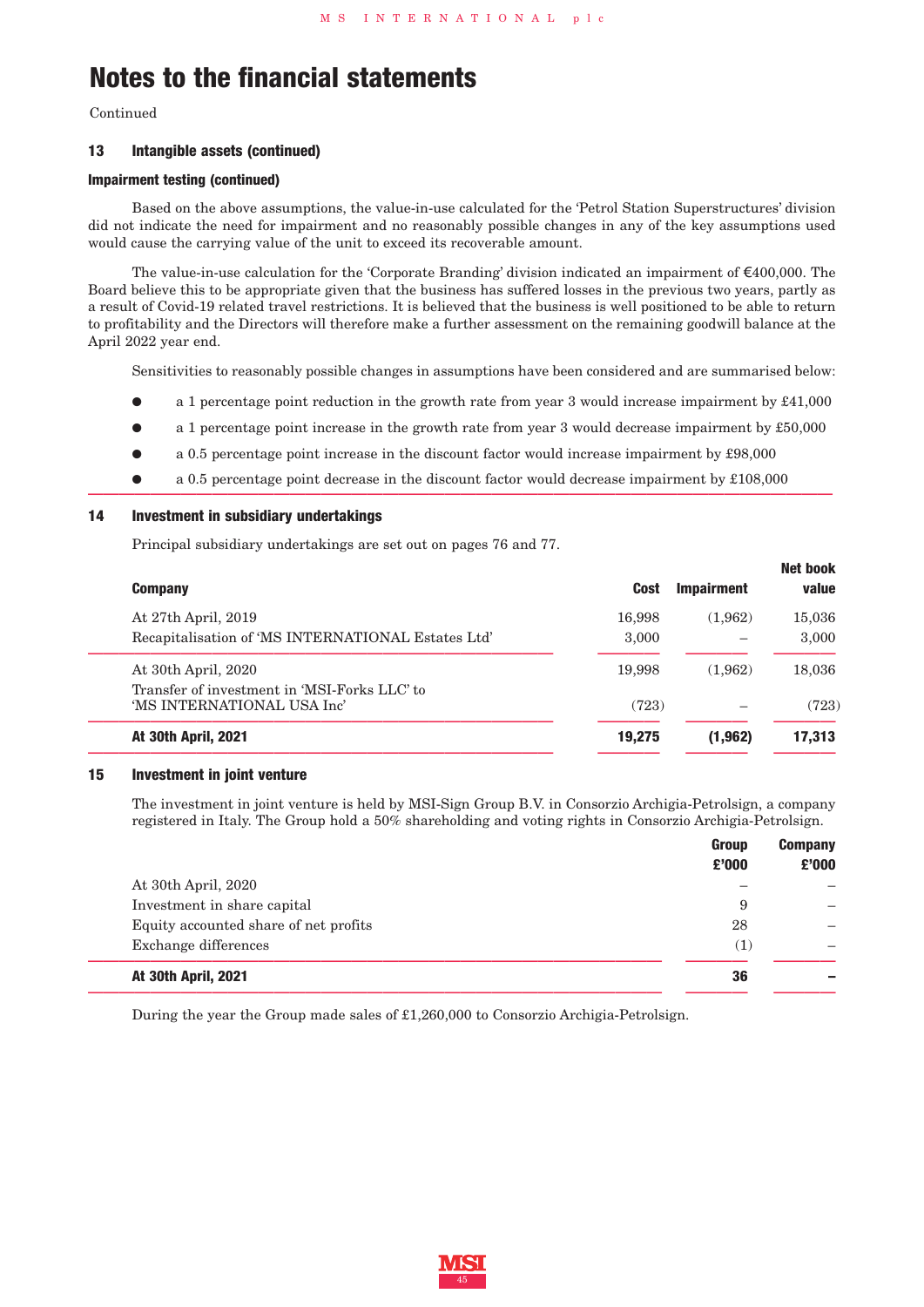Continued

### **13 Intangible assets (continued)**

### **Impairment testing (continued)**

Based on the above assumptions, the value-in-use calculated for the 'Petrol Station Superstructures' division did not indicate the need for impairment and no reasonably possible changes in any of the key assumptions used would cause the carrying value of the unit to exceed its recoverable amount.

The value-in-use calculation for the 'Corporate Branding' division indicated an impairment of €400,000. The Board believe this to be appropriate given that the business has suffered losses in the previous two years, partly as a result of Covid-19 related travel restrictions. It is believed that the business is well positioned to be able to return to profitability and the Directors will therefore make a further assessment on the remaining goodwill balance at the April 2022 year end.

Sensitivities to reasonably possible changes in assumptions have been considered and are summarised below:

- **●** a 1 percentage point reduction in the growth rate from year 3 would increase impairment by £41,000
- **●** a 1 percentage point increase in the growth rate from year 3 would decrease impairment by £50,000
- **●** a 0.5 percentage point increase in the discount factor would increase impairment by £98,000
- **●** <sup>a</sup> 0.5 percentage point decrease in the discount factor would decrease impairment by £108,000 **<sup>222222222222222222222222222222222222222222222222</sup>**

### **14 Investment in subsidiary undertakings**

Principal subsidiary undertakings are set out on pages 76 and 77.

| <b>Company</b>                                                             | <b>Cost</b> | <b>Impairment</b> | <b>Net book</b><br>value |
|----------------------------------------------------------------------------|-------------|-------------------|--------------------------|
| At 27th April, 2019                                                        | 16,998      | (1,962)           | 15,036                   |
| Recapitalisation of 'MS INTERNATIONAL Estates Ltd'                         | 3,000       |                   | 3,000                    |
| At 30th April, 2020                                                        | 19,998      | (1,962)           | 18,036                   |
| Transfer of investment in 'MSI-Forks LLC' to<br>'MS INTERNATIONAL USA Inc' | (723)       |                   | (723)                    |
| <b>At 30th April, 2021</b>                                                 | 19.275      | (1, 962)          | 17,313                   |

#### **15 Investment in joint venture**

The investment in joint venture is held by MSI-Sign Group B.V. in Consorzio Archigia-Petrolsign, a company registered in Italy. The Group hold a 50% shareholding and voting rights in Consorzio Archigia-Petrolsign.

|                                       | Group<br>£'000 | <b>Company</b><br>£'000 |
|---------------------------------------|----------------|-------------------------|
| At 30th April, 2020                   |                |                         |
| Investment in share capital           | 9              |                         |
| Equity accounted share of net profits | 28             |                         |
| Exchange differences                  | (1)            |                         |
| At 30th April, 2021                   | 36             |                         |

During the year the Group made sales of £1,260,000 to Consorzio Archigia-Petrolsign.

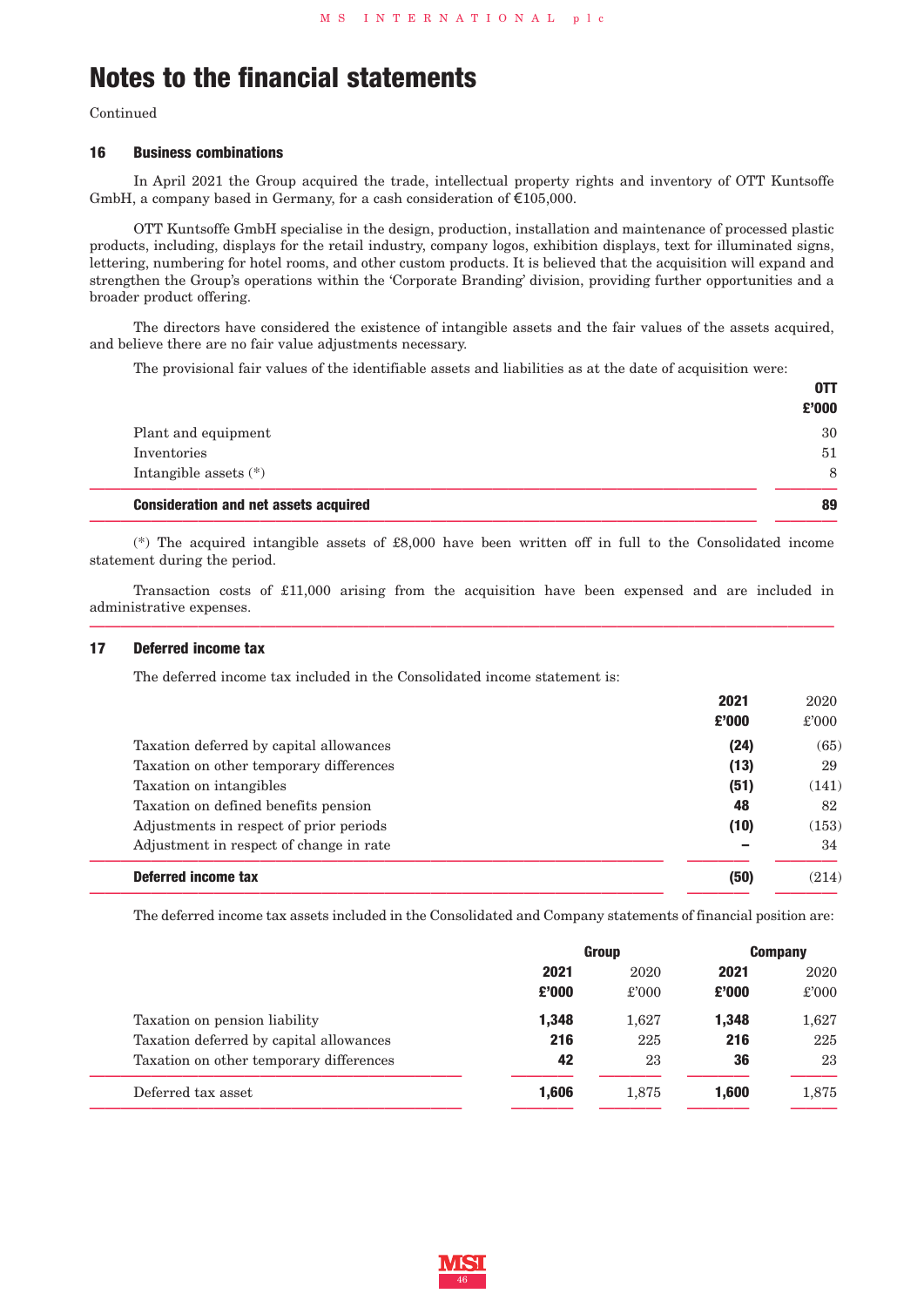Continued

#### **16 Business combinations**

In April 2021 the Group acquired the trade, intellectual property rights and inventory of OTT Kuntsoffe GmbH, a company based in Germany, for a cash consideration of €105,000.

OTT Kuntsoffe GmbH specialise in the design, production, installation and maintenance of processed plastic products, including, displays for the retail industry, company logos, exhibition displays, text for illuminated signs, lettering, numbering for hotel rooms, and other custom products. It is believed that the acquisition will expand and strengthen the Group's operations within the 'Corporate Branding' division, providing further opportunities and a broader product offering.

The directors have considered the existence of intangible assets and the fair values of the assets acquired, and believe there are no fair value adjustments necessary.

The provisional fair values of the identifiable assets and liabilities as at the date of acquisition were:

| <b>Consideration and net assets acquired</b> | 89           |
|----------------------------------------------|--------------|
| Intangible assets $(*)$                      | 8            |
| Inventories                                  | 51           |
| Plant and equipment                          | 30           |
|                                              | 0TT<br>£'000 |

(\*) The acquired intangible assets of £8,000 have been written off in full to the Consolidated income statement during the period.

Transaction costs of £11,000 arising from the acquisition have been expensed and are included in administrative expenses. **222222222222222222222222222222222222222222222222**

#### **17 Deferred income tax**

The deferred income tax included in the Consolidated income statement is:

| Deferred income tax                     | (50)  | (214)          |
|-----------------------------------------|-------|----------------|
| Adjustment in respect of change in rate |       | 34             |
| Adjustments in respect of prior periods | (10)  | (153)          |
| Taxation on defined benefits pension    | 48    | 82             |
| Taxation on intangibles                 | (51)  | (141)          |
| Taxation on other temporary differences | (13)  | 29             |
| Taxation deferred by capital allowances | (24)  | (65)           |
|                                         | £'000 | $\pounds$ '000 |
|                                         | 2021  | 2020           |

The deferred income tax assets included in the Consolidated and Company statements of financial position are:

|                                         | Group         |                        | <b>Company</b> |               |
|-----------------------------------------|---------------|------------------------|----------------|---------------|
|                                         | 2021<br>£'000 | 2020<br>$\pounds$ '000 | 2021<br>£'000  | 2020<br>£'000 |
| Taxation on pension liability           | 1,348         | 1,627                  | 1,348          | 1,627         |
| Taxation deferred by capital allowances | 216           | 225                    | 216            | 225           |
| Taxation on other temporary differences | 42            | 23                     | 36             | 23            |
| Deferred tax asset                      | 1.606         | 1.875                  | 1.600          | 1,875         |
|                                         |               |                        |                |               |

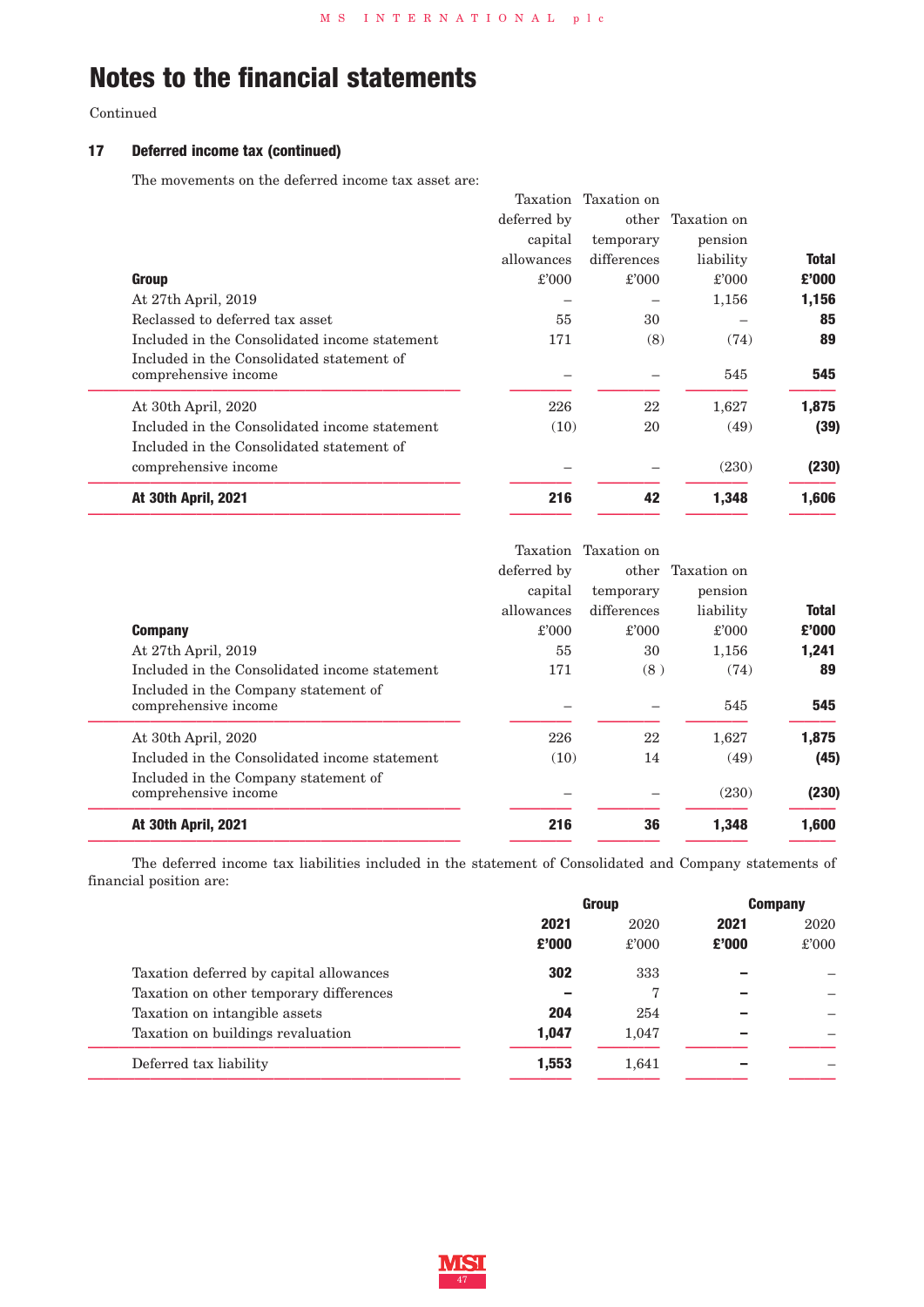Continued

## **17 Deferred income tax (continued)**

The movements on the deferred income tax asset are:

| <b>At 30th April, 2021</b>                                        | 216            | 42                   | 1,348       | 1,606        |
|-------------------------------------------------------------------|----------------|----------------------|-------------|--------------|
| comprehensive income                                              |                |                      | (230)       | (230)        |
| Included in the Consolidated statement of                         |                |                      |             |              |
| Included in the Consolidated income statement                     | (10)           | 20                   | (49)        | (39)         |
| At 30th April, 2020                                               | 226            | 22                   | 1,627       | 1,875        |
| Included in the Consolidated statement of<br>comprehensive income |                |                      | 545         | 545          |
| Included in the Consolidated income statement                     | 171            | (8)                  | (74)        | 89           |
| Reclassed to deferred tax asset                                   | 55             | 30                   |             | 85           |
| At 27th April, 2019                                               |                |                      | 1,156       | 1,156        |
| Group                                                             | $\pounds$ '000 | $\pounds$ '000       | £'000       | £'000        |
|                                                                   | allowances     | differences          | liability   | <b>Total</b> |
|                                                                   | capital        | temporary            | pension     |              |
|                                                                   | deferred by    | other                | Taxation on |              |
|                                                                   |                | Taxation Taxation on |             |              |

| <b>At 30th April, 2021</b> |                                                              | 216            | 36                   | 1,348             | 1,600        |
|----------------------------|--------------------------------------------------------------|----------------|----------------------|-------------------|--------------|
|                            | Included in the Company statement of<br>comprehensive income |                |                      | (230)             | (230)        |
|                            | Included in the Consolidated income statement                | (10)           | 14                   | (49)              | (45)         |
| At 30th April, 2020        |                                                              | 226            | 22                   | 1,627             | 1,875        |
|                            | Included in the Company statement of<br>comprehensive income |                |                      | 545               | 545          |
|                            | Included in the Consolidated income statement                | 171            | (8)                  | (74)              | 89           |
| At 27th April, 2019        |                                                              | 55             | 30                   | 1,156             | 1,241        |
| <b>Company</b>             |                                                              | $\pounds$ '000 | $\pounds$ '000       | £'000             | £'000        |
|                            |                                                              | allowances     | differences          | liability         | <b>Total</b> |
|                            |                                                              | capital        | temporary            | pension           |              |
|                            |                                                              | deferred by    |                      | other Taxation on |              |
|                            |                                                              |                | Taxation Taxation on |                   |              |

The deferred income tax liabilities included in the statement of Consolidated and Company statements of financial position are:

|                                         | <b>Group</b> |       | <b>Company</b> |                |
|-----------------------------------------|--------------|-------|----------------|----------------|
|                                         | 2021         | 2020  | 2021           | 2020           |
|                                         | £'000        | £'000 | £'000          | $\pounds$ '000 |
| Taxation deferred by capital allowances | 302          | 333   |                |                |
| Taxation on other temporary differences |              | 7     |                |                |
| Taxation on intangible assets           | 204          | 254   |                |                |
| Taxation on buildings revaluation       | 1.047        | 1.047 |                |                |
| Deferred tax liability                  | 1.553        | 1,641 |                |                |

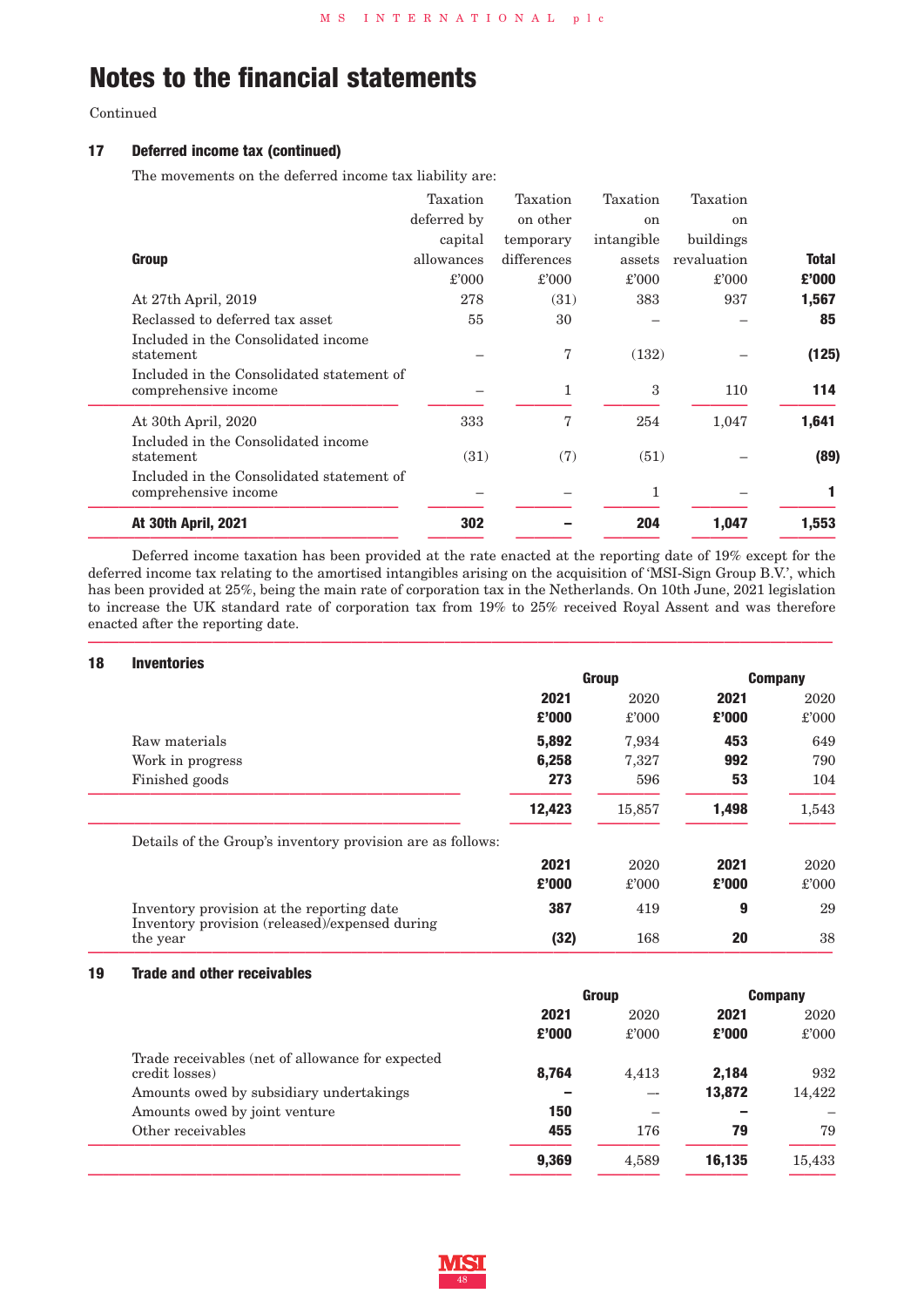Continued

## **17 Deferred income tax (continued)**

The movements on the deferred income tax liability are:

| <b>At 30th April, 2021</b>                                        | 302            |                | 204            | 1,047          | 1,553        |
|-------------------------------------------------------------------|----------------|----------------|----------------|----------------|--------------|
| Included in the Consolidated statement of<br>comprehensive income |                |                | 1              |                |              |
| Included in the Consolidated income<br>statement                  | (31)           | (7)            | (51)           |                | (89)         |
| At 30th April, 2020                                               | 333            | 7              | 254            | 1,047          | 1,641        |
| Included in the Consolidated statement of<br>comprehensive income |                | 1              | 3              | 110            | 114          |
| Included in the Consolidated income<br>statement                  |                | 7              | (132)          |                | (125)        |
| Reclassed to deferred tax asset                                   | 55             | 30             |                |                | 85           |
| At 27th April, 2019                                               | 278            | (31)           | 383            | 937            | 1,567        |
|                                                                   | $\pounds$ '000 | $\pounds$ '000 | $\pounds$ '000 | $\pounds$ '000 | £'000        |
| Group                                                             | allowances     | differences    | assets         | revaluation    | <b>Total</b> |
|                                                                   | capital        | temporary      | intangible     | buildings      |              |
|                                                                   | deferred by    | on other       | <sub>on</sub>  | on             |              |
|                                                                   | Taxation       | Taxation       | Taxation       | Taxation       |              |

Deferred income taxation has been provided at the rate enacted at the reporting date of 19% except for the deferred income tax relating to the amortised intangibles arising on the acquisition of 'MSI-Sign Group B.V.', which has been provided at 25%, being the main rate of corporation tax in the Netherlands. On 10th June, 2021 legislation to increase the UK standard rate of corporation tax from 19% to 25% received Royal Assent and was therefore enacted after the reporting date. **222222222222222222222222222222222222222222222222**

### **18 Inventories**

|                                                                                             | Group         |               | <b>Company</b> |               |
|---------------------------------------------------------------------------------------------|---------------|---------------|----------------|---------------|
|                                                                                             | 2021<br>£'000 | 2020<br>£'000 | 2021<br>£'000  | 2020<br>£'000 |
| Raw materials                                                                               | 5.892         | 7,934         | 453            | 649           |
| Work in progress                                                                            | 6,258         | 7,327         | 992            | 790           |
| Finished goods                                                                              | 273           | 596           | 53             | 104           |
|                                                                                             | 12,423        | 15,857        | 1,498          | 1,543         |
| Details of the Group's inventory provision are as follows:                                  |               |               |                |               |
|                                                                                             | 2021          | 2020          | 2021           | 2020          |
|                                                                                             | £'000         | £'000         | £'000          | £'000         |
| Inventory provision at the reporting date<br>Inventory provision (released)/expensed during | 387           | 419           | 9              | 29            |
| the year                                                                                    | (32)          | 168           | 20             | 38            |

### **19 Trade and other receivables**

|                                                                    | Group |                | <b>Company</b> |                |
|--------------------------------------------------------------------|-------|----------------|----------------|----------------|
|                                                                    | 2021  | 2020           | 2021           | 2020           |
|                                                                    | £'000 | $\pounds$ '000 | £'000          | $\pounds$ '000 |
| Trade receivables (net of allowance for expected<br>credit losses) | 8.764 | 4,413          | 2.184          | 932            |
| Amounts owed by subsidiary undertakings                            |       |                | 13,872         | 14,422         |
| Amounts owed by joint venture                                      | 150   |                |                |                |
| Other receivables                                                  | 455   | 176            | 79             | 79             |
|                                                                    | 9,369 | 4,589          | 16,135         | 15,433         |

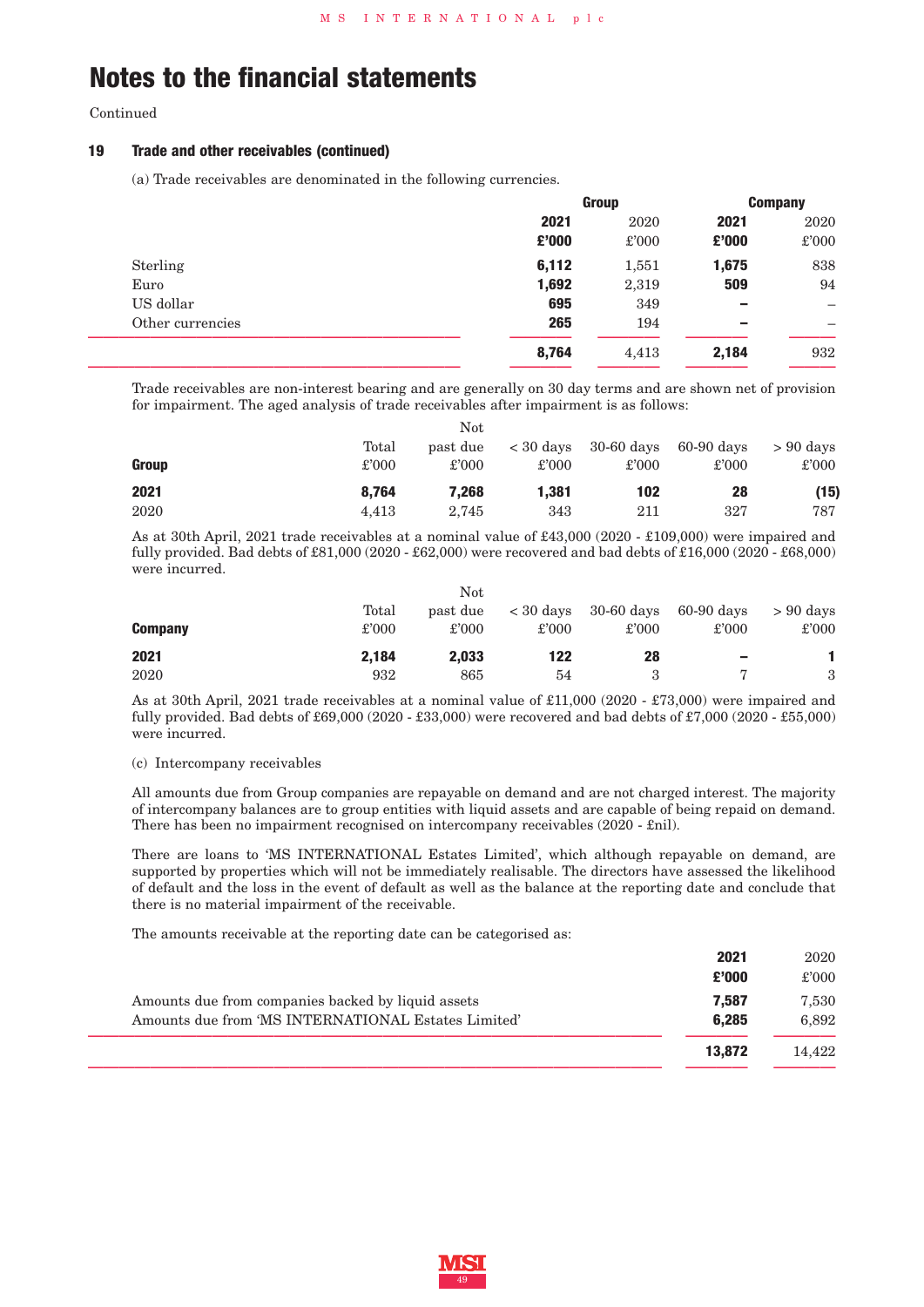Continued

#### **19 Trade and other receivables (continued)**

(a) Trade receivables are denominated in the following currencies.

|                  |       | <b>Group</b>   |                          | <b>Company</b> |  |
|------------------|-------|----------------|--------------------------|----------------|--|
|                  | 2021  | 2020           | 2021                     | 2020           |  |
|                  | £'000 | $\pounds$ '000 | £'000                    | £'000          |  |
| Sterling         | 6,112 | 1,551          | 1,675                    | 838            |  |
| Euro             | 1,692 | 2,319          | 509                      | 94             |  |
| US dollar        | 695   | 349            | $\overline{\phantom{a}}$ | -              |  |
| Other currencies | 265   | 194            | $\overline{\phantom{0}}$ | -              |  |
|                  | 8,764 | 4,413          | 2,184                    | 932            |  |

Trade receivables are non-interest bearing and are generally on 30 day terms and are shown net of provision for impairment. The aged analysis of trade receivables after impairment is as follows:

|       |                | Not            |                |                |                |                |
|-------|----------------|----------------|----------------|----------------|----------------|----------------|
|       | Total          | past due       | $<$ 30 days    | 30-60 days     | 60-90 days     | $> 90$ days    |
| Group | $\pounds$ '000 | $\pounds$ '000 | $\pounds$ '000 | $\pounds$ '000 | $\pounds$ '000 | $\pounds$ '000 |
| 2021  | 8.764          | 7.268          | 1.381          | 102            | 28             | (15)           |
| 2020  | 4.413          | 2.745          | 343            | 211            | 327            | 787            |

As at 30th April, 2021 trade receivables at a nominal value of £43,000 (2020 - £109,000) were impaired and fully provided. Bad debts of £81,000 (2020 - £62,000) were recovered and bad debts of £16,000 (2020 - £68,000) were incurred.

|                |                | <b>Not</b>                |                |                |                                                                           |                              |
|----------------|----------------|---------------------------|----------------|----------------|---------------------------------------------------------------------------|------------------------------|
| <b>Company</b> | Total<br>£'000 | past due<br>$\pounds 000$ | $\pounds$ '000 | $\pounds$ '000 | $\langle 30 \text{ days} \rangle$ 30-60 days 60-90 days<br>$\pounds$ '000 | $> 90$ days<br>$\pounds 000$ |
| 2021           | 2.184          | 2.033                     | 122            | 28             | $\overline{\phantom{a}}$                                                  |                              |
| 2020           | 932            | 865                       | 54             | 2              |                                                                           | 3                            |

As at 30th April, 2021 trade receivables at a nominal value of £11,000 (2020 - £73,000) were impaired and fully provided. Bad debts of £69,000 (2020 - £33,000) were recovered and bad debts of £7,000 (2020 - £55,000) were incurred.

#### (c) Intercompany receivables

All amounts due from Group companies are repayable on demand and are not charged interest. The majority of intercompany balances are to group entities with liquid assets and are capable of being repaid on demand. There has been no impairment recognised on intercompany receivables (2020 - £nil).

There are loans to 'MS INTERNATIONAL Estates Limited', which although repayable on demand, are supported by properties which will not be immediately realisable. The directors have assessed the likelihood of default and the loss in the event of default as well as the balance at the reporting date and conclude that there is no material impairment of the receivable.

The amounts receivable at the reporting date can be categorised as:

|                                                     | 2021   | 2020   |
|-----------------------------------------------------|--------|--------|
|                                                     | £'000  | £'000  |
| Amounts due from companies backed by liquid assets  | 7.587  | 7,530  |
| Amounts due from 'MS INTERNATIONAL Estates Limited' | 6.285  | 6.892  |
|                                                     | 13,872 | 14.422 |
|                                                     |        |        |

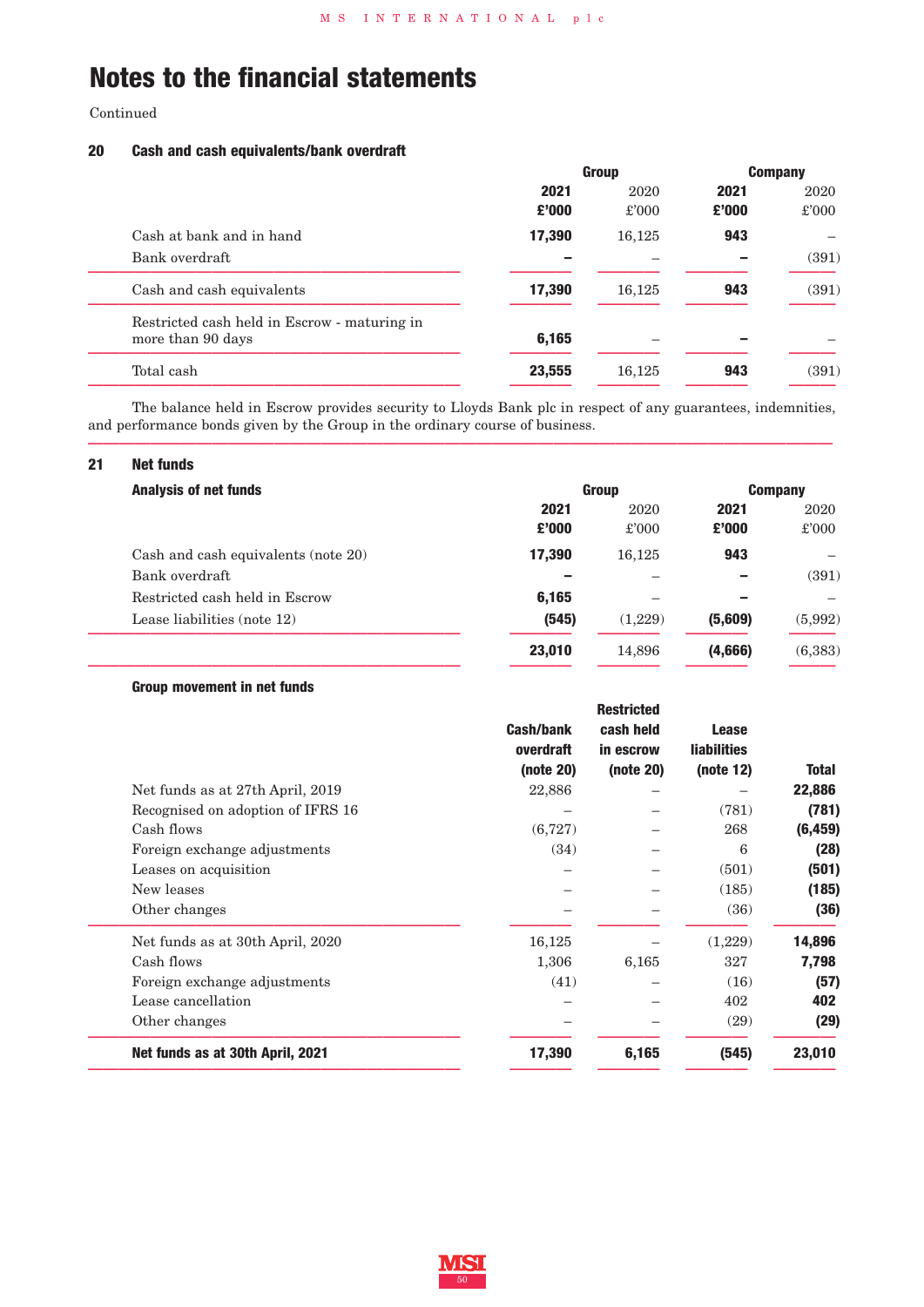Continued

## **20 Cash and cash equivalents/bank overdraft**

|                                                                   | Group         |               | <b>Company</b> |               |
|-------------------------------------------------------------------|---------------|---------------|----------------|---------------|
|                                                                   | 2021<br>£'000 | 2020<br>£'000 | 2021<br>£'000  | 2020<br>£'000 |
| Cash at bank and in hand<br>Bank overdraft                        | 17,390        | 16,125        | 943            | (391)         |
| Cash and cash equivalents                                         | 17,390        | 16,125        | 943            | (391)         |
| Restricted cash held in Escrow - maturing in<br>more than 90 days | 6,165         |               |                |               |
| Total cash                                                        | 23,555        | 16,125        | 943            | (391)         |

The balance held in Escrow provides security to Lloyds Bank plc in respect of any guarantees, indemnities, and performance bonds given by the Group in the ordinary course of business. **222222222222222222222222222222222222222222222222**

## **21 Net funds**

| <b>Analysis of net funds</b>        | Group         |                       | <b>Company</b> |                        |
|-------------------------------------|---------------|-----------------------|----------------|------------------------|
|                                     | 2021<br>£'000 | 2020<br>$\pounds 000$ | 2021<br>£'000  | 2020<br>$\pounds$ '000 |
| Cash and cash equivalents (note 20) | 17,390        | 16,125                | 943            |                        |
| Bank overdraft                      |               |                       |                | (391)                  |
| Restricted cash held in Escrow      | 6,165         |                       |                |                        |
| Lease liabilities (note 12)         | (545)         | (1,229)               | (5,609)        | (5,992)                |
|                                     | 23,010        | 14,896                | (4,666)        | (6,383)                |

## **Group movement in net funds**

|                                   | <b>Cash/bank</b><br>overdraft | cash held<br>in escrow | <b>Lease</b><br><b>liabilities</b> |              |
|-----------------------------------|-------------------------------|------------------------|------------------------------------|--------------|
|                                   | (note 20)                     | (note 20)              | (note 12)                          | <b>Total</b> |
| Net funds as at 27th April, 2019  | 22,886                        |                        |                                    | 22,886       |
| Recognised on adoption of IFRS 16 |                               |                        | (781)                              | (781)        |
| Cash flows                        | (6,727)                       |                        | 268                                | (6, 459)     |
| Foreign exchange adjustments      | (34)                          |                        | 6                                  | (28)         |
| Leases on acquisition             |                               |                        | (501)                              | (501)        |
| New leases                        |                               |                        | (185)                              | (185)        |
| Other changes                     |                               |                        | (36)                               | (36)         |
| Net funds as at 30th April, 2020  | 16,125                        |                        | (1,229)                            | 14,896       |
| Cash flows                        | 1,306                         | 6,165                  | 327                                | 7,798        |
| Foreign exchange adjustments      | (41)                          |                        | (16)                               | (57)         |
| Lease cancellation                |                               |                        | 402                                | 402          |
| Other changes                     |                               |                        | (29)                               | (29)         |
| Net funds as at 30th April, 2021  | 17,390                        | 6,165                  | (545)                              | 23,010       |

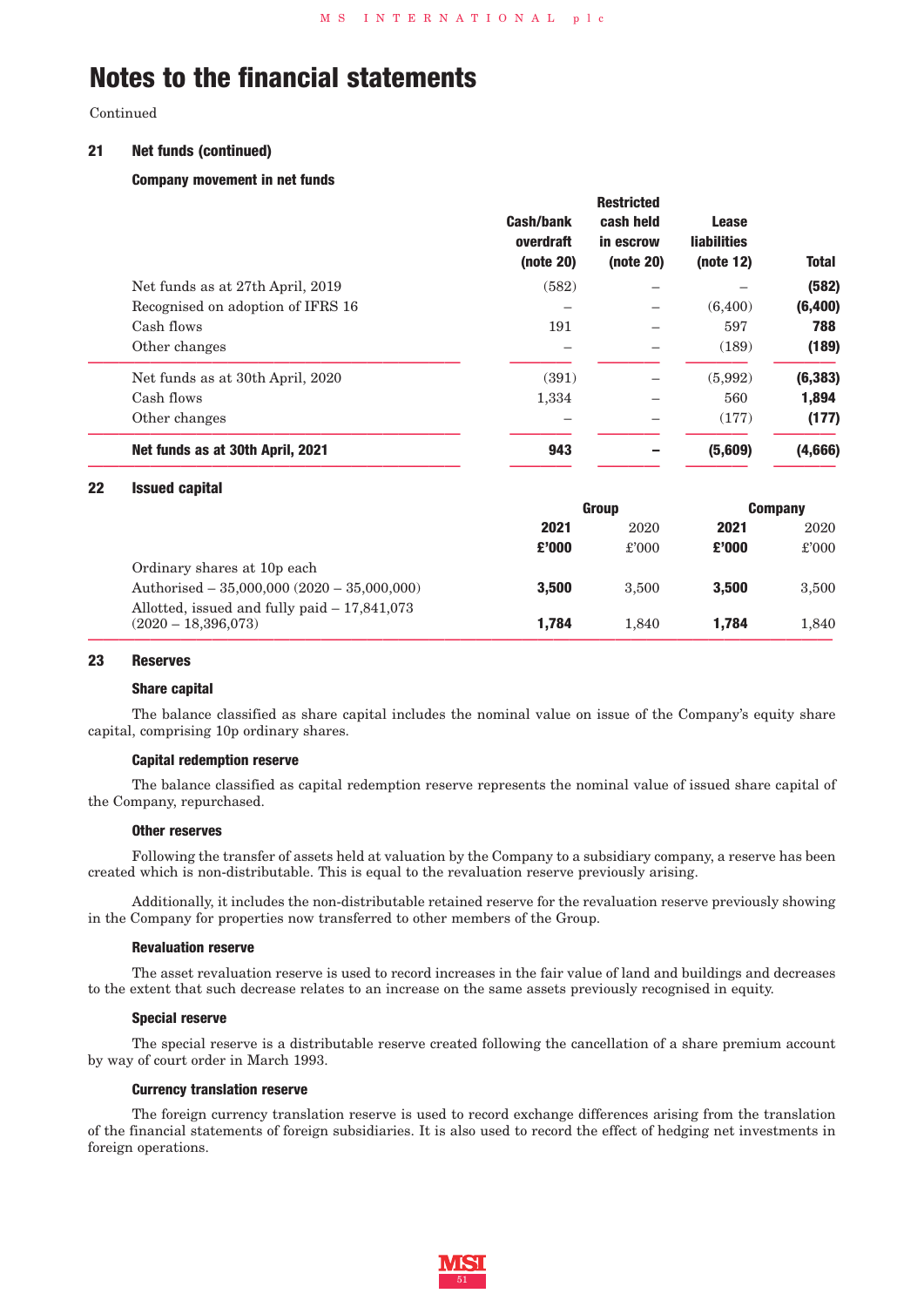Continued

### **21 Net funds (continued)**

#### **Company movement in net funds**

|                                   |                                            | <b>Restricted</b>                   |                                                 |              |
|-----------------------------------|--------------------------------------------|-------------------------------------|-------------------------------------------------|--------------|
|                                   | <b>Cash/bank</b><br>overdraft<br>(note 20) | cash held<br>in escrow<br>(note 20) | <b>Lease</b><br><b>liabilities</b><br>(note 12) | <b>Total</b> |
| Net funds as at 27th April, 2019  | (582)                                      |                                     |                                                 | (582)        |
| Recognised on adoption of IFRS 16 |                                            |                                     | (6,400)                                         | (6,400)      |
| Cash flows                        | 191                                        |                                     | 597                                             | 788          |
| Other changes                     |                                            |                                     | (189)                                           | (189)        |
| Net funds as at 30th April, 2020  | (391)                                      |                                     | (5,992)                                         | (6, 383)     |
| Cash flows                        | 1,334                                      |                                     | 560                                             | 1,894        |
| Other changes                     |                                            |                                     | (177)                                           | (177)        |
| Net funds as at 30th April, 2021  | 943                                        |                                     | (5,609)                                         | (4,666)      |
|                                   |                                            |                                     |                                                 |              |

#### **22 Issued capital**

|                                               | Group |       | <b>Company</b> |                |
|-----------------------------------------------|-------|-------|----------------|----------------|
|                                               | 2021  | 2020  | 2021           | 2020           |
|                                               | £'000 | £'000 | £'000          | $\pounds$ '000 |
| Ordinary shares at 10p each                   |       |       |                |                |
| Authorised $-35,000,000(2020-35,000,000)$     | 3.500 | 3.500 | 3.500          | 3,500          |
| Allotted, issued and fully paid $-17,841,073$ |       |       |                |                |
| $(2020 - 18,396,073)$                         | 1.784 | 1.840 | 1.784          | 1.840          |

#### **23 Reserves**

#### **Share capital**

The balance classified as share capital includes the nominal value on issue of the Company's equity share capital, comprising 10p ordinary shares.

### **Capital redemption reserve**

The balance classified as capital redemption reserve represents the nominal value of issued share capital of the Company, repurchased.

#### **Other reserves**

Following the transfer of assets held at valuation by the Company to a subsidiary company, a reserve has been created which is non-distributable. This is equal to the revaluation reserve previously arising.

Additionally, it includes the non-distributable retained reserve for the revaluation reserve previously showing in the Company for properties now transferred to other members of the Group.

#### **Revaluation reserve**

The asset revaluation reserve is used to record increases in the fair value of land and buildings and decreases to the extent that such decrease relates to an increase on the same assets previously recognised in equity.

#### **Special reserve**

The special reserve is a distributable reserve created following the cancellation of a share premium account by way of court order in March 1993.

#### **Currency translation reserve**

The foreign currency translation reserve is used to record exchange differences arising from the translation of the financial statements of foreign subsidiaries. It is also used to record the effect of hedging net investments in foreign operations.

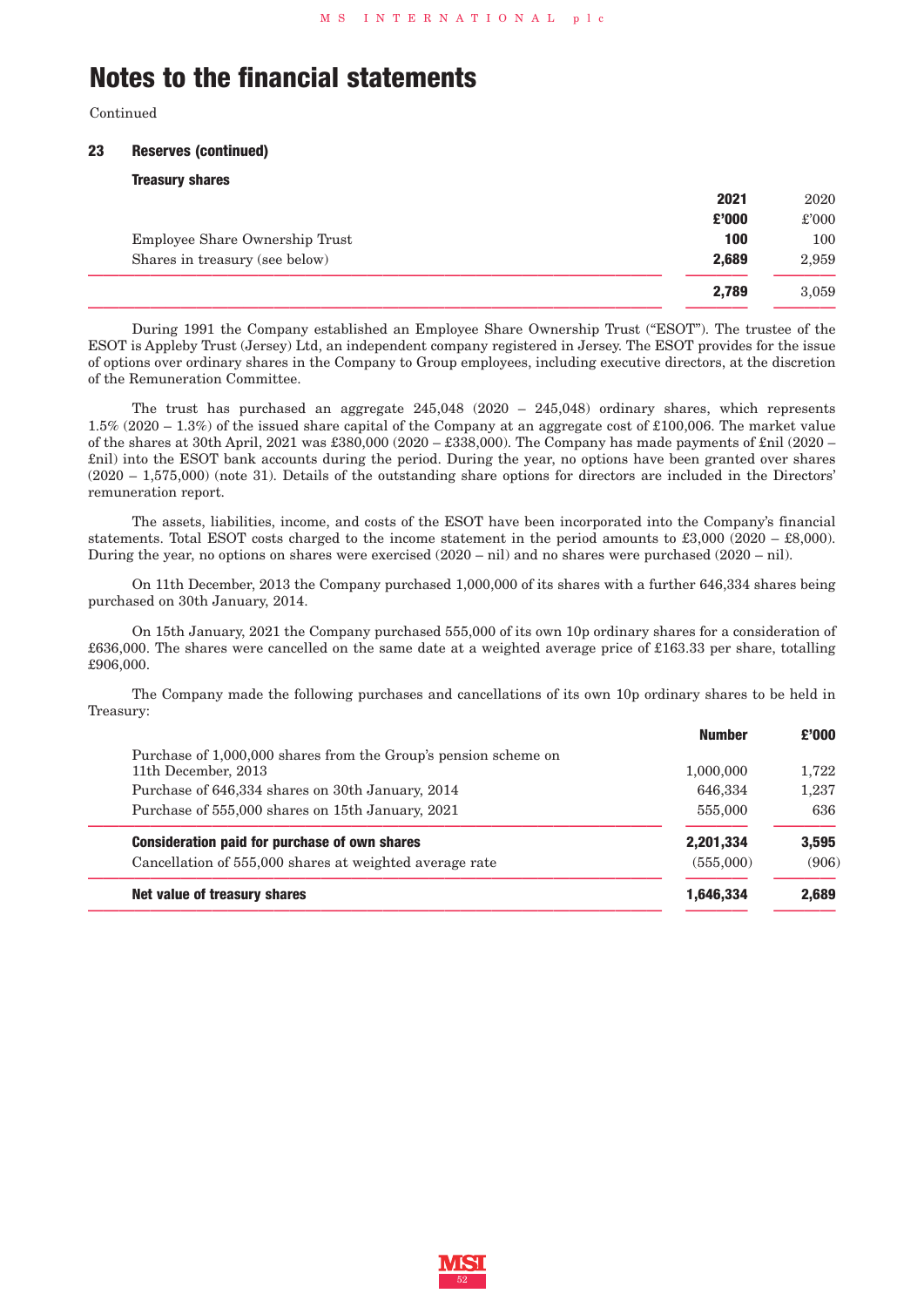Continued

### **23 Reserves (continued)**

### **Treasury shares**

|                                | 2021  | 2020          |
|--------------------------------|-------|---------------|
|                                | £'000 | $\pounds 000$ |
| Employee Share Ownership Trust | 100   | 100           |
| Shares in treasury (see below) | 2,689 | 2,959         |
|                                | 2,789 | 3,059         |

During 1991 the Company established an Employee Share Ownership Trust ("ESOT"). The trustee of the ESOT is Appleby Trust (Jersey) Ltd, an independent company registered in Jersey. The ESOT provides for the issue of options over ordinary shares in the Company to Group employees, including executive directors, at the discretion of the Remuneration Committee.

The trust has purchased an aggregate 245,048 (2020 – 245,048) ordinary shares, which represents 1.5% (2020 – 1.3%) of the issued share capital of the Company at an aggregate cost of £100,006. The market value of the shares at 30th April, 2021 was £380,000 (2020 – £338,000). The Company has made payments of £nil (2020 – £nil) into the ESOT bank accounts during the period. During the year, no options have been granted over shares (2020 – 1,575,000) (note 31). Details of the outstanding share options for directors are included in the Directors' remuneration report.

The assets, liabilities, income, and costs of the ESOT have been incorporated into the Company's financial statements. Total ESOT costs charged to the income statement in the period amounts to  $\pounds3,000$  (2020 –  $\pounds8,000$ ). During the year, no options on shares were exercised (2020 – nil) and no shares were purchased (2020 – nil).

On 11th December, 2013 the Company purchased 1,000,000 of its shares with a further 646,334 shares being purchased on 30th January, 2014.

On 15th January, 2021 the Company purchased 555,000 of its own 10p ordinary shares for a consideration of £636,000. The shares were cancelled on the same date at a weighted average price of £163.33 per share, totalling £906,000.

The Company made the following purchases and cancellations of its own 10p ordinary shares to be held in Treasury:

| Net value of treasury shares                                                                                    | 1,646,334              | 2.689          |
|-----------------------------------------------------------------------------------------------------------------|------------------------|----------------|
| <b>Consideration paid for purchase of own shares</b><br>Cancellation of 555,000 shares at weighted average rate | 2,201,334<br>(555,000) | 3.595<br>(906) |
| Purchase of 555,000 shares on 15th January, 2021                                                                | 555,000                | 636            |
| Purchase of 646,334 shares on 30th January, 2014                                                                | 646.334                | 1,237          |
| Purchase of 1,000,000 shares from the Group's pension scheme on<br>11th December, 2013                          | 1,000,000              | 1.722          |
|                                                                                                                 | <b>Number</b>          | £'000          |

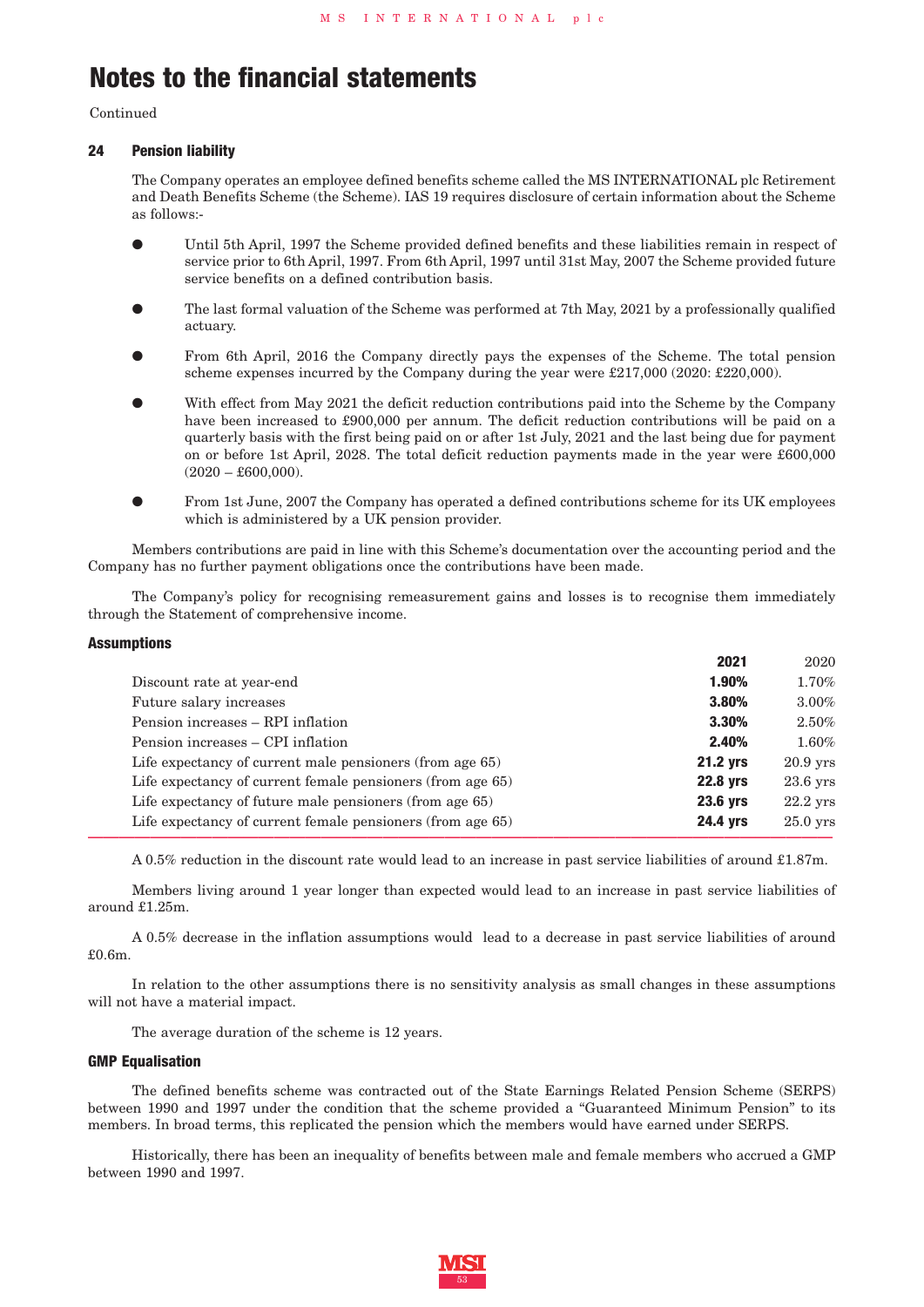Continued

#### **24 Pension liability**

The Company operates an employee defined benefits scheme called the MS INTERNATIONAL plc Retirement and Death Benefits Scheme (the Scheme). IAS 19 requires disclosure of certain information about the Scheme as follows:-

- Until 5th April, 1997 the Scheme provided defined benefits and these liabilities remain in respect of service prior to 6th April, 1997. From 6th April, 1997 until 31st May, 2007 the Scheme provided future service benefits on a defined contribution basis.
- The last formal valuation of the Scheme was performed at 7th May, 2021 by a professionally qualified actuary.
- From 6th April, 2016 the Company directly pays the expenses of the Scheme. The total pension scheme expenses incurred by the Company during the year were £217,000 (2020: £220,000).
- With effect from May 2021 the deficit reduction contributions paid into the Scheme by the Company have been increased to £900,000 per annum. The deficit reduction contributions will be paid on a quarterly basis with the first being paid on or after 1st July, 2021 and the last being due for payment on or before 1st April, 2028. The total deficit reduction payments made in the year were £600,000  $(2020 - \text{\pounds}600,000).$
- **●** From 1st June, 2007 the Company has operated a defined contributions scheme for its UK employees which is administered by a UK pension provider.

Members contributions are paid in line with this Scheme's documentation over the accounting period and the Company has no further payment obligations once the contributions have been made.

The Company's policy for recognising remeasurement gains and losses is to recognise them immediately through the Statement of comprehensive income.

#### **Assumptions**

| 2021                                                                          | 2020       |
|-------------------------------------------------------------------------------|------------|
| 1.90%<br>Discount rate at year-end                                            | 1.70%      |
| 3.80%<br>Future salary increases                                              | $3.00\%$   |
| Pension increases – RPI inflation<br>3.30%                                    | 2.50%      |
| 2.40%<br>Pension increases – CPI inflation                                    | $1.60\%$   |
| Life expectancy of current male pensioners (from age 65)<br><b>21.2 yrs</b>   | $20.9$ yrs |
| Life expectancy of current female pensioners (from age 65)<br><b>22.8 yrs</b> | $23.6$ yrs |
| Life expectancy of future male pensioners (from age 65)<br><b>23.6 yrs</b>    | $22.2$ yrs |
| <b>24.4 yrs</b><br>Life expectancy of current female pensioners (from age 65) | $25.0$ yrs |

A 0.5% reduction in the discount rate would lead to an increase in past service liabilities of around £1.87m.

Members living around 1 year longer than expected would lead to an increase in past service liabilities of around £1.25m.

A 0.5% decrease in the inflation assumptions would lead to a decrease in past service liabilities of around £0.6m.

In relation to the other assumptions there is no sensitivity analysis as small changes in these assumptions will not have a material impact.

The average duration of the scheme is 12 years.

#### **GMP Equalisation**

The defined benefits scheme was contracted out of the State Earnings Related Pension Scheme (SERPS) between 1990 and 1997 under the condition that the scheme provided a "Guaranteed Minimum Pension" to its members. In broad terms, this replicated the pension which the members would have earned under SERPS.

Historically, there has been an inequality of benefits between male and female members who accrued a GMP between 1990 and 1997.

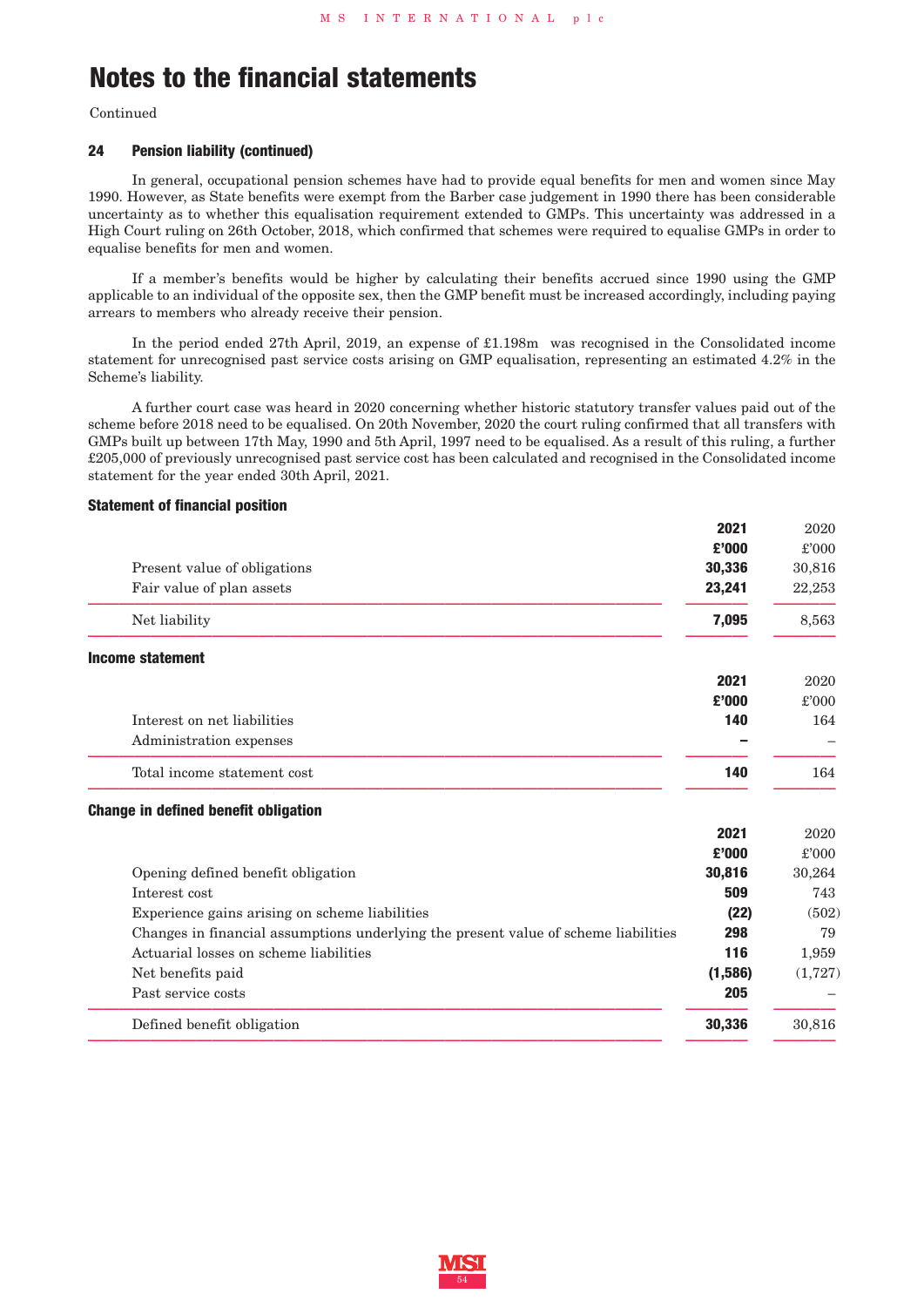Continued

#### **24 Pension liability (continued)**

In general, occupational pension schemes have had to provide equal benefits for men and women since May 1990. However, as State benefits were exempt from the Barber case judgement in 1990 there has been considerable uncertainty as to whether this equalisation requirement extended to GMPs. This uncertainty was addressed in a High Court ruling on 26th October, 2018, which confirmed that schemes were required to equalise GMPs in order to equalise benefits for men and women.

If a member's benefits would be higher by calculating their benefits accrued since 1990 using the GMP applicable to an individual of the opposite sex, then the GMP benefit must be increased accordingly, including paying arrears to members who already receive their pension.

In the period ended 27th April, 2019, an expense of £1.198m was recognised in the Consolidated income statement for unrecognised past service costs arising on GMP equalisation, representing an estimated 4.2% in the Scheme's liability.

A further court case was heard in 2020 concerning whether historic statutory transfer values paid out of the scheme before 2018 need to be equalised. On 20th November, 2020 the court ruling confirmed that all transfers with GMPs built up between 17th May, 1990 and 5th April, 1997 need to be equalised. As a result of this ruling, a further £205,000 of previously unrecognised past service cost has been calculated and recognised in the Consolidated income statement for the year ended 30th April, 2021.

#### **Statement of financial position**

|                                                                                     | 2021     | 2020     |
|-------------------------------------------------------------------------------------|----------|----------|
|                                                                                     | £'000    | £'000    |
| Present value of obligations                                                        | 30,336   | 30,816   |
| Fair value of plan assets                                                           | 23,241   | 22,253   |
| Net liability                                                                       | 7,095    | 8,563    |
| <b>Income statement</b>                                                             |          |          |
|                                                                                     | 2021     | 2020     |
|                                                                                     | £'000    | £'000    |
| Interest on net liabilities                                                         | 140      | 164      |
| Administration expenses                                                             |          |          |
| Total income statement cost                                                         | 140      | 164      |
| <b>Change in defined benefit obligation</b>                                         |          |          |
|                                                                                     | 2021     | 2020     |
|                                                                                     | £'000    | £'000    |
| Opening defined benefit obligation                                                  | 30,816   | 30,264   |
| Interest cost                                                                       | 509      | 743      |
| Experience gains arising on scheme liabilities                                      | (22)     | (502)    |
| Changes in financial assumptions underlying the present value of scheme liabilities | 298      | 79       |
| Actuarial losses on scheme liabilities                                              | 116      | 1,959    |
| Net benefits paid                                                                   | (1, 586) | (1, 727) |
| Past service costs                                                                  | 205      |          |
| Defined benefit obligation                                                          | 30,336   | 30,816   |

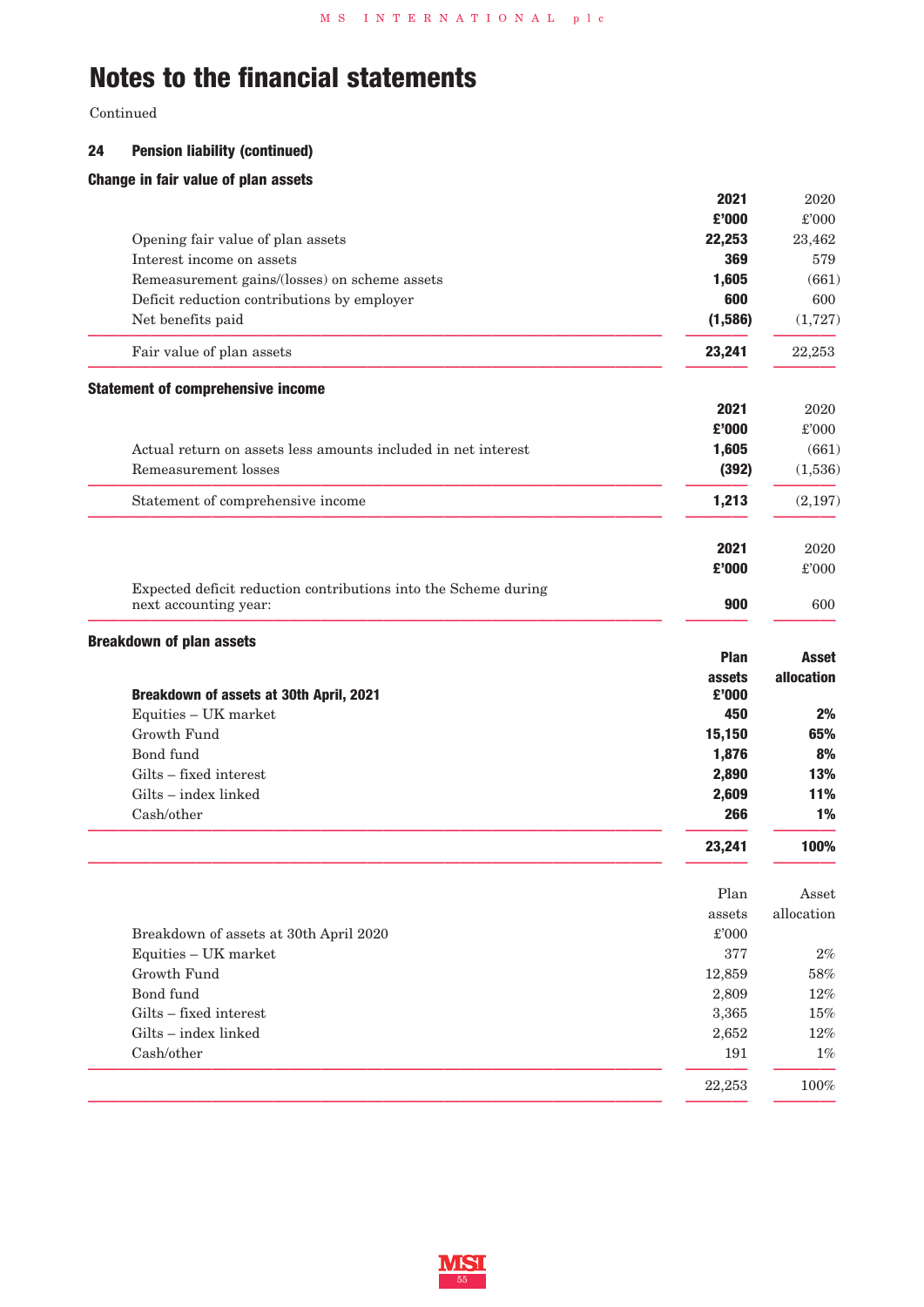Continued

## **24 Pension liability (continued)**

## **Change in fair value of plan assets**

|                                                                 | 2021         | 2020         |
|-----------------------------------------------------------------|--------------|--------------|
|                                                                 | £'000        | £'000        |
| Opening fair value of plan assets                               | 22,253       | 23,462       |
| Interest income on assets                                       | 369          | 579          |
| Remeasurement gains/(losses) on scheme assets                   | 1,605        | (661)        |
| Deficit reduction contributions by employer                     | 600          | 600          |
| Net benefits paid                                               | (1, 586)     | (1,727)      |
| Fair value of plan assets                                       | 23,241       | 22,253       |
| <b>Statement of comprehensive income</b>                        |              |              |
|                                                                 | 2021         | 2020         |
|                                                                 | £'000        | £'000        |
| Actual return on assets less amounts included in net interest   | 1,605        | (661)        |
| Remeasurement losses                                            | (392)        | (1,536)      |
| Statement of comprehensive income                               | 1,213        | (2,197)      |
|                                                                 | 2021         | 2020         |
|                                                                 | £'000        | £'000        |
| Expected deficit reduction contributions into the Scheme during |              |              |
| next accounting year:                                           | 900          | 600          |
| <b>Breakdown of plan assets</b>                                 |              |              |
|                                                                 | Plan         | <b>Asset</b> |
|                                                                 | assets       | allocation   |
| Breakdown of assets at 30th April, 2021                         | £'000        |              |
| Equities - UK market                                            | 450          | 2%           |
| Growth Fund                                                     | 15,150       | 65%          |
| Bond fund                                                       | 1,876        | 8%           |
| Gilts - fixed interest                                          | 2,890        | 13%          |
| Gilts - index linked<br>Cash/other                              | 2,609<br>266 | 11%<br>1%    |
|                                                                 |              |              |
|                                                                 | 23,241       | 100%         |
|                                                                 | Plan         | Asset        |
|                                                                 | assets       | allocation   |
| Breakdown of assets at 30th April 2020                          | £'000        |              |
| Equities - UK market                                            | 377          | $2\%$        |
| Growth Fund                                                     | 12,859       | $58\%$       |
| Bond fund                                                       |              | $12\%$       |
|                                                                 |              |              |
|                                                                 | 2,809        |              |
| Gilts - fixed interest                                          | 3,365        | 15%          |
| Gilts - index linked<br>Cash/other                              | 2,652<br>191 | 12%<br>$1\%$ |

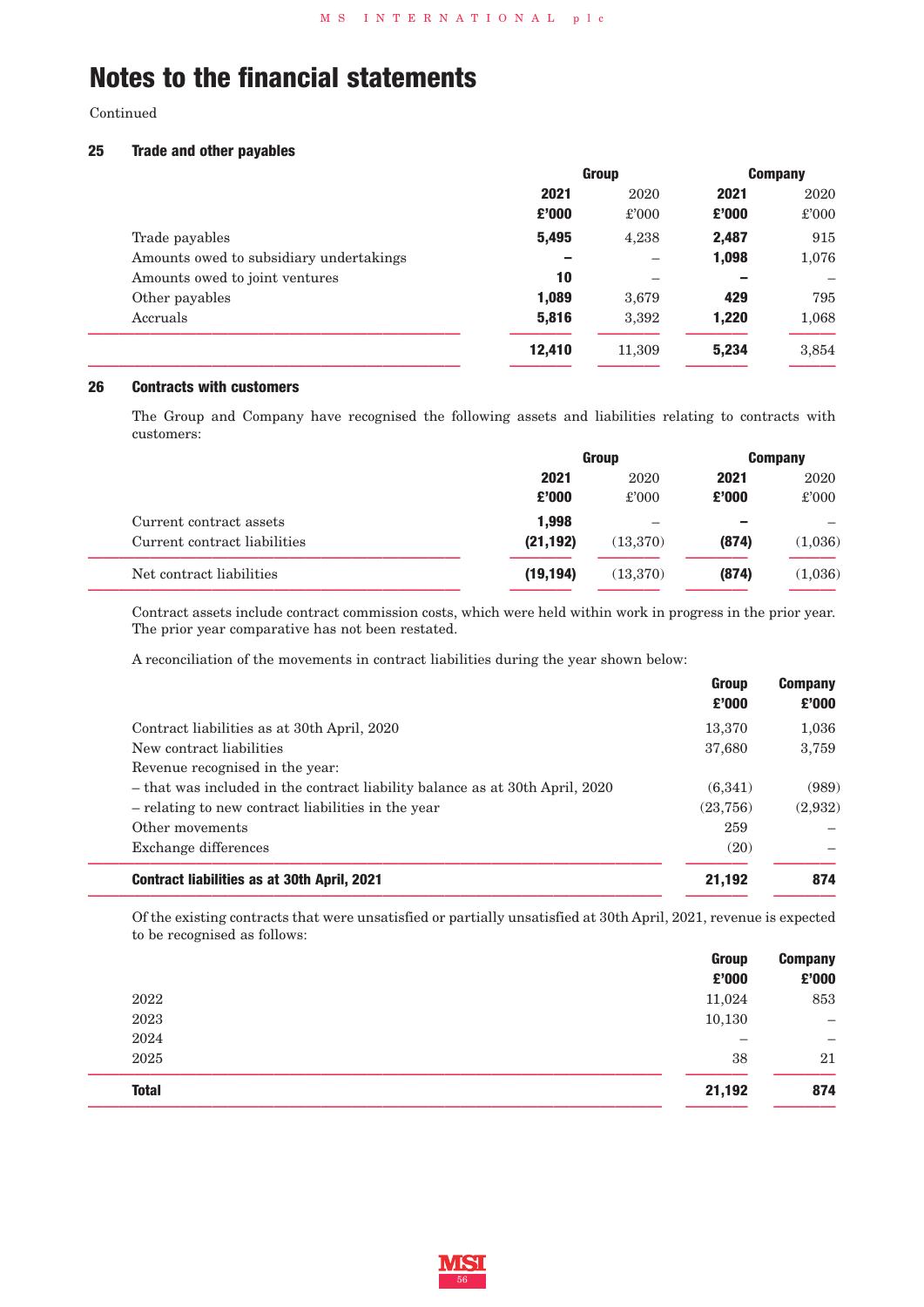Continued

### **25 Trade and other payables**

|                                         | <b>Group</b> |        | <b>Company</b> |               |
|-----------------------------------------|--------------|--------|----------------|---------------|
|                                         | 2021         | 2020   | 2021           | 2020          |
|                                         | £'000        | £'000  | £'000          | $\pounds 000$ |
| Trade payables                          | 5,495        | 4,238  | 2,487          | 915           |
| Amounts owed to subsidiary undertakings |              |        | 1,098          | 1,076         |
| Amounts owed to joint ventures          | 10           |        |                |               |
| Other payables                          | 1,089        | 3,679  | 429            | 795           |
| Accruals                                | 5,816        | 3,392  | 1,220          | 1,068         |
|                                         | 12,410       | 11,309 | 5,234          | 3,854         |
|                                         |              |        |                |               |

### **26 Contracts with customers**

The Group and Company have recognised the following assets and liabilities relating to contracts with customers:

|           | Group     |       | <b>Company</b> |
|-----------|-----------|-------|----------------|
| 2021      | 2020      | 2021  | 2020           |
| £'000     | £'000     | £'000 | £'000          |
| 1.998     | —         |       |                |
| (21, 192) | (13,370)  | (874) | $(1{,}036)$    |
| (19, 194) | (13, 370) | (874) | (1,036)        |
|           |           |       |                |

Contract assets include contract commission costs, which were held within work in progress in the prior year. The prior year comparative has not been restated.

A reconciliation of the movements in contract liabilities during the year shown below:

| - relating to new contract liabilities in the year<br>Other movements<br>Exchange differences<br><b>Contract liabilities as at 30th April, 2021</b> | (23,756)<br>259<br>(20)<br>21,192 | (2,932)<br>874          |
|-----------------------------------------------------------------------------------------------------------------------------------------------------|-----------------------------------|-------------------------|
| Revenue recognised in the year:<br>- that was included in the contract liability balance as at 30th April, 2020                                     | (6,341)                           | (989)                   |
| Contract liabilities as at 30th April, 2020<br>New contract liabilities                                                                             | 13,370<br>37,680                  | 1,036<br>3,759          |
|                                                                                                                                                     | <b>Group</b><br>£'000             | <b>Company</b><br>£'000 |

Of the existing contracts that were unsatisfied or partially unsatisfied at 30th April, 2021, revenue is expected to be recognised as follows:

| 2022         | <b>Group</b><br>£'000<br>11,024 | <b>Company</b><br>£'000<br>853 |
|--------------|---------------------------------|--------------------------------|
| 2023         | 10,130                          | $\overline{\phantom{m}}$       |
| 2024         |                                 | $\qquad \qquad -$              |
| 2025         | 38                              | 21                             |
| <b>Total</b> | 21,192                          | 874                            |

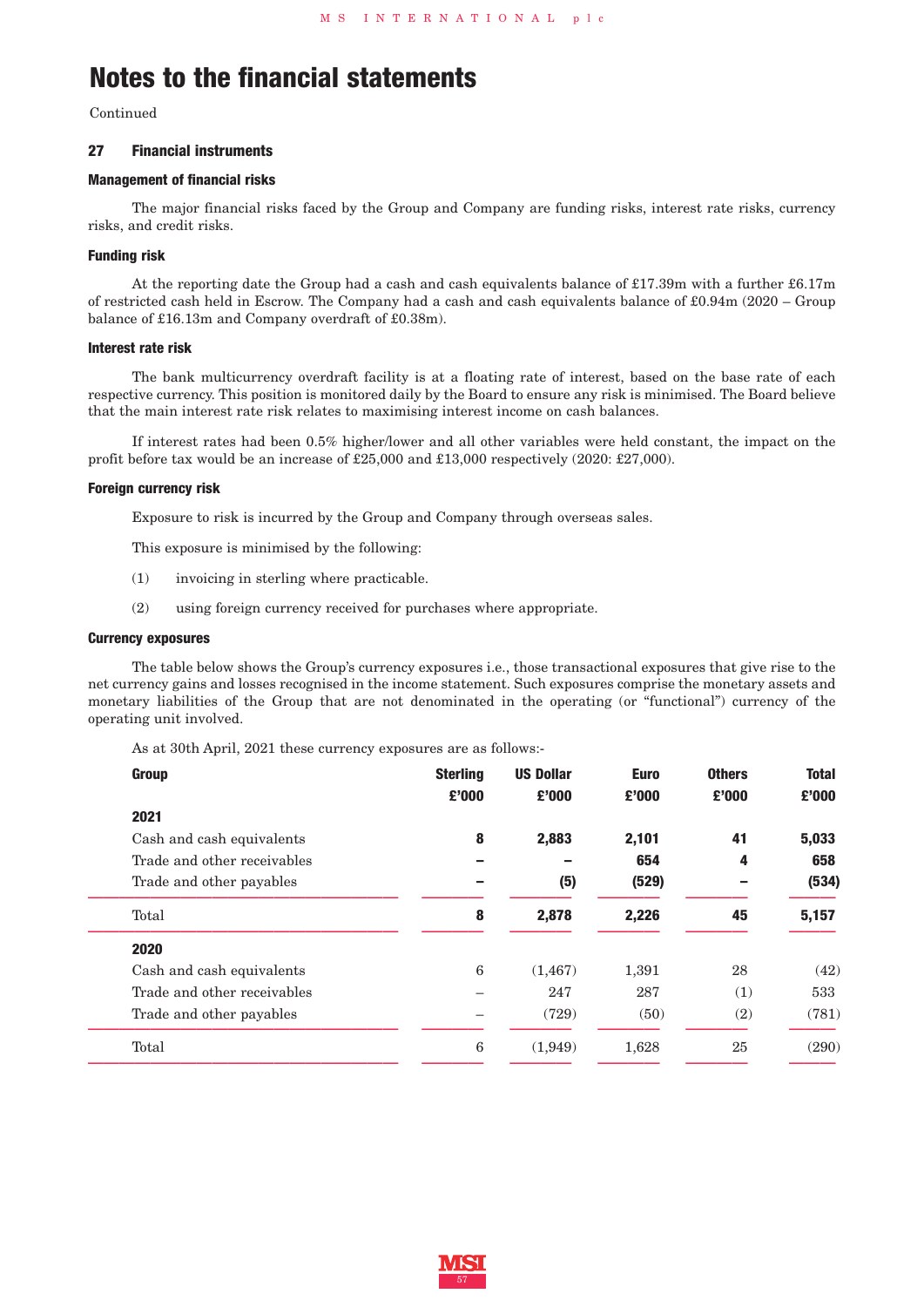Continued

### **27 Financial instruments**

### **Management of financial risks**

The major financial risks faced by the Group and Company are funding risks, interest rate risks, currency risks, and credit risks.

#### **Funding risk**

At the reporting date the Group had a cash and cash equivalents balance of £17.39m with a further £6.17m of restricted cash held in Escrow. The Company had a cash and cash equivalents balance of £0.94m (2020 – Group balance of £16.13m and Company overdraft of £0.38m).

#### **Interest rate risk**

The bank multicurrency overdraft facility is at a floating rate of interest, based on the base rate of each respective currency. This position is monitored daily by the Board to ensure any risk is minimised. The Board believe that the main interest rate risk relates to maximising interest income on cash balances.

If interest rates had been 0.5% higher/lower and all other variables were held constant, the impact on the profit before tax would be an increase of £25,000 and £13,000 respectively (2020: £27,000).

#### **Foreign currency risk**

Exposure to risk is incurred by the Group and Company through overseas sales.

This exposure is minimised by the following:

- (1) invoicing in sterling where practicable.
- (2) using foreign currency received for purchases where appropriate.

#### **Currency exposures**

The table below shows the Group's currency exposures i.e., those transactional exposures that give rise to the net currency gains and losses recognised in the income statement. Such exposures comprise the monetary assets and monetary liabilities of the Group that are not denominated in the operating (or "functional") currency of the operating unit involved.

As at 30th April, 2021 these currency exposures are as follows:-

| <b>Group</b>                | <b>Sterling</b><br>£'000 | <b>US Dollar</b><br>£'000 | <b>Euro</b><br>£'000 | <b>Others</b><br>£'000 | <b>Total</b><br>£'000 |
|-----------------------------|--------------------------|---------------------------|----------------------|------------------------|-----------------------|
| 2021                        |                          |                           |                      |                        |                       |
| Cash and cash equivalents   | 8                        | 2,883                     | 2,101                | 41                     | 5,033                 |
| Trade and other receivables |                          |                           | 654                  | 4                      | 658                   |
| Trade and other payables    |                          | (5)                       | (529)                |                        | (534)                 |
| Total                       | 8                        | 2,878                     | 2,226                | 45                     | 5,157                 |
| 2020                        |                          |                           |                      |                        |                       |
| Cash and cash equivalents   | 6                        | (1, 467)                  | 1,391                | 28                     | (42)                  |
| Trade and other receivables |                          | 247                       | 287                  | (1)                    | 533                   |
| Trade and other payables    |                          | (729)                     | (50)                 | (2)                    | (781)                 |
| Total                       | 6                        | (1,949)                   | 1,628                | 25                     | (290)                 |
|                             |                          |                           |                      |                        |                       |

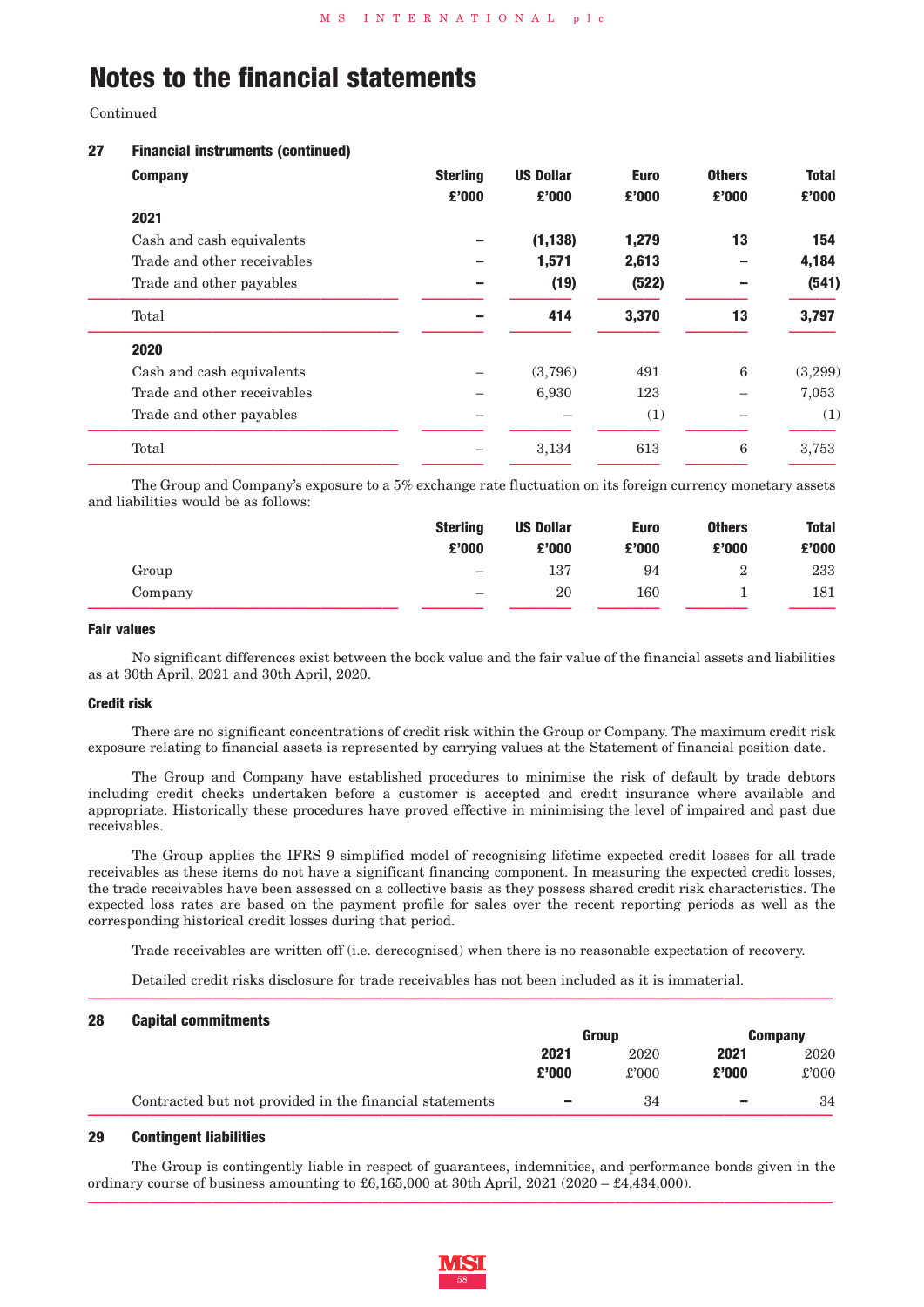Continued

### **27 Financial instruments (continued)**

| <b>Company</b>              | <b>Sterling</b><br>£'000 | <b>US Dollar</b><br>£'000 | <b>Euro</b><br>£'000 | <b>Others</b><br>£'000 | <b>Total</b><br>£'000 |
|-----------------------------|--------------------------|---------------------------|----------------------|------------------------|-----------------------|
| 2021                        |                          |                           |                      |                        |                       |
| Cash and cash equivalents   |                          | (1, 138)                  | 1,279                | 13                     | 154                   |
| Trade and other receivables |                          | 1,571                     | 2,613                |                        | 4,184                 |
| Trade and other payables    |                          | (19)                      | (522)                |                        | (541)                 |
| Total                       |                          | 414                       | 3,370                | 13                     | 3,797                 |
| 2020                        |                          |                           |                      |                        |                       |
| Cash and cash equivalents   |                          | (3,796)                   | 491                  | 6                      | (3,299)               |
| Trade and other receivables |                          | 6,930                     | 123                  |                        | 7,053                 |
| Trade and other payables    |                          |                           | (1)                  |                        | (1)                   |
| Total                       |                          | 3,134                     | 613                  | 6                      | 3,753                 |

The Group and Company's exposure to a 5% exchange rate fluctuation on its foreign currency monetary assets and liabilities would be as follows:

|         | <b>Sterling</b> | <b>US Dollar</b> | <b>Euro</b> | <b>Others</b> | <b>Total</b> |
|---------|-----------------|------------------|-------------|---------------|--------------|
|         | £'000           | £'000            | £'000       | £'000         | £'000        |
| Group   | $\qquad \qquad$ | 137              | 94          | 2             | 233          |
| Company |                 | 20               | 160         |               | 181          |

#### **Fair values**

No significant differences exist between the book value and the fair value of the financial assets and liabilities as at 30th April, 2021 and 30th April, 2020.

### **Credit risk**

There are no significant concentrations of credit risk within the Group or Company. The maximum credit risk exposure relating to financial assets is represented by carrying values at the Statement of financial position date.

The Group and Company have established procedures to minimise the risk of default by trade debtors including credit checks undertaken before a customer is accepted and credit insurance where available and appropriate. Historically these procedures have proved effective in minimising the level of impaired and past due receivables.

The Group applies the IFRS 9 simplified model of recognising lifetime expected credit losses for all trade receivables as these items do not have a significant financing component. In measuring the expected credit losses, the trade receivables have been assessed on a collective basis as they possess shared credit risk characteristics. The expected loss rates are based on the payment profile for sales over the recent reporting periods as well as the corresponding historical credit losses during that period.

Trade receivables are written off (i.e. derecognised) when there is no reasonable expectation of recovery.

Detailed credit risks disclosure for trade receivables has not been included as it is immaterial. **222222222222222222222222222222222222222222222222**

### **28 Capital commitments**

| -- | <b>UUPILUI UUIIIIIIIIIIIIIUIILU</b>                     |                          | Group         |                          | <b>Company</b> |  |
|----|---------------------------------------------------------|--------------------------|---------------|--------------------------|----------------|--|
|    |                                                         | 2021<br>£'000            | 2020<br>£'000 | 2021<br>£'000            | 2020<br>£'000  |  |
|    | Contracted but not provided in the financial statements | $\overline{\phantom{a}}$ | 34            | $\overline{\phantom{a}}$ | 34             |  |

#### **29 Contingent liabilities**

The Group is contingently liable in respect of guarantees, indemnities, and performance bonds given in the ordinary course of business amounting to  $£6,165,000$  at 30th April, 2021 (2020 –  $£4,434,000$ ). **222222222222222222222222222222222222222222222222**

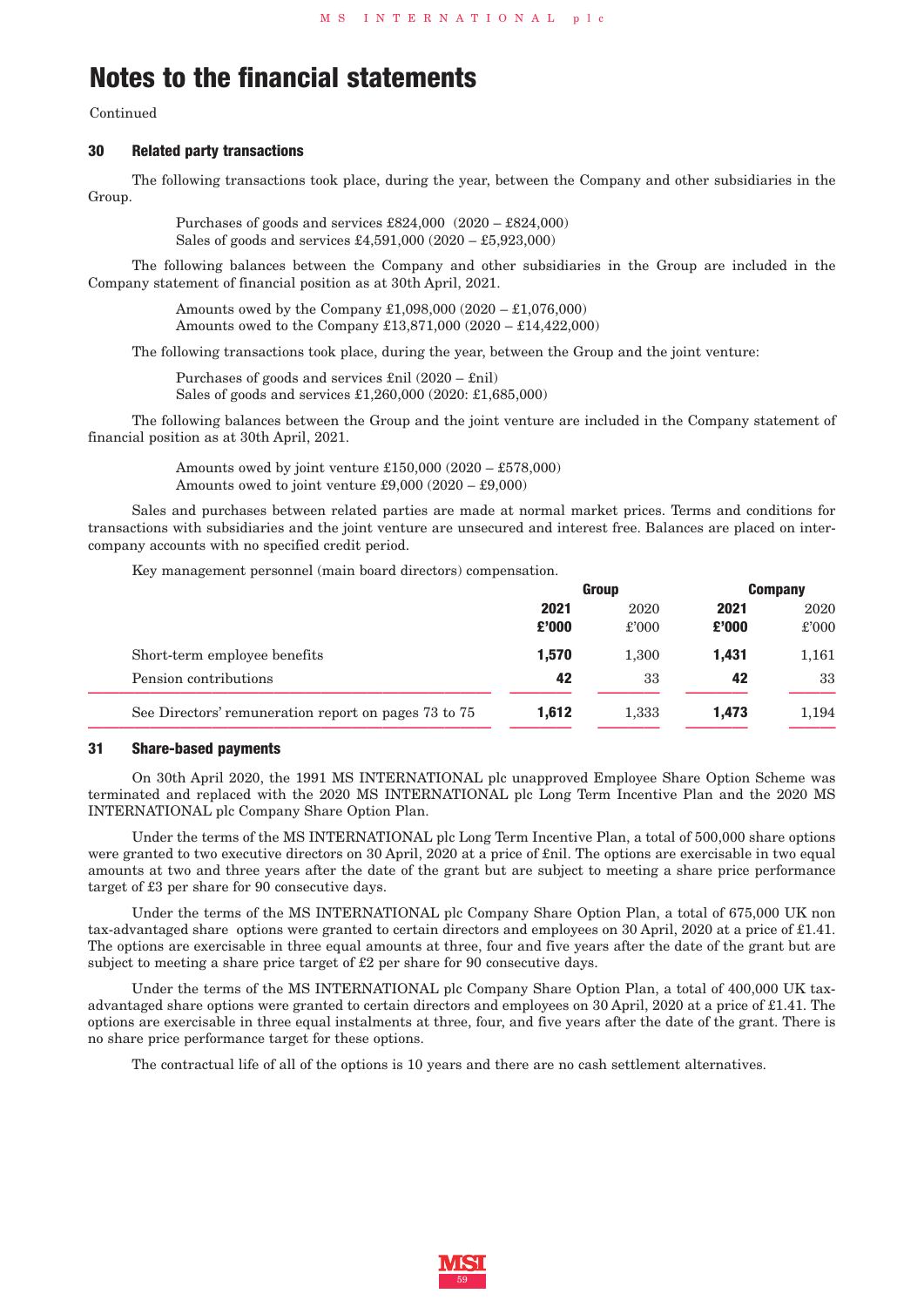Continued

#### **30 Related party transactions**

The following transactions took place, during the year, between the Company and other subsidiaries in the Group.

> Purchases of goods and services £824,000 (2020 – £824,000) Sales of goods and services £4,591,000 (2020 – £5,923,000)

The following balances between the Company and other subsidiaries in the Group are included in the Company statement of financial position as at 30th April, 2021.

> Amounts owed by the Company £1,098,000 (2020 – £1,076,000) Amounts owed to the Company £13,871,000 (2020 – £14,422,000)

The following transactions took place, during the year, between the Group and the joint venture:

Purchases of goods and services £nil (2020 – £nil) Sales of goods and services £1,260,000 (2020: £1,685,000)

The following balances between the Group and the joint venture are included in the Company statement of financial position as at 30th April, 2021.

> Amounts owed by joint venture £150,000 (2020 – £578,000) Amounts owed to joint venture  $£9,000 (2020 - £9,000)$

Sales and purchases between related parties are made at normal market prices. Terms and conditions for transactions with subsidiaries and the joint venture are unsecured and interest free. Balances are placed on intercompany accounts with no specified credit period.

Key management personnel (main board directors) compensation.

|                                                      | <b>Group</b> |       | <b>Company</b> |       |
|------------------------------------------------------|--------------|-------|----------------|-------|
|                                                      | 2021         | 2020  | 2021           | 2020  |
|                                                      | £'000        | £'000 | £'000          | £'000 |
| Short-term employee benefits                         | 1,570        | 1.300 | 1.431          | 1,161 |
| Pension contributions                                | 42           | 33    | 42             | 33    |
| See Directors' remuneration report on pages 73 to 75 | 1.612        | 1.333 | 1.473          | 1,194 |

#### **31 Share-based payments**

On 30th April 2020, the 1991 MS INTERNATIONAL plc unapproved Employee Share Option Scheme was terminated and replaced with the 2020 MS INTERNATIONAL plc Long Term Incentive Plan and the 2020 MS INTERNATIONAL plc Company Share Option Plan.

Under the terms of the MS INTERNATIONAL plc Long Term Incentive Plan, a total of 500,000 share options were granted to two executive directors on 30 April, 2020 at a price of £nil. The options are exercisable in two equal amounts at two and three years after the date of the grant but are subject to meeting a share price performance target of £3 per share for 90 consecutive days.

Under the terms of the MS INTERNATIONAL plc Company Share Option Plan, a total of 675,000 UK non tax-advantaged share options were granted to certain directors and employees on 30 April, 2020 at a price of £1.41. The options are exercisable in three equal amounts at three, four and five years after the date of the grant but are subject to meeting a share price target of £2 per share for 90 consecutive days.

Under the terms of the MS INTERNATIONAL plc Company Share Option Plan, a total of 400,000 UK taxadvantaged share options were granted to certain directors and employees on 30 April, 2020 at a price of £1.41. The options are exercisable in three equal instalments at three, four, and five years after the date of the grant. There is no share price performance target for these options.

The contractual life of all of the options is 10 years and there are no cash settlement alternatives.

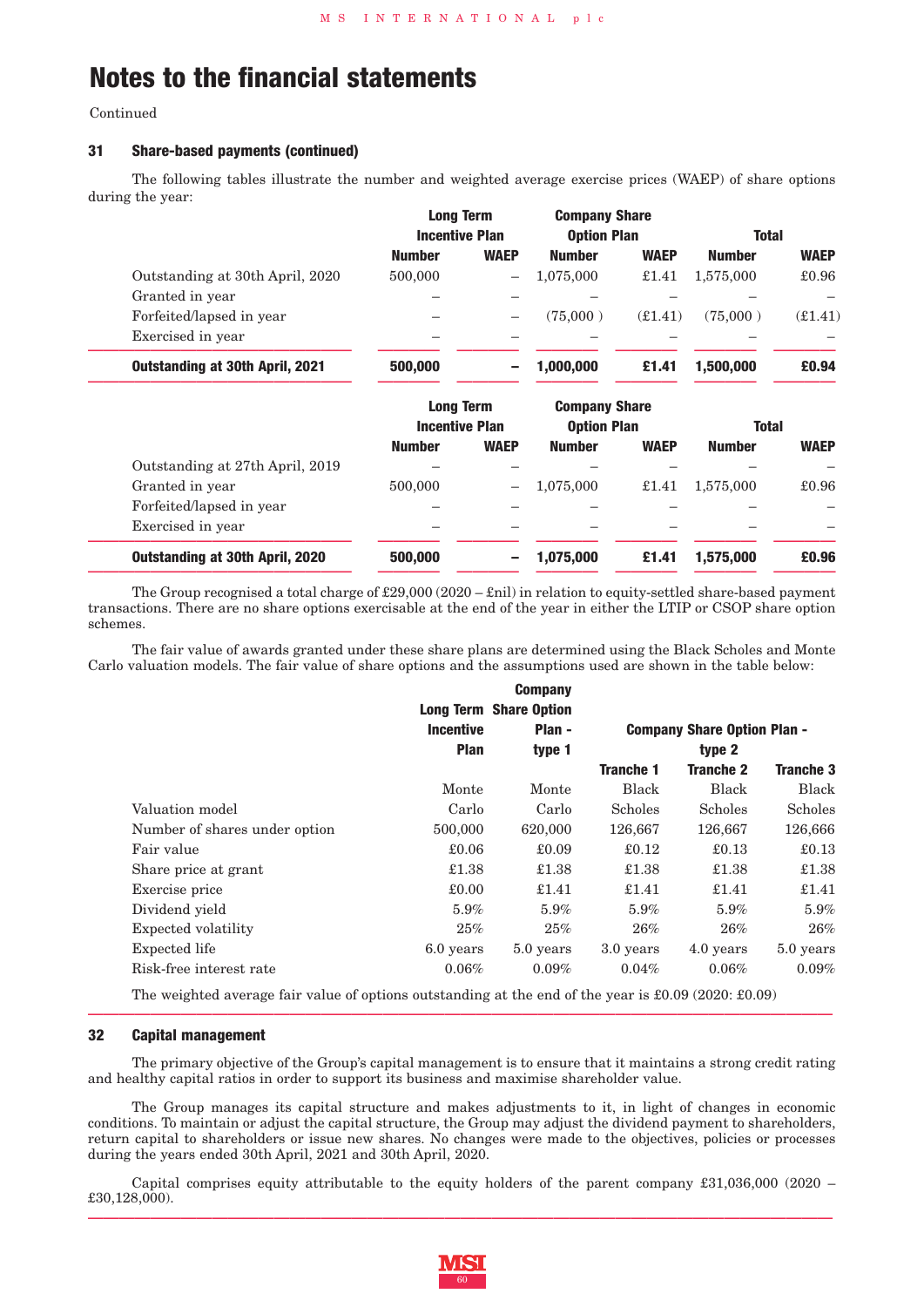Continued

### **31 Share-based payments (continued)**

The following tables illustrate the number and weighted average exercise prices (WAEP) of share options during the year:

|                                        |               | <b>Long Term</b><br><b>Incentive Plan</b> | <b>Company Share</b><br><b>Option Plan</b> |             | <b>Total</b>  |             |
|----------------------------------------|---------------|-------------------------------------------|--------------------------------------------|-------------|---------------|-------------|
|                                        | <b>Number</b> | <b>WAEP</b>                               | <b>Number</b>                              | <b>WAEP</b> | <b>Number</b> | <b>WAEP</b> |
| Outstanding at 30th April, 2020        | 500,000       | —                                         | 1,075,000                                  | £1.41       | 1,575,000     | £0.96       |
| Granted in year                        |               |                                           |                                            |             |               |             |
| Forfeited/lapsed in year               |               |                                           | (75,000)                                   | (E1.41)     | (75,000)      | (E1.41)     |
| Exercised in year                      |               |                                           |                                            |             |               |             |
| <b>Outstanding at 30th April, 2021</b> | 500,000       | -                                         | 1,000,000                                  | £1.41       | 1,500,000     | £0.94       |
|                                        |               | <b>Long Term</b><br><b>Incentive Plan</b> | <b>Company Share</b><br><b>Option Plan</b> |             | <b>Total</b>  |             |
|                                        | <b>Number</b> | <b>WAEP</b>                               | <b>Number</b>                              | <b>WAEP</b> | <b>Number</b> | <b>WAEP</b> |
| Outstanding at 27th April, 2019        |               |                                           |                                            |             |               |             |
| Granted in year                        | 500,000       |                                           | 1,075,000                                  | £1.41       | 1,575,000     | £0.96       |
| Forfeited/lapsed in year               |               |                                           |                                            |             |               |             |
| Exercised in year                      |               |                                           |                                            |             |               |             |
| <b>Outstanding at 30th April, 2020</b> | 500,000       | -                                         | 1,075,000                                  | £1.41       | 1,575,000     | £0.96       |

The Group recognised a total charge of £29,000 (2020 – £nil) in relation to equity-settled share-based payment transactions. There are no share options exercisable at the end of the year in either the LTIP or CSOP share option schemes.

The fair value of awards granted under these share plans are determined using the Black Scholes and Monte Carlo valuation models. The fair value of share options and the assumptions used are shown in the table below:

|                               |                  | <b>Company</b>                |                  |                                    |                  |
|-------------------------------|------------------|-------------------------------|------------------|------------------------------------|------------------|
|                               |                  | <b>Long Term Share Option</b> |                  |                                    |                  |
|                               | <b>Incentive</b> | Plan -                        |                  | <b>Company Share Option Plan -</b> |                  |
|                               | <b>Plan</b>      | type 1                        |                  | type 2                             |                  |
|                               |                  |                               | <b>Tranche 1</b> | <b>Tranche 2</b>                   | <b>Tranche 3</b> |
|                               | Monte            | Monte                         | Black            | Black                              | Black            |
| Valuation model               | Carlo            | Carlo                         | Scholes          | Scholes                            | Scholes          |
| Number of shares under option | 500,000          | 620,000                       | 126,667          | 126,667                            | 126,666          |
| Fair value                    | £0.06            | £0.09                         | £0.12            | £0.13                              | £0.13            |
| Share price at grant          | £1.38            | £1.38                         | £1.38            | £1.38                              | £1.38            |
| Exercise price                | £0.00            | £1.41                         | £1.41            | £1.41                              | £1.41            |
| Dividend yield                | $5.9\%$          | $5.9\%$                       | $5.9\%$          | $5.9\%$                            | 5.9%             |
| Expected volatility           | 25%              | 25%                           | 26%              | 26%                                | $26\%$           |
| Expected life                 | 6.0 years        | 5.0 years                     | 3.0 years        | 4.0 years                          | 5.0 years        |
| Risk-free interest rate       | 0.06%            | 0.09%                         | $0.04\%$         | 0.06%                              | 0.09%            |

The weighted average fair value of options outstanding at the end of the year is £0.09 (2020: £0.09) **222222222222222222222222222222222222222222222222**

#### **32 Capital management**

The primary objective of the Group's capital management is to ensure that it maintains a strong credit rating and healthy capital ratios in order to support its business and maximise shareholder value.

The Group manages its capital structure and makes adjustments to it, in light of changes in economic conditions. To maintain or adjust the capital structure, the Group may adjust the dividend payment to shareholders, return capital to shareholders or issue new shares. No changes were made to the objectives, policies or processes during the years ended 30th April, 2021 and 30th April, 2020.

Capital comprises equity attributable to the equity holders of the parent company £31,036,000 (2020 – £30,128,000). **222222222222222222222222222222222222222222222222**

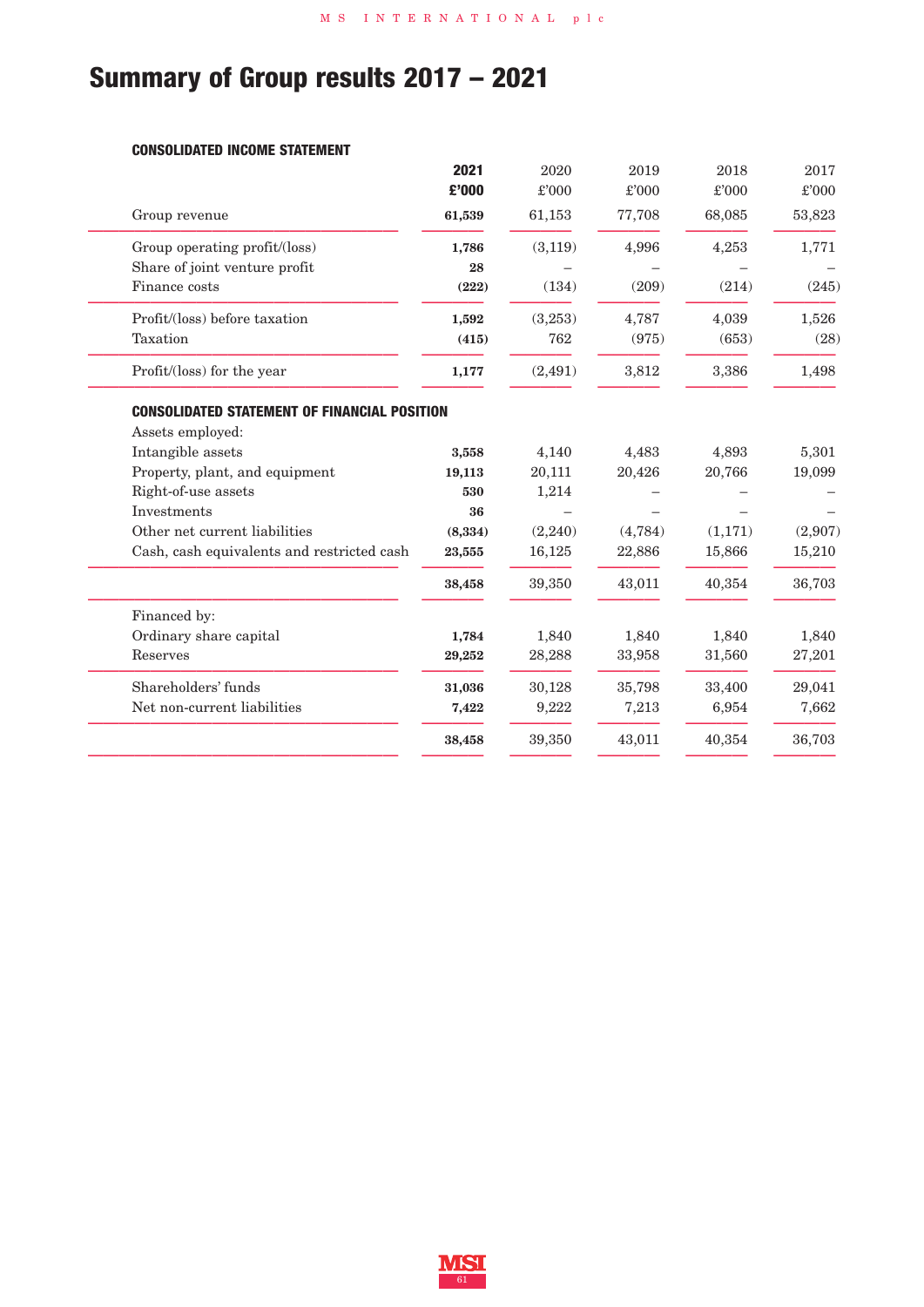# **Summary of Group results 2017 – 2021**

## **CONSOLIDATED INCOME STATEMENT**

|                                                     | 2021     | 2020          | 2019          | 2018          | 2017          |
|-----------------------------------------------------|----------|---------------|---------------|---------------|---------------|
|                                                     | £'000    | $\pounds 000$ | $\pounds 000$ | $\pounds 000$ | $\pounds 000$ |
| Group revenue                                       | 61,539   | 61,153        | 77,708        | 68,085        | 53,823        |
| Group operating profit/(loss)                       | 1,786    | (3, 119)      | 4,996         | 4,253         | 1,771         |
| Share of joint venture profit                       | 28       |               |               |               |               |
| Finance costs                                       | (222)    | (134)         | (209)         | (214)         | (245)         |
| Profit/(loss) before taxation                       | 1,592    | (3,253)       | 4,787         | 4,039         | 1,526         |
| Taxation                                            | (415)    | 762           | (975)         | (653)         | (28)          |
| Profit/(loss) for the year                          | 1,177    | (2, 491)      | 3,812         | 3,386         | 1,498         |
| <b>CONSOLIDATED STATEMENT OF FINANCIAL POSITION</b> |          |               |               |               |               |
| Assets employed:                                    |          |               |               |               |               |
| Intangible assets                                   | 3,558    | 4,140         | 4,483         | 4,893         | 5,301         |
| Property, plant, and equipment                      | 19,113   | 20,111        | 20,426        | 20,766        | 19,099        |
| Right-of-use assets                                 | 530      | 1,214         |               |               |               |
| Investments                                         | 36       |               |               |               |               |
| Other net current liabilities                       | (8, 334) | (2,240)       | (4,784)       | (1,171)       | (2,907)       |
| Cash, cash equivalents and restricted cash          | 23,555   | 16,125        | 22,886        | 15,866        | 15,210        |
|                                                     | 38,458   | 39,350        | 43,011        | 40,354        | 36,703        |
| Financed by:                                        |          |               |               |               |               |
| Ordinary share capital                              | 1,784    | 1,840         | 1,840         | 1,840         | 1,840         |
| Reserves                                            | 29,252   | 28,288        | 33,958        | 31,560        | 27,201        |
| Shareholders' funds                                 | 31,036   | 30,128        | 35,798        | 33,400        | 29,041        |
| Net non-current liabilities                         | 7,422    | 9,222         | 7,213         | 6,954         | 7,662         |
|                                                     | 38,458   | 39,350        | 43,011        | 40,354        | 36,703        |
|                                                     |          |               |               |               |               |

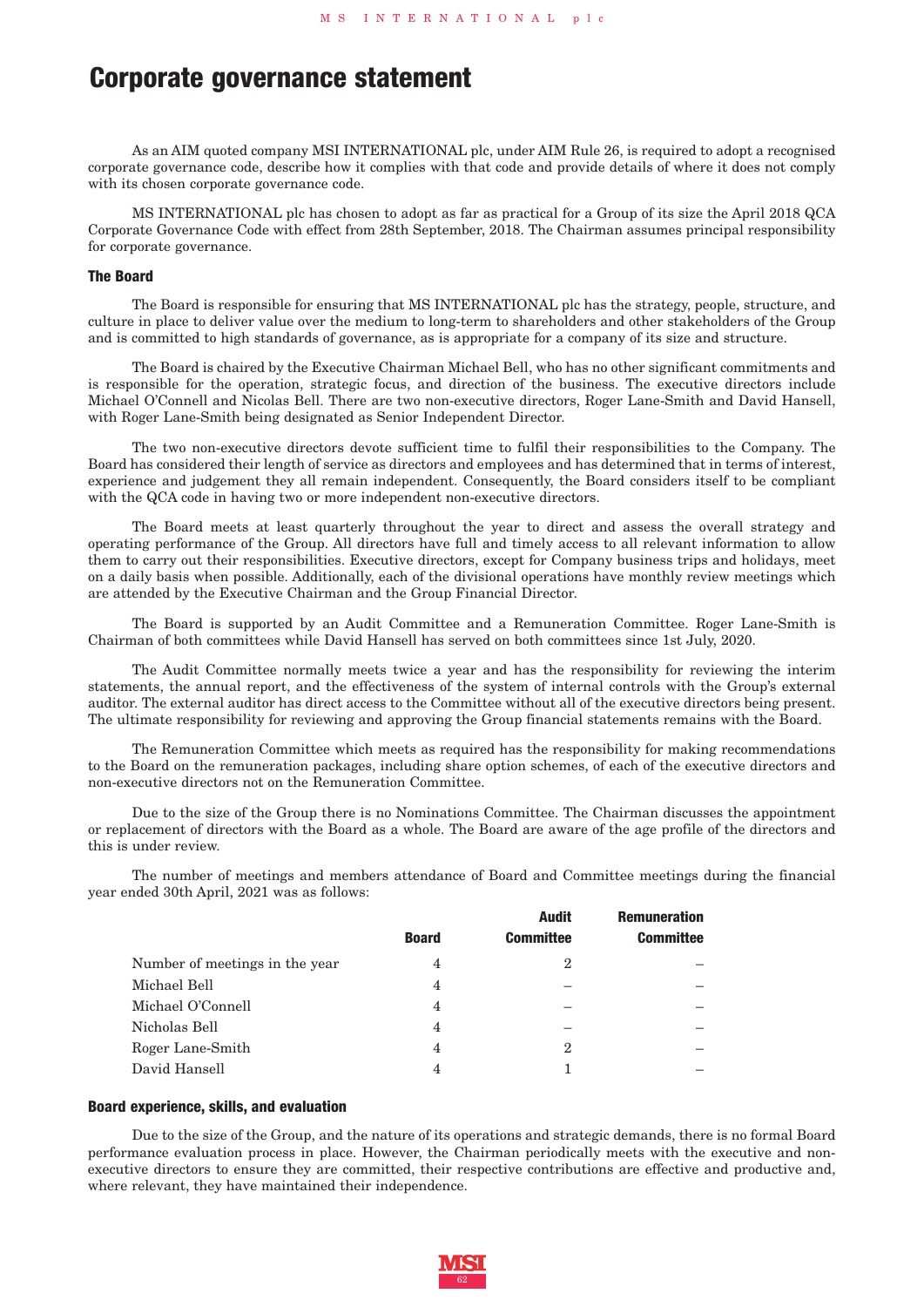## **Corporate governance statement**

As an AIM quoted company MSI INTERNATIONAL plc, under AIM Rule 26, is required to adopt a recognised corporate governance code, describe how it complies with that code and provide details of where it does not comply with its chosen corporate governance code.

MS INTERNATIONAL plc has chosen to adopt as far as practical for a Group of its size the April 2018 QCA Corporate Governance Code with effect from 28th September, 2018. The Chairman assumes principal responsibility for corporate governance.

#### **The Board**

The Board is responsible for ensuring that MS INTERNATIONAL plc has the strategy, people, structure, and culture in place to deliver value over the medium to long-term to shareholders and other stakeholders of the Group and is committed to high standards of governance, as is appropriate for a company of its size and structure.

The Board is chaired by the Executive Chairman Michael Bell, who has no other significant commitments and is responsible for the operation, strategic focus, and direction of the business. The executive directors include Michael O'Connell and Nicolas Bell. There are two non-executive directors, Roger Lane-Smith and David Hansell, with Roger Lane-Smith being designated as Senior Independent Director.

The two non-executive directors devote sufficient time to fulfil their responsibilities to the Company. The Board has considered their length of service as directors and employees and has determined that in terms of interest, experience and judgement they all remain independent. Consequently, the Board considers itself to be compliant with the QCA code in having two or more independent non-executive directors.

The Board meets at least quarterly throughout the year to direct and assess the overall strategy and operating performance of the Group. All directors have full and timely access to all relevant information to allow them to carry out their responsibilities. Executive directors, except for Company business trips and holidays, meet on a daily basis when possible. Additionally, each of the divisional operations have monthly review meetings which are attended by the Executive Chairman and the Group Financial Director.

The Board is supported by an Audit Committee and a Remuneration Committee. Roger Lane-Smith is Chairman of both committees while David Hansell has served on both committees since 1st July, 2020.

The Audit Committee normally meets twice a year and has the responsibility for reviewing the interim statements, the annual report, and the effectiveness of the system of internal controls with the Group's external auditor. The external auditor has direct access to the Committee without all of the executive directors being present. The ultimate responsibility for reviewing and approving the Group financial statements remains with the Board.

The Remuneration Committee which meets as required has the responsibility for making recommendations to the Board on the remuneration packages, including share option schemes, of each of the executive directors and non-executive directors not on the Remuneration Committee.

Due to the size of the Group there is no Nominations Committee. The Chairman discusses the appointment or replacement of directors with the Board as a whole. The Board are aware of the age profile of the directors and this is under review.

The number of meetings and members attendance of Board and Committee meetings during the financial year ended 30th April, 2021 was as follows:

|                                |                | <b>Audit</b>     | <b>Remuneration</b> |
|--------------------------------|----------------|------------------|---------------------|
|                                | <b>Board</b>   | <b>Committee</b> | <b>Committee</b>    |
| Number of meetings in the year | 4              | 2                |                     |
| Michael Bell                   | 4              |                  |                     |
| Michael O'Connell              | 4              |                  |                     |
| Nicholas Bell                  | $\overline{4}$ |                  |                     |
| Roger Lane-Smith               | $\overline{4}$ | 2                |                     |
| David Hansell                  | 4              |                  |                     |

#### **Board experience, skills, and evaluation**

Due to the size of the Group, and the nature of its operations and strategic demands, there is no formal Board performance evaluation process in place. However, the Chairman periodically meets with the executive and nonexecutive directors to ensure they are committed, their respective contributions are effective and productive and, where relevant, they have maintained their independence.

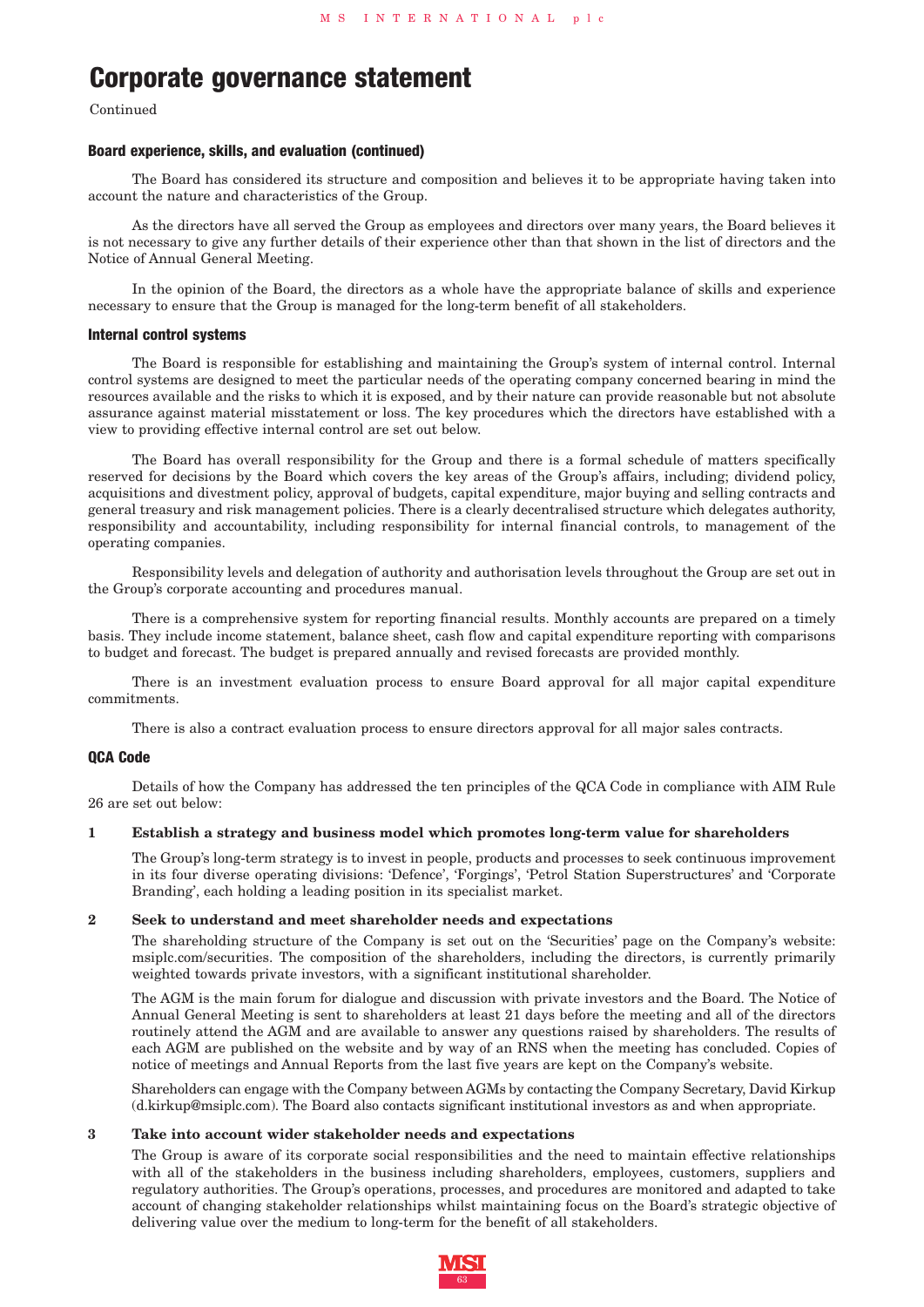# **Corporate governance statement**

Continued

#### **Board experience, skills, and evaluation (continued)**

The Board has considered its structure and composition and believes it to be appropriate having taken into account the nature and characteristics of the Group.

As the directors have all served the Group as employees and directors over many years, the Board believes it is not necessary to give any further details of their experience other than that shown in the list of directors and the Notice of Annual General Meeting.

In the opinion of the Board, the directors as a whole have the appropriate balance of skills and experience necessary to ensure that the Group is managed for the long-term benefit of all stakeholders.

#### **Internal control systems**

The Board is responsible for establishing and maintaining the Group's system of internal control. Internal control systems are designed to meet the particular needs of the operating company concerned bearing in mind the resources available and the risks to which it is exposed, and by their nature can provide reasonable but not absolute assurance against material misstatement or loss. The key procedures which the directors have established with a view to providing effective internal control are set out below.

The Board has overall responsibility for the Group and there is a formal schedule of matters specifically reserved for decisions by the Board which covers the key areas of the Group's affairs, including; dividend policy, acquisitions and divestment policy, approval of budgets, capital expenditure, major buying and selling contracts and general treasury and risk management policies. There is a clearly decentralised structure which delegates authority, responsibility and accountability, including responsibility for internal financial controls, to management of the operating companies.

Responsibility levels and delegation of authority and authorisation levels throughout the Group are set out in the Group's corporate accounting and procedures manual.

There is a comprehensive system for reporting financial results. Monthly accounts are prepared on a timely basis. They include income statement, balance sheet, cash flow and capital expenditure reporting with comparisons to budget and forecast. The budget is prepared annually and revised forecasts are provided monthly.

There is an investment evaluation process to ensure Board approval for all major capital expenditure commitments.

There is also a contract evaluation process to ensure directors approval for all major sales contracts.

#### **QCA Code**

Details of how the Company has addressed the ten principles of the QCA Code in compliance with AIM Rule 26 are set out below:

#### **1 Establish a strategy and business model which promotes long-term value for shareholders**

The Group's long-term strategy is to invest in people, products and processes to seek continuous improvement in its four diverse operating divisions: 'Defence', 'Forgings', 'Petrol Station Superstructures' and 'Corporate Branding', each holding a leading position in its specialist market.

#### **2 Seek to understand and meet shareholder needs and expectations**

The shareholding structure of the Company is set out on the 'Securities' page on the Company's website: msiplc.com/securities. The composition of the shareholders, including the directors, is currently primarily weighted towards private investors, with a significant institutional shareholder.

The AGM is the main forum for dialogue and discussion with private investors and the Board. The Notice of Annual General Meeting is sent to shareholders at least 21 days before the meeting and all of the directors routinely attend the AGM and are available to answer any questions raised by shareholders. The results of each AGM are published on the website and by way of an RNS when the meeting has concluded. Copies of notice of meetings and Annual Reports from the last five years are kept on the Company's website.

Shareholders can engage with the Company between AGMs by contacting the Company Secretary, David Kirkup (d.kirkup@msiplc.com). The Board also contacts significant institutional investors as and when appropriate.

### **3 Take into account wider stakeholder needs and expectations**

The Group is aware of its corporate social responsibilities and the need to maintain effective relationships with all of the stakeholders in the business including shareholders, employees, customers, suppliers and regulatory authorities. The Group's operations, processes, and procedures are monitored and adapted to take account of changing stakeholder relationships whilst maintaining focus on the Board's strategic objective of delivering value over the medium to long-term for the benefit of all stakeholders.

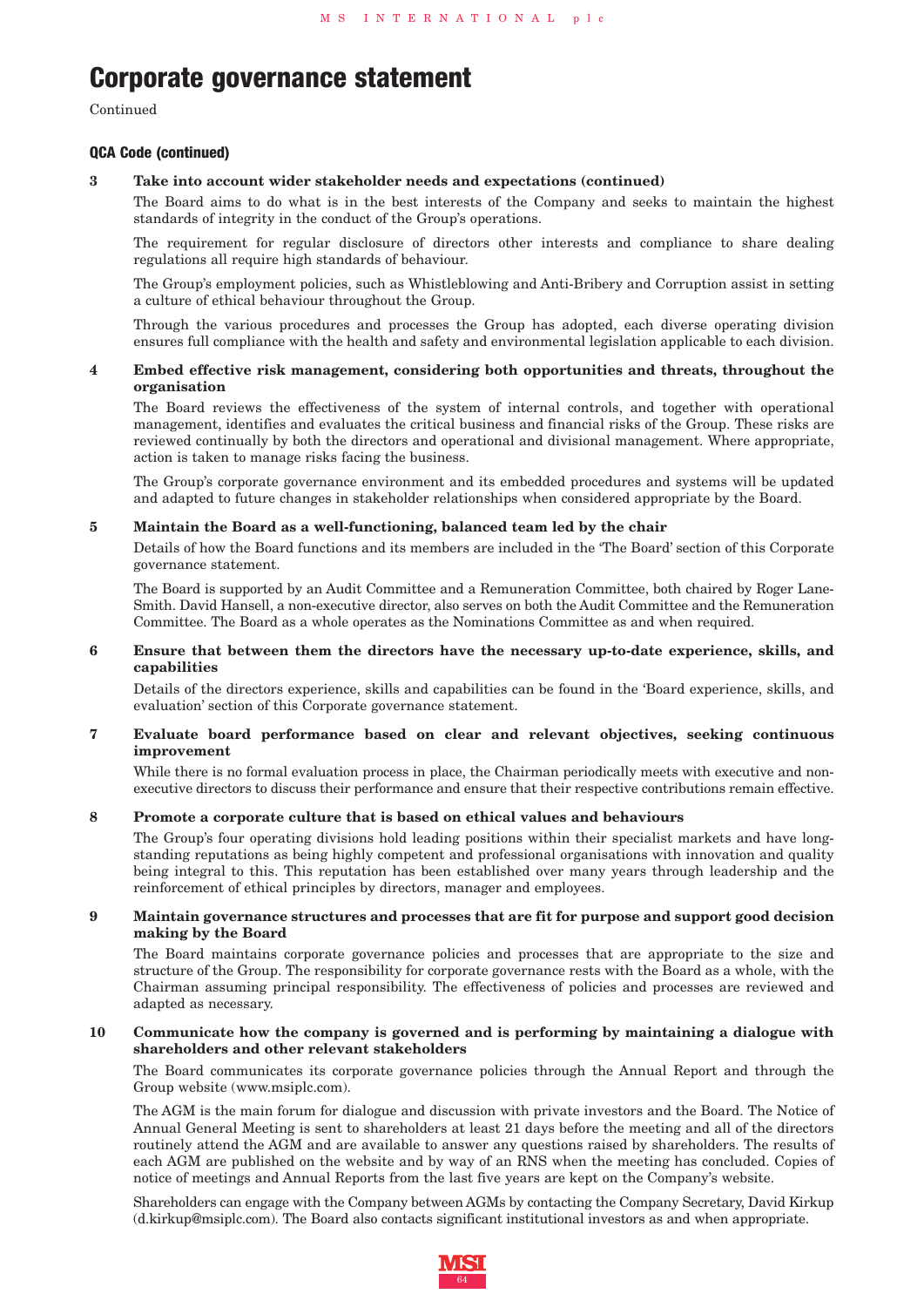# **Corporate governance statement**

Continued

### **QCA Code (continued)**

### **3 Take into account wider stakeholder needs and expectations (continued)**

The Board aims to do what is in the best interests of the Company and seeks to maintain the highest standards of integrity in the conduct of the Group's operations.

The requirement for regular disclosure of directors other interests and compliance to share dealing regulations all require high standards of behaviour.

The Group's employment policies, such as Whistleblowing and Anti-Bribery and Corruption assist in setting a culture of ethical behaviour throughout the Group.

Through the various procedures and processes the Group has adopted, each diverse operating division ensures full compliance with the health and safety and environmental legislation applicable to each division.

### **4 Embed effective risk management, considering both opportunities and threats, throughout the organisation**

The Board reviews the effectiveness of the system of internal controls, and together with operational management, identifies and evaluates the critical business and financial risks of the Group. These risks are reviewed continually by both the directors and operational and divisional management. Where appropriate, action is taken to manage risks facing the business.

The Group's corporate governance environment and its embedded procedures and systems will be updated and adapted to future changes in stakeholder relationships when considered appropriate by the Board.

### **5 Maintain the Board as a well-functioning, balanced team led by the chair**

Details of how the Board functions and its members are included in the 'The Board' section of this Corporate governance statement.

The Board is supported by an Audit Committee and a Remuneration Committee, both chaired by Roger Lane-Smith. David Hansell, a non-executive director, also serves on both the Audit Committee and the Remuneration Committee. The Board as a whole operates as the Nominations Committee as and when required.

#### **6 Ensure that between them the directors have the necessary up-to-date experience, skills, and capabilities**

Details of the directors experience, skills and capabilities can be found in the 'Board experience, skills, and evaluation' section of this Corporate governance statement.

#### **7 Evaluate board performance based on clear and relevant objectives, seeking continuous improvement**

While there is no formal evaluation process in place, the Chairman periodically meets with executive and nonexecutive directors to discuss their performance and ensure that their respective contributions remain effective.

### **8 Promote a corporate culture that is based on ethical values and behaviours**

The Group's four operating divisions hold leading positions within their specialist markets and have longstanding reputations as being highly competent and professional organisations with innovation and quality being integral to this. This reputation has been established over many years through leadership and the reinforcement of ethical principles by directors, manager and employees.

#### **9 Maintain governance structures and processes that are fit for purpose and support good decision making by the Board**

The Board maintains corporate governance policies and processes that are appropriate to the size and structure of the Group. The responsibility for corporate governance rests with the Board as a whole, with the Chairman assuming principal responsibility. The effectiveness of policies and processes are reviewed and adapted as necessary.

### **10 Communicate how the company is governed and is performing by maintaining a dialogue with shareholders and other relevant stakeholders**

The Board communicates its corporate governance policies through the Annual Report and through the Group website (www.msiplc.com).

The AGM is the main forum for dialogue and discussion with private investors and the Board. The Notice of Annual General Meeting is sent to shareholders at least 21 days before the meeting and all of the directors routinely attend the AGM and are available to answer any questions raised by shareholders. The results of each AGM are published on the website and by way of an RNS when the meeting has concluded. Copies of notice of meetings and Annual Reports from the last five years are kept on the Company's website.

Shareholders can engage with the Company between AGMs by contacting the Company Secretary, David Kirkup (d.kirkup@msiplc.com). The Board also contacts significant institutional investors as and when appropriate.

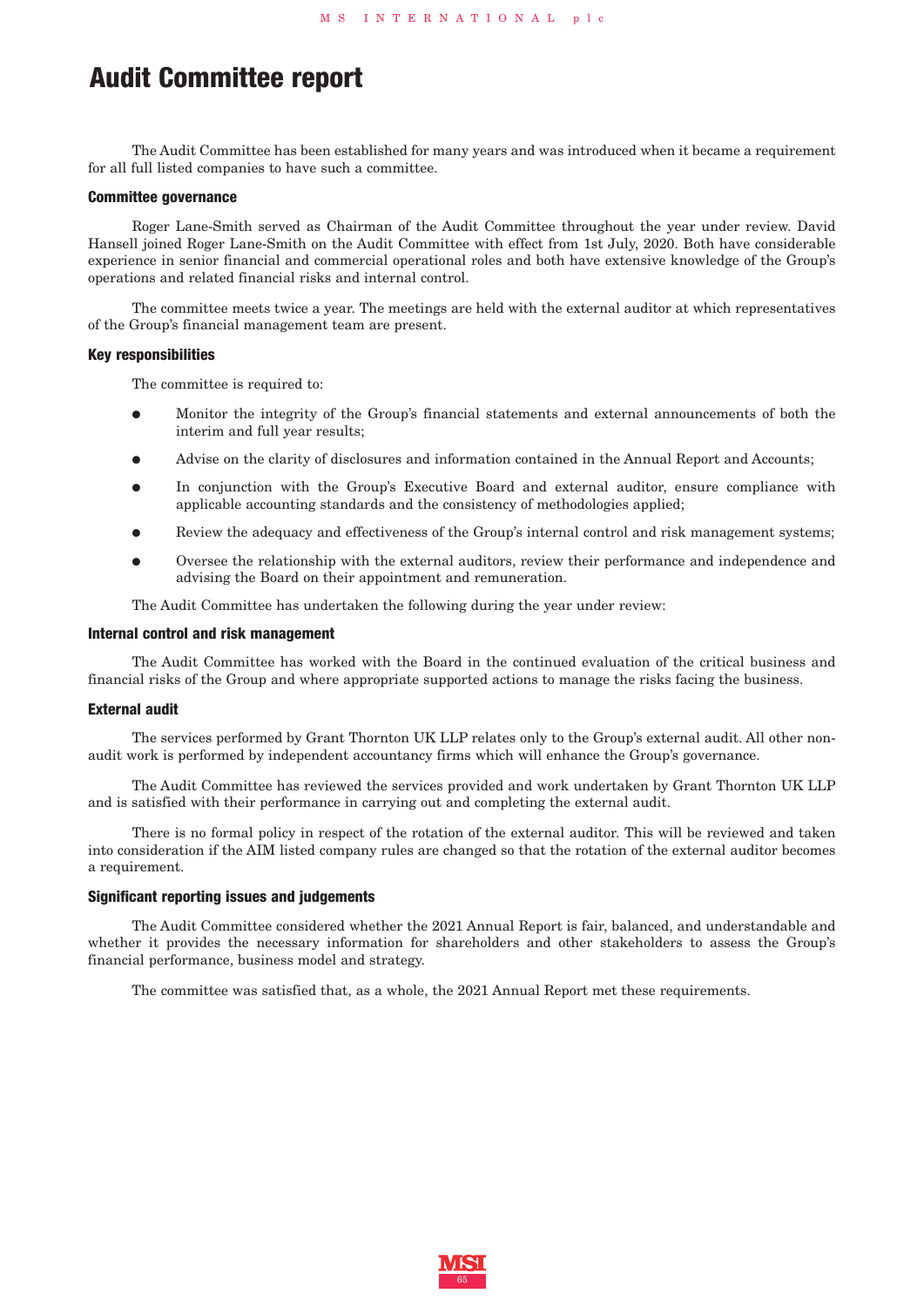# **Audit Committee report**

The Audit Committee has been established for many years and was introduced when it became a requirement for all full listed companies to have such a committee.

#### **Committee governance**

Roger Lane-Smith served as Chairman of the Audit Committee throughout the year under review. David Hansell joined Roger Lane-Smith on the Audit Committee with effect from 1st July, 2020. Both have considerable experience in senior financial and commercial operational roles and both have extensive knowledge of the Group's operations and related financial risks and internal control.

The committee meets twice a year. The meetings are held with the external auditor at which representatives of the Group's financial management team are present.

#### **Key responsibilities**

The committee is required to:

- **●** Monitor the integrity of the Group's financial statements and external announcements of both the interim and full year results;
- **●** Advise on the clarity of disclosures and information contained in the Annual Report and Accounts;
- In conjunction with the Group's Executive Board and external auditor, ensure compliance with applicable accounting standards and the consistency of methodologies applied;
- Review the adequacy and effectiveness of the Group's internal control and risk management systems;
- **●** Oversee the relationship with the external auditors, review their performance and independence and advising the Board on their appointment and remuneration.

The Audit Committee has undertaken the following during the year under review:

#### **Internal control and risk management**

The Audit Committee has worked with the Board in the continued evaluation of the critical business and financial risks of the Group and where appropriate supported actions to manage the risks facing the business.

#### **External audit**

The services performed by Grant Thornton UK LLP relates only to the Group's external audit. All other nonaudit work is performed by independent accountancy firms which will enhance the Group's governance.

The Audit Committee has reviewed the services provided and work undertaken by Grant Thornton UK LLP and is satisfied with their performance in carrying out and completing the external audit.

There is no formal policy in respect of the rotation of the external auditor. This will be reviewed and taken into consideration if the AIM listed company rules are changed so that the rotation of the external auditor becomes a requirement.

### **Significant reporting issues and judgements**

The Audit Committee considered whether the 2021 Annual Report is fair, balanced, and understandable and whether it provides the necessary information for shareholders and other stakeholders to assess the Group's financial performance, business model and strategy.

The committee was satisfied that, as a whole, the 2021 Annual Report met these requirements.

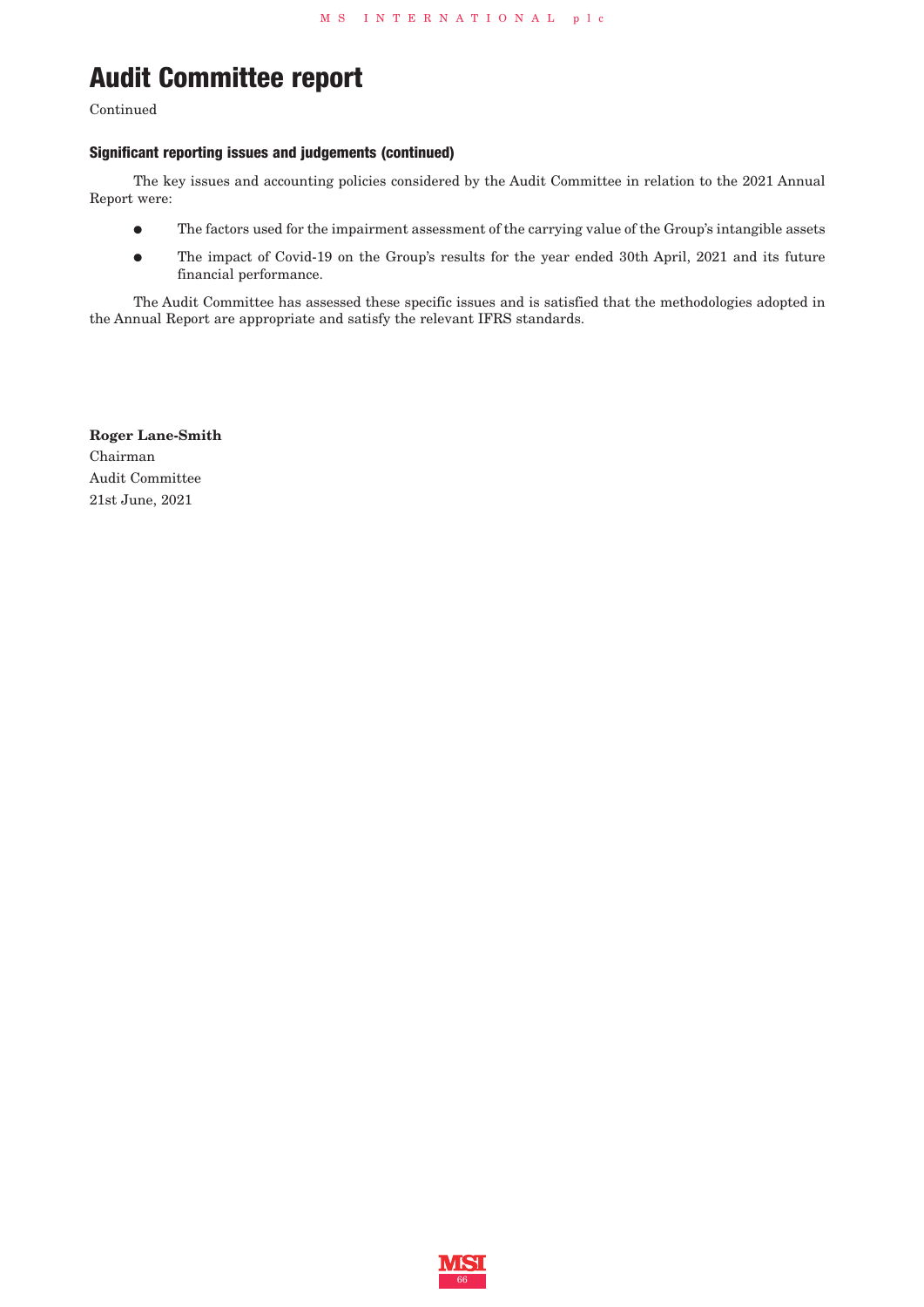# **Audit Committee report**

Continued

### **Significant reporting issues and judgements (continued)**

The key issues and accounting policies considered by the Audit Committee in relation to the 2021 Annual Report were:

- **●** The factors used for the impairment assessment of the carrying value of the Group's intangible assets
- **●** The impact of Covid-19 on the Group's results for the year ended 30th April, 2021 and its future financial performance.

The Audit Committee has assessed these specific issues and is satisfied that the methodologies adopted in the Annual Report are appropriate and satisfy the relevant IFRS standards.

**Roger Lane-Smith** Chairman Audit Committee 21st June, 2021

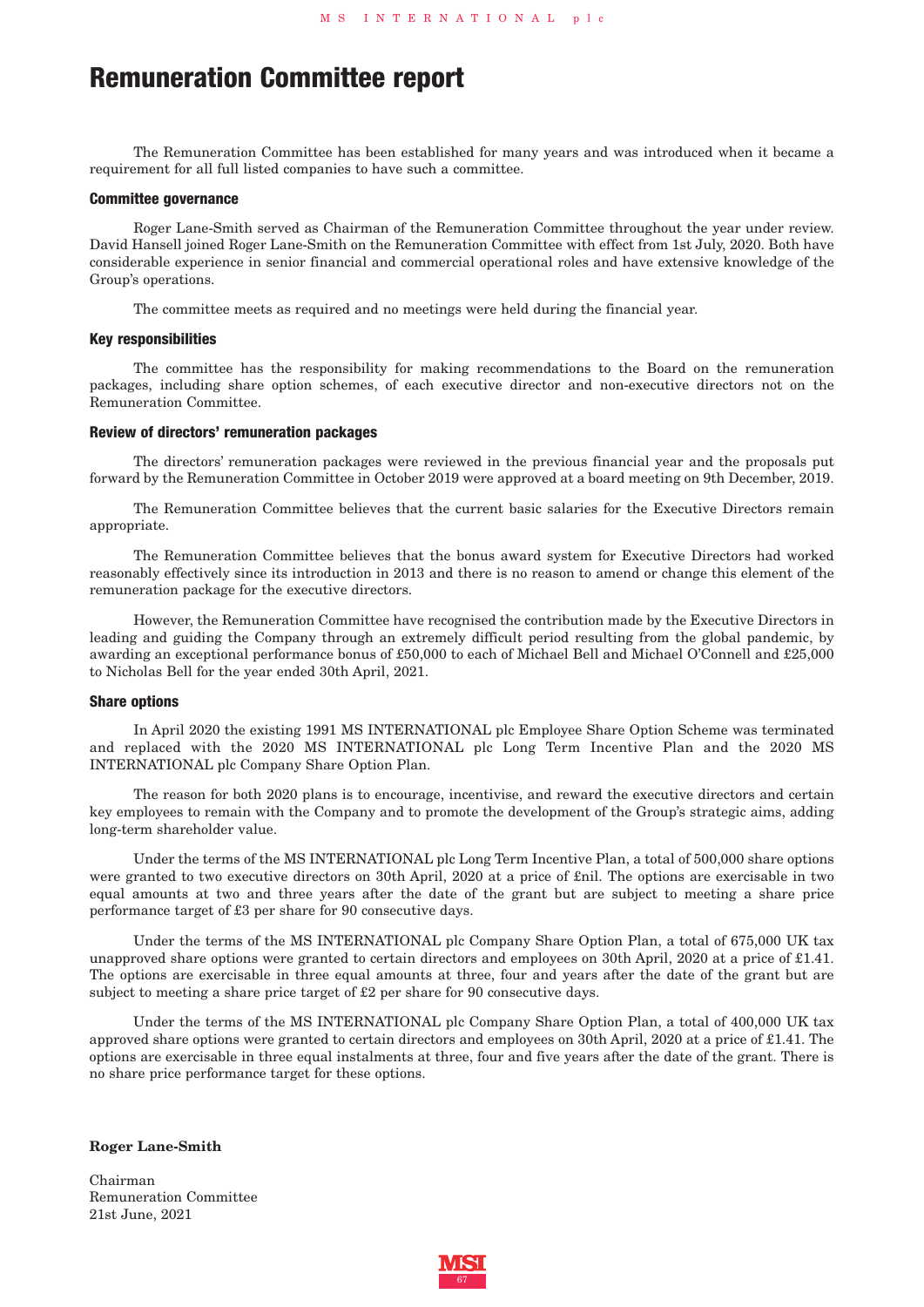# **Remuneration Committee report**

The Remuneration Committee has been established for many years and was introduced when it became a requirement for all full listed companies to have such a committee.

#### **Committee governance**

Roger Lane-Smith served as Chairman of the Remuneration Committee throughout the year under review. David Hansell joined Roger Lane-Smith on the Remuneration Committee with effect from 1st July, 2020. Both have considerable experience in senior financial and commercial operational roles and have extensive knowledge of the Group's operations.

The committee meets as required and no meetings were held during the financial year.

#### **Key responsibilities**

The committee has the responsibility for making recommendations to the Board on the remuneration packages, including share option schemes, of each executive director and non-executive directors not on the Remuneration Committee.

#### **Review of directors' remuneration packages**

The directors' remuneration packages were reviewed in the previous financial year and the proposals put forward by the Remuneration Committee in October 2019 were approved at a board meeting on 9th December, 2019.

The Remuneration Committee believes that the current basic salaries for the Executive Directors remain appropriate.

The Remuneration Committee believes that the bonus award system for Executive Directors had worked reasonably effectively since its introduction in 2013 and there is no reason to amend or change this element of the remuneration package for the executive directors.

However, the Remuneration Committee have recognised the contribution made by the Executive Directors in leading and guiding the Company through an extremely difficult period resulting from the global pandemic, by awarding an exceptional performance bonus of £50,000 to each of Michael Bell and Michael O'Connell and £25,000 to Nicholas Bell for the year ended 30th April, 2021.

#### **Share options**

In April 2020 the existing 1991 MS INTERNATIONAL plc Employee Share Option Scheme was terminated and replaced with the 2020 MS INTERNATIONAL plc Long Term Incentive Plan and the 2020 MS INTERNATIONAL plc Company Share Option Plan.

The reason for both 2020 plans is to encourage, incentivise, and reward the executive directors and certain key employees to remain with the Company and to promote the development of the Group's strategic aims, adding long-term shareholder value.

Under the terms of the MS INTERNATIONAL plc Long Term Incentive Plan, a total of 500,000 share options were granted to two executive directors on 30th April, 2020 at a price of £nil. The options are exercisable in two equal amounts at two and three years after the date of the grant but are subject to meeting a share price performance target of £3 per share for 90 consecutive days.

Under the terms of the MS INTERNATIONAL plc Company Share Option Plan, a total of 675,000 UK tax unapproved share options were granted to certain directors and employees on 30th April, 2020 at a price of £1.41. The options are exercisable in three equal amounts at three, four and years after the date of the grant but are subject to meeting a share price target of £2 per share for 90 consecutive days.

Under the terms of the MS INTERNATIONAL plc Company Share Option Plan, a total of 400,000 UK tax approved share options were granted to certain directors and employees on 30th April, 2020 at a price of £1.41. The options are exercisable in three equal instalments at three, four and five years after the date of the grant. There is no share price performance target for these options.

**Roger Lane-Smith**

Chairman Remuneration Committee 21st June, 2021

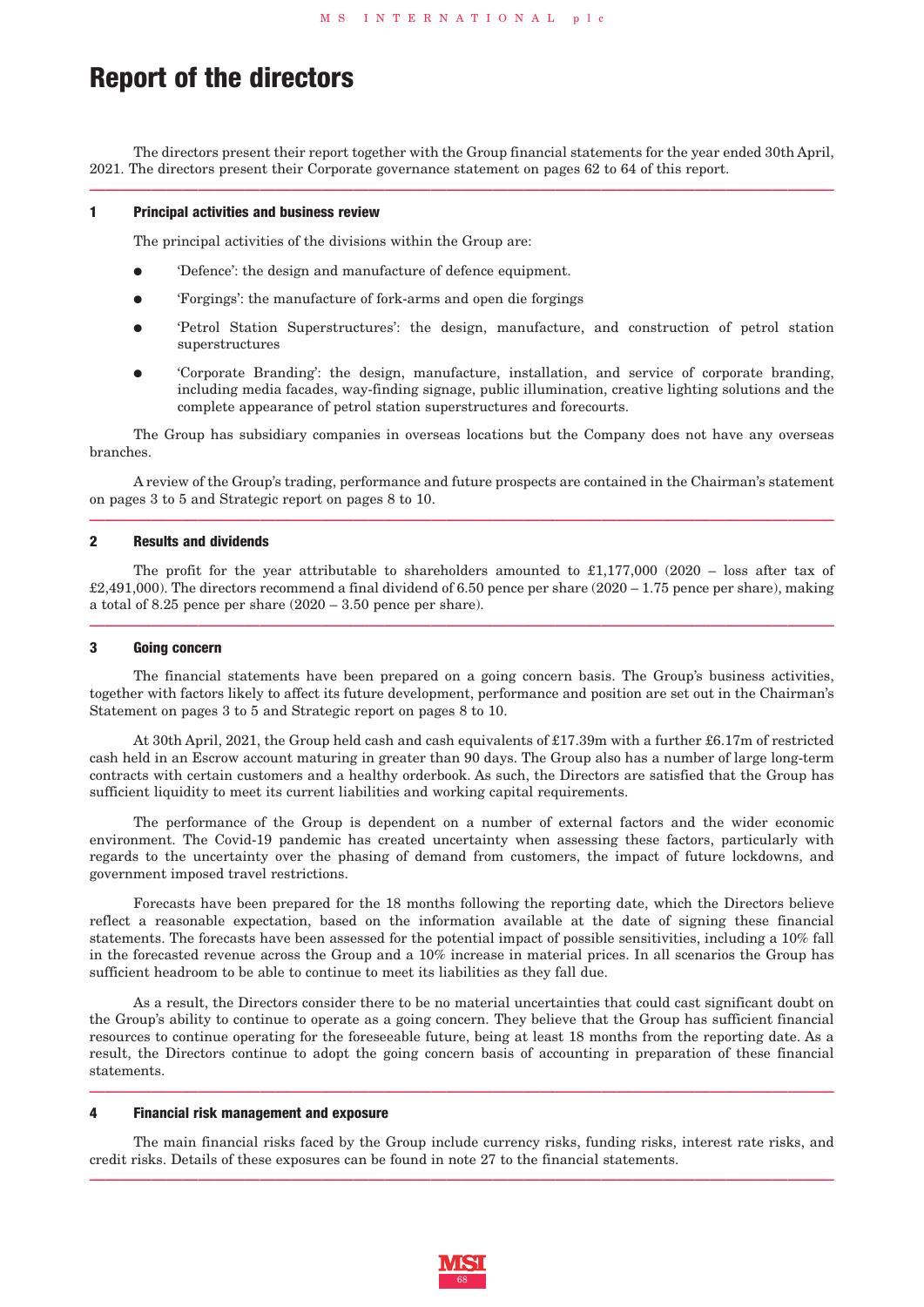## **Report of the directors**

The directors present their report together with the Group financial statements for the year ended 30th April, 2021. The directors present their Corporate governance statement on pages 62 to 64 of this report. **222222222222222222222222222222222222222222222222**

#### **1 Principal activities and business review**

The principal activities of the divisions within the Group are:

- **●** 'Defence': the design and manufacture of defence equipment.
- **●** 'Forgings': the manufacture of fork-arms and open die forgings
- **●** 'Petrol Station Superstructures': the design, manufacture, and construction of petrol station superstructures
- **●** 'Corporate Branding': the design, manufacture, installation, and service of corporate branding, including media facades, way-finding signage, public illumination, creative lighting solutions and the complete appearance of petrol station superstructures and forecourts.

The Group has subsidiary companies in overseas locations but the Company does not have any overseas branches.

A review of the Group's trading, performance and future prospects are contained in the Chairman's statement on pages 3 to 5 and Strategic report on pages 8 to 10. **222222222222222222222222222222222222222222222222**

### **2 Results and dividends**

The profit for the year attributable to shareholders amounted to £1,177,000 (2020 – loss after tax of  $£2,491,000$ . The directors recommend a final dividend of 6.50 pence per share  $(2020 - 1.75)$  pence per share), making a total of 8.25 pence per share (2020 – 3.50 pence per share). **222222222222222222222222222222222222222222222222**

#### **3 Going concern**

The financial statements have been prepared on a going concern basis. The Group's business activities, together with factors likely to affect its future development, performance and position are set out in the Chairman's Statement on pages 3 to 5 and Strategic report on pages 8 to 10.

At 30th April, 2021, the Group held cash and cash equivalents of £17.39m with a further £6.17m of restricted cash held in an Escrow account maturing in greater than 90 days. The Group also has a number of large long-term contracts with certain customers and a healthy orderbook. As such, the Directors are satisfied that the Group has sufficient liquidity to meet its current liabilities and working capital requirements.

The performance of the Group is dependent on a number of external factors and the wider economic environment. The Covid-19 pandemic has created uncertainty when assessing these factors, particularly with regards to the uncertainty over the phasing of demand from customers, the impact of future lockdowns, and government imposed travel restrictions.

Forecasts have been prepared for the 18 months following the reporting date, which the Directors believe reflect a reasonable expectation, based on the information available at the date of signing these financial statements. The forecasts have been assessed for the potential impact of possible sensitivities, including a 10% fall in the forecasted revenue across the Group and a 10% increase in material prices. In all scenarios the Group has sufficient headroom to be able to continue to meet its liabilities as they fall due.

As a result, the Directors consider there to be no material uncertainties that could cast significant doubt on the Group's ability to continue to operate as a going concern. They believe that the Group has sufficient financial resources to continue operating for the foreseeable future, being at least 18 months from the reporting date. As a result, the Directors continue to adopt the going concern basis of accounting in preparation of these financial statements. **222222222222222222222222222222222222222222222222**

### **4 Financial risk management and exposure**

The main financial risks faced by the Group include currency risks, funding risks, interest rate risks, and credit risks. Details of these exposures can be found in note 27 to the financial statements. **222222222222222222222222222222222222222222222222**

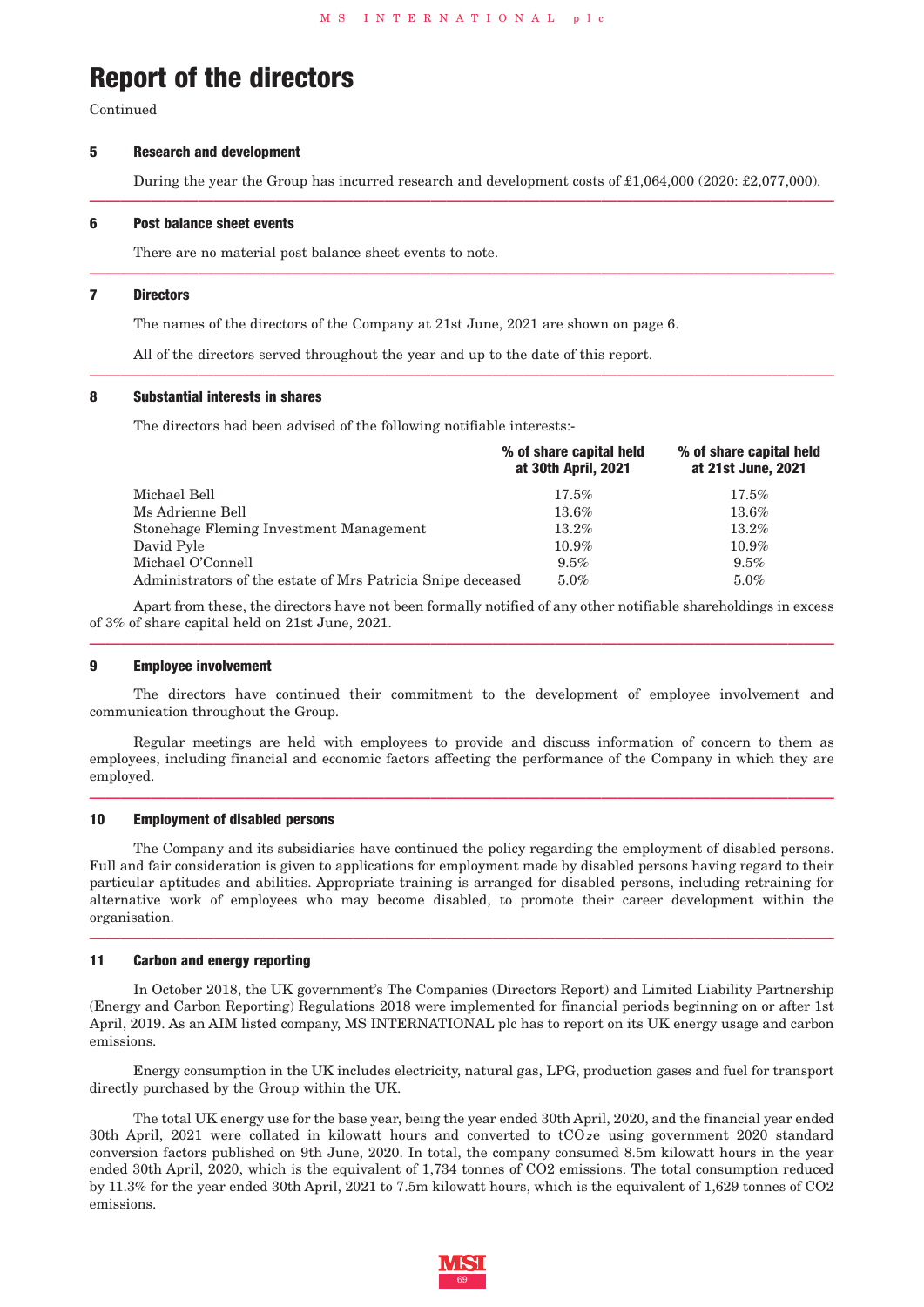# **Report of the directors**

Continued

#### **5 Research and development**

During the year the Group has incurred research and development costs of £1,064,000 (2020: £2,077,000). **222222222222222222222222222222222222222222222222**

#### **6 Post balance sheet events**

There are no material post balance sheet events to note. **222222222222222222222222222222222222222222222222**

#### **7 Directors**

The names of the directors of the Company at 21st June, 2021 are shown on page 6.

All of the directors served throughout the year and up to the date of this report. **222222222222222222222222222222222222222222222222**

#### **8 Substantial interests in shares**

The directors had been advised of the following notifiable interests:-

|                                                             | % of share capital held<br>at 30th April, 2021 | % of share capital held<br>at 21st June, 2021 |
|-------------------------------------------------------------|------------------------------------------------|-----------------------------------------------|
| Michael Bell                                                | $17.5\%$                                       | $17.5\%$                                      |
| Ms Adrienne Bell                                            | $13.6\%$                                       | $13.6\%$                                      |
| Stonehage Fleming Investment Management                     | $13.2\%$                                       | $13.2\%$                                      |
| David Pyle                                                  | $10.9\%$                                       | $10.9\%$                                      |
| Michael O'Connell                                           | $9.5\%$                                        | $9.5\%$                                       |
| Administrators of the estate of Mrs Patricia Snipe deceased | $5.0\%$                                        | $5.0\%$                                       |

Apart from these, the directors have not been formally notified of any other notifiable shareholdings in excess of 3% of share capital held on 21st June, 2021. **222222222222222222222222222222222222222222222222**

#### **9 Employee involvement**

The directors have continued their commitment to the development of employee involvement and communication throughout the Group.

Regular meetings are held with employees to provide and discuss information of concern to them as employees, including financial and economic factors affecting the performance of the Company in which they are employed. **222222222222222222222222222222222222222222222222**

#### **10 Employment of disabled persons**

The Company and its subsidiaries have continued the policy regarding the employment of disabled persons. Full and fair consideration is given to applications for employment made by disabled persons having regard to their particular aptitudes and abilities. Appropriate training is arranged for disabled persons, including retraining for alternative work of employees who may become disabled, to promote their career development within the organisation. **222222222222222222222222222222222222222222222222**

#### **11 Carbon and energy reporting**

In October 2018, the UK government's The Companies (Directors Report) and Limited Liability Partnership (Energy and Carbon Reporting) Regulations 2018 were implemented for financial periods beginning on or after 1st April, 2019. As an AIM listed company, MS INTERNATIONAL plc has to report on its UK energy usage and carbon emissions.

Energy consumption in the UK includes electricity, natural gas, LPG, production gases and fuel for transport directly purchased by the Group within the UK.

The total UK energy use for the base year, being the year ended 30th April, 2020, and the financial year ended 30th April, 2021 were collated in kilowatt hours and converted to tCO*₂*e using government 2020 standard conversion factors published on 9th June, 2020. In total, the company consumed 8.5m kilowatt hours in the year ended 30th April, 2020, which is the equivalent of 1,734 tonnes of CO2 emissions. The total consumption reduced by 11.3% for the year ended 30th April, 2021 to 7.5m kilowatt hours, which is the equivalent of 1,629 tonnes of CO2 emissions.

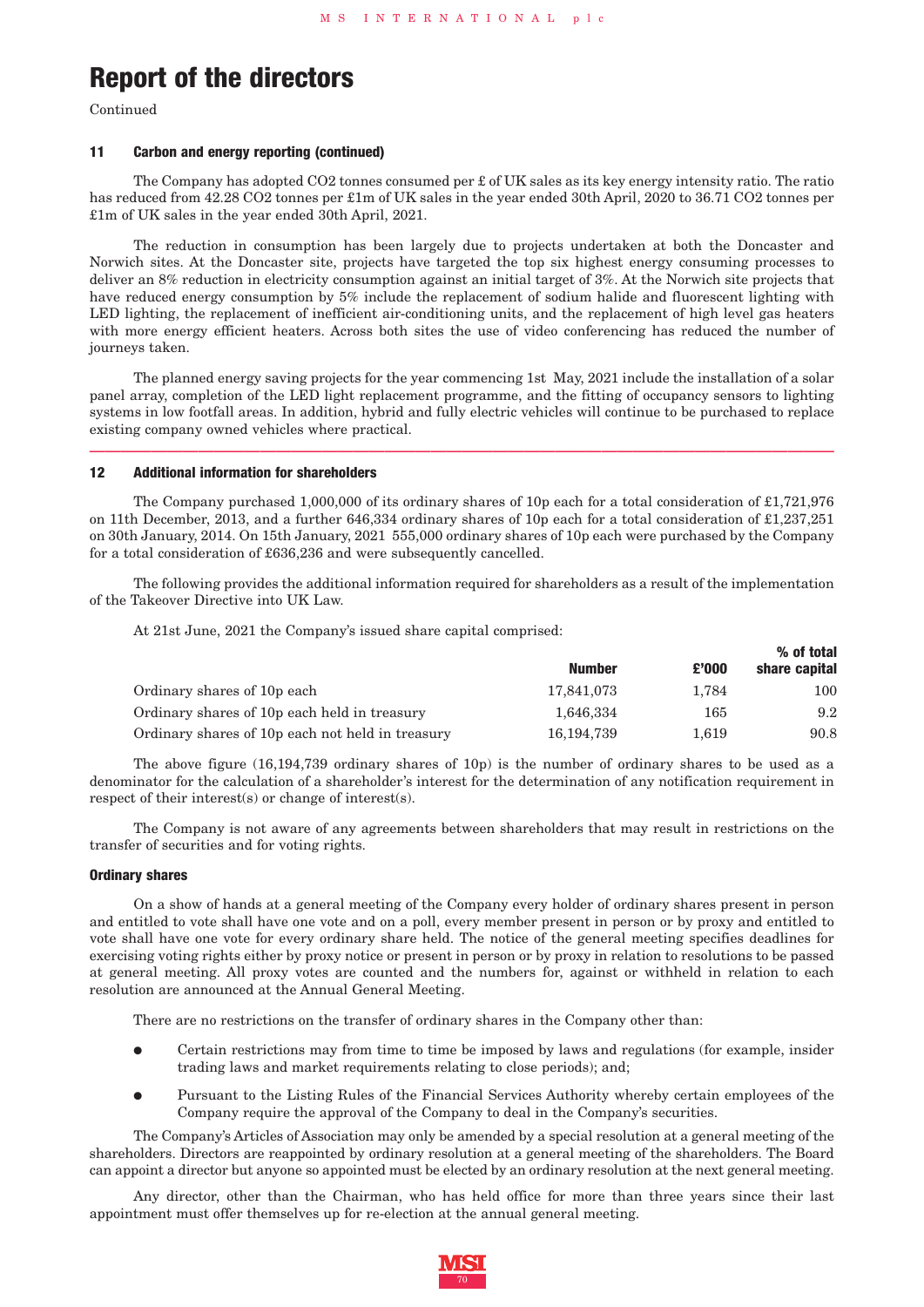# **Report of the directors**

Continued

#### **11 Carbon and energy reporting (continued)**

The Company has adopted CO2 tonnes consumed per £ of UK sales as its key energy intensity ratio. The ratio has reduced from 42.28 CO2 tonnes per £1m of UK sales in the year ended 30th April, 2020 to 36.71 CO2 tonnes per £1m of UK sales in the year ended 30th April, 2021.

The reduction in consumption has been largely due to projects undertaken at both the Doncaster and Norwich sites. At the Doncaster site, projects have targeted the top six highest energy consuming processes to deliver an 8% reduction in electricity consumption against an initial target of 3%. At the Norwich site projects that have reduced energy consumption by 5% include the replacement of sodium halide and fluorescent lighting with LED lighting, the replacement of inefficient air-conditioning units, and the replacement of high level gas heaters with more energy efficient heaters. Across both sites the use of video conferencing has reduced the number of journeys taken.

The planned energy saving projects for the year commencing 1st May, 2021 include the installation of a solar panel array, completion of the LED light replacement programme, and the fitting of occupancy sensors to lighting systems in low footfall areas. In addition, hybrid and fully electric vehicles will continue to be purchased to replace existing company owned vehicles where practical. **222222222222222222222222222222222222222222222222**

#### **12 Additional information for shareholders**

The Company purchased 1,000,000 of its ordinary shares of 10p each for a total consideration of £1,721,976 on 11th December, 2013, and a further 646,334 ordinary shares of 10p each for a total consideration of £1,237,251 on 30th January, 2014. On 15th January, 2021 555,000 ordinary shares of 10p each were purchased by the Company for a total consideration of £636,236 and were subsequently cancelled.

The following provides the additional information required for shareholders as a result of the implementation of the Takeover Directive into UK Law.

At 21st June, 2021 the Company's issued share capital comprised:

|                                                  | % of total |       |               |  |  |
|--------------------------------------------------|------------|-------|---------------|--|--|
|                                                  | Number     | £'000 | share capital |  |  |
| Ordinary shares of 10p each                      | 17.841.073 | 1.784 | $100\,$       |  |  |
| Ordinary shares of 10p each held in treasury     | 1.646.334  | 165   | 9.2           |  |  |
| Ordinary shares of 10p each not held in treasury | 16.194.739 | 1.619 | 90.8          |  |  |

**% of total**

The above figure (16,194,739 ordinary shares of 10p) is the number of ordinary shares to be used as a denominator for the calculation of a shareholder's interest for the determination of any notification requirement in respect of their interest(s) or change of interest(s).

The Company is not aware of any agreements between shareholders that may result in restrictions on the transfer of securities and for voting rights.

### **Ordinary shares**

On a show of hands at a general meeting of the Company every holder of ordinary shares present in person and entitled to vote shall have one vote and on a poll, every member present in person or by proxy and entitled to vote shall have one vote for every ordinary share held. The notice of the general meeting specifies deadlines for exercising voting rights either by proxy notice or present in person or by proxy in relation to resolutions to be passed at general meeting. All proxy votes are counted and the numbers for, against or withheld in relation to each resolution are announced at the Annual General Meeting.

There are no restrictions on the transfer of ordinary shares in the Company other than:

- **●** Certain restrictions may from time to time be imposed by laws and regulations (for example, insider trading laws and market requirements relating to close periods); and;
- **●** Pursuant to the Listing Rules of the Financial Services Authority whereby certain employees of the Company require the approval of the Company to deal in the Company's securities.

The Company's Articles of Association may only be amended by a special resolution at a general meeting of the shareholders. Directors are reappointed by ordinary resolution at a general meeting of the shareholders. The Board can appoint a director but anyone so appointed must be elected by an ordinary resolution at the next general meeting.

Any director, other than the Chairman, who has held office for more than three years since their last appointment must offer themselves up for re-election at the annual general meeting.

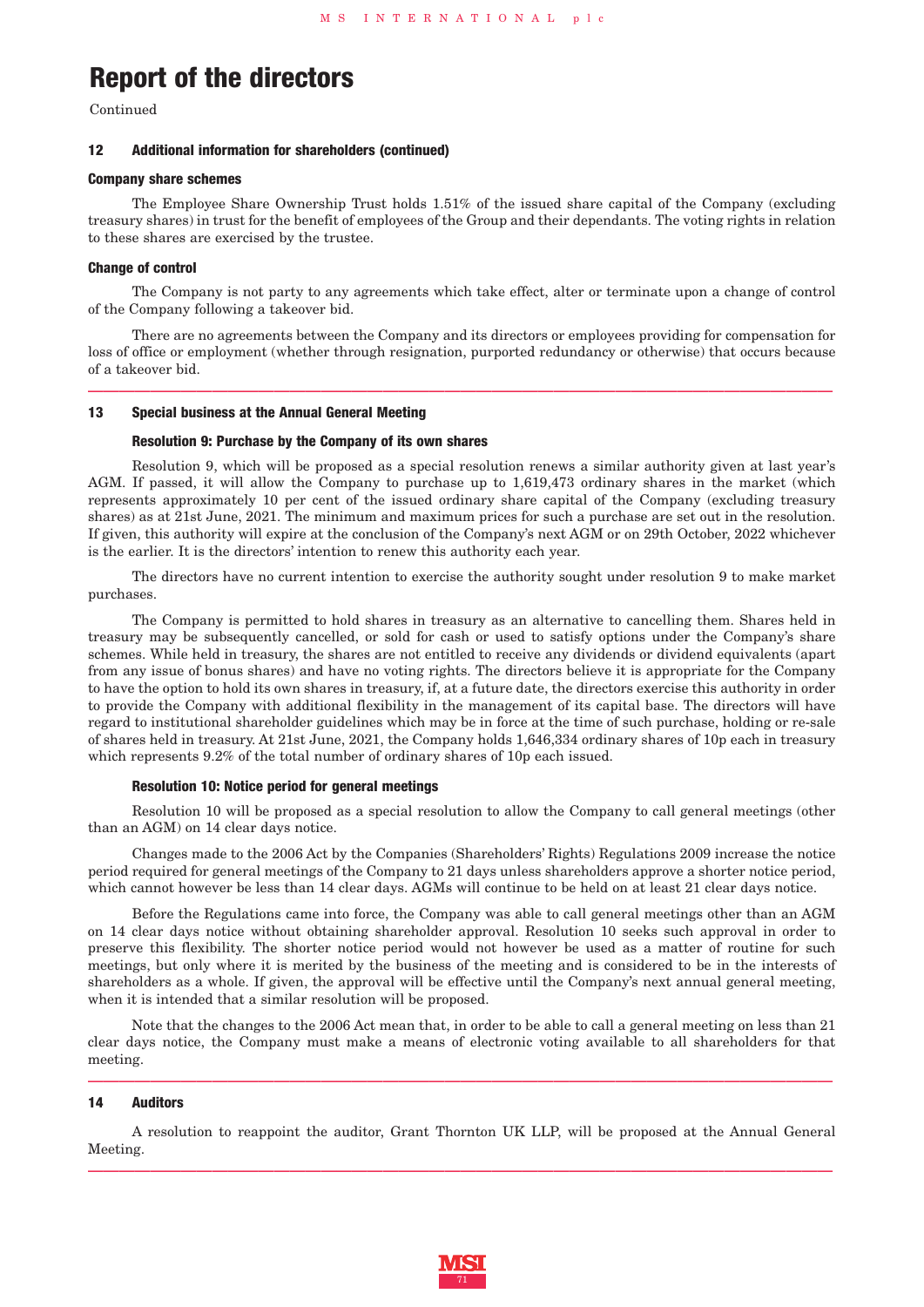## **Report of the directors**

Continued

#### **12 Additional information for shareholders (continued)**

### **Company share schemes**

The Employee Share Ownership Trust holds 1.51% of the issued share capital of the Company (excluding treasury shares) in trust for the benefit of employees of the Group and their dependants. The voting rights in relation to these shares are exercised by the trustee.

## **Change of control**

The Company is not party to any agreements which take effect, alter or terminate upon a change of control of the Company following a takeover bid.

There are no agreements between the Company and its directors or employees providing for compensation for loss of office or employment (whether through resignation, purported redundancy or otherwise) that occurs because of a takeover bid. **222222222222222222222222222222222222222222222222**

#### **13 Special business at the Annual General Meeting**

#### **Resolution 9: Purchase by the Company of its own shares**

Resolution 9, which will be proposed as a special resolution renews a similar authority given at last year's AGM. If passed, it will allow the Company to purchase up to 1,619,473 ordinary shares in the market (which represents approximately 10 per cent of the issued ordinary share capital of the Company (excluding treasury shares) as at 21st June, 2021. The minimum and maximum prices for such a purchase are set out in the resolution. If given, this authority will expire at the conclusion of the Company's next AGM or on 29th October, 2022 whichever is the earlier. It is the directors' intention to renew this authority each year.

The directors have no current intention to exercise the authority sought under resolution 9 to make market purchases.

The Company is permitted to hold shares in treasury as an alternative to cancelling them. Shares held in treasury may be subsequently cancelled, or sold for cash or used to satisfy options under the Company's share schemes. While held in treasury, the shares are not entitled to receive any dividends or dividend equivalents (apart from any issue of bonus shares) and have no voting rights. The directors believe it is appropriate for the Company to have the option to hold its own shares in treasury, if, at a future date, the directors exercise this authority in order to provide the Company with additional flexibility in the management of its capital base. The directors will have regard to institutional shareholder guidelines which may be in force at the time of such purchase, holding or re-sale of shares held in treasury. At 21st June, 2021, the Company holds 1,646,334 ordinary shares of 10p each in treasury which represents 9.2% of the total number of ordinary shares of 10p each issued.

#### **Resolution 10: Notice period for general meetings**

Resolution 10 will be proposed as a special resolution to allow the Company to call general meetings (other than an AGM) on 14 clear days notice.

Changes made to the 2006 Act by the Companies (Shareholders' Rights) Regulations 2009 increase the notice period required for general meetings of the Company to 21 days unless shareholders approve a shorter notice period, which cannot however be less than 14 clear days. AGMs will continue to be held on at least 21 clear days notice.

Before the Regulations came into force, the Company was able to call general meetings other than an AGM on 14 clear days notice without obtaining shareholder approval. Resolution 10 seeks such approval in order to preserve this flexibility. The shorter notice period would not however be used as a matter of routine for such meetings, but only where it is merited by the business of the meeting and is considered to be in the interests of shareholders as a whole. If given, the approval will be effective until the Company's next annual general meeting, when it is intended that a similar resolution will be proposed.

Note that the changes to the 2006 Act mean that, in order to be able to call a general meeting on less than 21 clear days notice, the Company must make a means of electronic voting available to all shareholders for that meeting. **222222222222222222222222222222222222222222222222**

#### **14 Auditors**

A resolution to reappoint the auditor, Grant Thornton UK LLP, will be proposed at the Annual General Meeting. **222222222222222222222222222222222222222222222222**

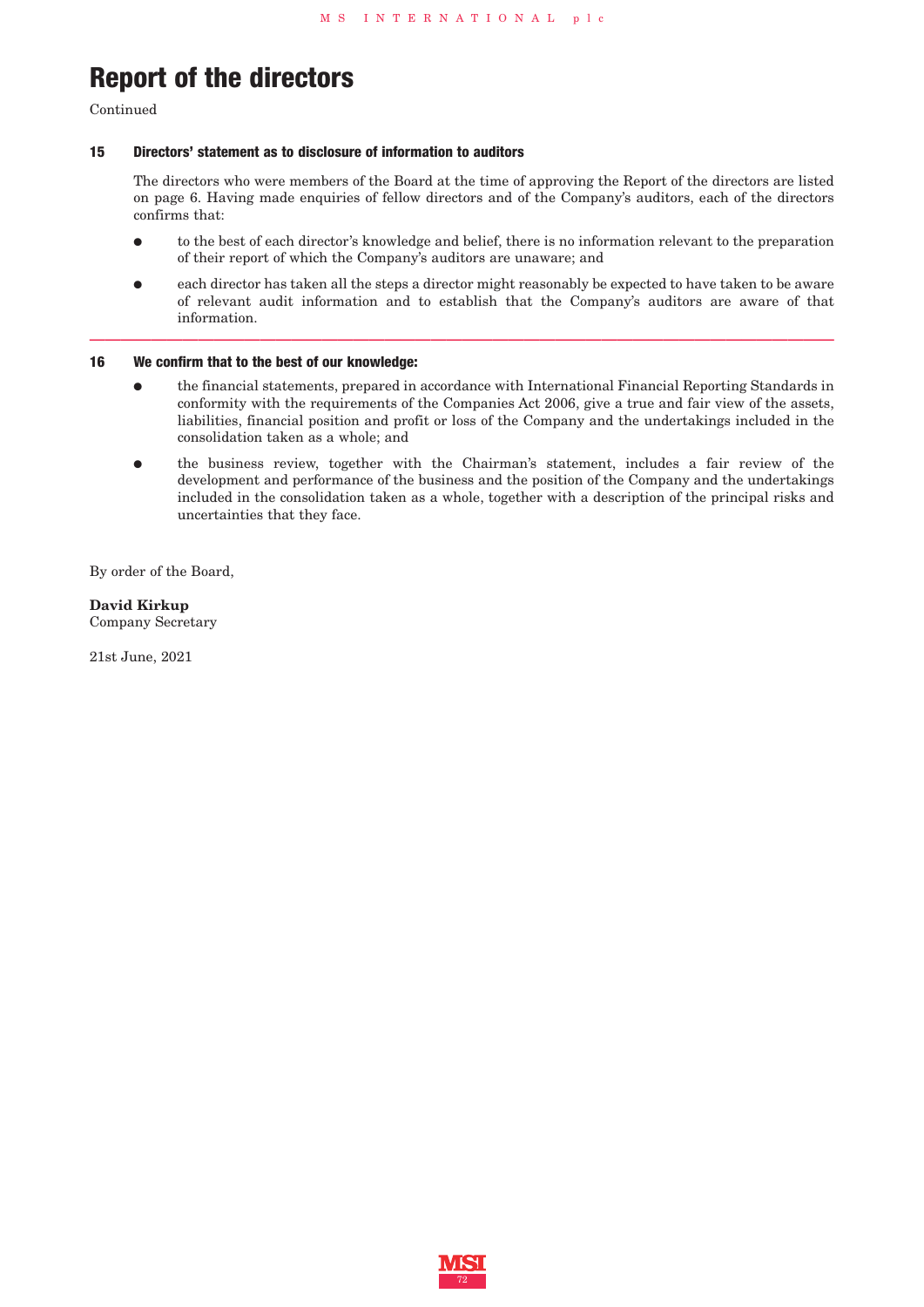# **Report of the directors**

Continued

### **15 Directors' statement as to disclosure of information to auditors**

The directors who were members of the Board at the time of approving the Report of the directors are listed on page 6. Having made enquiries of fellow directors and of the Company's auditors, each of the directors confirms that:

- to the best of each director's knowledge and belief, there is no information relevant to the preparation of their report of which the Company's auditors are unaware; and
- **●** each director has taken all the steps a director might reasonably be expected to have taken to be aware of relevant audit information and to establish that the Company's auditors are aware of that information. **222222222222222222222222222222222222222222222222**

#### **16 We confirm that to the best of our knowledge:**

- **●** the financial statements, prepared in accordance with International Financial Reporting Standards in conformity with the requirements of the Companies Act 2006, give a true and fair view of the assets, liabilities, financial position and profit or loss of the Company and the undertakings included in the consolidation taken as a whole; and
- **●** the business review, together with the Chairman's statement, includes a fair review of the development and performance of the business and the position of the Company and the undertakings included in the consolidation taken as a whole, together with a description of the principal risks and uncertainties that they face.

By order of the Board,

**David Kirkup** Company Secretary

21st June, 2021

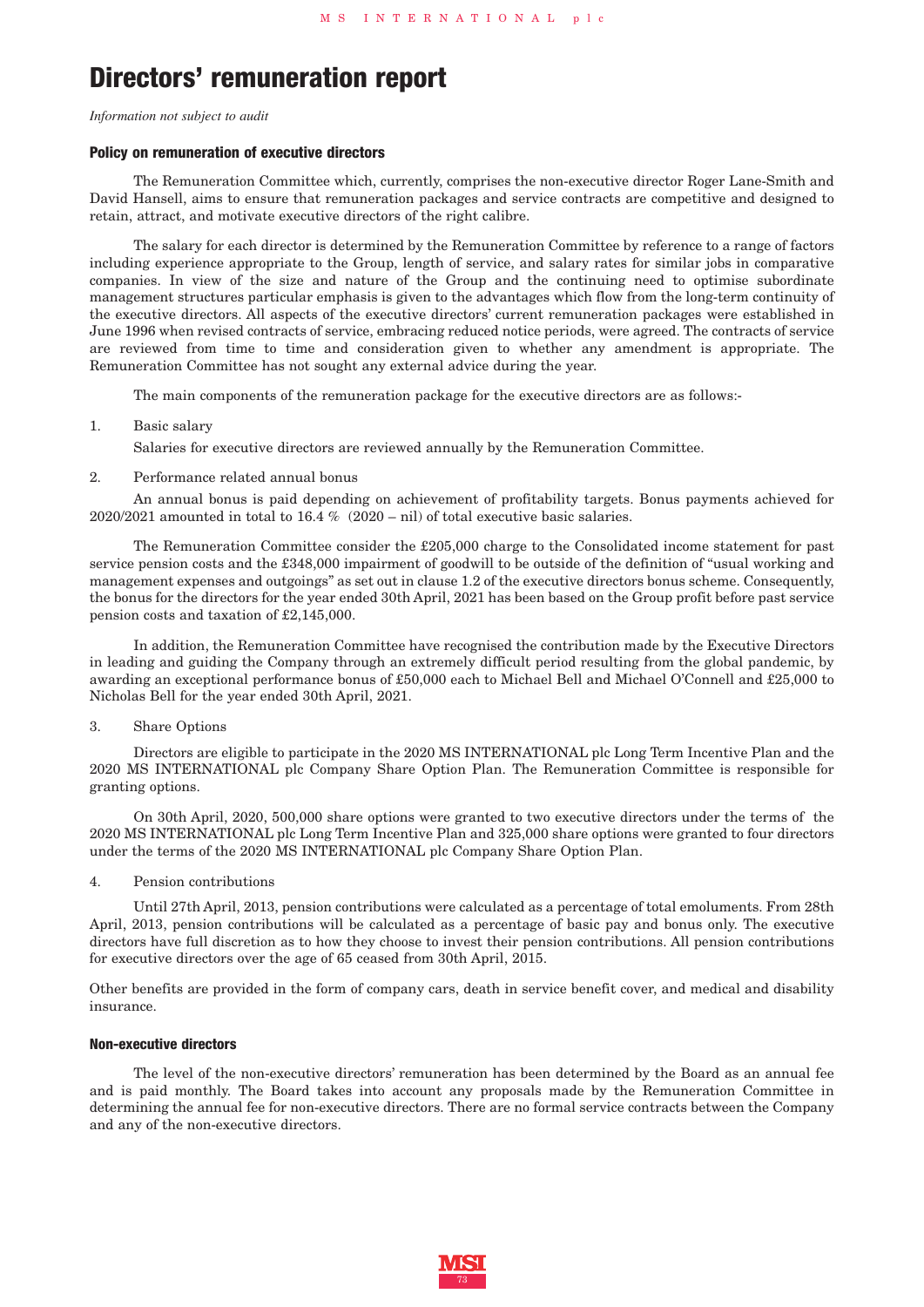## **Directors' remuneration report**

*Information not subject to audit*

#### **Policy on remuneration of executive directors**

The Remuneration Committee which, currently, comprises the non-executive director Roger Lane-Smith and David Hansell, aims to ensure that remuneration packages and service contracts are competitive and designed to retain, attract, and motivate executive directors of the right calibre.

The salary for each director is determined by the Remuneration Committee by reference to a range of factors including experience appropriate to the Group, length of service, and salary rates for similar jobs in comparative companies. In view of the size and nature of the Group and the continuing need to optimise subordinate management structures particular emphasis is given to the advantages which flow from the long-term continuity of the executive directors. All aspects of the executive directors' current remuneration packages were established in June 1996 when revised contracts of service, embracing reduced notice periods, were agreed. The contracts of service are reviewed from time to time and consideration given to whether any amendment is appropriate. The Remuneration Committee has not sought any external advice during the year.

The main components of the remuneration package for the executive directors are as follows:-

1. Basic salary

Salaries for executive directors are reviewed annually by the Remuneration Committee.

#### 2. Performance related annual bonus

An annual bonus is paid depending on achievement of profitability targets. Bonus payments achieved for 2020/2021 amounted in total to 16.4  $%$  (2020 – nil) of total executive basic salaries.

The Remuneration Committee consider the £205,000 charge to the Consolidated income statement for past service pension costs and the £348,000 impairment of goodwill to be outside of the definition of "usual working and management expenses and outgoings" as set out in clause 1.2 of the executive directors bonus scheme. Consequently, the bonus for the directors for the year ended 30th April, 2021 has been based on the Group profit before past service pension costs and taxation of £2,145,000.

In addition, the Remuneration Committee have recognised the contribution made by the Executive Directors in leading and guiding the Company through an extremely difficult period resulting from the global pandemic, by awarding an exceptional performance bonus of £50,000 each to Michael Bell and Michael O'Connell and £25,000 to Nicholas Bell for the year ended 30th April, 2021.

3. Share Options

Directors are eligible to participate in the 2020 MS INTERNATIONAL plc Long Term Incentive Plan and the 2020 MS INTERNATIONAL plc Company Share Option Plan. The Remuneration Committee is responsible for granting options.

On 30th April, 2020, 500,000 share options were granted to two executive directors under the terms of the 2020 MS INTERNATIONAL plc Long Term Incentive Plan and 325,000 share options were granted to four directors under the terms of the 2020 MS INTERNATIONAL plc Company Share Option Plan.

4. Pension contributions

Until 27th April, 2013, pension contributions were calculated as a percentage of total emoluments. From 28th April, 2013, pension contributions will be calculated as a percentage of basic pay and bonus only. The executive directors have full discretion as to how they choose to invest their pension contributions. All pension contributions for executive directors over the age of 65 ceased from 30th April, 2015.

Other benefits are provided in the form of company cars, death in service benefit cover, and medical and disability insurance.

#### **Non-executive directors**

The level of the non-executive directors' remuneration has been determined by the Board as an annual fee and is paid monthly. The Board takes into account any proposals made by the Remuneration Committee in determining the annual fee for non-executive directors. There are no formal service contracts between the Company and any of the non-executive directors.

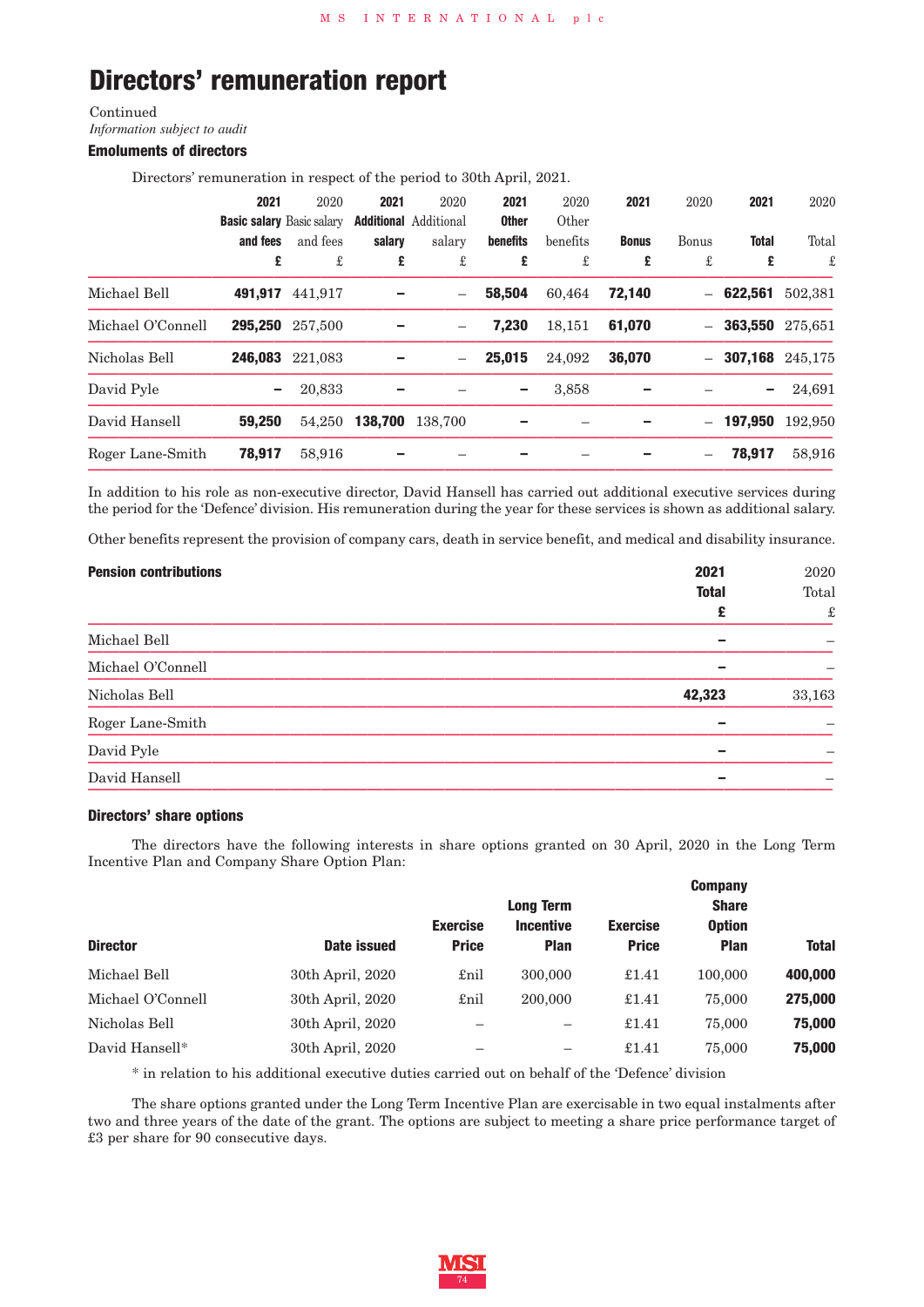# **Directors' remuneration report**

Continued *Information subject to audit*

### **Emoluments of directors**

Directors' remuneration in respect of the period to 30th April, 2021.

|                   | 2021<br><b>Basic salary</b> Basic salary<br>and fees<br>£ | 2020<br>and fees<br>£ | 2021<br>salary<br>£ | 2020<br><b>Additional</b> Additional<br>salary<br>£ | 2021<br><b>Other</b><br>benefits<br>£ | 2020<br>Other<br>benefits<br>£ | 2021<br><b>Bonus</b><br>£ | 2020<br><b>Bonus</b><br>£ | 2021<br><b>Total</b><br>£ | 2020<br>Total<br>£ |
|-------------------|-----------------------------------------------------------|-----------------------|---------------------|-----------------------------------------------------|---------------------------------------|--------------------------------|---------------------------|---------------------------|---------------------------|--------------------|
| Michael Bell      | 491.917                                                   | 441.917               |                     | $\overline{\phantom{0}}$                            | 58,504                                | 60.464                         | 72,140                    |                           | 622.561                   | 502,381            |
| Michael O'Connell | 295,250                                                   | 257,500               |                     | $\overline{\phantom{0}}$                            | 7,230                                 | 18,151                         | 61,070                    | $\qquad \qquad -$         | 363,550                   | 275,651            |
| Nicholas Bell     | 246,083                                                   | 221.083               |                     | $\overline{\phantom{0}}$                            | 25,015                                | 24,092                         | 36,070                    | $-$                       | 307,168                   | 245,175            |
| David Pyle        | -                                                         | 20,833                |                     |                                                     | -                                     | 3,858                          |                           |                           |                           | 24,691             |
| David Hansell     | 59,250                                                    | 54.250                | 138,700             | 138.700                                             |                                       |                                |                           | $\qquad \qquad -$         | 197,950                   | 192,950            |
| Roger Lane-Smith  | 78,917                                                    | 58,916                |                     |                                                     |                                       |                                |                           | $\overline{\phantom{m}}$  | 78,917                    | 58,916             |

In addition to his role as non-executive director, David Hansell has carried out additional executive services during the period for the 'Defence' division. His remuneration during the year for these services is shown as additional salary.

Other benefits represent the provision of company cars, death in service benefit, and medical and disability insurance.

| <b>Pension contributions</b> | 2021         | 2020   |
|------------------------------|--------------|--------|
|                              | <b>Total</b> | Total  |
|                              | £            | £      |
| Michael Bell                 |              |        |
| Michael O'Connell            |              |        |
| Nicholas Bell                | 42,323       | 33,163 |
| Roger Lane-Smith             |              |        |
| David Pyle                   |              |        |
| David Hansell                |              |        |
|                              |              |        |

## **Directors' share options**

The directors have the following interests in share options granted on 30 April, 2020 in the Long Term Incentive Plan and Company Share Option Plan:

| <b>Director</b>   | Date issued      | <b>Exercise</b><br><b>Price</b> | <b>Long Term</b><br><b>Incentive</b><br><b>Plan</b> | <b>Exercise</b><br><b>Price</b> | <b>Option</b><br><b>Plan</b> | <b>Total</b> |
|-------------------|------------------|---------------------------------|-----------------------------------------------------|---------------------------------|------------------------------|--------------|
| Michael Bell      | 30th April, 2020 | £nil                            | 300,000                                             | £1.41                           | 100,000                      | 400,000      |
| Michael O'Connell | 30th April, 2020 | £nil                            | 200,000                                             | £1.41                           | 75,000                       | 275,000      |
| Nicholas Bell     | 30th April, 2020 |                                 | $\overline{\phantom{0}}$                            | £1.41                           | 75,000                       | 75,000       |
| David Hansell*    | 30th April, 2020 |                                 |                                                     | £1.41                           | 75,000                       | 75,000       |

\* in relation to his additional executive duties carried out on behalf of the 'Defence' division

The share options granted under the Long Term Incentive Plan are exercisable in two equal instalments after two and three years of the date of the grant. The options are subject to meeting a share price performance target of £3 per share for 90 consecutive days.

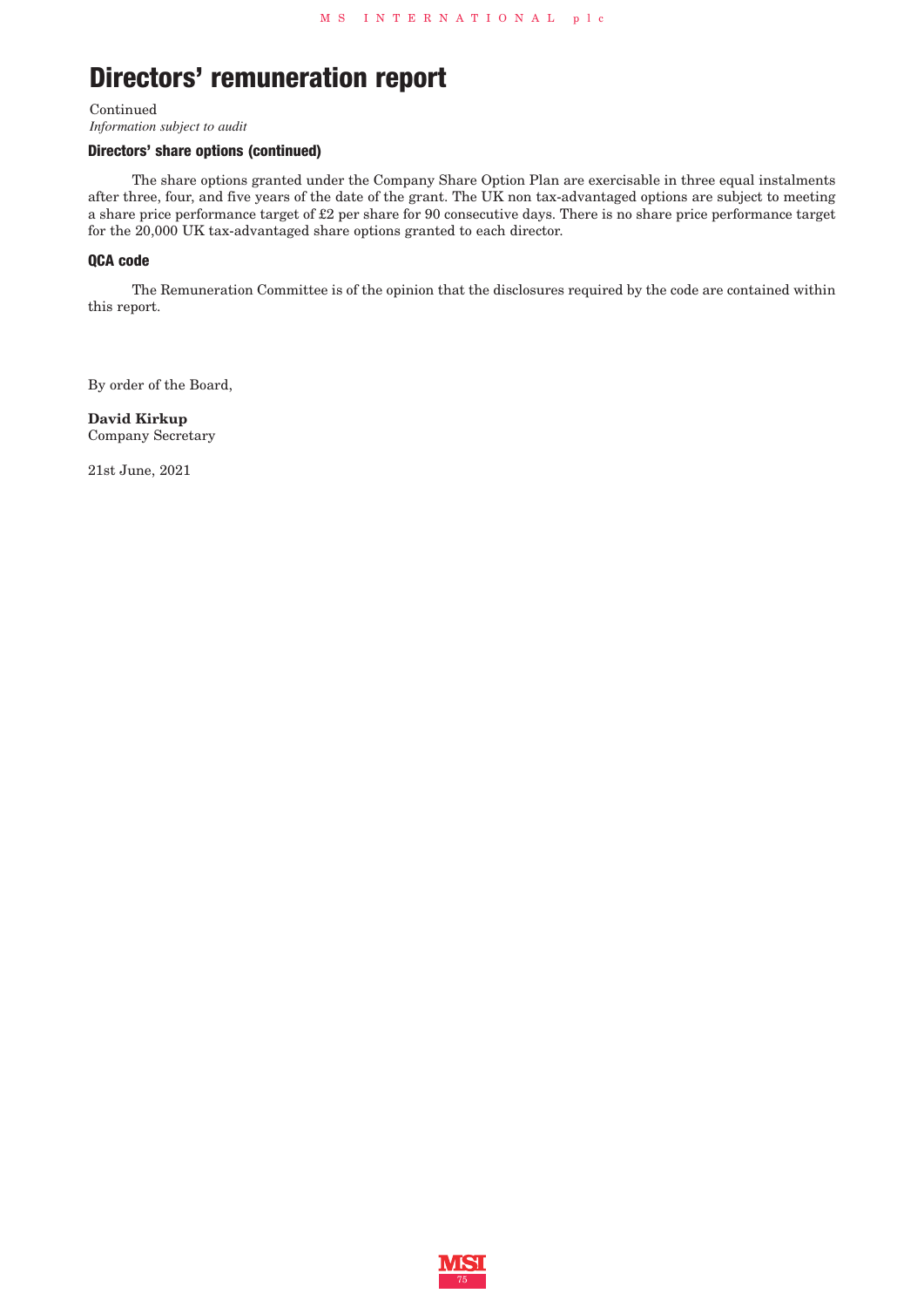# **Directors' remuneration report**

Continued *Information subject to audit*

## **Directors' share options (continued)**

The share options granted under the Company Share Option Plan are exercisable in three equal instalments after three, four, and five years of the date of the grant. The UK non tax-advantaged options are subject to meeting a share price performance target of £2 per share for 90 consecutive days. There is no share price performance target for the 20,000 UK tax-advantaged share options granted to each director.

## **QCA code**

The Remuneration Committee is of the opinion that the disclosures required by the code are contained within this report.

By order of the Board,

**David Kirkup** Company Secretary

21st June, 2021

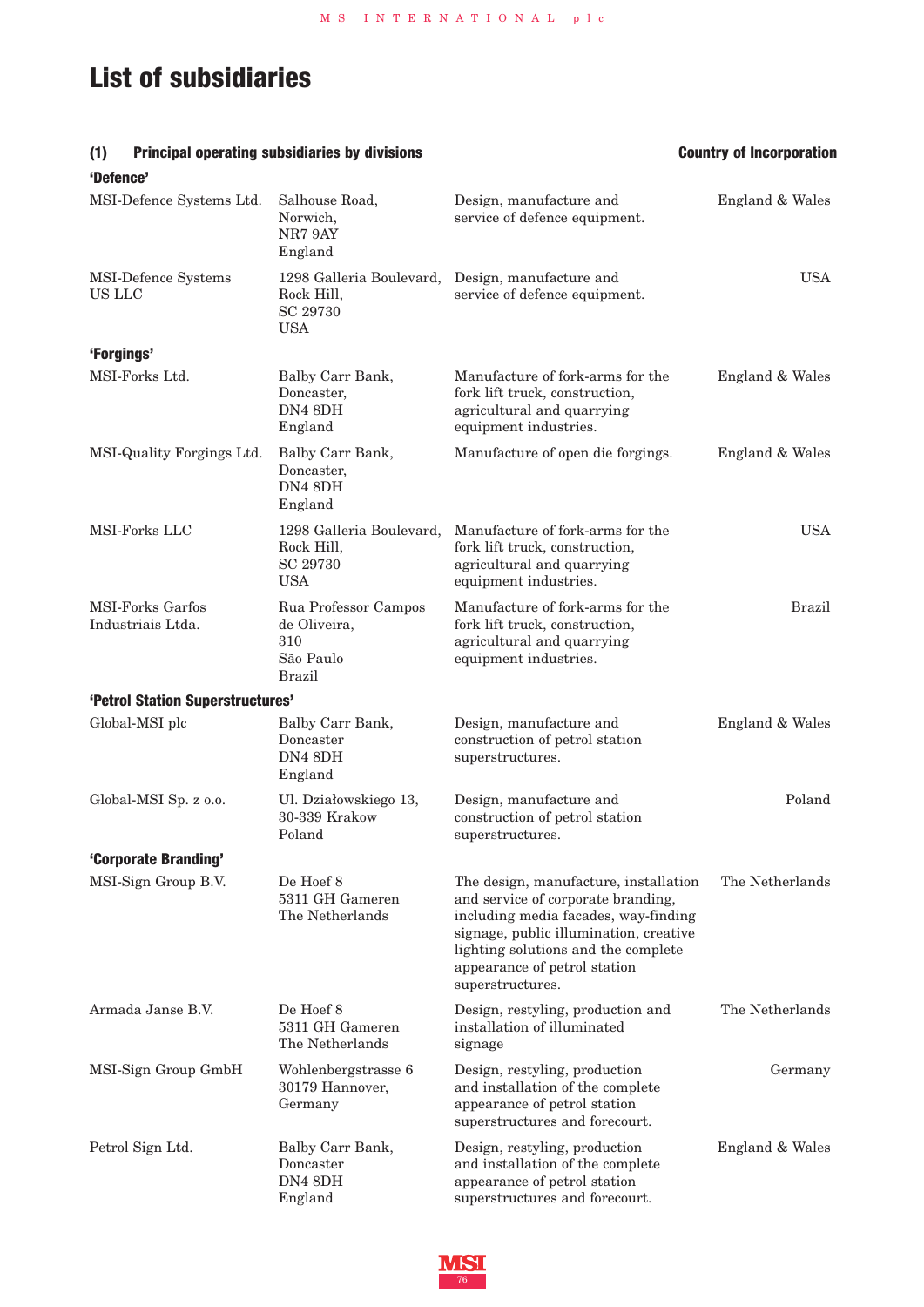# **List of subsidiaries**

| <b>Principal operating subsidiaries by divisions</b><br>(1) | <b>Country of Incorporation</b>                                    |                                                                                                                                                                                                                                                          |                 |
|-------------------------------------------------------------|--------------------------------------------------------------------|----------------------------------------------------------------------------------------------------------------------------------------------------------------------------------------------------------------------------------------------------------|-----------------|
| 'Defence'                                                   |                                                                    |                                                                                                                                                                                                                                                          |                 |
| MSI-Defence Systems Ltd.                                    | Salhouse Road,<br>Norwich,<br>NR79AY<br>England                    | Design, manufacture and<br>service of defence equipment.                                                                                                                                                                                                 | England & Wales |
| MSI-Defence Systems<br>US LLC                               | 1298 Galleria Boulevard,<br>Rock Hill,<br>SC 29730<br><b>USA</b>   | Design, manufacture and<br>service of defence equipment.                                                                                                                                                                                                 | <b>USA</b>      |
| 'Forgings'                                                  |                                                                    |                                                                                                                                                                                                                                                          |                 |
| MSI-Forks Ltd.                                              | Balby Carr Bank,<br>Doncaster,<br>DN4 8DH<br>England               | Manufacture of fork-arms for the<br>fork lift truck, construction,<br>agricultural and quarrying<br>equipment industries.                                                                                                                                | England & Wales |
| MSI-Quality Forgings Ltd.                                   | Balby Carr Bank,<br>Doncaster,<br>DN4 8DH<br>England               | Manufacture of open die forgings.                                                                                                                                                                                                                        | England & Wales |
| MSI-Forks LLC                                               | 1298 Galleria Boulevard,<br>Rock Hill,<br>SC 29730<br><b>USA</b>   | Manufacture of fork-arms for the<br>fork lift truck, construction,<br>agricultural and quarrying<br>equipment industries.                                                                                                                                | <b>USA</b>      |
| MSI-Forks Garfos<br>Industriais Ltda.                       | Rua Professor Campos<br>de Oliveira,<br>310<br>São Paulo<br>Brazil | Manufacture of fork-arms for the<br>fork lift truck, construction,<br>agricultural and quarrying<br>equipment industries.                                                                                                                                | Brazil          |
| 'Petrol Station Superstructures'                            |                                                                    |                                                                                                                                                                                                                                                          |                 |
| Global-MSI plc                                              | Balby Carr Bank,<br>Doncaster<br>DN4 8DH<br>England                | Design, manufacture and<br>construction of petrol station<br>superstructures.                                                                                                                                                                            | England & Wales |
| Global-MSI Sp. z o.o.                                       | Ul. Działowskiego 13,<br>30-339 Krakow<br>Poland                   | Design, manufacture and<br>construction of petrol station<br>superstructures.                                                                                                                                                                            | Poland          |
| 'Corporate Branding'                                        |                                                                    |                                                                                                                                                                                                                                                          |                 |
| MSI-Sign Group B.V.                                         | De Hoef 8<br>5311 GH Gameren<br>The Netherlands                    | The design, manufacture, installation<br>and service of corporate branding,<br>including media facades, way-finding<br>signage, public illumination, creative<br>lighting solutions and the complete<br>appearance of petrol station<br>superstructures. | The Netherlands |
| Armada Janse B.V.                                           | De Hoef 8<br>5311 GH Gameren<br>The Netherlands                    | Design, restyling, production and<br>installation of illuminated<br>signage                                                                                                                                                                              | The Netherlands |
| MSI-Sign Group GmbH                                         | Wohlenbergstrasse 6<br>30179 Hannover,<br>Germany                  | Design, restyling, production<br>and installation of the complete<br>appearance of petrol station<br>superstructures and forecourt.                                                                                                                      | Germany         |
| Petrol Sign Ltd.                                            | Balby Carr Bank,<br>Doncaster<br>DN4 8DH<br>England                | Design, restyling, production<br>and installation of the complete<br>appearance of petrol station<br>superstructures and forecourt.                                                                                                                      | England & Wales |

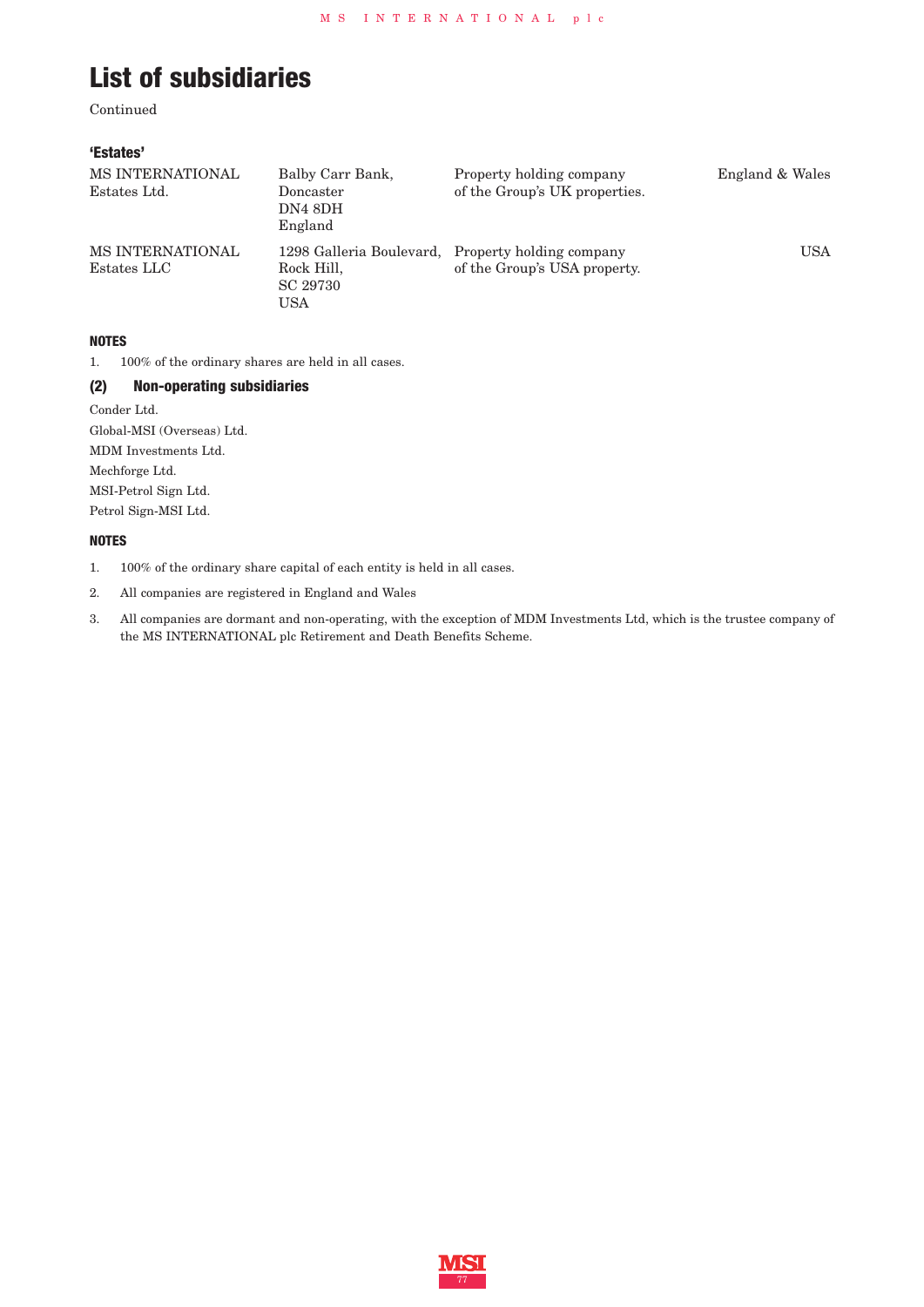# **List of subsidiaries**

Continued

## **'Estates'**

| MS INTERNATIONAL<br>Estates Ltd. | Balby Carr Bank,<br>Doncaster<br>DN4 8DH<br>England       | Property holding company<br>of the Group's UK properties. | England & Wales |
|----------------------------------|-----------------------------------------------------------|-----------------------------------------------------------|-----------------|
| MS INTERNATIONAL<br>Estates LLC  | 1298 Galleria Boulevard,<br>Rock Hill,<br>SC 29730<br>USA | Property holding company<br>of the Group's USA property.  | <b>USA</b>      |

## **NOTES**

1. 100% of the ordinary shares are held in all cases.

## **(2) Non-operating subsidiaries**

Conder Ltd. Global-MSI (Overseas) Ltd. MDM Investments Ltd. Mechforge Ltd. MSI-Petrol Sign Ltd. Petrol Sign-MSI Ltd.

## **NOTES**

- 1. 100% of the ordinary share capital of each entity is held in all cases.
- 2. All companies are registered in England and Wales
- 3. All companies are dormant and non-operating, with the exception of MDM Investments Ltd, which is the trustee company of the MS INTERNATIONAL plc Retirement and Death Benefits Scheme.

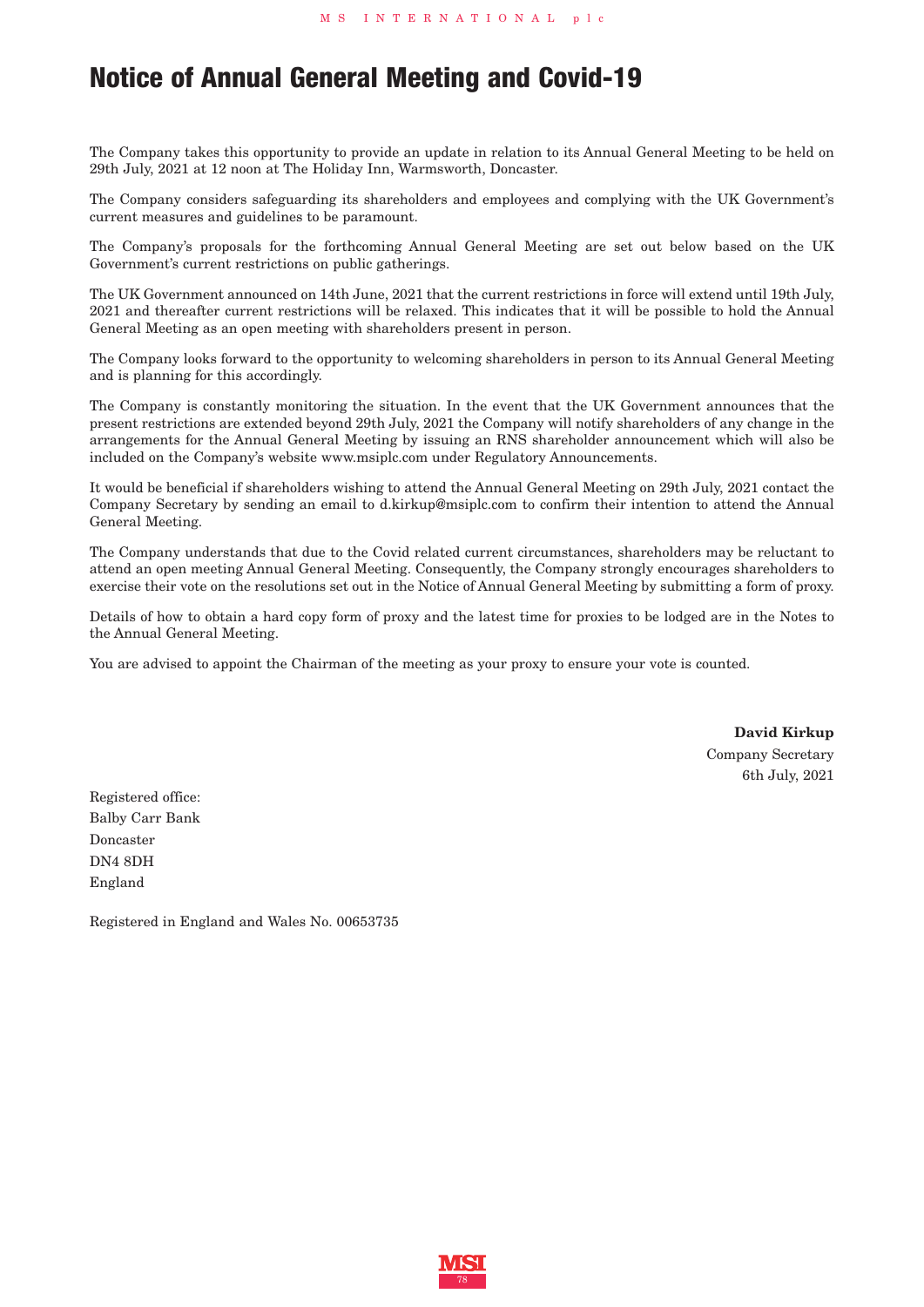## **Notice of Annual General Meeting and Covid-19**

The Company takes this opportunity to provide an update in relation to its Annual General Meeting to be held on 29th July, 2021 at 12 noon at The Holiday Inn, Warmsworth, Doncaster.

The Company considers safeguarding its shareholders and employees and complying with the UK Government's current measures and guidelines to be paramount.

The Company's proposals for the forthcoming Annual General Meeting are set out below based on the UK Government's current restrictions on public gatherings.

The UK Government announced on 14th June, 2021 that the current restrictions in force will extend until 19th July, 2021 and thereafter current restrictions will be relaxed. This indicates that it will be possible to hold the Annual General Meeting as an open meeting with shareholders present in person.

The Company looks forward to the opportunity to welcoming shareholders in person to its Annual General Meeting and is planning for this accordingly.

The Company is constantly monitoring the situation. In the event that the UK Government announces that the present restrictions are extended beyond 29th July, 2021 the Company will notify shareholders of any change in the arrangements for the Annual General Meeting by issuing an RNS shareholder announcement which will also be included on the Company's website www.msiplc.com under Regulatory Announcements.

It would be beneficial if shareholders wishing to attend the Annual General Meeting on 29th July, 2021 contact the Company Secretary by sending an email to d.kirkup@msiplc.com to confirm their intention to attend the Annual General Meeting.

The Company understands that due to the Covid related current circumstances, shareholders may be reluctant to attend an open meeting Annual General Meeting. Consequently, the Company strongly encourages shareholders to exercise their vote on the resolutions set out in the Notice of Annual General Meeting by submitting a form of proxy.

Details of how to obtain a hard copy form of proxy and the latest time for proxies to be lodged are in the Notes to the Annual General Meeting.

You are advised to appoint the Chairman of the meeting as your proxy to ensure your vote is counted.

**David Kirkup** Company Secretary 6th July, 2021

Registered office: Balby Carr Bank Doncaster DN4 8DH England

Registered in England and Wales No. 00653735

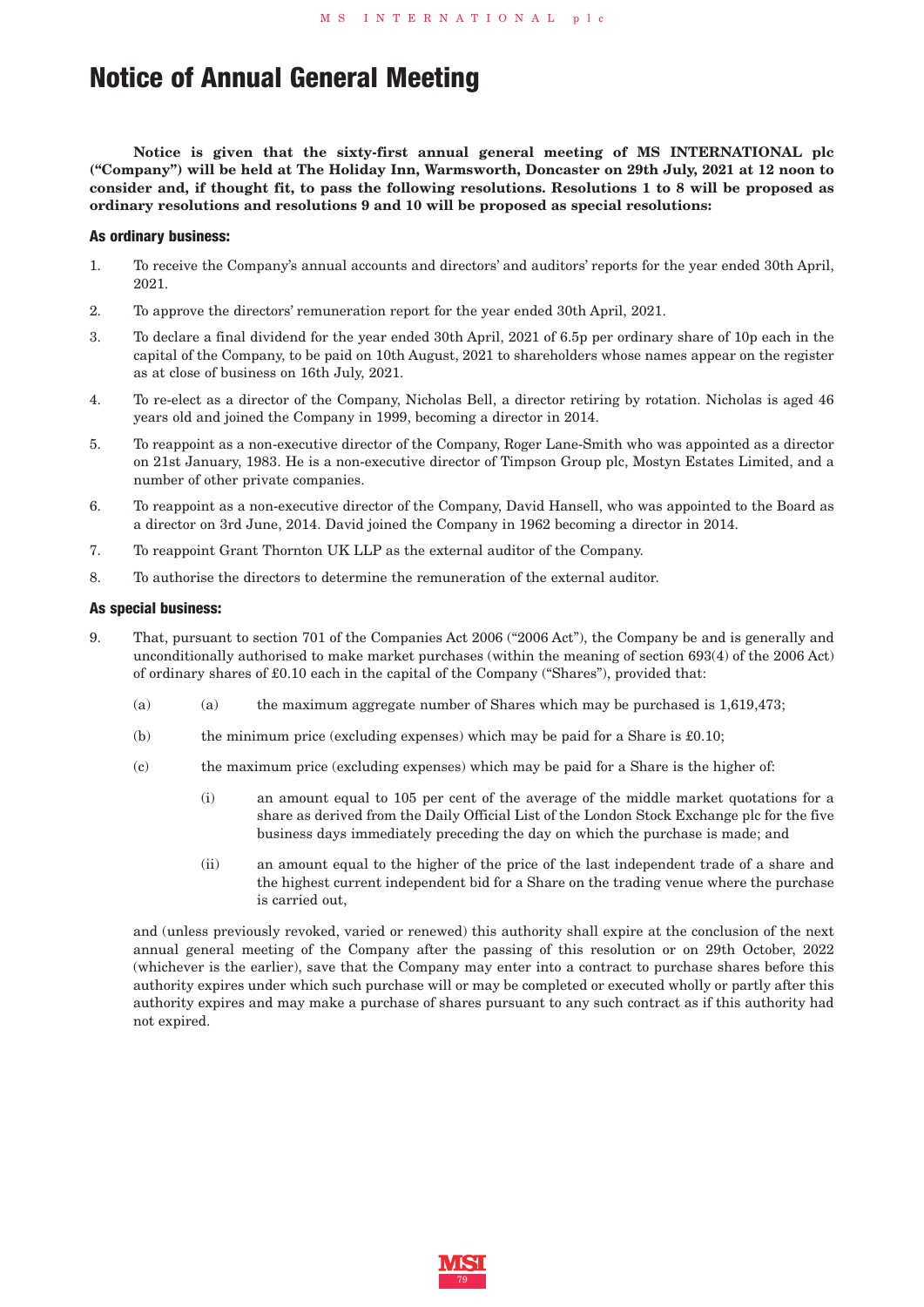**Notice is given that the sixty-first annual general meeting of MS INTERNATIONAL plc** ("Company") will be held at The Holiday Inn. Warmsworth. Doncaster on 29th July. 2021 at 12 noon to consider and, if thought fit, to pass the following resolutions. Resolutions 1 to 8 will be proposed as **ordinary resolutions and resolutions 9 and 10 will be proposed as special resolutions:**

## **As ordinary business:**

- 1. To receive the Company's annual accounts and directors' and auditors' reports for the year ended 30th April, 2021.
- 2. To approve the directors' remuneration report for the year ended 30th April, 2021.
- 3. To declare a final dividend for the year ended 30th April, 2021 of 6.5p per ordinary share of 10p each in the capital of the Company, to be paid on 10th August, 2021 to shareholders whose names appear on the register as at close of business on 16th July, 2021.
- 4. To re-elect as a director of the Company, Nicholas Bell, a director retiring by rotation. Nicholas is aged 46 years old and joined the Company in 1999, becoming a director in 2014.
- 5. To reappoint as a non-executive director of the Company, Roger Lane-Smith who was appointed as a director on 21st January, 1983. He is a non-executive director of Timpson Group plc, Mostyn Estates Limited, and a number of other private companies.
- 6. To reappoint as a non-executive director of the Company, David Hansell, who was appointed to the Board as a director on 3rd June, 2014. David joined the Company in 1962 becoming a director in 2014.
- 7. To reappoint Grant Thornton UK LLP as the external auditor of the Company.
- 8. To authorise the directors to determine the remuneration of the external auditor.

## **As special business:**

- 9. That, pursuant to section 701 of the Companies Act 2006 ("2006 Act"), the Company be and is generally and unconditionally authorised to make market purchases (within the meaning of section 693(4) of the 2006 Act) of ordinary shares of £0.10 each in the capital of the Company ("Shares"), provided that:
	- (a) (a) the maximum aggregate number of Shares which may be purchased is 1,619,473;
	- (b) the minimum price (excluding expenses) which may be paid for a Share is £0.10;
	- (c) the maximum price (excluding expenses) which may be paid for a Share is the higher of:
		- (i) an amount equal to 105 per cent of the average of the middle market quotations for a share as derived from the Daily Official List of the London Stock Exchange plc for the five business days immediately preceding the day on which the purchase is made; and
		- (ii) an amount equal to the higher of the price of the last independent trade of a share and the highest current independent bid for a Share on the trading venue where the purchase is carried out,

and (unless previously revoked, varied or renewed) this authority shall expire at the conclusion of the next annual general meeting of the Company after the passing of this resolution or on 29th October, 2022 (whichever is the earlier), save that the Company may enter into a contract to purchase shares before this authority expires under which such purchase will or may be completed or executed wholly or partly after this authority expires and may make a purchase of shares pursuant to any such contract as if this authority had not expired.

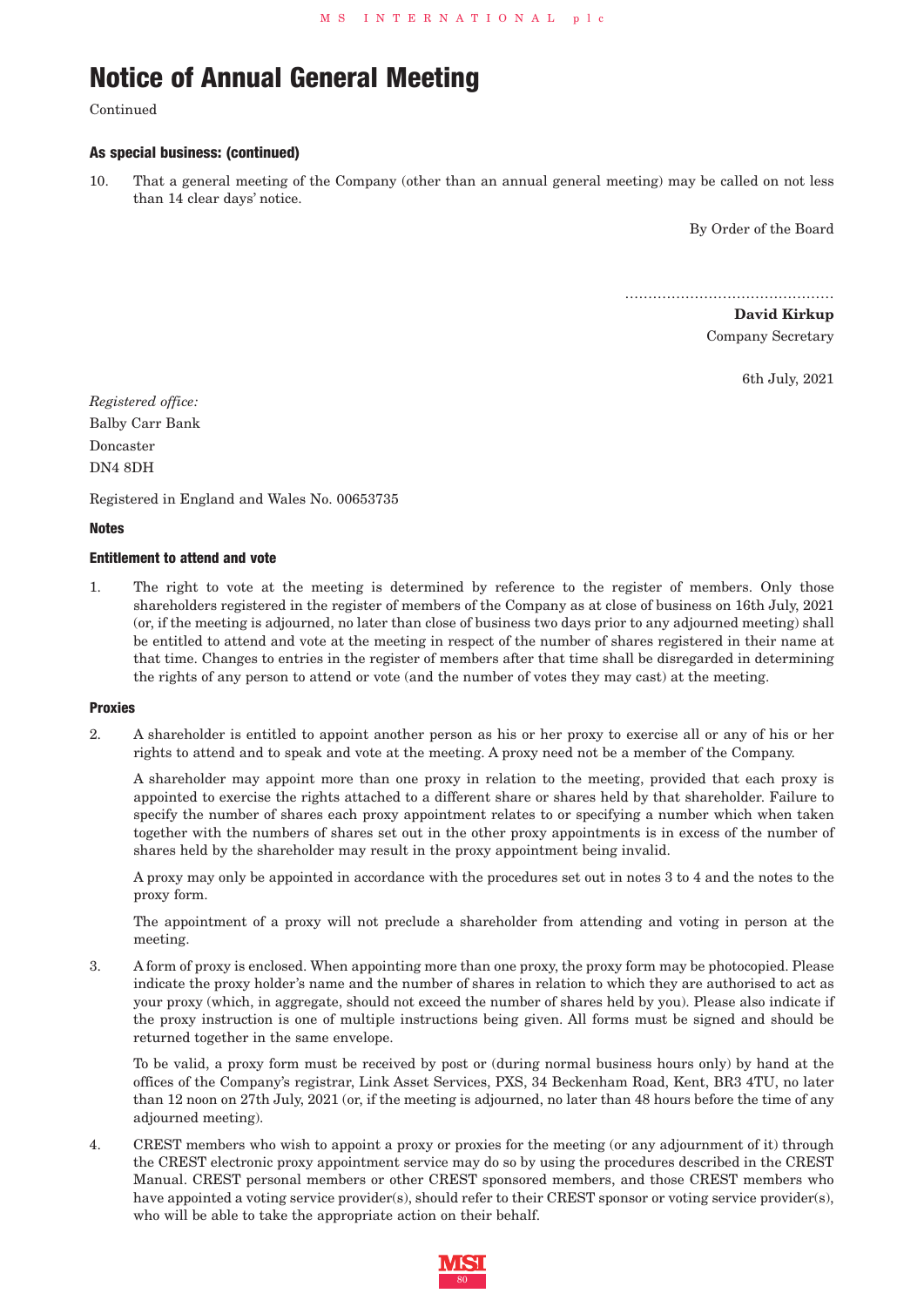Continued

## **As special business: (continued)**

10. That a general meeting of the Company (other than an annual general meeting) may be called on not less than 14 clear days' notice.

By Order of the Board

………………………………………

**David Kirkup** Company Secretary

6th July, 2021

*Registered office:* Balby Carr Bank Doncaster DN4 8DH

Registered in England and Wales No. 00653735

## **Notes**

### **Entitlement to attend and vote**

1. The right to vote at the meeting is determined by reference to the register of members. Only those shareholders registered in the register of members of the Company as at close of business on 16th July, 2021 (or, if the meeting is adjourned, no later than close of business two days prior to any adjourned meeting) shall be entitled to attend and vote at the meeting in respect of the number of shares registered in their name at that time. Changes to entries in the register of members after that time shall be disregarded in determining the rights of any person to attend or vote (and the number of votes they may cast) at the meeting.

## **Proxies**

2. A shareholder is entitled to appoint another person as his or her proxy to exercise all or any of his or her rights to attend and to speak and vote at the meeting. A proxy need not be a member of the Company.

A shareholder may appoint more than one proxy in relation to the meeting, provided that each proxy is appointed to exercise the rights attached to a different share or shares held by that shareholder. Failure to specify the number of shares each proxy appointment relates to or specifying a number which when taken together with the numbers of shares set out in the other proxy appointments is in excess of the number of shares held by the shareholder may result in the proxy appointment being invalid.

A proxy may only be appointed in accordance with the procedures set out in notes 3 to 4 and the notes to the proxy form.

The appointment of a proxy will not preclude a shareholder from attending and voting in person at the meeting.

3. A form of proxy is enclosed. When appointing more than one proxy, the proxy form may be photocopied. Please indicate the proxy holder's name and the number of shares in relation to which they are authorised to act as your proxy (which, in aggregate, should not exceed the number of shares held by you). Please also indicate if the proxy instruction is one of multiple instructions being given. All forms must be signed and should be returned together in the same envelope.

To be valid, a proxy form must be received by post or (during normal business hours only) by hand at the offices of the Company's registrar, Link Asset Services, PXS, 34 Beckenham Road, Kent, BR3 4TU, no later than 12 noon on 27th July, 2021 (or, if the meeting is adjourned, no later than 48 hours before the time of any adjourned meeting).

4. CREST members who wish to appoint a proxy or proxies for the meeting (or any adjournment of it) through the CREST electronic proxy appointment service may do so by using the procedures described in the CREST Manual. CREST personal members or other CREST sponsored members, and those CREST members who have appointed a voting service provider(s), should refer to their CREST sponsor or voting service provider(s), who will be able to take the appropriate action on their behalf.

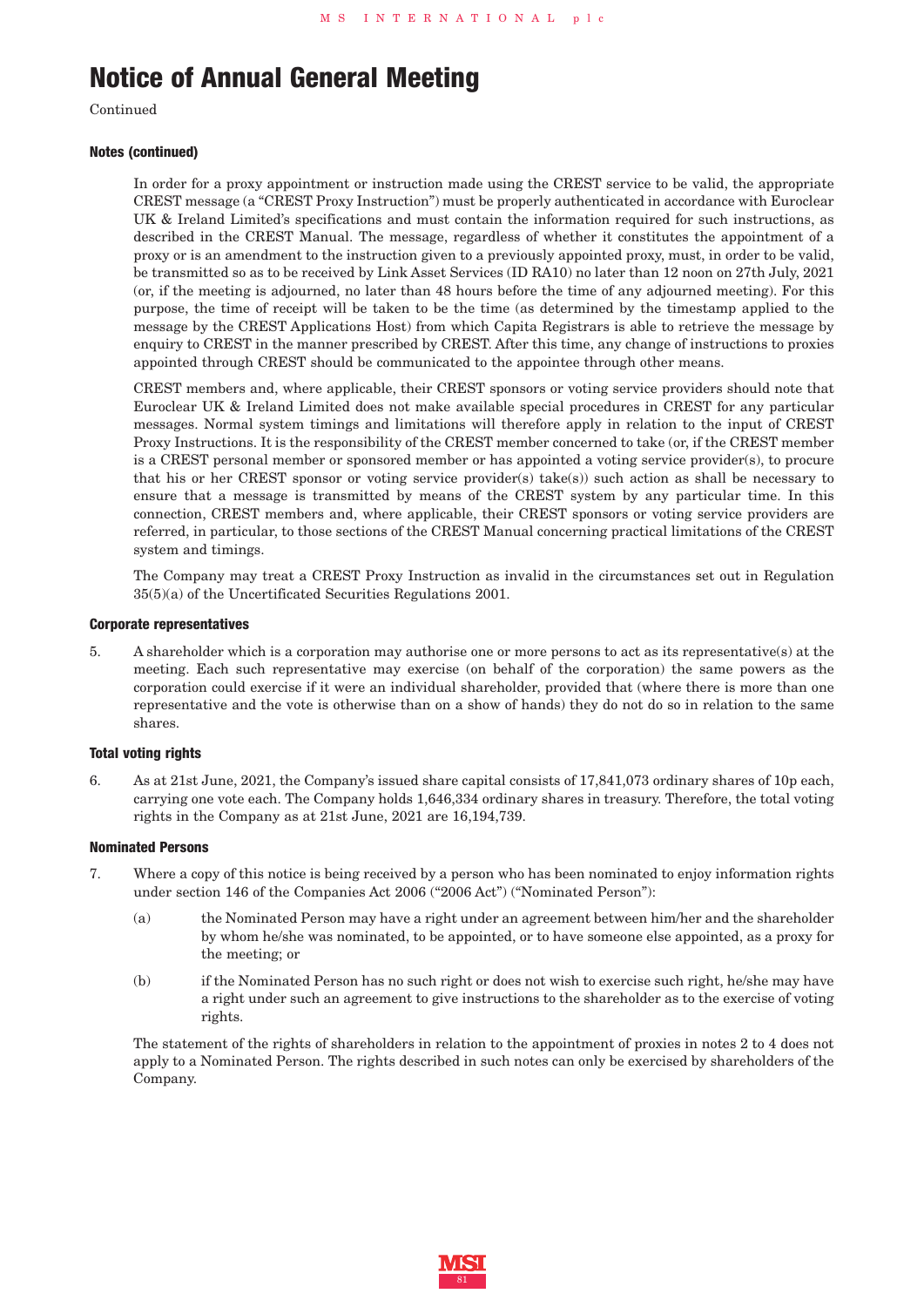Continued

#### **Notes (continued)**

In order for a proxy appointment or instruction made using the CREST service to be valid, the appropriate CREST message (a "CREST Proxy Instruction") must be properly authenticated in accordance with Euroclear UK & Ireland Limited's specifications and must contain the information required for such instructions, as described in the CREST Manual. The message, regardless of whether it constitutes the appointment of a proxy or is an amendment to the instruction given to a previously appointed proxy, must, in order to be valid, be transmitted so as to be received by Link Asset Services (ID RA10) no later than 12 noon on 27th July, 2021 (or, if the meeting is adjourned, no later than 48 hours before the time of any adjourned meeting). For this purpose, the time of receipt will be taken to be the time (as determined by the timestamp applied to the message by the CREST Applications Host) from which Capita Registrars is able to retrieve the message by enquiry to CREST in the manner prescribed by CREST. After this time, any change of instructions to proxies appointed through CREST should be communicated to the appointee through other means.

CREST members and, where applicable, their CREST sponsors or voting service providers should note that Euroclear UK & Ireland Limited does not make available special procedures in CREST for any particular messages. Normal system timings and limitations will therefore apply in relation to the input of CREST Proxy Instructions. It is the responsibility of the CREST member concerned to take (or, if the CREST member is a CREST personal member or sponsored member or has appointed a voting service provider(s), to procure that his or her CREST sponsor or voting service provider(s) take(s)) such action as shall be necessary to ensure that a message is transmitted by means of the CREST system by any particular time. In this connection, CREST members and, where applicable, their CREST sponsors or voting service providers are referred, in particular, to those sections of the CREST Manual concerning practical limitations of the CREST system and timings.

The Company may treat a CREST Proxy Instruction as invalid in the circumstances set out in Regulation 35(5)(a) of the Uncertificated Securities Regulations 2001.

#### **Corporate representatives**

5. A shareholder which is a corporation may authorise one or more persons to act as its representative(s) at the meeting. Each such representative may exercise (on behalf of the corporation) the same powers as the corporation could exercise if it were an individual shareholder, provided that (where there is more than one representative and the vote is otherwise than on a show of hands) they do not do so in relation to the same shares.

### **Total voting rights**

6. As at 21st June, 2021, the Company's issued share capital consists of 17,841,073 ordinary shares of 10p each, carrying one vote each. The Company holds 1,646,334 ordinary shares in treasury. Therefore, the total voting rights in the Company as at 21st June, 2021 are 16,194,739.

### **Nominated Persons**

- 7. Where a copy of this notice is being received by a person who has been nominated to enjoy information rights under section 146 of the Companies Act 2006 ("2006 Act") ("Nominated Person"):
	- (a) the Nominated Person may have a right under an agreement between him/her and the shareholder by whom he/she was nominated, to be appointed, or to have someone else appointed, as a proxy for the meeting; or
	- (b) if the Nominated Person has no such right or does not wish to exercise such right, he/she may have a right under such an agreement to give instructions to the shareholder as to the exercise of voting rights.

The statement of the rights of shareholders in relation to the appointment of proxies in notes 2 to 4 does not apply to a Nominated Person. The rights described in such notes can only be exercised by shareholders of the Company.

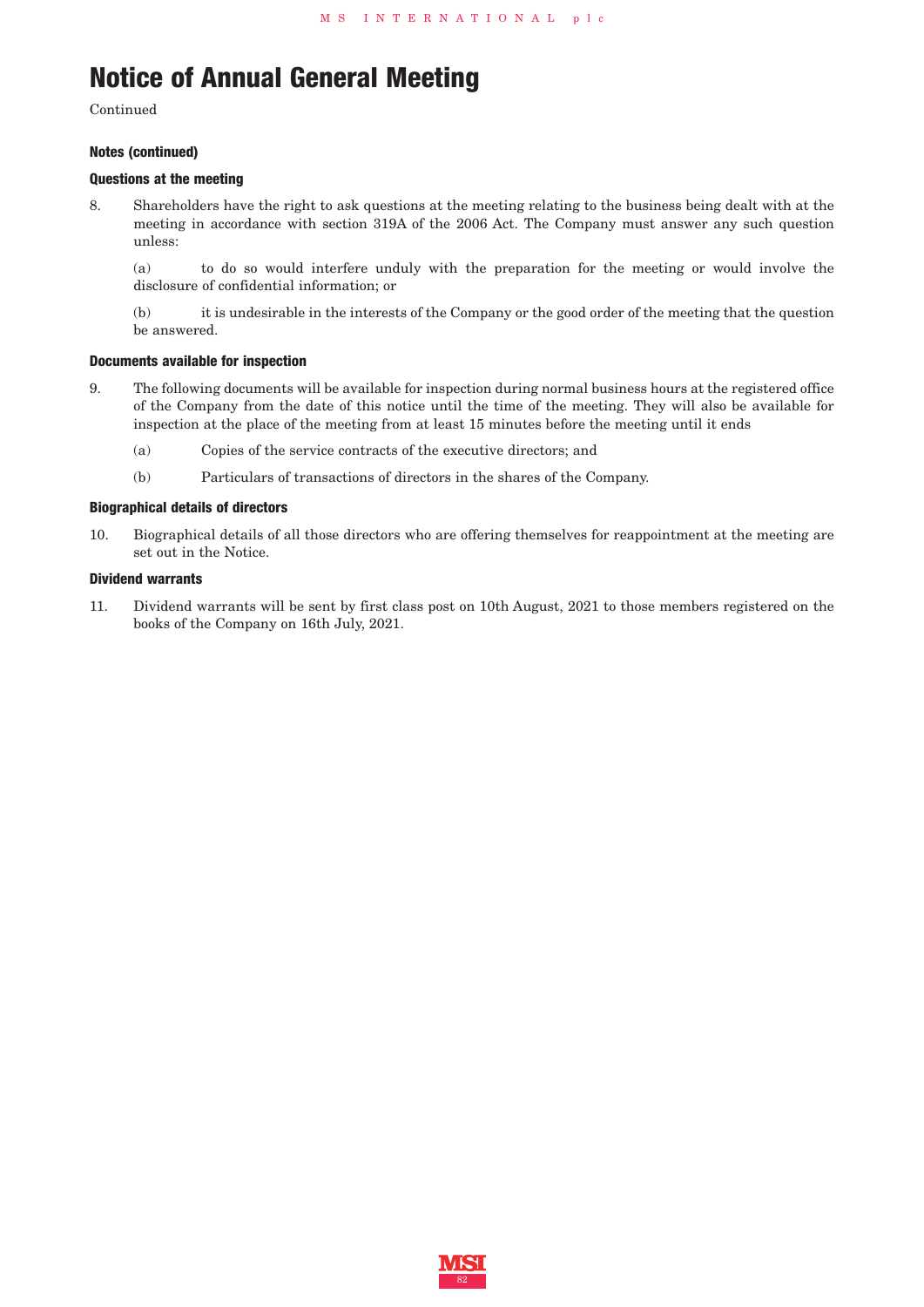Continued

### **Notes (continued)**

## **Questions at the meeting**

8. Shareholders have the right to ask questions at the meeting relating to the business being dealt with at the meeting in accordance with section 319A of the 2006 Act. The Company must answer any such question unless:

(a) to do so would interfere unduly with the preparation for the meeting or would involve the disclosure of confidential information; or

(b) it is undesirable in the interests of the Company or the good order of the meeting that the question be answered.

#### **Documents available for inspection**

- 9. The following documents will be available for inspection during normal business hours at the registered office of the Company from the date of this notice until the time of the meeting. They will also be available for inspection at the place of the meeting from at least 15 minutes before the meeting until it ends
	- (a) Copies of the service contracts of the executive directors; and
	- (b) Particulars of transactions of directors in the shares of the Company.

#### **Biographical details of directors**

10. Biographical details of all those directors who are offering themselves for reappointment at the meeting are set out in the Notice.

#### **Dividend warrants**

11. Dividend warrants will be sent by first class post on 10th August, 2021 to those members registered on the books of the Company on 16th July, 2021.

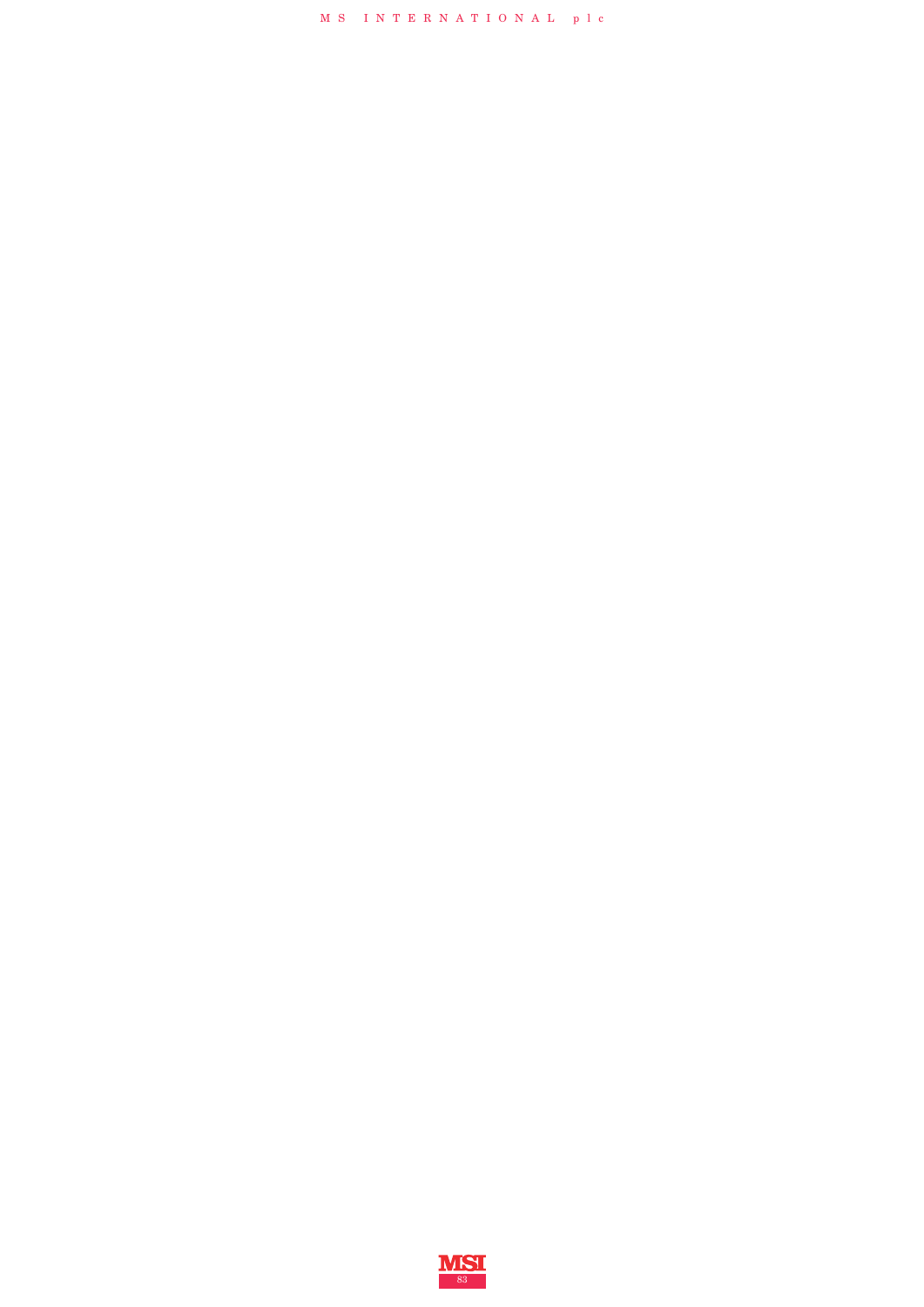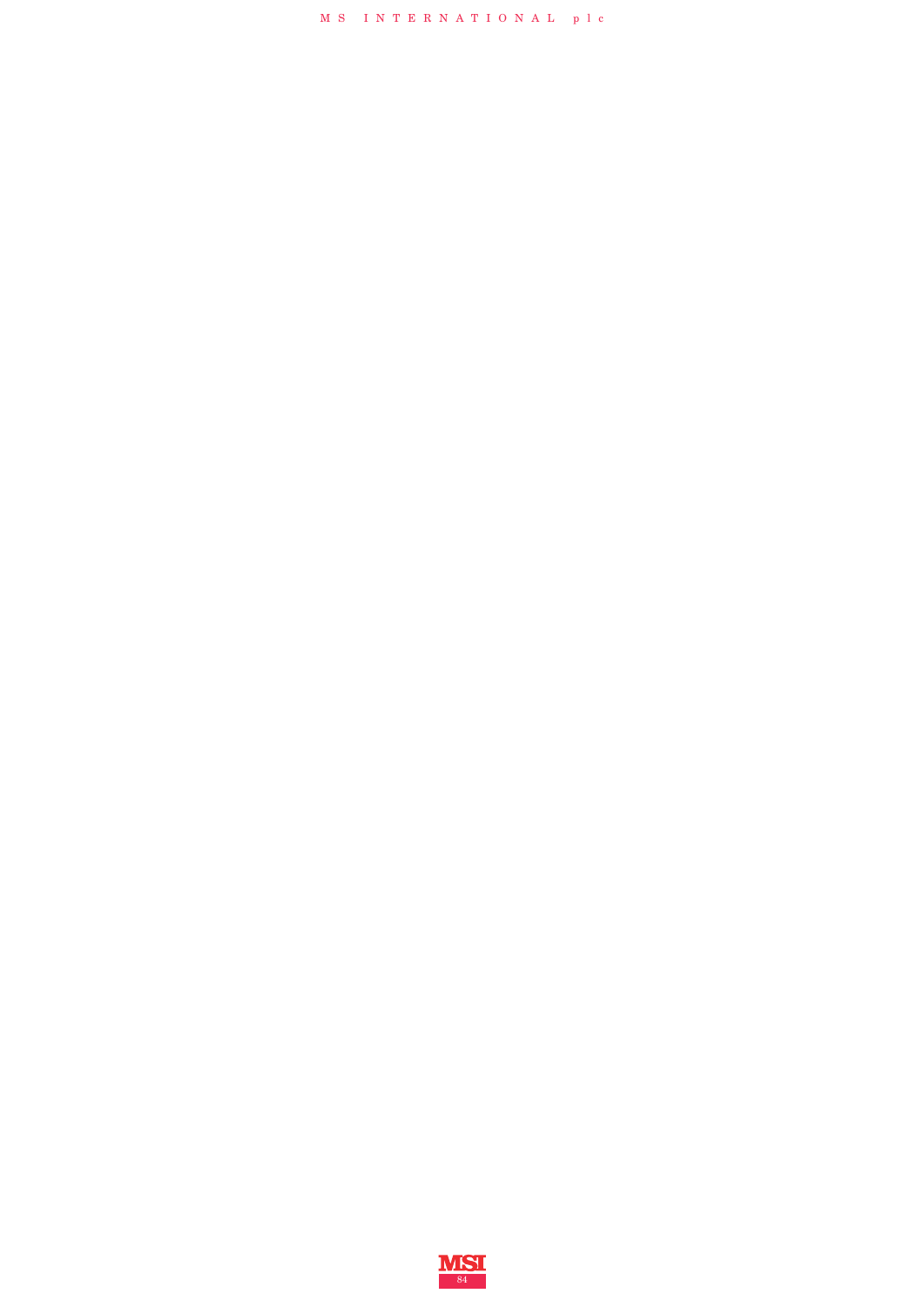